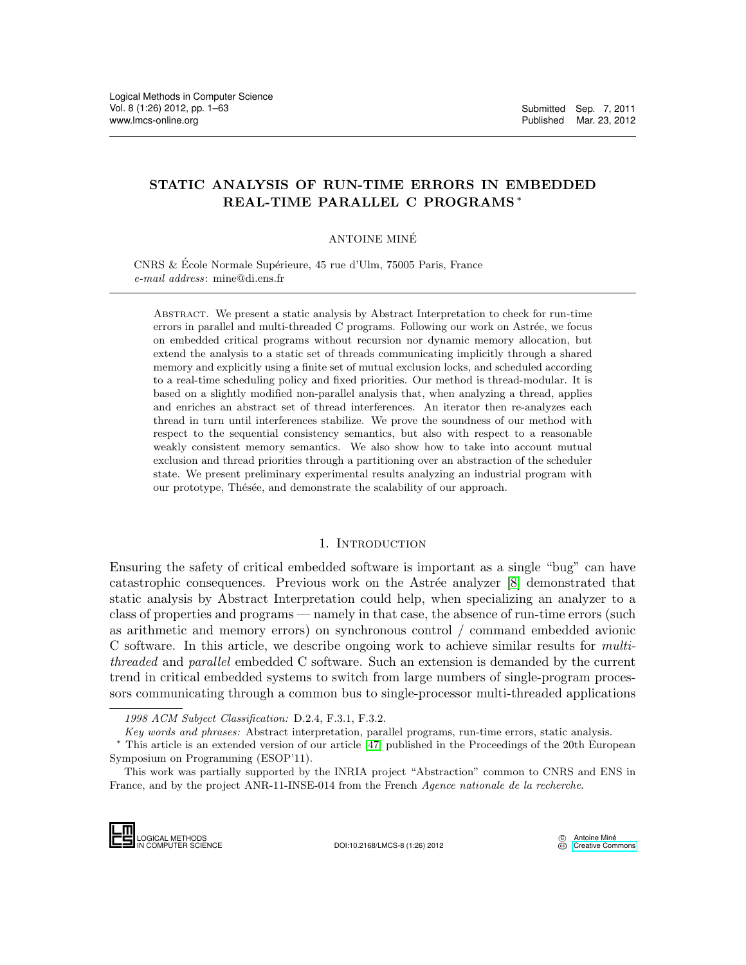# STATIC ANALYSIS OF RUN-TIME ERRORS IN EMBEDDED REAL-TIME PARALLEL C PROGRAMS <sup>∗</sup>

## ANTOINE MINE´

CNRS & École Normale Supérieure, 45 rue d'Ulm, 75005 Paris, France e-mail address: mine@di.ens.fr

Abstract. We present a static analysis by Abstract Interpretation to check for run-time errors in parallel and multi-threaded C programs. Following our work on Astrée, we focus on embedded critical programs without recursion nor dynamic memory allocation, but extend the analysis to a static set of threads communicating implicitly through a shared memory and explicitly using a finite set of mutual exclusion locks, and scheduled according to a real-time scheduling policy and fixed priorities. Our method is thread-modular. It is based on a slightly modified non-parallel analysis that, when analyzing a thread, applies and enriches an abstract set of thread interferences. An iterator then re-analyzes each thread in turn until interferences stabilize. We prove the soundness of our method with respect to the sequential consistency semantics, but also with respect to a reasonable weakly consistent memory semantics. We also show how to take into account mutual exclusion and thread priorities through a partitioning over an abstraction of the scheduler state. We present preliminary experimental results analyzing an industrial program with our prototype, Thésée, and demonstrate the scalability of our approach.

## 1. INTRODUCTION

Ensuring the safety of critical embedded software is important as a single "bug" can have catastrophic consequences. Previous work on the Astrée analyzer [\[8\]](#page-46-0) demonstrated that static analysis by Abstract Interpretation could help, when specializing an analyzer to a class of properties and programs — namely in that case, the absence of run-time errors (such as arithmetic and memory errors) on synchronous control / command embedded avionic C software. In this article, we describe ongoing work to achieve similar results for multithreaded and parallel embedded C software. Such an extension is demanded by the current trend in critical embedded systems to switch from large numbers of single-program processors communicating through a common bus to single-processor multi-threaded applications

<sup>1998</sup> ACM Subject Classification: D.2.4, F.3.1, F.3.2.

Key words and phrases: Abstract interpretation, parallel programs, run-time errors, static analysis.

<sup>∗</sup> This article is an extended version of our article [\[47\]](#page-47-0) published in the Proceedings of the 20th European Symposium on Programming (ESOP'11).

This work was partially supported by the INRIA project "Abstraction" common to CNRS and ENS in France, and by the project ANR-11-INSE-014 from the French Agence nationale de la recherche.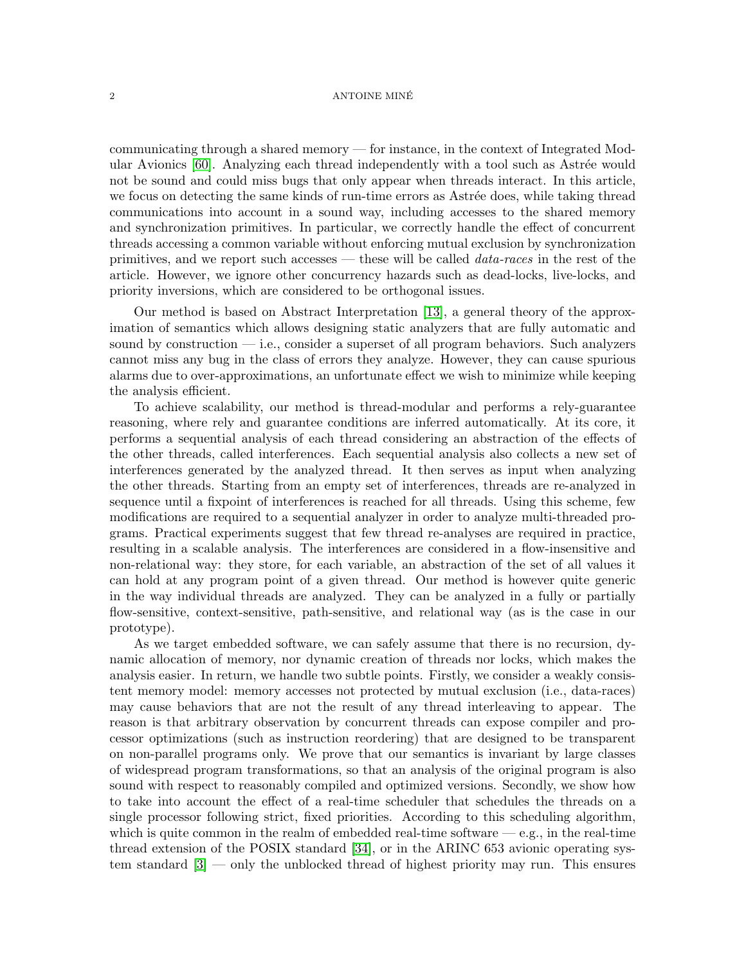#### $2 \overline{P}$  ANTOINE MINÉ

communicating through a shared memory — for instance, in the context of Integrated Mod-ular Avionics [\[60\]](#page-48-0). Analyzing each thread independently with a tool such as Astrée would not be sound and could miss bugs that only appear when threads interact. In this article, we focus on detecting the same kinds of run-time errors as Astrée does, while taking thread communications into account in a sound way, including accesses to the shared memory and synchronization primitives. In particular, we correctly handle the effect of concurrent threads accessing a common variable without enforcing mutual exclusion by synchronization primitives, and we report such accesses — these will be called data-races in the rest of the article. However, we ignore other concurrency hazards such as dead-locks, live-locks, and priority inversions, which are considered to be orthogonal issues.

Our method is based on Abstract Interpretation [\[13\]](#page-46-1), a general theory of the approximation of semantics which allows designing static analyzers that are fully automatic and sound by construction  $-$  i.e., consider a superset of all program behaviors. Such analyzers cannot miss any bug in the class of errors they analyze. However, they can cause spurious alarms due to over-approximations, an unfortunate effect we wish to minimize while keeping the analysis efficient.

To achieve scalability, our method is thread-modular and performs a rely-guarantee reasoning, where rely and guarantee conditions are inferred automatically. At its core, it performs a sequential analysis of each thread considering an abstraction of the effects of the other threads, called interferences. Each sequential analysis also collects a new set of interferences generated by the analyzed thread. It then serves as input when analyzing the other threads. Starting from an empty set of interferences, threads are re-analyzed in sequence until a fixpoint of interferences is reached for all threads. Using this scheme, few modifications are required to a sequential analyzer in order to analyze multi-threaded programs. Practical experiments suggest that few thread re-analyses are required in practice, resulting in a scalable analysis. The interferences are considered in a flow-insensitive and non-relational way: they store, for each variable, an abstraction of the set of all values it can hold at any program point of a given thread. Our method is however quite generic in the way individual threads are analyzed. They can be analyzed in a fully or partially flow-sensitive, context-sensitive, path-sensitive, and relational way (as is the case in our prototype).

As we target embedded software, we can safely assume that there is no recursion, dynamic allocation of memory, nor dynamic creation of threads nor locks, which makes the analysis easier. In return, we handle two subtle points. Firstly, we consider a weakly consistent memory model: memory accesses not protected by mutual exclusion (i.e., data-races) may cause behaviors that are not the result of any thread interleaving to appear. The reason is that arbitrary observation by concurrent threads can expose compiler and processor optimizations (such as instruction reordering) that are designed to be transparent on non-parallel programs only. We prove that our semantics is invariant by large classes of widespread program transformations, so that an analysis of the original program is also sound with respect to reasonably compiled and optimized versions. Secondly, we show how to take into account the effect of a real-time scheduler that schedules the threads on a single processor following strict, fixed priorities. According to this scheduling algorithm, which is quite common in the realm of embedded real-time software  $-e.g.,$  in the real-time thread extension of the POSIX standard [\[34\]](#page-47-1), or in the ARINC 653 avionic operating system standard [\[3\]](#page-45-0) — only the unblocked thread of highest priority may run. This ensures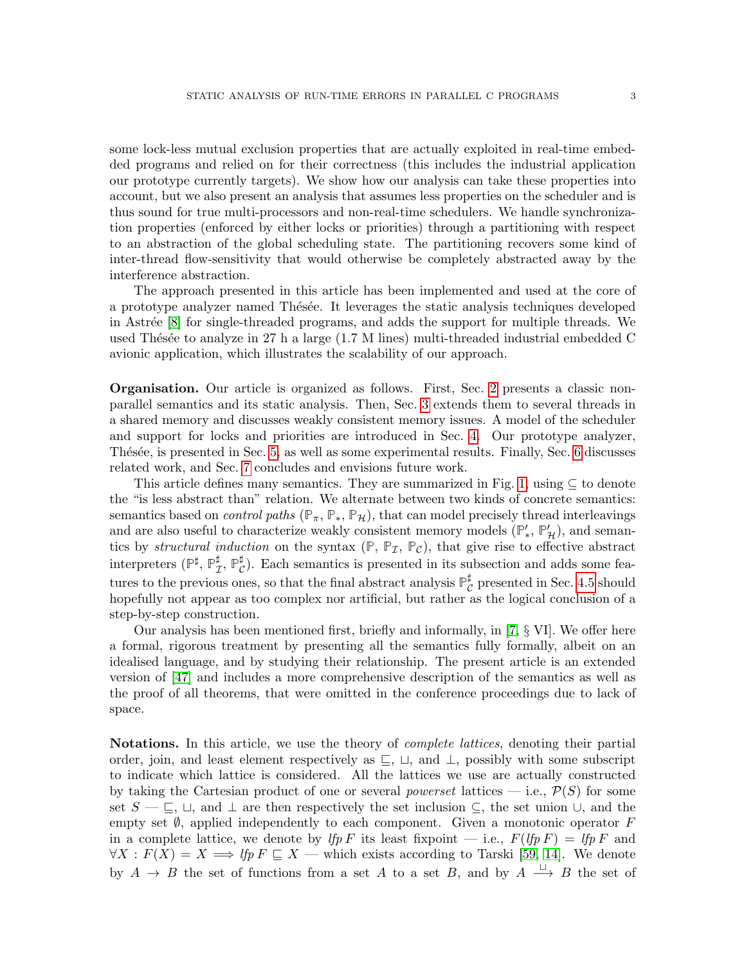some lock-less mutual exclusion properties that are actually exploited in real-time embedded programs and relied on for their correctness (this includes the industrial application our prototype currently targets). We show how our analysis can take these properties into account, but we also present an analysis that assumes less properties on the scheduler and is thus sound for true multi-processors and non-real-time schedulers. We handle synchronization properties (enforced by either locks or priorities) through a partitioning with respect to an abstraction of the global scheduling state. The partitioning recovers some kind of inter-thread flow-sensitivity that would otherwise be completely abstracted away by the interference abstraction.

The approach presented in this article has been implemented and used at the core of a prototype analyzer named Thésée. It leverages the static analysis techniques developed in Astrée [\[8\]](#page-46-0) for single-threaded programs, and adds the support for multiple threads. We used Thésée to analyze in 27 h a large  $(1.7 \text{ M}$  lines) multi-threaded industrial embedded C avionic application, which illustrates the scalability of our approach.

Organisation. Our article is organized as follows. First, Sec. [2](#page-3-0) presents a classic nonparallel semantics and its static analysis. Then, Sec. [3](#page-9-0) extends them to several threads in a shared memory and discusses weakly consistent memory issues. A model of the scheduler and support for locks and priorities are introduced in Sec. [4.](#page-20-0) Our prototype analyzer, Thésée, is presented in Sec. [5,](#page-37-0) as well as some experimental results. Finally, Sec. [6](#page-42-0) discusses related work, and Sec. [7](#page-44-0) concludes and envisions future work.

This article defines many semantics. They are summarized in Fig. [1,](#page-3-1) using  $\subseteq$  to denote the "is less abstract than" relation. We alternate between two kinds of concrete semantics: semantics based on *control paths* ( $\mathbb{P}_{\pi}$ ,  $\mathbb{P}_{*}$ ,  $\mathbb{P}_{\mathcal{H}}$ ), that can model precisely thread interleavings and are also useful to characterize weakly consistent memory models  $(\mathbb{P}'_*, \mathbb{P}'_{\mathcal{H}})$ , and semantics by *structural induction* on the syntax  $(\mathbb{P}, \mathbb{P}_{I}, \mathbb{P}_{C})$ , that give rise to effective abstract interpreters ( $\mathbb{P}^{\sharp}$ ,  $\mathbb{P}^{\sharp}$  $_{\mathcal{I}}^{\sharp},$   $\mathbb{P}_{\mathcal{C}}^{\sharp}$  $_{\mathcal{C}}^{\sharp}$ ). Each semantics is presented in its subsection and adds some features to the previous ones, so that the final abstract analysis  $\mathbb{P}_{\mathcal{C}}^{\sharp}$  $_{\mathcal{C}}^{\sharp}$  presented in Sec. [4.5](#page-33-0) should hopefully not appear as too complex nor artificial, but rather as the logical conclusion of a step-by-step construction.

Our analysis has been mentioned first, briefly and informally, in [\[7,](#page-46-2) § VI]. We offer here a formal, rigorous treatment by presenting all the semantics fully formally, albeit on an idealised language, and by studying their relationship. The present article is an extended version of [\[47\]](#page-47-0) and includes a more comprehensive description of the semantics as well as the proof of all theorems, that were omitted in the conference proceedings due to lack of space.

Notations. In this article, we use the theory of *complete lattices*, denoting their partial order, join, and least element respectively as  $\sqsubseteq$ ,  $\sqcup$ , and  $\perp$ , possibly with some subscript to indicate which lattice is considered. All the lattices we use are actually constructed by taking the Cartesian product of one or several *powerset* lattices — i.e.,  $\mathcal{P}(S)$  for some set  $S - \sqsubseteq, \sqcup$ , and  $\perp$  are then respectively the set inclusion  $\subseteq$ , the set union  $\cup$ , and the empty set  $\emptyset$ , applied independently to each component. Given a monotonic operator F in a complete lattice, we denote by lfp F its least fixpoint — i.e.,  $F(lfpF) = lfpF$  and  $\forall X : F(X) = X \Longrightarrow$  lfp  $F \subseteq X$  — which exists according to Tarski [\[59,](#page-48-1) [14\]](#page-46-3). We denote by  $A \to B$  the set of functions from a set A to a set B, and by  $A \stackrel{\sqcup}{\longrightarrow} B$  the set of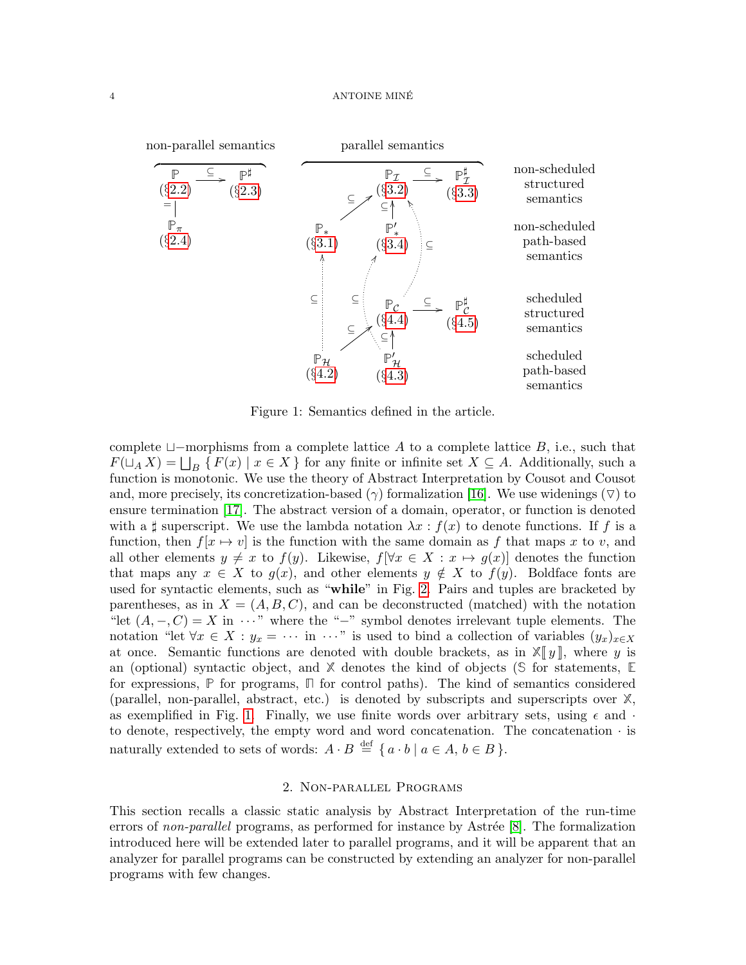#### 4 ANTOINE MINÉ



<span id="page-3-1"></span>Figure 1: Semantics defined in the article.

complete  $\Box$ -morphisms from a complete lattice A to a complete lattice B, i.e., such that  $F(\sqcup_A X) = \bigsqcup_B \{ F(x) \mid x \in X \}$  for any finite or infinite set  $X \subseteq A$ . Additionally, such a function is monotonic. We use the theory of Abstract Interpretation by Cousot and Cousot and, more precisely, its concretization-based ( $\gamma$ ) formalization [\[16\]](#page-46-4). We use widenings ( $\triangledown$ ) to ensure termination [\[17\]](#page-46-5). The abstract version of a domain, operator, or function is denoted with a  $\sharp$  superscript. We use the lambda notation  $\lambda x : f(x)$  to denote functions. If f is a function, then  $f[x \mapsto v]$  is the function with the same domain as f that maps x to v, and all other elements  $y \neq x$  to  $f(y)$ . Likewise,  $f[\forall x \in X : x \mapsto g(x)]$  denotes the function that maps any  $x \in X$  to  $g(x)$ , and other elements  $y \notin X$  to  $f(y)$ . Boldface fonts are used for syntactic elements, such as "while" in Fig. [2.](#page-4-1) Pairs and tuples are bracketed by parentheses, as in  $X = (A, B, C)$ , and can be deconstructed (matched) with the notation "let  $(A, -, C) = X$  in  $\cdots$ " where the "−" symbol denotes irrelevant tuple elements. The notation "let  $\forall x \in X : y_x = \cdots$  in  $\cdots$ " is used to bind a collection of variables  $(y_x)_{x \in X}$ at once. Semantic functions are denoted with double brackets, as in  $\mathbb{X}[[y]]$ , where y is an (optional) syntactic object, and **X** denotes the kind of objects (**S** for statements, **E** for expressions, **P** for programs, **Π** for control paths). The kind of semantics considered (parallel, non-parallel, abstract, etc.) is denoted by subscripts and superscripts over **X**, as exemplified in Fig. [1.](#page-3-1) Finally, we use finite words over arbitrary sets, using  $\epsilon$  and  $\cdot$ to denote, respectively, the empty word and word concatenation. The concatenation  $\cdot$  is naturally extended to sets of words:  $A \cdot B \stackrel{\text{def}}{=} \{ a \cdot b \mid a \in A, b \in B \}.$ 

# 2. Non-parallel Programs

<span id="page-3-0"></span>This section recalls a classic static analysis by Abstract Interpretation of the run-time errors of non-parallel programs, as performed for instance by Astrée  $[8]$ . The formalization introduced here will be extended later to parallel programs, and it will be apparent that an analyzer for parallel programs can be constructed by extending an analyzer for non-parallel programs with few changes.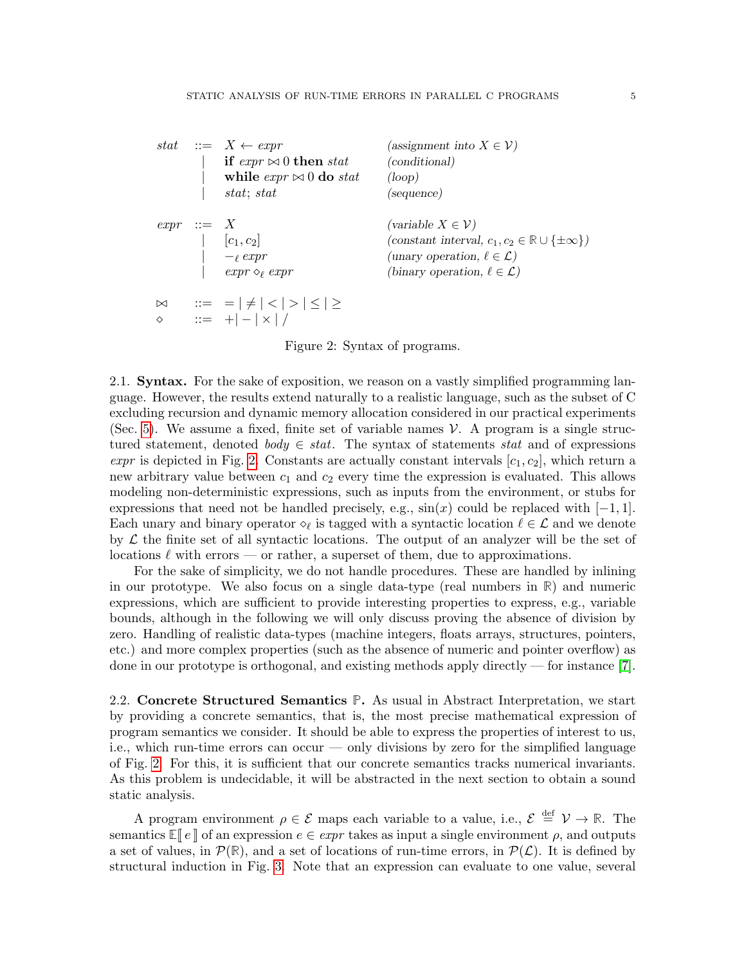|              | stat $::= X \leftarrow expr$                  | (assignment into $X \in \mathcal{V}$ )                              |
|--------------|-----------------------------------------------|---------------------------------------------------------------------|
|              | if $\exp r \bowtie 0$ then stat               | (conditional)                                                       |
|              | while $\exp r \approx 0$ do stat              | (logo p)                                                            |
|              | stat; stat                                    | (sequence)                                                          |
| $expr ::= X$ |                                               | (variable $X \in \mathcal{V}$ )                                     |
|              | $ c_1, c_2 $                                  | (constant interval, $c_1, c_2 \in \mathbb{R} \cup \{\pm \infty\}$ ) |
|              | $-\ell$ expr                                  | (unary operation, $\ell \in \mathcal{L}$ )                          |
|              | $expr \diamond_{\ell} expr$                   | (binary operation, $\ell \in \mathcal{L}$ )                         |
| $\bowtie$    | $\Rightarrow$ = $\ne$   <   >   $\le$   $\ge$ |                                                                     |
| ♦            | $ ::= + -  \times   /$                        |                                                                     |

<span id="page-4-1"></span>Figure 2: Syntax of programs.

2.1. Syntax. For the sake of exposition, we reason on a vastly simplified programming language. However, the results extend naturally to a realistic language, such as the subset of C excluding recursion and dynamic memory allocation considered in our practical experiments (Sec. [5\)](#page-37-0). We assume a fixed, finite set of variable names  $\mathcal V$ . A program is a single structured statement, denoted body  $\in$  stat. The syntax of statements stat and of expressions expr is depicted in Fig. [2.](#page-4-1) Constants are actually constant intervals  $[c_1, c_2]$ , which return a new arbitrary value between  $c_1$  and  $c_2$  every time the expression is evaluated. This allows modeling non-deterministic expressions, such as inputs from the environment, or stubs for expressions that need not be handled precisely, e.g.,  $sin(x)$  could be replaced with  $[-1, 1]$ . Each unary and binary operator  $\diamond_\ell$  is tagged with a syntactic location  $\ell \in \mathcal{L}$  and we denote by  $\mathcal L$  the finite set of all syntactic locations. The output of an analyzer will be the set of locations  $\ell$  with errors — or rather, a superset of them, due to approximations.

For the sake of simplicity, we do not handle procedures. These are handled by inlining in our prototype. We also focus on a single data-type (real numbers in **R**) and numeric expressions, which are sufficient to provide interesting properties to express, e.g., variable bounds, although in the following we will only discuss proving the absence of division by zero. Handling of realistic data-types (machine integers, floats arrays, structures, pointers, etc.) and more complex properties (such as the absence of numeric and pointer overflow) as done in our prototype is orthogonal, and existing methods apply directly — for instance [\[7\]](#page-46-2).

<span id="page-4-0"></span>2.2. Concrete Structured Semantics **P**. As usual in Abstract Interpretation, we start by providing a concrete semantics, that is, the most precise mathematical expression of program semantics we consider. It should be able to express the properties of interest to us, i.e., which run-time errors can occur — only divisions by zero for the simplified language of Fig. [2.](#page-4-1) For this, it is sufficient that our concrete semantics tracks numerical invariants. As this problem is undecidable, it will be abstracted in the next section to obtain a sound static analysis.

A program environment  $\rho \in \mathcal{E}$  maps each variable to a value, i.e.,  $\mathcal{E} \stackrel{\text{def}}{=} \mathcal{V} \to \mathbb{R}$ . The semantics  $\mathbb{E}[\![e]\!]$  of an expression  $e \in \ell zpr$  takes as input a single environment  $\rho$ , and outputs a set of values, in  $\mathcal{P}(\mathbb{R})$ , and a set of locations of run-time errors, in  $\mathcal{P}(\mathcal{L})$ . It is defined by structural induction in Fig. [3.](#page-5-0) Note that an expression can evaluate to one value, several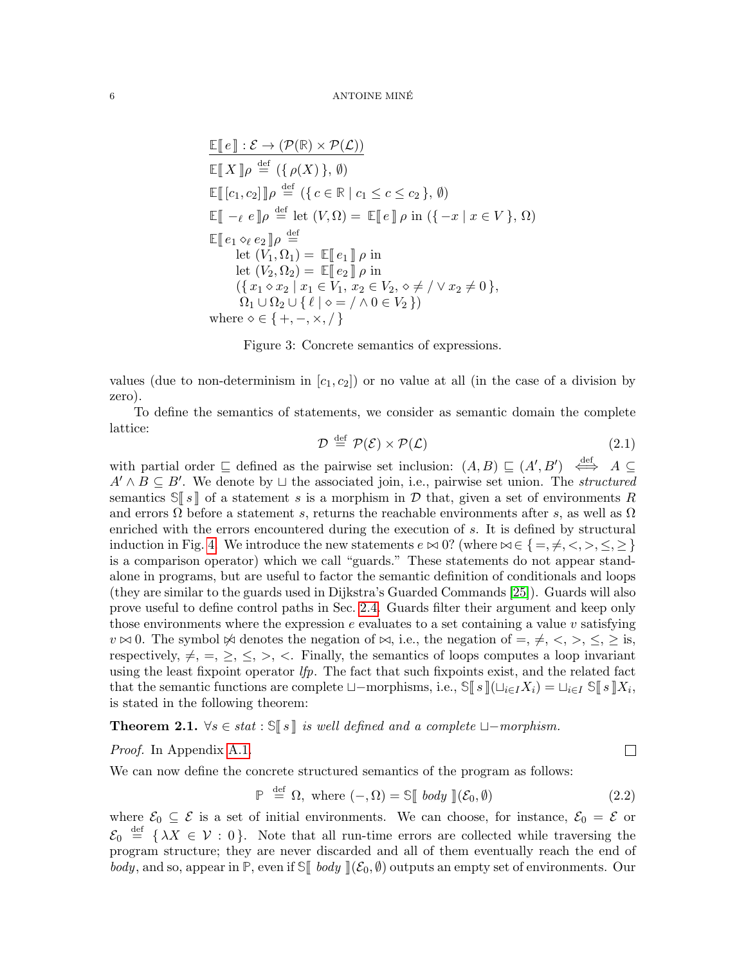$$
\mathbb{E}[\![e]\!] : \mathcal{E} \to (\mathcal{P}(\mathbb{R}) \times \mathcal{P}(\mathcal{L}))
$$
\n
$$
\mathbb{E}[\![X]\!] \rho \stackrel{\text{def}}{=} (\{\rho(X)\}, \emptyset)
$$
\n
$$
\mathbb{E}[\![c_1, c_2]\!] \rho \stackrel{\text{def}}{=} (\{c \in \mathbb{R} \mid c_1 \le c \le c_2\}, \emptyset)
$$
\n
$$
\mathbb{E}[\![-e \mid e]\!] \rho \stackrel{\text{def}}{=} \text{let } (V, \Omega) = \mathbb{E}[\![e]\!] \rho \text{ in } (\{-x \mid x \in V\}, \Omega)
$$
\n
$$
\mathbb{E}[\![e_1 \diamond_e e_2]\!] \rho \stackrel{\text{def}}{=} \text{let } (V_1, \Omega_1) = \mathbb{E}[\![e_1]\!] \rho \text{ in}
$$
\n
$$
\text{let } (V_2, \Omega_2) = \mathbb{E}[\![e_2]\!] \rho \text{ in}
$$
\n
$$
(\{x_1 \diamond x_2 \mid x_1 \in V_1, x_2 \in V_2, \diamond \neq / \vee x_2 \neq 0\}, \Omega_1 \cup \Omega_2 \cup \{\ell \mid \diamond = / \wedge 0 \in V_2\})
$$
\nwhere  $\diamond \in \{+, -, \times, /\}$ 

<span id="page-5-0"></span>Figure 3: Concrete semantics of expressions.

values (due to non-determinism in  $[c_1, c_2]$ ) or no value at all (in the case of a division by zero).

To define the semantics of statements, we consider as semantic domain the complete lattice:

<span id="page-5-2"></span>
$$
\mathcal{D} \stackrel{\text{def}}{=} \mathcal{P}(\mathcal{E}) \times \mathcal{P}(\mathcal{L}) \tag{2.1}
$$

with partial order  $\subseteq$  defined as the pairwise set inclusion:  $(A, B) \subseteq (A', B') \iff A \subseteq$  $A' \wedge B \subseteq B'$ . We denote by  $\sqcup$  the associated join, i.e., pairwise set union. The *structured* semantics  $\mathbb{S} \llbracket s \rrbracket$  of a statement s is a morphism in D that, given a set of environments R and errors  $\Omega$  before a statement s, returns the reachable environments after s, as well as  $\Omega$ enriched with the errors encountered during the execution of s. It is defined by structural induction in Fig. [4.](#page-6-1) We introduce the new statements  $e \bowtie 0$ ? (where  $\bowtie \in \{ =, \neq, \leq, \geq, \leq \}$ ) is a comparison operator) which we call "guards." These statements do not appear standalone in programs, but are useful to factor the semantic definition of conditionals and loops (they are similar to the guards used in Dijkstra's Guarded Commands [\[25\]](#page-47-2)). Guards will also prove useful to define control paths in Sec. [2.4.](#page-8-0) Guards filter their argument and keep only those environments where the expression  $e$  evaluates to a set containing a value v satisfying  $v \bowtie 0$ . The symbol  $\Join$  denotes the negation of  $\bowtie$ , i.e., the negation of  $=, \neq, \leq, \geq, \leq, \geq$  is, respectively,  $\neq$ ,  $=$ ,  $\geq$ ,  $\leq$ ,  $\geq$ ,  $\lt$ . Finally, the semantics of loops computes a loop invariant using the least fixpoint operator  $lfp$ . The fact that such fixpoints exist, and the related fact that the semantic functions are complete  $\Box$ -morphisms, i.e.,  $\mathbb{S}[[s]](\Box_{i\in I}X_i) = \Box_{i\in I} \mathbb{S}[[s]]X_i$ , is stated in the following theorem: is stated in the following theorem:

<span id="page-5-3"></span>**Theorem 2.1.**  $\forall s \in stat : \mathcal{S}[[s]]$  is well defined and a complete  $\sqcup$ −morphism.

## Proof. In Appendix [A.1.](#page-48-2)

We can now define the concrete structured semantics of the program as follows:

<span id="page-5-1"></span>
$$
\mathbb{P} \stackrel{\text{def}}{=} \Omega, \text{ where } (-,\Omega) = \mathbb{S}[\text{ body }](\mathcal{E}_0, \emptyset) \tag{2.2}
$$

 $\Box$ 

where  $\mathcal{E}_0 \subseteq \mathcal{E}$  is a set of initial environments. We can choose, for instance,  $\mathcal{E}_0 = \mathcal{E}$  or  $\mathcal{E}_0 \stackrel{\text{def}}{=} {\lambda X \in \mathcal{V} : 0}.$  Note that all run-time errors are collected while traversing the program structure; they are never discarded and all of them eventually reach the end of body, and so, appear in  $\mathbb{P}$ , even if  $\mathbb{S}$  body  $\|(\mathcal{E}_0, \emptyset)$  outputs an empty set of environments. Our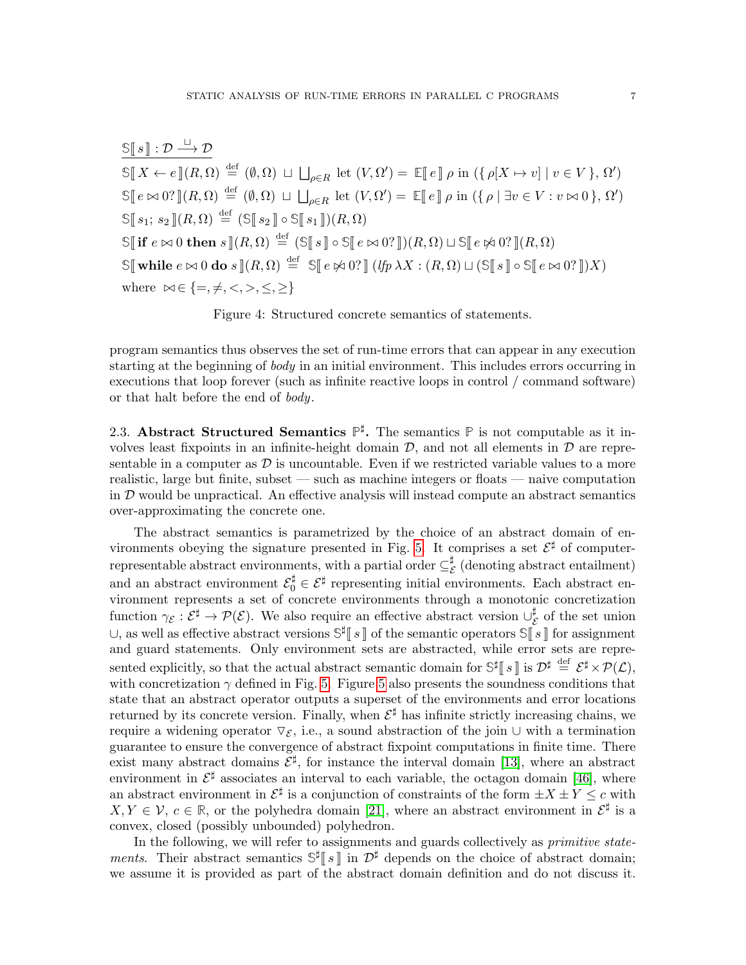$\mathbb{S}[[s]] : \mathcal{D} \stackrel{\sqcup}{\longrightarrow} \mathcal{D}$  $\mathbb{S}[X \leftarrow e](R, \Omega) \stackrel{\text{def}}{=} (\emptyset, \Omega) \sqcup \bigsqcup_{\rho \in R} \text{let } (V, \Omega') = \mathbb{E}[e] \rho \text{ in } (\{ \rho[X \mapsto v] \mid v \in V \}, \Omega')$  $\mathbb{S}[\![e \bowtie 0? \!](R, \Omega) \stackrel{\text{def}}{=} (\emptyset, \Omega) \sqcup \bigsqcup_{\rho \in R} \text{let } (V, \Omega') = \mathbb{E}[\![e] \!](\rho) \text{ in } (\{\rho \mid \exists v \in V : v \bowtie 0\}, \Omega')$  $\mathbb{S}[s_1; s_2](R, \Omega) \stackrel{\text{def}}{=} (\mathbb{S}[s_2] \circ \mathbb{S}[s_1])(R, \Omega)$  $\mathbb{S}$  if  $e \bowtie 0$  then  $s \rrbracket(R, \Omega) \stackrel{\text{def}}{=} (\mathbb{S} \mathbb{I} s \mathbb{I} \circ \mathbb{S} \mathbb{I} e \bowtie 0 \cdot \mathbb{I})(R, \Omega) \sqcup \mathbb{S} \mathbb{I} e \bowtie 0 \cdot \mathbb{I}(R, \Omega)$  $\mathbb{S}[\![\text{while } e \bowtie 0 \text{ do } s]\!] (R, \Omega) \stackrel{\text{def}}{=} \mathbb{S}[\![\,e \bowtie 0?\!] \; (\text{If } p \lambda X : (R, \Omega) \sqcup (\mathbb{S}[\![\,s\!]\!] \circ \mathbb{S}[\![\,e \bowtie 0?\!]\!])X)$ where  $\bowtie \in \{ =, \neq, <, >, \leq, \geq \}$ 

<span id="page-6-1"></span>Figure 4: Structured concrete semantics of statements.

program semantics thus observes the set of run-time errors that can appear in any execution starting at the beginning of *body* in an initial environment. This includes errors occurring in executions that loop forever (such as infinite reactive loops in control / command software) or that halt before the end of body.

<span id="page-6-0"></span>2.3. Abstract Structured Semantics  $\mathbb{P}^{\sharp}$ . The semantics  $\mathbb P$  is not computable as it involves least fixpoints in an infinite-height domain  $D$ , and not all elements in  $D$  are representable in a computer as  $\mathcal D$  is uncountable. Even if we restricted variable values to a more realistic, large but finite, subset — such as machine integers or floats — naive computation in  $D$  would be unpractical. An effective analysis will instead compute an abstract semantics over-approximating the concrete one.

The abstract semantics is parametrized by the choice of an abstract domain of en-vironments obeying the signature presented in Fig. [5.](#page-7-0) It comprises a set  $\mathcal{E}^{\sharp}$  of computerrepresentable abstract environments, with a partial order  $\subseteq_{\mathcal{E}}^{\sharp}$  $\mathcal{E}$  (denoting abstract entailment) and an abstract environment  $\mathcal{E}_0^{\sharp} \in \mathcal{E}^{\sharp}$  representing initial environments. Each abstract environment represents a set of concrete environments through a monotonic concretization function  $\gamma_{\mathcal{E}}: \mathcal{E}^{\sharp} \to \mathcal{P}(\mathcal{E})$ . We also require an effective abstract version  $\cup_{\mathcal{E}}^{\sharp}$  $\frac{1}{\mathcal{E}}$  of the set union ∪, as well as effective abstract versions  $\mathbb{S}^{\sharp}[\![s]\!]$  of the semantic operators  $\mathbb{S}[\![s]\!]$  for assignment<br>and guard statements. Only environment sets are abstracted, while error sets are reare and guard statements. Only environment sets are abstracted, while error sets are represented explicitly, so that the actual abstract semantic domain for  $\mathbb{S}^{\sharp}$  s is  $\mathcal{D}^{\sharp} \stackrel{\text{def}}{=} \mathcal{E}^{\sharp} \times \mathcal{P}(\mathcal{L}),$ <br>with concretization  $\alpha$  defined in Fig. 5. Figure 5 also presents the soundness conditio with concretization  $\gamma$  defined in Fig. [5.](#page-7-0) Figure [5](#page-7-0) also presents the soundness conditions that state that an abstract operator outputs a superset of the environments and error locations returned by its concrete version. Finally, when  $\mathcal{E}^{\sharp}$  has infinite strictly increasing chains, we require a widening operator  $\nabla_{\mathcal{E}}$ , i.e., a sound abstraction of the join ∪ with a termination guarantee to ensure the convergence of abstract fixpoint computations in finite time. There exist many abstract domains  $\mathcal{E}^{\sharp}$ , for instance the interval domain [\[13\]](#page-46-1), where an abstract environment in  $\mathcal{E}^{\sharp}$  associates an interval to each variable, the octagon domain [\[46\]](#page-47-3), where an abstract environment in  $\mathcal{E}^{\sharp}$  is a conjunction of constraints of the form  $\pm X \pm Y \leq c$  with  $X, Y \in \mathcal{V}, c \in \mathbb{R}$ , or the polyhedra domain [\[21\]](#page-46-6), where an abstract environment in  $\mathcal{E}^{\sharp}$  is a convex, closed (possibly unbounded) polyhedron.

In the following, we will refer to assignments and guards collectively as primitive state*ments.* Their abstract semantics  $\mathbb{S}^{\sharp}[\![s]\!]$  in  $\mathcal{D}^{\sharp}$  depends on the choice of abstract domain; we assume it is provided as part of the abstract domain definition and do not discuss it.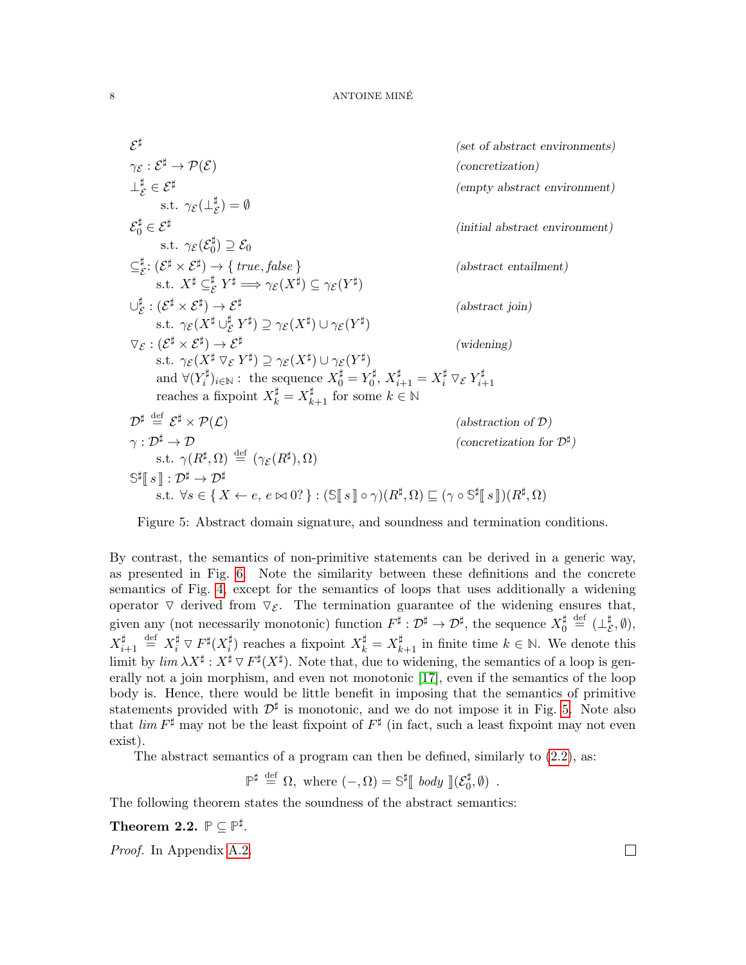$$
\mathcal{E}^{\sharp}
$$
 (set of abstract environments)  
\n
$$
\gamma_{\mathcal{E}} : \mathcal{E}^{\sharp} \to \mathcal{P}(\mathcal{E})
$$
 (concretization)  
\n
$$
\perp_{\mathcal{E}}^{\sharp} \in \mathcal{E}^{\sharp}
$$
 (initial abstract environment)  
\n
$$
s.t. \gamma_{\mathcal{E}}(\mathcal{E}_{0}^{\sharp}) \supseteq \mathcal{E}_{0}
$$
  
\n
$$
\subseteq_{\mathcal{E}}^{\sharp} : (\mathcal{E}^{\sharp} \times \mathcal{E}^{\sharp}) \to \{ true, false \}
$$
 (initial abstract environment)  
\n
$$
s.t. \quad X^{\sharp} \subseteq_{\mathcal{E}}^{\sharp} Y^{\sharp} \implies \gamma_{\mathcal{E}}(X^{\sharp}) \subseteq \gamma_{\mathcal{E}}(Y^{\sharp})
$$
  
\n
$$
\cup_{\mathcal{E}}^{\sharp} : (\mathcal{E}^{\sharp} \times \mathcal{E}^{\sharp}) \to \mathcal{E}^{\sharp}
$$
 (abstract entailment)  
\n
$$
s.t. \quad \gamma_{\mathcal{E}}(X^{\sharp} \cup_{\mathcal{E}}^{\sharp} Y^{\sharp}) \supseteq \gamma_{\mathcal{E}}(X^{\sharp}) \cup \gamma_{\mathcal{E}}(Y^{\sharp})
$$
  
\n
$$
\nabla_{\mathcal{E}} : (\mathcal{E}^{\sharp} \times \mathcal{E}^{\sharp}) \to \mathcal{E}^{\sharp}
$$
 (widening)  
\n
$$
s.t. \quad \gamma_{\mathcal{E}}(X^{\sharp} \nabla_{\mathcal{E}} Y^{\sharp}) \supseteq \gamma_{\mathcal{E}}(X^{\sharp}) \cup \gamma_{\mathcal{E}}(Y^{\sharp})
$$
  
\n
$$
s.t. \quad \gamma_{\mathcal{E}}(X^{\sharp} \nabla_{\mathcal{E}} Y^{\sharp}) \supseteq \gamma_{\mathcal{E}}(X^{\sharp}) \cup \gamma_{\mathcal{E}}(Y^{\sharp})
$$
  
\nand  $\forall (Y_{i}^{\sharp})_{i \in \mathbb{N}} : \text{ the sequence } X_{0}^{\sharp} = Y_{0}^{\sharp}, X_{i+1}^{\sharp} = X_{i}^{\sharp} \nabla_{\mathcal{E}} Y_{i+1}^{\sharp}$ 

<span id="page-7-0"></span>Figure 5: Abstract domain signature, and soundness and termination conditions.

By contrast, the semantics of non-primitive statements can be derived in a generic way, as presented in Fig. [6.](#page-8-1) Note the similarity between these definitions and the concrete semantics of Fig. [4,](#page-6-1) except for the semantics of loops that uses additionally a widening operator  $\nabla$  derived from  $\nabla \varepsilon$ . The termination guarantee of the widening ensures that, given any (not necessarily monotonic) function  $F^{\sharp}: \mathcal{D}^{\sharp} \to \mathcal{D}^{\sharp}$ , the sequence  $X_0^{\sharp}$  $\mathbf{u}^{\sharp} \stackrel{\text{def}}{=} (\bot_{\mathcal{E}}^{\sharp}$  $^{\sharp}_{\mathcal{E}}, \emptyset),$  $X_i^\sharp$  $\;\;\stackrel{\sharp}{\phantom{}_{i+1}}\;\; \stackrel{\mathrm{def}}{=} \; X_i^\sharp \mathrel{\triangledown} F^\sharp(X_i^\sharp)$  $\sharp$ <sub>i</sub>) reaches a fixpoint  $X_k^{\sharp} = X_{k+1}^{\sharp}$  in finite time  $k \in \mathbb{N}$ . We denote this limit by  $\lim_{\Delta X} \lambda X^{\sharp}: X^{\sharp} \nabla F^{\sharp}(X^{\sharp})$ . Note that, due to widening, the semantics of a loop is generally not a join morphism, and even not monotonic [\[17\]](#page-46-5), even if the semantics of the loop body is. Hence, there would be little benefit in imposing that the semantics of primitive statements provided with  $\mathcal{D}^{\sharp}$  is monotonic, and we do not impose it in Fig. [5.](#page-7-0) Note also that  $\lim F^{\sharp}$  may not be the least fixpoint of  $F^{\sharp}$  (in fact, such a least fixpoint may not even exist).

The abstract semantics of a program can then be defined, similarly to [\(2.2\)](#page-5-1), as:

 $\mathbb{P}^{\sharp} \stackrel{\text{def}}{=} \Omega$ , where  $(-, \Omega) = \mathbb{S}^{\sharp} \llbracket \text{ body } \rrbracket (\mathcal{E}_0^{\sharp})$  $\left(\begin{smallmatrix} 1 \ 0 \end{smallmatrix}, \emptyset\right)$ .

The following theorem states the soundness of the abstract semantics:

<span id="page-7-1"></span>Theorem 2.2.  $\mathbb{P} \subseteq \mathbb{P}^{\sharp}$ .

Proof. In Appendix [A.2.](#page-49-0)

 $\Box$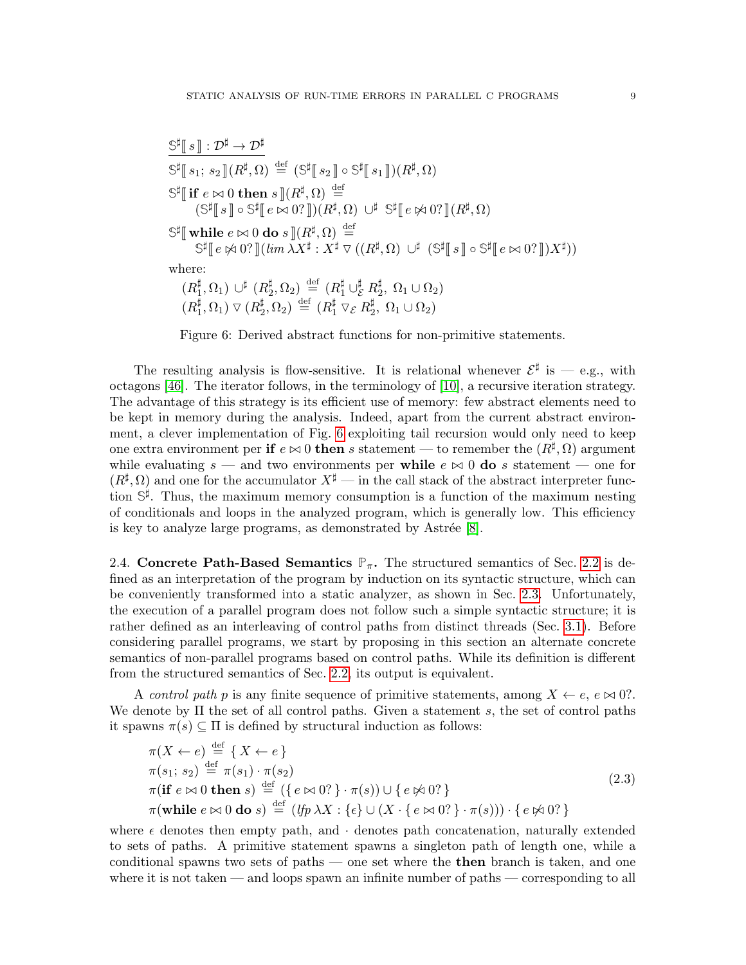$$
\begin{aligned}\n&\stackrel{\mathbb{S}^{\sharp}[s]:\mathcal{D}^{\sharp}\to\mathcal{D}^{\sharp}}{\mathbb{S}^{\sharp}[s_{1};s_{2}](R^{\sharp},\Omega)}\stackrel{\mathrm{def}}{=}(\mathbb{S}^{\sharp}[s_{2}]\circ\mathbb{S}^{\sharp}[s_{1}])(R^{\sharp},\Omega) \\
&\stackrel{\mathbb{S}^{\sharp}[i\mathbf{if}\mathbf{e}\bowtie0\mathbf{then}\mathbf{s}](R^{\sharp},\Omega)\stackrel{\mathrm{def}}{=} \\
&\quad(\mathbb{S}^{\sharp}[s]\circ\mathbb{S}^{\sharp}[e\bowtie0?])(R^{\sharp},\Omega)\cup^{\sharp}\mathbb{S}^{\sharp}[e\bowtie0?](R^{\sharp},\Omega) \\
&\stackrel{\mathbb{S}^{\sharp}[i\mathbf{if}\mathbf{e}\bowtie0\mathbf{do}\mathbf{s}](R^{\sharp},\Omega)\stackrel{\mathrm{def}}{=} \\
&\stackrel{\mathbb{S}^{\sharp}[e\bowtie0?](\mathbf{lim}\lambda X^{\sharp}:X^{\sharp}\nabla((R^{\sharp},\Omega)\cup^{\sharp}(S^{\sharp}[s]\circ\mathbb{S}^{\sharp}[e\bowtie0?])X^{\sharp})) \\
&\text{where:} \\
&(R^{\sharp}_{1},\Omega_{1})\cup^{\sharp}(R^{\sharp}_{2},\Omega_{2})\stackrel{\mathrm{def}}{=} (R^{\sharp}_{1}\cup^{\sharp}_{\mathbf{E}}R^{\sharp}_{2},\Omega_{1}\cup\Omega_{2}) \\
&(R^{\sharp}_{1},\Omega_{1})\nabla(R^{\sharp}_{2},\Omega_{2})\stackrel{\mathrm{def}}{=} (R^{\sharp}_{1}\nabla_{\mathbf{E}}R^{\sharp}_{2},\Omega_{1}\cup\Omega_{2})\n\end{aligned}
$$

<span id="page-8-1"></span>Figure 6: Derived abstract functions for non-primitive statements.

The resulting analysis is flow-sensitive. It is relational whenever  $\mathcal{E}^{\sharp}$  is — e.g., with octagons [\[46\]](#page-47-3). The iterator follows, in the terminology of [\[10\]](#page-46-7), a recursive iteration strategy. The advantage of this strategy is its efficient use of memory: few abstract elements need to be kept in memory during the analysis. Indeed, apart from the current abstract environment, a clever implementation of Fig. [6](#page-8-1) exploiting tail recursion would only need to keep one extra environment per if  $e \bowtie 0$  then s statement — to remember the  $(R^{\sharp}, \Omega)$  argument while evaluating  $s$  — and two environments per while  $e \bowtie 0$  do s statement — one for  $(R^{\sharp}, \Omega)$  and one for the accumulator  $X^{\sharp}$  — in the call stack of the abstract interpreter function **S** ] . Thus, the maximum memory consumption is a function of the maximum nesting of conditionals and loops in the analyzed program, which is generally low. This efficiency is key to analyze large programs, as demonstrated by Astrée  $[8]$ .

<span id="page-8-0"></span>2.4. **Concrete Path-Based Semantics**  $\mathbb{P}_{\pi}$ . The structured semantics of Sec. [2.2](#page-4-0) is defined as an interpretation of the program by induction on its syntactic structure, which can be conveniently transformed into a static analyzer, as shown in Sec. [2.3.](#page-6-0) Unfortunately, the execution of a parallel program does not follow such a simple syntactic structure; it is rather defined as an interleaving of control paths from distinct threads (Sec. [3.1\)](#page-9-1). Before considering parallel programs, we start by proposing in this section an alternate concrete semantics of non-parallel programs based on control paths. While its definition is different from the structured semantics of Sec. [2.2,](#page-4-0) its output is equivalent.

A control path p is any finite sequence of primitive statements, among  $X \leftarrow e$ ,  $e \bowtie 0$ ?. We denote by  $\Pi$  the set of all control paths. Given a statement s, the set of control paths it spawns  $\pi(s) \subseteq \Pi$  is defined by structural induction as follows:

<span id="page-8-2"></span>
$$
\pi(X \leftarrow e) \stackrel{\text{def}}{=} \{ X \leftarrow e \}
$$
\n
$$
\pi(s_1; s_2) \stackrel{\text{def}}{=} \pi(s_1) \cdot \pi(s_2)
$$
\n
$$
\pi(\text{if } e \bowtie 0 \text{ then } s) \stackrel{\text{def}}{=} (\{ e \bowtie 0? \} \cdot \pi(s)) \cup \{ e \nless 0? \}
$$
\n
$$
\pi(\text{while } e \bowtie 0 \text{ do } s) \stackrel{\text{def}}{=} (lfp \lambda X : \{\epsilon\} \cup (X \cdot \{ e \bowtie 0? \} \cdot \pi(s))) \cdot \{ e \nless 0? \}
$$
\n
$$
(2.3)
$$

where  $\epsilon$  denotes then empty path, and  $\cdot$  denotes path concatenation, naturally extended to sets of paths. A primitive statement spawns a singleton path of length one, while a conditional spawns two sets of paths — one set where the then branch is taken, and one where it is not taken — and loops spawn an infinite number of paths — corresponding to all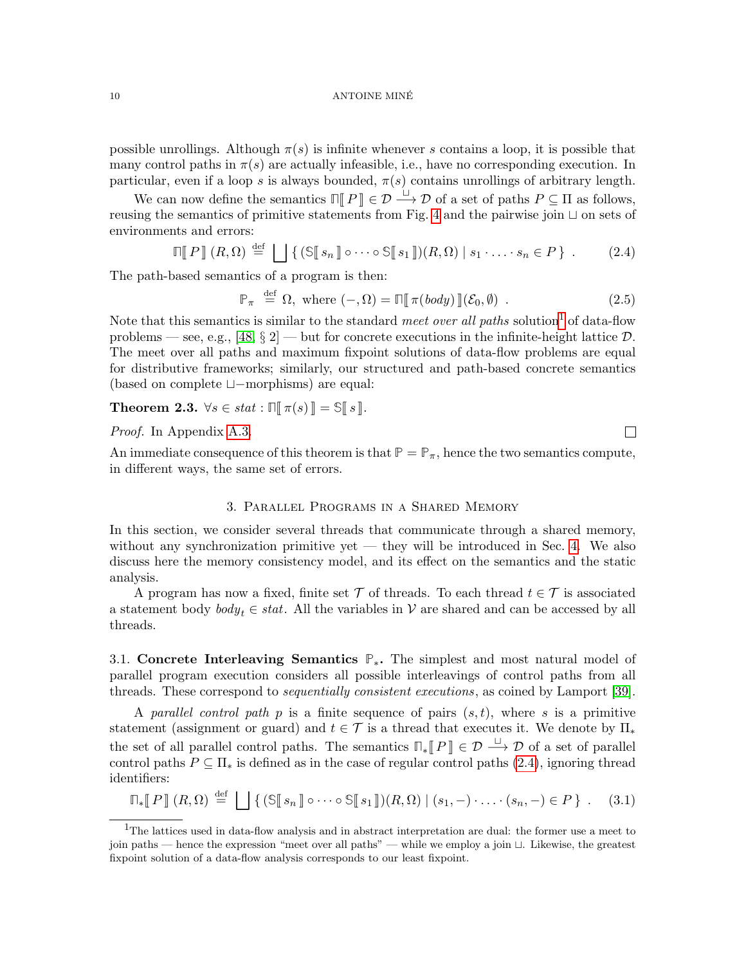#### 10 ANTOINE MINÉ

possible unrollings. Although  $\pi(s)$  is infinite whenever s contains a loop, it is possible that many control paths in  $\pi(s)$  are actually infeasible, i.e., have no corresponding execution. In particular, even if a loop s is always bounded,  $\pi(s)$  contains unrollings of arbitrary length.

We can now define the semantics  $\Pi$   $\llbracket P \rrbracket \in \mathcal{D} \xrightarrow{\sqcup} \mathcal{D}$  of a set of paths  $P \subseteq \Pi$  as follows, reusing the semantics of primitive statements from Fig. [4](#page-6-1) and the pairwise join  $\sqcup$  on sets of environments and errors:

<span id="page-9-3"></span>
$$
\mathbb{E}[P][R,\Omega) \stackrel{\text{def}}{=} \bigsqcup \{ (\mathbb{S}[s_n] \circ \cdots \circ \mathbb{S}[s_1]) (R,\Omega) \mid s_1 \cdot \ldots \cdot s_n \in P \} . \tag{2.4}
$$

The path-based semantics of a program is then:

<span id="page-9-4"></span>
$$
\mathbb{P}_{\pi} \stackrel{\text{def}}{=} \Omega, \text{ where } (-,\Omega) = \mathbb{\Pi}[\pi(\text{body})][\mathcal{E}_0, \emptyset) . \tag{2.5}
$$

Note that this semantics is similar to the standard *meet over all paths* solution<sup>[1](#page-9-2)</sup> of data-flow problems — see, e.g., [\[48,](#page-47-4)  $\S 2$ ] — but for concrete executions in the infinite-height lattice  $\mathcal{D}$ . The meet over all paths and maximum fixpoint solutions of data-flow problems are equal for distributive frameworks; similarly, our structured and path-based concrete semantics (based on complete t−morphisms) are equal:

<span id="page-9-5"></span>**Theorem 2.3.**  $\forall s \in stat : \mathbb{N}[\pi(s)] = \mathbb{S}[\![s]\!]$ .

Proof. In Appendix [A.3.](#page-50-0)

An immediate consequence of this theorem is that  $\mathbb{P} = \mathbb{P}_{\pi}$ , hence the two semantics compute, in different ways, the same set of errors.

# 3. Parallel Programs in a Shared Memory

<span id="page-9-0"></span>In this section, we consider several threads that communicate through a shared memory, without any synchronization primitive yet — they will be introduced in Sec. [4.](#page-20-0) We also discuss here the memory consistency model, and its effect on the semantics and the static analysis.

A program has now a fixed, finite set  $\mathcal T$  of threads. To each thread  $t \in \mathcal T$  is associated a statement body  $body_t \in stat$ . All the variables in V are shared and can be accessed by all threads.

<span id="page-9-1"></span>3.1. Concrete Interleaving Semantics **P**∗. The simplest and most natural model of parallel program execution considers all possible interleavings of control paths from all threads. These correspond to *sequentially consistent executions*, as coined by Lamport [\[39\]](#page-47-5).

A parallel control path p is a finite sequence of pairs  $(s, t)$ , where s is a primitive statement (assignment or guard) and  $t \in \mathcal{T}$  is a thread that executes it. We denote by  $\Pi_*$ the set of all parallel control paths. The semantics  $\mathbb{F}_{\ast}[[P]] \in \mathcal{D} \xrightarrow{ \sqcup} \mathcal{D}$  of a set of parallel control paths  $P \subseteq \Pi_*$  is defined as in the case of regular control paths [\(2.4\)](#page-9-3), ignoring thread identifiers:

<span id="page-9-6"></span>
$$
\mathbb{T}_{*}\llbracket P \rrbracket(R,\Omega) \stackrel{\text{def}}{=} \bigsqcup \{ (\mathbb{S}\llbracket s_n \rrbracket \circ \cdots \circ \mathbb{S}\llbracket s_1 \rrbracket)(R,\Omega) \mid (s_1,-) \cdot \ldots \cdot (s_n,-) \in P \} . \tag{3.1}
$$

 $\Box$ 

<span id="page-9-2"></span><sup>&</sup>lt;sup>1</sup>The lattices used in data-flow analysis and in abstract interpretation are dual: the former use a meet to join paths — hence the expression "meet over all paths" — while we employ a join  $\sqcup$ . Likewise, the greatest fixpoint solution of a data-flow analysis corresponds to our least fixpoint.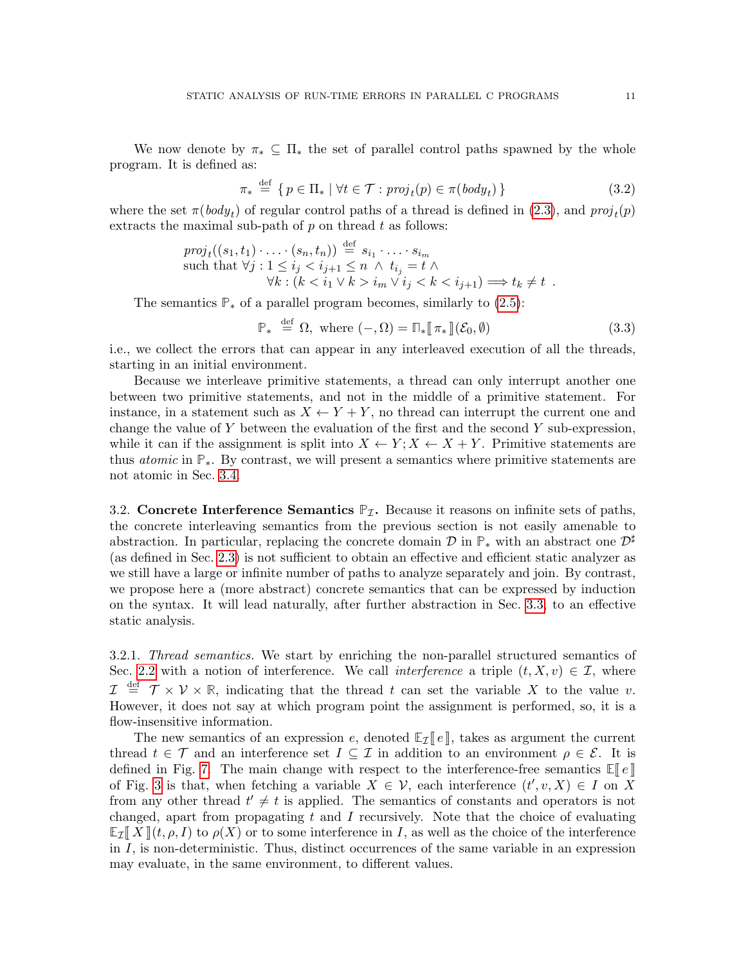We now denote by  $\pi_* \subseteq \Pi_*$  the set of parallel control paths spawned by the whole program. It is defined as:

<span id="page-10-2"></span>
$$
\pi_* \stackrel{\text{def}}{=} \{ p \in \Pi_* \mid \forall t \in \mathcal{T} : \text{proj}_t(p) \in \pi(\text{body}_t) \}
$$
\n(3.2)

where the set  $\pi(body_t)$  of regular control paths of a thread is defined in [\(2.3\)](#page-8-2), and  $proj_t(p)$ extracts the maximal sub-path of  $p$  on thread  $t$  as follows:

$$
proj_t((s_1, t_1) \cdot \ldots \cdot (s_n, t_n)) \stackrel{\text{def}}{=} s_{i_1} \cdot \ldots \cdot s_{i_m}
$$
  
such that  $\forall j : 1 \le i_j < i_{j+1} \le n \land t_{i_j} = t \land$   

$$
\forall k : (k < i_1 \lor k > i_m \lor i_j < k < i_{j+1}) \Longrightarrow t_k \ne t .
$$

The semantics  $\mathbb{P}_*$  of a parallel program becomes, similarly to [\(2.5\)](#page-9-4):

<span id="page-10-1"></span>
$$
\mathbb{P}_{*} \stackrel{\text{def}}{=} \Omega, \text{ where } (-,\Omega) = \mathbb{P}_{*}[\![\pi_{*}]\!](\mathcal{E}_{0},\emptyset) \tag{3.3}
$$

i.e., we collect the errors that can appear in any interleaved execution of all the threads, starting in an initial environment.

Because we interleave primitive statements, a thread can only interrupt another one between two primitive statements, and not in the middle of a primitive statement. For instance, in a statement such as  $X \leftarrow Y + Y$ , no thread can interrupt the current one and change the value of Y between the evaluation of the first and the second Y sub-expression, while it can if the assignment is split into  $X \leftarrow Y$ ;  $X \leftarrow X + Y$ . Primitive statements are thus atomic in **P**∗. By contrast, we will present a semantics where primitive statements are not atomic in Sec. [3.4.](#page-17-0)

<span id="page-10-0"></span>3.2. Concrete Interference Semantics  $\mathbb{P}_{\mathcal{I}}$ . Because it reasons on infinite sets of paths, the concrete interleaving semantics from the previous section is not easily amenable to abstraction. In particular, replacing the concrete domain  $\mathcal{D}$  in  $\mathbb{P}_*$  with an abstract one  $\mathcal{D}^{\sharp}$ (as defined in Sec. [2.3\)](#page-6-0) is not sufficient to obtain an effective and efficient static analyzer as we still have a large or infinite number of paths to analyze separately and join. By contrast, we propose here a (more abstract) concrete semantics that can be expressed by induction on the syntax. It will lead naturally, after further abstraction in Sec. [3.3,](#page-13-0) to an effective static analysis.

3.2.1. Thread semantics. We start by enriching the non-parallel structured semantics of Sec. [2.2](#page-4-0) with a notion of interference. We call *interference* a triple  $(t, X, v) \in \mathcal{I}$ , where  $\mathcal{I} \stackrel{\text{def}}{=} \mathcal{T} \times \mathcal{V} \times \mathbb{R}$ , indicating that the thread t can set the variable X to the value v. However, it does not say at which program point the assignment is performed, so, it is a flow-insensitive information.

The new semantics of an expression e, denoted  $\mathbb{E}_{\mathcal{I}}[e]$ , takes as argument the current thread  $t \in \mathcal{T}$  and an interference set  $I \subseteq \mathcal{I}$  in addition to an environment  $\rho \in \mathcal{E}$ . It is defined in Fig. [7.](#page-11-0) The main change with respect to the interference-free semantics  $\mathbb{E}[\ell]$ of Fig. [3](#page-5-0) is that, when fetching a variable  $X \in \mathcal{V}$ , each interference  $(t', v, X) \in I$  on X from any other thread  $t' \neq t$  is applied. The semantics of constants and operators is not changed, apart from propagating  $t$  and  $I$  recursively. Note that the choice of evaluating  $\mathbb{E}[\mathcal{I}]\|X\|$  (t,  $\rho, I$ ) to  $\rho(X)$  or to some interference in I, as well as the choice of the interference in  $I$ , is non-deterministic. Thus, distinct occurrences of the same variable in an expression may evaluate, in the same environment, to different values.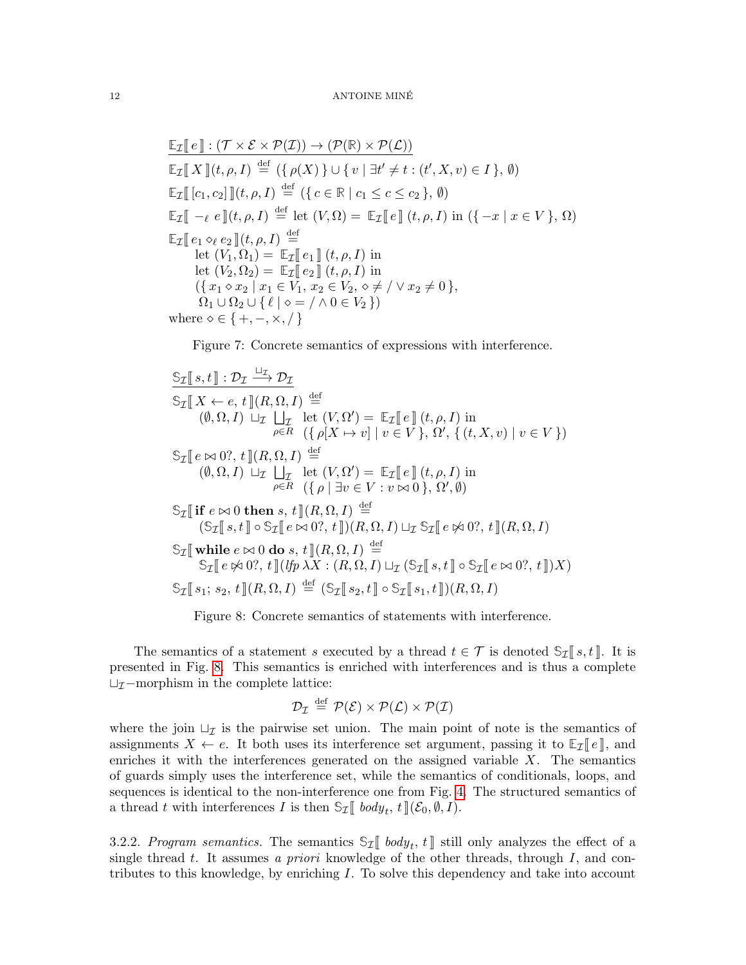#### 12 ANTOINE MINÉ

$$
\mathbb{E}_{\mathcal{I}}[\![e]\!] : (\mathcal{T} \times \mathcal{E} \times \mathcal{P}(\mathcal{I})) \to (\mathcal{P}(\mathbb{R}) \times \mathcal{P}(\mathcal{L}))
$$
\n
$$
\mathbb{E}_{\mathcal{I}}[\![X]\!](t, \rho, I) \stackrel{\text{def}}{=} (\{\rho(X)\} \cup \{v \mid \exists t' \neq t : (t', X, v) \in I\}, \emptyset)
$$
\n
$$
\mathbb{E}_{\mathcal{I}}[\![c_1, c_2]\!]](t, \rho, I) \stackrel{\text{def}}{=} (\{c \in \mathbb{R} \mid c_1 \leq c \leq c_2\}, \emptyset)
$$
\n
$$
\mathbb{E}_{\mathcal{I}}[\![-e \in \mathbb{I}](t, \rho, I) \stackrel{\text{def}}{=} \text{let } (V, \Omega) = \mathbb{E}_{\mathcal{I}}[\![e]\!] (t, \rho, I) \text{ in } (\{-x \mid x \in V\}, \Omega)
$$
\n
$$
\mathbb{E}_{\mathcal{I}}[\![e_1 \diamond_e e_2]\!](t, \rho, I) \stackrel{\text{def}}{=} \text{let } (V_1, \Omega_1) = \mathbb{E}_{\mathcal{I}}[\![e_1]\!](t, \rho, I) \text{ in}
$$
\n
$$
\text{let } (V_2, \Omega_2) = \mathbb{E}_{\mathcal{I}}[\![e_2]\!](t, \rho, I) \text{ in}
$$
\n
$$
(\{x_1 \diamond x_2 \mid x_1 \in V_1, x_2 \in V_2, \diamond \neq / \lor x_2 \neq 0\}, \Omega_1 \cup \Omega_2 \cup \{\ell \mid \diamond = / \land 0 \in V_2\})
$$
\nwhere  $\diamond \in \{+, -, \times, /\}$ 

<span id="page-11-0"></span>Figure 7: Concrete semantics of expressions with interference.

$$
\frac{\mathbb{S}_{\mathcal{I}}[s,t]: \mathcal{D}_{\mathcal{I}} \xrightarrow{\sqcup_{\mathcal{I}}} \mathcal{D}_{\mathcal{I}}}{\mathbb{S}_{\mathcal{I}}[X \leftarrow e, t](R, \Omega, I) \xrightarrow{\text{def}} \left((\theta, \Omega, I) \xrightarrow{\text{def}} \mathcal{I} \right] \text{let } (V, \Omega') = \mathbb{E}_{\mathcal{I}}[e](t, \rho, I) \text{ in}
$$
\n
$$
= \frac{\rho \in R \quad (\{\rho[X \mapsto v] \mid v \in V\}, \Omega', \{(t, X, v) \mid v \in V\})}{(\rho[X, \Omega, I) \xrightarrow{\text{def}} \mathcal{I} \right]} \text{let } (R, \Omega, I) \xrightarrow{\text{def}} \left((\theta, \Omega, I) \xrightarrow{\text{def}} \mathcal{I} \right) \text{let } (V, \Omega') = \mathbb{E}_{\mathcal{I}}[e](t, \rho, I) \text{ in}
$$
\n
$$
\mathcal{I}[\text{if } e \bowtie 0 \text{ then } s, t](R, \Omega, I) \xrightarrow{\text{def}} \left((\theta \mid \exists v \in V : v \bowtie 0), \Omega', \emptyset\right)
$$
\n
$$
\mathbb{S}_{\mathcal{I}}[\text{if } e \bowtie 0 \text{ then } s, t](R, \Omega, I) \xrightarrow{\text{def}} \left((S_{\mathcal{I}}[s, t] \circ \mathbb{S}_{\mathcal{I}}[e \bowtie 0?, t])(R, \Omega, I) \sqcup_{\mathcal{I}} \mathbb{S}_{\mathcal{I}}[e \bowtie 0?, t](R, \Omega, I)\right)
$$
\n
$$
\mathbb{S}_{\mathcal{I}}[\text{while } e \bowtie 0 \text{ do } s, t](R, \Omega, I) \xrightarrow{\text{def}} \mathbb{S}_{\mathcal{I}}[e \bowtie 0?, t](R, \Omega, I) \text{ in}
$$
\n
$$
\mathbb{S}_{\mathcal{I}}[e \bowtie 0?, t](H, \Omega, I) \xrightarrow{\text{def}} \mathbb{S}_{\mathcal{I}}[e \bowtie 0?, t](R, \Omega, I) \text{ in}
$$

<span id="page-11-1"></span>Figure 8: Concrete semantics of statements with interference.

The semantics of a statement s executed by a thread  $t \in \mathcal{T}$  is denoted  $\mathcal{S}_{\mathcal{I}}[s, t]$ . It is presented in Fig. [8.](#page-11-1) This semantics is enriched with interferences and is thus a complete  $\sqcup_{\mathcal{I}}$ -morphism in the complete lattice:

$$
\mathcal{D}_\mathcal{I} \stackrel{\text{def}}{=} \mathcal{P}(\mathcal{E}) \times \mathcal{P}(\mathcal{L}) \times \mathcal{P}(\mathcal{I})
$$

where the join  $\sqcup_{\mathcal{I}}$  is the pairwise set union. The main point of note is the semantics of assignments  $X \leftarrow e$ . It both uses its interference set argument, passing it to  $\mathbb{E}_{\mathcal{I}}[e],$  and enriches it with the interferences generated on the assigned variable  $X$ . The semantics of guards simply uses the interference set, while the semantics of conditionals, loops, and sequences is identical to the non-interference one from Fig. [4.](#page-6-1) The structured semantics of a thread t with interferences I is then  $\mathbb{S}_{\mathcal{I}}[$  bod $y_t$ ,  $t \, | \, (\mathcal{E}_0, \emptyset, I)$ .

3.2.2. Program semantics. The semantics  $\mathbb{S}_{\mathcal{I}}$  body<sub>t</sub>, t is still only analyzes the effect of a single through through through through through through through through through through through through through throu single thread t. It assumes a priori knowledge of the other threads, through  $I$ , and contributes to this knowledge, by enriching I. To solve this dependency and take into account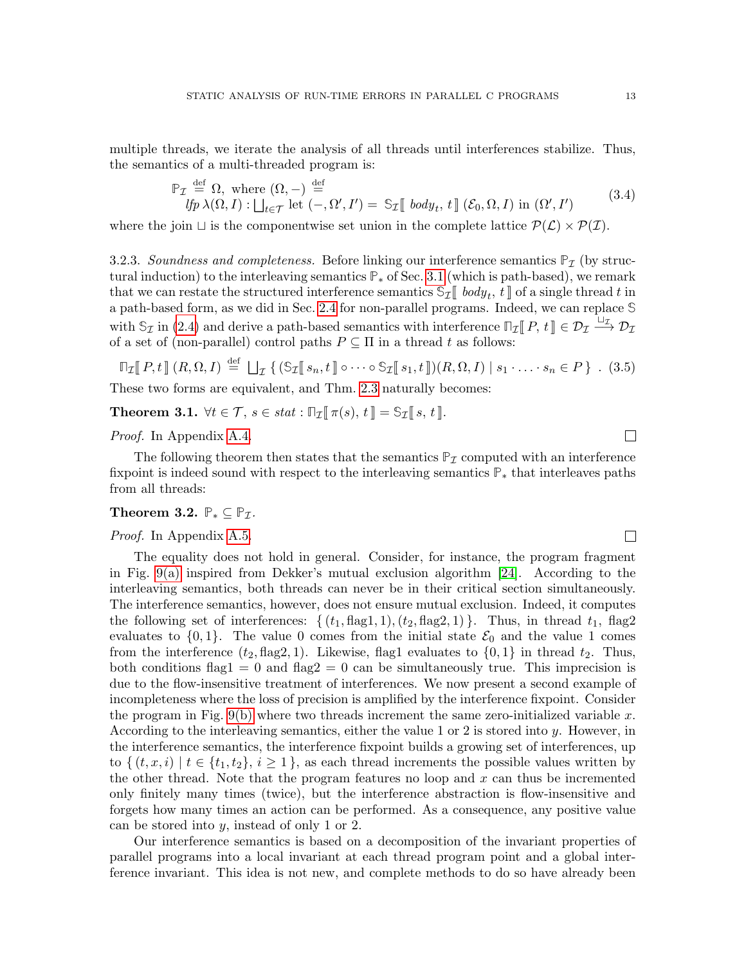multiple threads, we iterate the analysis of all threads until interferences stabilize. Thus, the semantics of a multi-threaded program is:

<span id="page-12-0"></span>
$$
\mathbb{P}_{\mathcal{I}} \stackrel{\text{def}}{=} \Omega, \text{ where } (\Omega, -) \stackrel{\text{def}}{=} \text{H} \text{ for } (\Omega, I) : \bigcup_{t \in \mathcal{T}} \text{let } (-, \Omega', I') = \mathbb{S}_{\mathcal{I}} \llbracket \text{ body}_t, t \rrbracket (\mathcal{E}_0, \Omega, I) \text{ in } (\Omega', I') \tag{3.4}
$$

where the join  $\sqcup$  is the componentwise set union in the complete lattice  $\mathcal{P}(\mathcal{L}) \times \mathcal{P}(\mathcal{I})$ .

3.2.3. Soundness and completeness. Before linking our interference semantics  $P<sub>I</sub>$  (by structural induction) to the interleaving semantics **P**<sup>∗</sup> of Sec. [3.1](#page-9-1) (which is path-based), we remark that we can restate the structured interference semantics  $\mathbb{S}_{\mathcal{I}}[$  body<sub>t</sub>,  $t \cdot \mathbb{I}$  of a single thread t in a path-based form, as we did in Sec. [2.4](#page-8-0) for non-parallel programs. Indeed, we can replace **S** with  $\mathcal{S}_{\mathcal{I}}$  in [\(2.4\)](#page-9-3) and derive a path-based semantics with interference  $\mathbb{I}_{\mathcal{I}}[P, t] \in \mathcal{D}_{\mathcal{I}} \xrightarrow{\Box_{\mathcal{I}}} \mathcal{D}_{\mathcal{I}}$ of a set of (non-parallel) control paths  $P \subseteq \Pi$  in a thread  $t$  as follows:

$$
\mathbb{T}_{\mathcal{I}}[P,t](R,\Omega,I) \stackrel{\text{def}}{=} \bigcup_{\mathcal{I}} \left\{ (\mathbb{S}_{\mathcal{I}}[s_n,t]) \circ \cdots \circ \mathbb{S}_{\mathcal{I}}[s_1,t]) (R,\Omega,I) \mid s_1 \cdot \ldots \cdot s_n \in P \right\} . (3.5)
$$

These two forms are equivalent, and Thm. [2.3](#page-9-5) naturally becomes:

<span id="page-12-2"></span>**Theorem 3.1.**  $\forall t \in \mathcal{T}, s \in stat : \mathbb{T}_{\mathcal{I}}[\![\pi(s), t]\!] = \mathbb{S}_{\mathcal{I}}[\![s, t]\!]$ .

Proof. In Appendix [A.4.](#page-51-0)

The following theorem then states that the semantics  $P<sub>I</sub>$  computed with an interference fixpoint is indeed sound with respect to the interleaving semantics **P**<sup>∗</sup> that interleaves paths from all threads:

# <span id="page-12-1"></span>Theorem 3.2.  $\mathbb{P}_* \subseteq \mathbb{P}_{\mathcal{I}}$ .

## Proof. In Appendix [A.5.](#page-51-1)

The equality does not hold in general. Consider, for instance, the program fragment in Fig. [9\(a\)](#page-13-1) inspired from Dekker's mutual exclusion algorithm [\[24\]](#page-47-6). According to the interleaving semantics, both threads can never be in their critical section simultaneously. The interference semantics, however, does not ensure mutual exclusion. Indeed, it computes the following set of interferences:  $\{(t_1, flag1, 1), (t_2, flag2, 1)\}\.$  Thus, in thread  $t_1$ , flag2 evaluates to  $\{0,1\}$ . The value 0 comes from the initial state  $\mathcal{E}_0$  and the value 1 comes from the interference  $(t_2, flag2, 1)$ . Likewise, flag1 evaluates to  $\{0, 1\}$  in thread  $t_2$ . Thus, both conditions flag1 = 0 and flag2 = 0 can be simultaneously true. This imprecision is due to the flow-insensitive treatment of interferences. We now present a second example of incompleteness where the loss of precision is amplified by the interference fixpoint. Consider the program in Fig. [9\(b\)](#page-13-2) where two threads increment the same zero-initialized variable x. According to the interleaving semantics, either the value 1 or 2 is stored into  $y$ . However, in the interference semantics, the interference fixpoint builds a growing set of interferences, up to  $\{(t, x, i) \mid t \in \{t_1, t_2\}, i \geq 1\}$ , as each thread increments the possible values written by the other thread. Note that the program features no loop and  $x$  can thus be incremented only finitely many times (twice), but the interference abstraction is flow-insensitive and forgets how many times an action can be performed. As a consequence, any positive value can be stored into  $y$ , instead of only 1 or 2.

Our interference semantics is based on a decomposition of the invariant properties of parallel programs into a local invariant at each thread program point and a global interference invariant. This idea is not new, and complete methods to do so have already been

 $\Box$ 

 $\Box$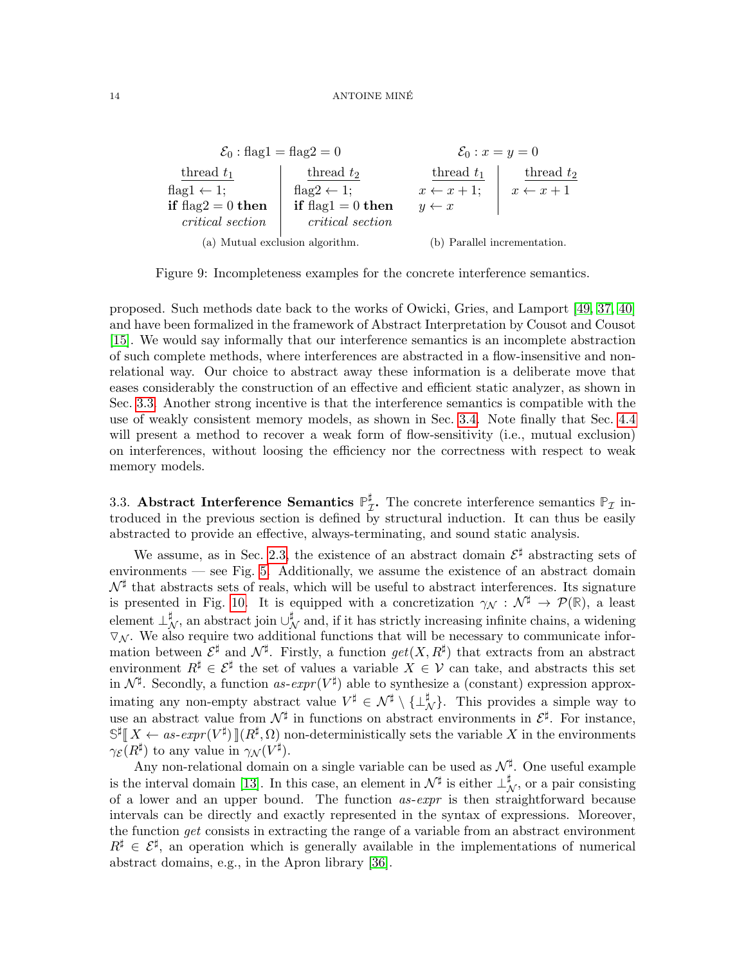<span id="page-13-2"></span><span id="page-13-1"></span>

Figure 9: Incompleteness examples for the concrete interference semantics.

proposed. Such methods date back to the works of Owicki, Gries, and Lamport [\[49,](#page-48-3) [37,](#page-47-7) [40\]](#page-47-8) and have been formalized in the framework of Abstract Interpretation by Cousot and Cousot [\[15\]](#page-46-8). We would say informally that our interference semantics is an incomplete abstraction of such complete methods, where interferences are abstracted in a flow-insensitive and nonrelational way. Our choice to abstract away these information is a deliberate move that eases considerably the construction of an effective and efficient static analyzer, as shown in Sec. [3.3.](#page-13-0) Another strong incentive is that the interference semantics is compatible with the use of weakly consistent memory models, as shown in Sec. [3.4.](#page-17-0) Note finally that Sec. [4.4](#page-24-0) will present a method to recover a weak form of flow-sensitivity (i.e., mutual exclusion) on interferences, without loosing the efficiency nor the correctness with respect to weak memory models.

<span id="page-13-0"></span>3.3. Abstract Interference Semantics  $\mathbb{P}_7^{\sharp}$  $_{\mathcal{I}}^{\sharp}$ . The concrete interference semantics  $\mathbb{P}_{\mathcal{I}}$  introduced in the previous section is defined by structural induction. It can thus be easily abstracted to provide an effective, always-terminating, and sound static analysis.

We assume, as in Sec. [2.3,](#page-6-0) the existence of an abstract domain  $\mathcal{E}^{\sharp}$  abstracting sets of environments — see Fig. [5.](#page-7-0) Additionally, we assume the existence of an abstract domain  $\mathcal{N}^{\sharp}$  that abstracts sets of reals, which will be useful to abstract interferences. Its signature is presented in Fig. [10.](#page-14-0) It is equipped with a concretization  $\gamma_{\mathcal{N}} : \mathcal{N}^{\sharp} \to \mathcal{P}(\mathbb{R})$ , a least element  $\perp_N^{\sharp}$ , an abstract join  $\cup_N^{\sharp}$  and, if it has strictly increasing infinite chains, a widening  $\nabla_{\mathcal{N}}$ . We also require two additional functions that will be necessary to communicate information between  $\mathcal{E}^{\sharp}$  and  $\mathcal{N}^{\sharp}$ . Firstly, a function  $get(X, R^{\sharp})$  that extracts from an abstract environment  $R^{\sharp} \in \mathcal{E}^{\sharp}$  the set of values a variable  $X \in \mathcal{V}$  can take, and abstracts this set in  $\mathcal{N}^{\sharp}$ . Secondly, a function as- $expr(V^{\sharp})$  able to synthesize a (constant) expression approximating any non-empty abstract value  $V^{\sharp} \in \mathcal{N}^{\sharp} \setminus {\{\perp_{\mathcal{N}}^{\sharp}\}}$ . This provides a simple way to use an abstract value from  $\mathcal{N}^{\sharp}$  in functions on abstract environments in  $\mathcal{E}^{\sharp}$ . For instance,  $\mathbb{S}^{\sharp}[\![X \leftarrow as\text{-}expr(V^{\sharp})]\![(R^{\sharp}, \Omega)$  non-deterministically sets the variable X in the environments  $\gamma_{\mathcal{E}}(R^{\sharp})$  to any value in  $\gamma_{\mathcal{N}}(V^{\sharp}).$ 

Any non-relational domain on a single variable can be used as  $\mathcal{N}^{\sharp}$ . One useful example is the interval domain [\[13\]](#page-46-1). In this case, an element in  $\mathcal{N}^{\sharp}$  is either  $\perp_{\mathcal{N}}^{\sharp}$ , or a pair consisting of a lower and an upper bound. The function  $as\text{-}expr$  is then straightforward because intervals can be directly and exactly represented in the syntax of expressions. Moreover, the function get consists in extracting the range of a variable from an abstract environment  $R^{\sharp} \in \mathcal{E}^{\sharp}$ , an operation which is generally available in the implementations of numerical abstract domains, e.g., in the Apron library [\[36\]](#page-47-9).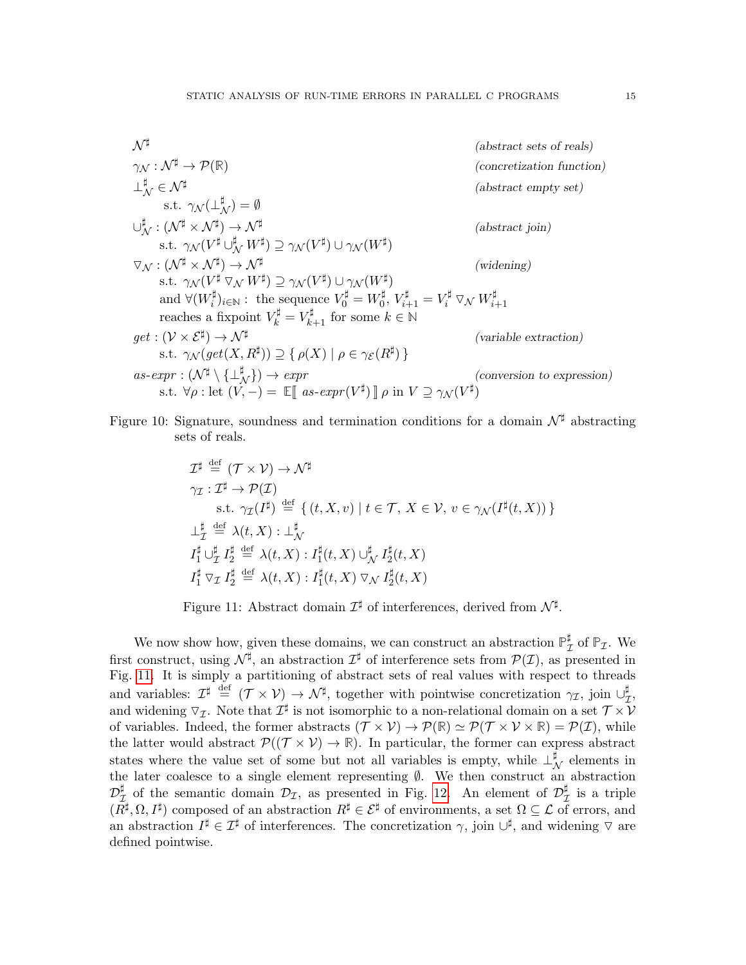$$
\mathcal{N}^{\sharp}
$$
\n
$$
\gamma_{\mathcal{N}} : \mathcal{N}^{\sharp} \to \mathcal{P}(\mathbb{R})
$$
\n
$$
\downarrow_{\mathcal{N}}^{\sharp} \in \mathcal{N}^{\sharp}
$$
\n
$$
\vdots \in \mathcal{N}^{\sharp}
$$
\n
$$
\downarrow_{\mathcal{N}}^{\sharp} : (\mathcal{N}^{\sharp} \times \mathcal{N}^{\sharp}) = \emptyset
$$
\n
$$
\cup_{\mathcal{N}}^{\sharp} : (\mathcal{N}^{\sharp} \times \mathcal{N}^{\sharp}) \to \mathcal{N}^{\sharp}
$$
\n
$$
\text{s.t. } \gamma_{\mathcal{N}}(V^{\sharp} \cup_{\mathcal{N}}^{\sharp} W^{\sharp}) \supseteq \gamma_{\mathcal{N}}(V^{\sharp}) \cup \gamma_{\mathcal{N}}(W^{\sharp})
$$
\n
$$
\nabla_{\mathcal{N}} : (\mathcal{N}^{\sharp} \times \mathcal{N}^{\sharp}) \to \mathcal{N}^{\sharp}
$$
\n
$$
\text{s.t. } \gamma_{\mathcal{N}}(V^{\sharp} \nabla_{\mathcal{N}} W^{\sharp}) \supseteq \gamma_{\mathcal{N}}(V^{\sharp}) \cup \gamma_{\mathcal{N}}(W^{\sharp})
$$
\n
$$
\text{and } \forall (W_{i}^{\sharp})_{i \in \mathbb{N}} : \text{ the sequence } V_{0}^{\sharp} = W_{0}^{\sharp}, V_{i+1}^{\sharp} = V_{i}^{\sharp} \nabla_{\mathcal{N}} W_{i+1}^{\sharp}
$$
\n
$$
\text{reaches a fixpoint } V_{k}^{\sharp} = V_{k+1}^{\sharp} \text{ for some } k \in \mathbb{N}
$$
\n
$$
\text{get} : (\mathcal{V} \times \mathcal{E}^{\sharp}) \to \mathcal{N}^{\sharp}
$$
\n
$$
\text{as-czpr} : (\mathcal{N}^{\sharp} \setminus \{\pm_{\mathcal{N}}^{\sharp}\}) \supseteq \{\rho(X) \mid \rho \in \gamma_{\mathcal{E}}(R^{\sharp})\}
$$
\n
$$
\text{as-czpr} : (\mathcal{N}^{\sharp} \setminus \{\pm_{\mathcal{N}}^{\sharp}\}) \to \text{expr}
$$

<span id="page-14-0"></span>Figure 10: Signature, soundness and termination conditions for a domain  $\mathcal{N}^{\sharp}$  abstracting sets of reals.

$$
\mathcal{I}^{\sharp} \stackrel{\text{def}}{=} (\mathcal{T} \times \mathcal{V}) \to \mathcal{N}^{\sharp}
$$
\n
$$
\gamma_{\mathcal{I}} : \mathcal{I}^{\sharp} \to \mathcal{P}(\mathcal{I})
$$
\n
$$
\text{s.t. } \gamma_{\mathcal{I}}(\mathcal{I}^{\sharp}) \stackrel{\text{def}}{=} \{ (t, X, v) \mid t \in \mathcal{T}, X \in \mathcal{V}, v \in \gamma_{\mathcal{N}}(\mathcal{I}^{\sharp}(t, X)) \}
$$
\n
$$
\perp_{\mathcal{I}}^{\sharp} \stackrel{\text{def}}{=} \lambda(t, X) : \perp_{\mathcal{N}}^{\sharp}
$$
\n
$$
\mathcal{I}_1^{\sharp} \cup_{\mathcal{I}}^{\sharp} \mathcal{I}_2^{\sharp} \stackrel{\text{def}}{=} \lambda(t, X) : \mathcal{I}_1^{\sharp}(t, X) \cup_{\mathcal{N}}^{\sharp} \mathcal{I}_2^{\sharp}(t, X)
$$
\n
$$
\mathcal{I}_1^{\sharp} \nabla_{\mathcal{I}} \mathcal{I}_2^{\sharp} \stackrel{\text{def}}{=} \lambda(t, X) : \mathcal{I}_1^{\sharp}(t, X) \nabla_{\mathcal{N}} \mathcal{I}_2^{\sharp}(t, X)
$$

<span id="page-14-1"></span>Figure 11: Abstract domain  $\mathcal{I}^{\sharp}$  of interferences, derived from  $\mathcal{N}^{\sharp}$ .

We now show how, given these domains, we can construct an abstraction  $\mathbb{P}_7^{\sharp}$  $_{\mathcal{I}}^{\sharp}$  of  $\mathbb{P}_{\mathcal{I}}$ . We first construct, using  $\mathcal{N}^{\sharp}$ , an abstraction  $\mathcal{I}^{\sharp}$  of interference sets from  $\mathcal{P}(\mathcal{I})$ , as presented in Fig. [11.](#page-14-1) It is simply a partitioning of abstract sets of real values with respect to threads and variables:  $\mathcal{I}^{\sharp} \stackrel{\text{def}}{=} (\mathcal{T} \times \mathcal{V}) \to \mathcal{N}^{\sharp}$ , together with pointwise concretization  $\gamma_{\mathcal{I}}$ , join  $\cup_{\mathcal{I}}^{\sharp}$ μ<br>Τ' and widening  $\nabla_{\mathcal{I}}$ . Note that  $\mathcal{I}^{\sharp}$  is not isomorphic to a non-relational domain on a set  $\mathcal{T} \times \mathcal{V}$ of variables. Indeed, the former abstracts  $(\mathcal{T} \times \mathcal{V}) \to \mathcal{P}(\mathbb{R}) \simeq \mathcal{P}(\mathcal{T} \times \mathcal{V} \times \mathbb{R}) = \mathcal{P}(\mathcal{I})$ , while the latter would abstract  $\mathcal{P}((\mathcal{T} \times \mathcal{V}) \to \mathbb{R})$ . In particular, the former can express abstract states where the value set of some but not all variables is empty, while  $\perp^{\sharp}_{\mathcal{N}}$  elements in the later coalesce to a single element representing ∅. We then construct an abstraction  $\mathcal{D}_7^\sharp$  $\frac{\sharp}{\mathcal{I}}$  of the semantic domain  $\mathcal{D}_{\mathcal{I}}$ , as presented in Fig. [12.](#page-15-0) An element of  $\mathcal{D}_{\mathcal{I}}^{\sharp}$  $\frac{1}{\mathcal{I}}$  is a triple  $(R^{\sharp}, \Omega, I^{\sharp})$  composed of an abstraction  $R^{\sharp} \in \mathcal{E}^{\sharp}$  of environments, a set  $\Omega \subseteq \mathcal{L}$  of errors, and an abstraction  $I^{\sharp} \in \mathcal{I}^{\sharp}$  of interferences. The concretization  $\gamma$ , join  $\cup^{\sharp}$ , and widening  $\triangledown$  are defined pointwise.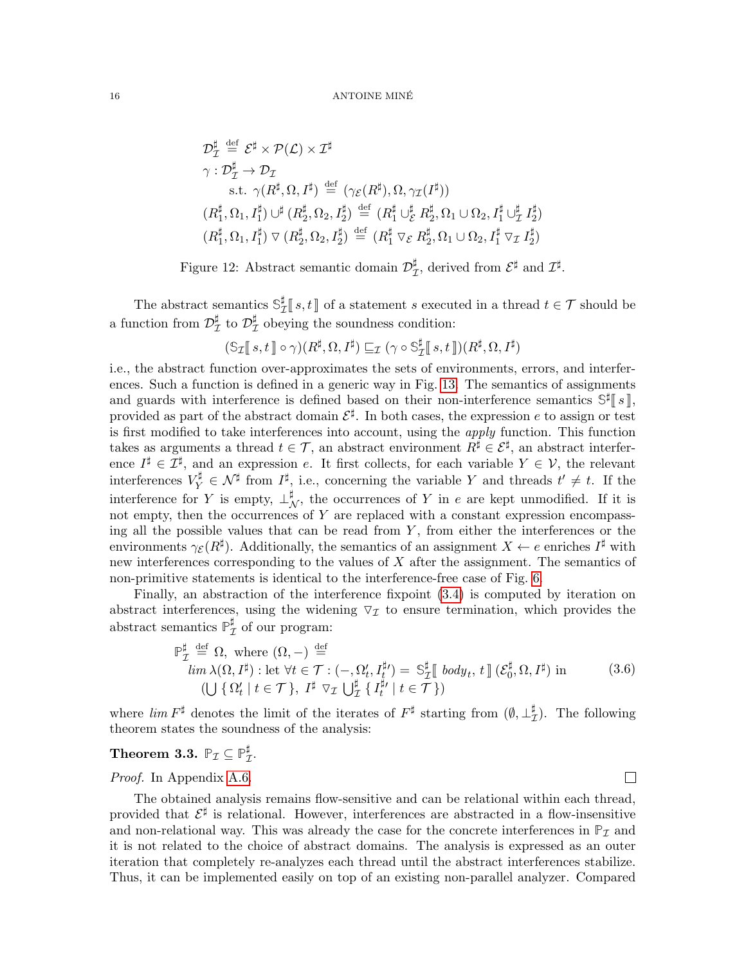$$
\mathcal{D}_{\mathcal{I}}^{\sharp} \stackrel{\text{def}}{=} \mathcal{E}^{\sharp} \times \mathcal{P}(\mathcal{L}) \times \mathcal{I}^{\sharp}
$$
\n
$$
\gamma : \mathcal{D}_{\mathcal{I}}^{\sharp} \to \mathcal{D}_{\mathcal{I}}
$$
\n
$$
\text{s.t. } \gamma(R^{\sharp}, \Omega, I^{\sharp}) \stackrel{\text{def}}{=} (\gamma_{\mathcal{E}}(R^{\sharp}), \Omega, \gamma_{\mathcal{I}}(I^{\sharp}))
$$
\n
$$
(R^{\sharp}_{1}, \Omega_{1}, I_{1}^{\sharp}) \cup^{\sharp} (R^{\sharp}_{2}, \Omega_{2}, I_{2}^{\sharp}) \stackrel{\text{def}}{=} (R^{\sharp}_{1} \cup_{\mathcal{E}}^{\sharp} R^{\sharp}_{2}, \Omega_{1} \cup \Omega_{2}, I_{1}^{\sharp} \cup_{\mathcal{I}}^{\sharp} I_{2}^{\sharp})
$$
\n
$$
(R^{\sharp}_{1}, \Omega_{1}, I_{1}^{\sharp}) \vee (R^{\sharp}_{2}, \Omega_{2}, I_{2}^{\sharp}) \stackrel{\text{def}}{=} (R^{\sharp}_{1} \vee_{\mathcal{E}} R^{\sharp}_{2}, \Omega_{1} \cup \Omega_{2}, I_{1}^{\sharp} \vee_{\mathcal{I}} I_{2}^{\sharp})
$$

<span id="page-15-0"></span>Figure 12: Abstract semantic domain  $\mathcal{D}_7^{\sharp}$  $\mathcal{I}^{\sharp}$ , derived from  $\mathcal{E}^{\sharp}$  and  $\mathcal{I}^{\sharp}$ .

The abstract semantics  $\mathbb{S}_7^{\sharp}$  $\mathcal{I}_{\mathcal{I}}^{[s]}[s,t]$  of a statement s executed in a thread  $t \in \mathcal{T}$  should be a function from  $\mathcal{D}_{7}^{\sharp}$  $^\sharp_{\mathcal{I}}$  to  $\mathcal{D}_\mathcal{I}^\sharp$  $_{\mathcal{I}}^{\sharp}$  obeying the soundness condition:

$$
(\mathbb{S}_{\mathcal{I}}[[s,t]] \circ \gamma)(R^{\sharp},\Omega,I^{\sharp}) \sqsubseteq_{\mathcal{I}} (\gamma \circ \mathbb{S}_{\mathcal{I}}^{\sharp}[[s,t]])(R^{\sharp},\Omega,I^{\sharp})
$$

i.e., the abstract function over-approximates the sets of environments, errors, and interferences. Such a function is defined in a generic way in Fig. [13.](#page-16-0) The semantics of assignments and guards with interference is defined based on their non-interference semantics  $\mathbb{S}^{\sharp}[\![s]\!]$ , provided as part of the abstract domain  $\mathcal{E}^{\sharp}$ . In both cases, the expression e to assign or test is first modified to take interferences into account, using the *apply* function. This function takes as arguments a thread  $t \in \mathcal{T}$ , an abstract environment  $R^{\sharp} \in \mathcal{E}^{\sharp}$ , an abstract interference  $I^{\sharp} \in \mathcal{I}^{\sharp}$ , and an expression e. It first collects, for each variable  $Y \in \mathcal{V}$ , the relevant interferences  $V_Y^{\sharp} \in \mathcal{N}^{\sharp}$  from  $I^{\sharp}$ , i.e., concerning the variable Y and threads  $t' \neq t$ . If the interference for Y is empty,  $\perp^{\sharp}_{\mathcal{N}}$ , the occurrences of Y in e are kept unmodified. If it is not empty, then the occurrences of  $Y$  are replaced with a constant expression encompassing all the possible values that can be read from  $Y$ , from either the interferences or the environments  $\gamma_{\mathcal{E}}(R^{\sharp})$ . Additionally, the semantics of an assignment  $X \leftarrow e$  enriches  $I^{\sharp}$  with new interferences corresponding to the values of  $X$  after the assignment. The semantics of non-primitive statements is identical to the interference-free case of Fig. [6.](#page-8-1)

Finally, an abstraction of the interference fixpoint [\(3.4\)](#page-12-0) is computed by iteration on abstract interferences, using the widening  $\nabla_{\mathcal{I}}$  to ensure termination, which provides the abstract semantics **P** ]  $_{\mathcal{I}}^{\sharp}$  of our program:

<span id="page-15-1"></span>
$$
\mathbb{P}_{\mathcal{I}}^{\sharp} \stackrel{\text{def}}{=} \Omega, \text{ where } (\Omega, -) \stackrel{\text{def}}{=} \lim_{\lambda(\Omega, I^{\sharp}) : \text{let } \forall t \in \mathcal{T} : (-, \Omega_{t}', I_{t}^{\sharp}) = \mathbb{S}_{\mathcal{I}}^{\sharp} \llbracket \text{ body}_{t}, t \llbracket (\mathcal{E}_{0}^{\sharp}, \Omega, I^{\sharp}) \text{ in} \qquad (3.6)
$$
  

$$
(\bigcup \{ \Omega_{t}' \mid t \in \mathcal{T} \}, I^{\sharp} \vee_{\mathcal{I}} \bigcup_{\mathcal{I}}^{\sharp} \{ I_{t}^{\sharp\prime} \mid t \in \mathcal{T} \})
$$

where  $\lim F^{\sharp}$  denotes the limit of the iterates of  $F^{\sharp}$  starting from  $(\emptyset, \perp_{7}^{\sharp})$  $\frac{1}{\mathcal{I}}$ ). The following theorem states the soundness of the analysis:

#### <span id="page-15-2"></span>Theorem 3.3.  $\mathbb{P}_{\mathcal{I}} \subseteq \mathbb{P}^\sharp_{\mathcal{I}}$ μ<br>Τ

Proof. In Appendix [A.6.](#page-52-0)

The obtained analysis remains flow-sensitive and can be relational within each thread, provided that  $\mathcal{E}^{\sharp}$  is relational. However, interferences are abstracted in a flow-insensitive and non-relational way. This was already the case for the concrete interferences in  $\mathbb{P}_{\mathcal{I}}$  and it is not related to the choice of abstract domains. The analysis is expressed as an outer iteration that completely re-analyzes each thread until the abstract interferences stabilize. Thus, it can be implemented easily on top of an existing non-parallel analyzer. Compared

 $\Box$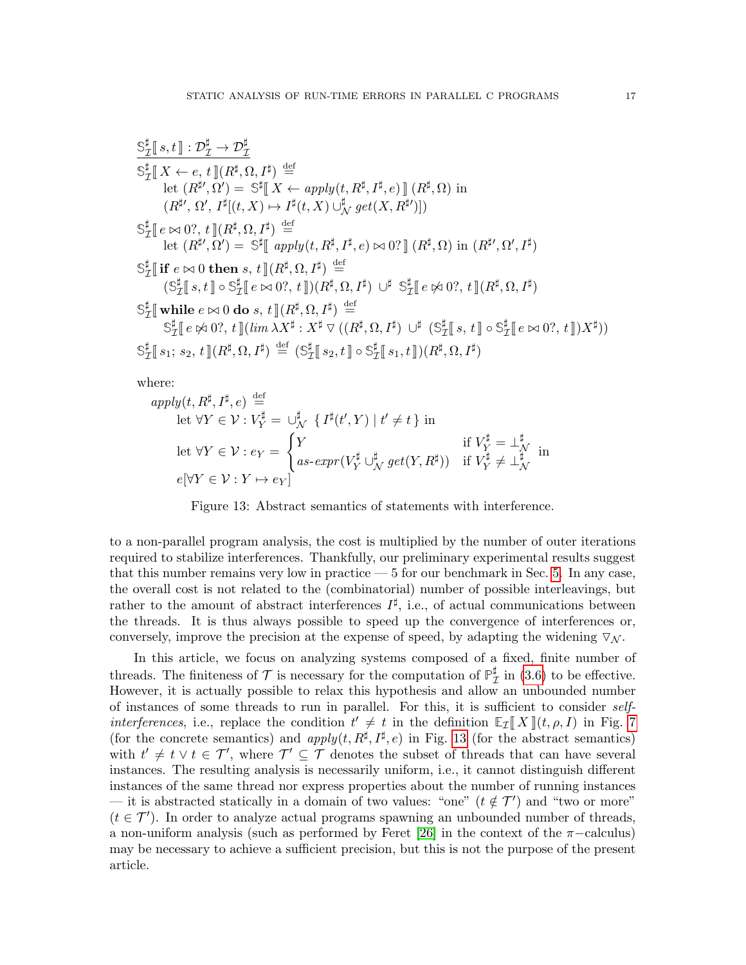$$
\frac{\mathbb{S}_{\mathcal{I}}^{\sharp}[s,t]:\mathcal{D}_{\mathcal{I}}^{\sharp}\rightarrow \mathcal{D}_{\mathcal{I}}^{\sharp}}{\mathbb{S}_{\mathcal{I}}^{\sharp}[X\leftarrow e,t][R^{\sharp},\Omega,I^{\sharp})\stackrel{\text{def}}{=}}\begin{array}{l} \mathbb{S}_{\mathcal{I}}^{\sharp}[X\leftarrow e,t][R^{\sharp},\Omega,I^{\sharp})\stackrel{\text{def}}{=}}\\ (R^{\sharp\prime},\Omega^{\prime},I^{\sharp}[(t,X)\mapsto I^{\sharp}(t,X)\cup_{\mathcal{N}}^{\sharp} get(X,R^{\sharp\prime})])\\ (\mathbb{S}_{\mathcal{I}}^{\sharp}\big[e\bowtie 0?,t]\big[R^{\sharp},\Omega,I^{\sharp}\big]\stackrel{\text{def}}{=}\\ \text{let }(R^{\sharp\prime},\Omega^{\prime})=\mathbb{S}^{\sharp}\big[\text{ apply}(t,R^{\sharp},I^{\sharp},e)\bowtie 0?]\big[R^{\sharp},\Omega\big)\text{ in }(R^{\sharp\prime},\Omega',I^{\sharp})\\ \mathbb{S}_{\mathcal{I}}^{\sharp}\big[\text{ if }e\bowtie 0\text{ then }s,t][R^{\sharp},\Omega,I^{\sharp}\big)\stackrel{\text{def}}{=}\\ (\mathbb{S}_{\mathcal{I}}^{\sharp}[s,t]\circ \mathbb{S}_{\mathcal{I}}^{\sharp}\big[e\bowtie 0?,t]\big(R^{\sharp},\Omega,I^{\sharp})\big)\stackrel{\text{def}}{=}\\ \mathbb{S}_{\mathcal{I}}^{\sharp}\big[\text{while }e\bowtie 0\text{ do }s,t][(R^{\sharp},\Omega,I^{\sharp})\stackrel{\text{def}}{=}\\ \mathbb{S}_{\mathcal{I}}^{\sharp}\big[e\bowtie 0?,t]\big(\lim_{\mathcal{M}} X^{\sharp}:X^{\sharp}\vee((R^{\sharp},\Omega,I^{\sharp})\cup^{\sharp}(\mathbb{S}_{\mathcal{I}}^{\sharp}\big[s,t]\circ \mathbb{S}_{\mathcal{I}}^{\sharp}\big[e\bowtie 0?,t]\big)X^{\sharp}) )\\ \mathbb{S}_{\mathcal{I}}^{\sharp}\big[s_{1};s_{2},t]\big(R^{\sharp},\Omega,I^{\sharp}\big)\stackrel{\text{def}}{=}(\mathbb{S}_{\mathcal{I}}^{\sharp}\big[s_{2},t]\circ \mathbb{S}_{\mathcal{I}}^{\sharp}\big[s_{1},t]\big
$$

where:

$$
apply(t, R^{\sharp}, I^{\sharp}, e) \stackrel{\text{def}}{=} \text{let } \forall Y \in \mathcal{V} : V_Y^{\sharp} = \bigcup_N^{\sharp} \{ I^{\sharp}(t', Y) \mid t' \neq t \} \text{ in}
$$
\n
$$
\text{let } \forall Y \in \mathcal{V} : e_Y = \begin{cases} Y & \text{if } V_Y^{\sharp} = \perp_N^{\sharp} \\ as\text{-}expr(V_Y^{\sharp} \cup_N^{\sharp} get(Y, R^{\sharp})) & \text{if } V_Y^{\sharp} \neq \perp_N^{\sharp} \\ w & \text{if } V_Y^{\sharp} \neq \perp_N^{\sharp} \end{cases} \text{ in}
$$

<span id="page-16-0"></span>Figure 13: Abstract semantics of statements with interference.

to a non-parallel program analysis, the cost is multiplied by the number of outer iterations required to stabilize interferences. Thankfully, our preliminary experimental results suggest that this number remains very low in practice — 5 for our benchmark in Sec. [5.](#page-37-0) In any case, the overall cost is not related to the (combinatorial) number of possible interleavings, but rather to the amount of abstract interferences  $I^{\sharp}$ , i.e., of actual communications between the threads. It is thus always possible to speed up the convergence of interferences or, conversely, improve the precision at the expense of speed, by adapting the widening  $\nabla \mathcal{N}$ .

In this article, we focus on analyzing systems composed of a fixed, finite number of threads. The finiteness of  $\mathcal T$  is necessary for the computation of  $\mathbb P_q^{\sharp}$  $\frac{1}{\tau}$  in [\(3.6\)](#page-15-1) to be effective. However, it is actually possible to relax this hypothesis and allow an unbounded number of instances of some threads to run in parallel. For this, it is sufficient to consider self*interferences*, i.e., replace the condition  $t' \neq t$  in the definition  $\mathbb{E}_{\mathcal{I}}[X](t, \rho, I)$  in Fig. [7](#page-11-0) (for the approximation) and condition  $\mathbb{E}_{\mathcal{I}}[X](t, \rho, I)$  in Fig. 7 (for the concrete semantics) and  $apply(t, R^{\sharp}, I^{\sharp}, e)$  in Fig. [13](#page-16-0) (for the abstract semantics) with  $t' \neq t \vee t \in \mathcal{T}'$ , where  $\mathcal{T}' \subseteq \mathcal{T}$  denotes the subset of threads that can have several instances. The resulting analysis is necessarily uniform, i.e., it cannot distinguish different instances of the same thread nor express properties about the number of running instances — it is abstracted statically in a domain of two values: "one"  $(t \notin \mathcal{T}')$  and "two or more"  $(t \in \mathcal{T}')$ . In order to analyze actual programs spawning an unbounded number of threads, a non-uniform analysis (such as performed by Feret [\[26\]](#page-47-10) in the context of the  $\pi$ -calculus) may be necessary to achieve a sufficient precision, but this is not the purpose of the present article.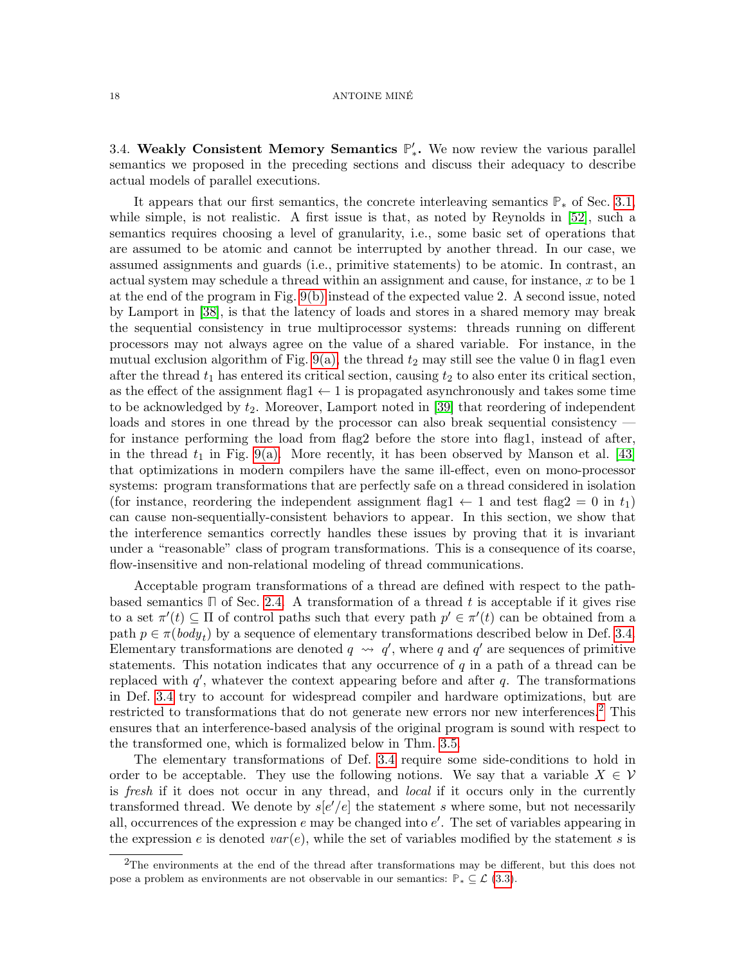#### 18 ANTOINE MINÉ

<span id="page-17-0"></span>3.4. Weakly Consistent Memory Semantics  $\mathbb{P}'_*$ . We now review the various parallel semantics we proposed in the preceding sections and discuss their adequacy to describe actual models of parallel executions.

It appears that our first semantics, the concrete interleaving semantics **P**<sup>∗</sup> of Sec. [3.1,](#page-9-1) while simple, is not realistic. A first issue is that, as noted by Reynolds in [\[52\]](#page-48-4), such a semantics requires choosing a level of granularity, i.e., some basic set of operations that are assumed to be atomic and cannot be interrupted by another thread. In our case, we assumed assignments and guards (i.e., primitive statements) to be atomic. In contrast, an actual system may schedule a thread within an assignment and cause, for instance,  $x$  to be 1 at the end of the program in Fig. [9\(b\)](#page-13-2) instead of the expected value 2. A second issue, noted by Lamport in [\[38\]](#page-47-11), is that the latency of loads and stores in a shared memory may break the sequential consistency in true multiprocessor systems: threads running on different processors may not always agree on the value of a shared variable. For instance, in the mutual exclusion algorithm of Fig. [9\(a\),](#page-13-1) the thread  $t_2$  may still see the value 0 in flag1 even after the thread  $t_1$  has entered its critical section, causing  $t_2$  to also enter its critical section, as the effect of the assignment flag1  $\leftarrow$  1 is propagated asynchronously and takes some time to be acknowledged by  $t_2$ . Moreover, Lamport noted in [\[39\]](#page-47-5) that reordering of independent loads and stores in one thread by the processor can also break sequential consistency – for instance performing the load from flag2 before the store into flag1, instead of after, in the thread  $t_1$  in Fig. [9\(a\).](#page-13-1) More recently, it has been observed by Manson et al. [\[43\]](#page-47-12) that optimizations in modern compilers have the same ill-effect, even on mono-processor systems: program transformations that are perfectly safe on a thread considered in isolation (for instance, reordering the independent assignment flag1  $\leftarrow$  1 and test flag2 = 0 in t<sub>1</sub>) can cause non-sequentially-consistent behaviors to appear. In this section, we show that the interference semantics correctly handles these issues by proving that it is invariant under a "reasonable" class of program transformations. This is a consequence of its coarse, flow-insensitive and non-relational modeling of thread communications.

Acceptable program transformations of a thread are defined with respect to the pathbased semantics  $\Box$  of Sec. [2.4.](#page-8-0) A transformation of a thread t is acceptable if it gives rise to a set  $\pi'(t) \subseteq \Pi$  of control paths such that every path  $p' \in \pi'(t)$  can be obtained from a path  $p \in \pi(\text{body}_t)$  by a sequence of elementary transformations described below in Def. [3.4.](#page-18-0) Elementary transformations are denoted  $q \rightarrow q'$ , where q and q' are sequences of primitive statements. This notation indicates that any occurrence of q in a path of a thread can be replaced with  $q'$ , whatever the context appearing before and after  $q$ . The transformations in Def. [3.4](#page-18-0) try to account for widespread compiler and hardware optimizations, but are restricted to transformations that do not generate new errors nor new interferences.<sup>[2](#page-17-1)</sup> This ensures that an interference-based analysis of the original program is sound with respect to the transformed one, which is formalized below in Thm. [3.5.](#page-18-1)

The elementary transformations of Def. [3.4](#page-18-0) require some side-conditions to hold in order to be acceptable. They use the following notions. We say that a variable  $X \in V$ is fresh if it does not occur in any thread, and local if it occurs only in the currently transformed thread. We denote by  $s[e'/e]$  the statement s where some, but not necessarily all, occurrences of the expression  $e$  may be changed into  $e'$ . The set of variables appearing in the expression e is denoted  $var(e)$ , while the set of variables modified by the statement s is

<span id="page-17-1"></span><sup>2</sup>The environments at the end of the thread after transformations may be different, but this does not pose a problem as environments are not observable in our semantics:  $\mathbb{P}_* \subseteq \mathcal{L}$  [\(3.3\)](#page-10-1).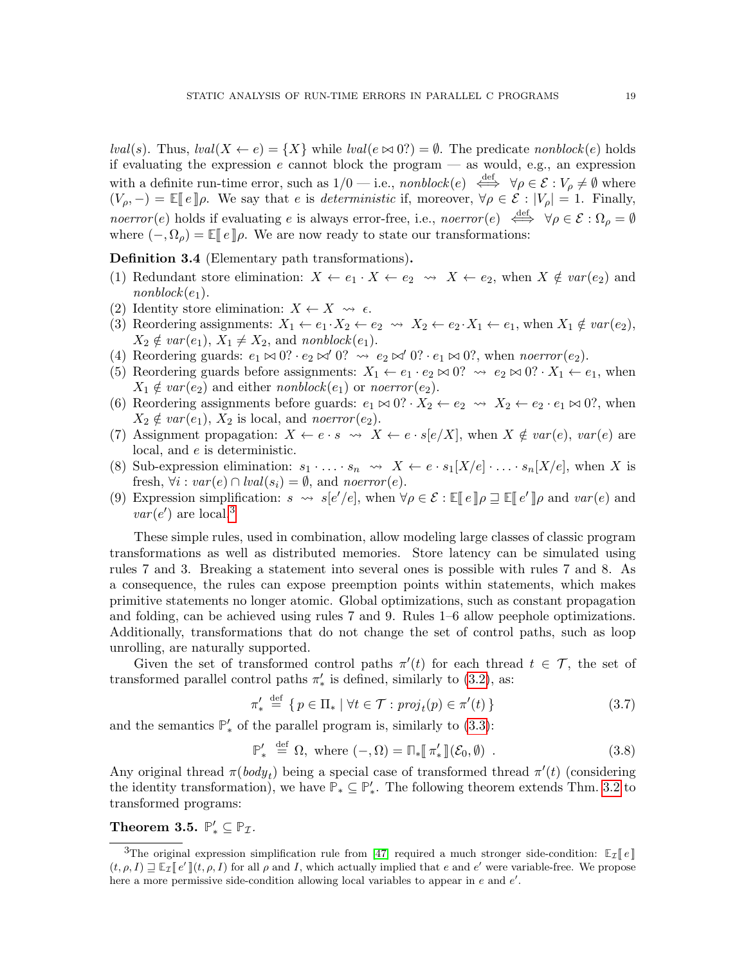lval(s). Thus,  $lval(X \leftarrow e) = \{X\}$  while  $lval(e \bowtie 0?) = \emptyset$ . The predicate nonblock(e) holds if evaluating the expression  $e$  cannot block the program — as would, e.g., an expression with a definite run-time error, such as  $1/0$  — i.e., nonblock(e)  $\xleftrightarrow{\text{def}}$   $\forall \rho \in \mathcal{E} : V_{\rho} \neq \emptyset$  where  $(V_{\rho}, -) = \mathbb{E} \|e\| \rho$ . We say that e is deterministic if, moreover,  $\forall \rho \in \mathcal{E} : |V_{\rho}| = 1$ . Finally, noerror(e) holds if evaluating e is always error-free, i.e., noerror(e)  $\iff \forall \rho \in \mathcal{E} : \Omega_{\rho} = \emptyset$ where  $(-, \Omega_{\rho}) = \mathbb{E} \llbracket e \rrbracket \rho$ . We are now ready to state our transformations:

<span id="page-18-0"></span>Definition 3.4 (Elementary path transformations).

- (1) Redundant store elimination:  $X \leftarrow e_1 \cdot X \leftarrow e_2 \rightarrow X \leftarrow e_2$ , when  $X \notin \text{var}(e_2)$  and  $nonblock(e_1).$
- (2) Identity store elimination:  $X \leftarrow X \rightsquigarrow \epsilon$ .
- (3) Reordering assignments:  $X_1 \leftarrow e_1 \cdot X_2 \leftarrow e_2 \rightsquigarrow X_2 \leftarrow e_2 \cdot X_1 \leftarrow e_1$ , when  $X_1 \notin var(e_2)$ ,  $X_2 \notin var(e_1), X_1 \neq X_2$ , and nonblock $(e_1)$ .
- (4) Reordering guards:  $e_1 \bowtie 0$ ? ·  $e_2 \bowtie' 0$ ?  $\leadsto e_2 \bowtie' 0$ ? ·  $e_1 \bowtie 0$ ?, when noerror  $(e_2)$ .
- (5) Reordering guards before assignments:  $X_1 \leftarrow e_1 \cdot e_2 \bowtie 0$ ?  $\rightsquigarrow e_2 \bowtie 0$ ?  $\cdot X_1 \leftarrow e_1$ , when  $X_1 \notin var(e_2)$  and either nonblock $(e_1)$  or noerror  $(e_2)$ .
- (6) Reordering assignments before guards:  $e_1 \bowtie 0$ ?  $X_2 \leftarrow e_2 \rightsquigarrow X_2 \leftarrow e_2 \cdot e_1 \bowtie 0$ ?, when  $X_2 \notin var(e_1), X_2$  is local, and noerror  $(e_2)$ .
- (7) Assignment propagation:  $X \leftarrow e \cdot s \leadsto X \leftarrow e \cdot s[e/X]$ , when  $X \notin var(e)$ ,  $var(e)$  are local, and e is deterministic.
- (8) Sub-expression elimination:  $s_1 \cdot \ldots \cdot s_n \leadsto X \leftarrow e \cdot s_1[X/e] \cdot \ldots \cdot s_n[X/e]$ , when X is fresh,  $\forall i : var(e) \cap \text{lval}(s_i) = \emptyset$ , and noerror(e).
- (9) Expression simplification:  $s \rightsquigarrow s[e'/e]$ , when  $\forall \rho \in \mathcal{E} : \mathbb{E}[e] \mid \rho \sqsupseteq \mathbb{E}[e'] \mid \rho$  and  $var(e)$  and  $var(e)$  $var(e')$  are local.<sup>[3](#page-18-2)</sup>

These simple rules, used in combination, allow modeling large classes of classic program transformations as well as distributed memories. Store latency can be simulated using rules 7 and 3. Breaking a statement into several ones is possible with rules 7 and 8. As a consequence, the rules can expose preemption points within statements, which makes primitive statements no longer atomic. Global optimizations, such as constant propagation and folding, can be achieved using rules 7 and 9. Rules 1–6 allow peephole optimizations. Additionally, transformations that do not change the set of control paths, such as loop unrolling, are naturally supported.

Given the set of transformed control paths  $\pi'(t)$  for each thread  $t \in \mathcal{T}$ , the set of transformed parallel control paths  $\pi'_{*}$  is defined, similarly to [\(3.2\)](#page-10-2), as:

<span id="page-18-3"></span>
$$
\pi'_{*} \stackrel{\text{def}}{=} \{ p \in \Pi_{*} \mid \forall t \in \mathcal{T} : \text{proj}_{t}(p) \in \pi'(t) \}
$$
\n
$$
(3.7)
$$

and the semantics  $\mathbb{P}'_*$  of the parallel program is, similarly to  $(3.3)$ :

$$
\mathbb{P}'_* \stackrel{\text{def}}{=} \Omega, \text{ where } (-,\Omega) = \mathbb{D}_*[\![\pi'_*]\!](\mathcal{E}_0, \emptyset) .
$$
 (3.8)

Any original thread  $\pi(body_t)$  being a special case of transformed thread  $\pi'(t)$  (considering the identity transformation), we have  $\mathbb{P}_* \subseteq \mathbb{P}'_*$ . The following theorem extends Thm. [3.2](#page-12-1) to transformed programs:

<span id="page-18-1"></span>Theorem 3.5.  $\mathbb{P}'_* \subseteq \mathbb{P}_{\mathcal{I}}$ .

<span id="page-18-2"></span><sup>&</sup>lt;sup>3</sup>The original expression simplification rule from [\[47\]](#page-47-0) required a much stronger side-condition:  $\mathbb{E}_\tau[\ell]$  $(t, \rho, I) \equiv \mathbb{E}_{\mathcal{I}}[e'](t, \rho, I)$  for all  $\rho$  and I, which actually implied that e and e' were variable-free. We propose here a more permissive side-condition allowing local variables to appear in  $e$  and  $e'$ .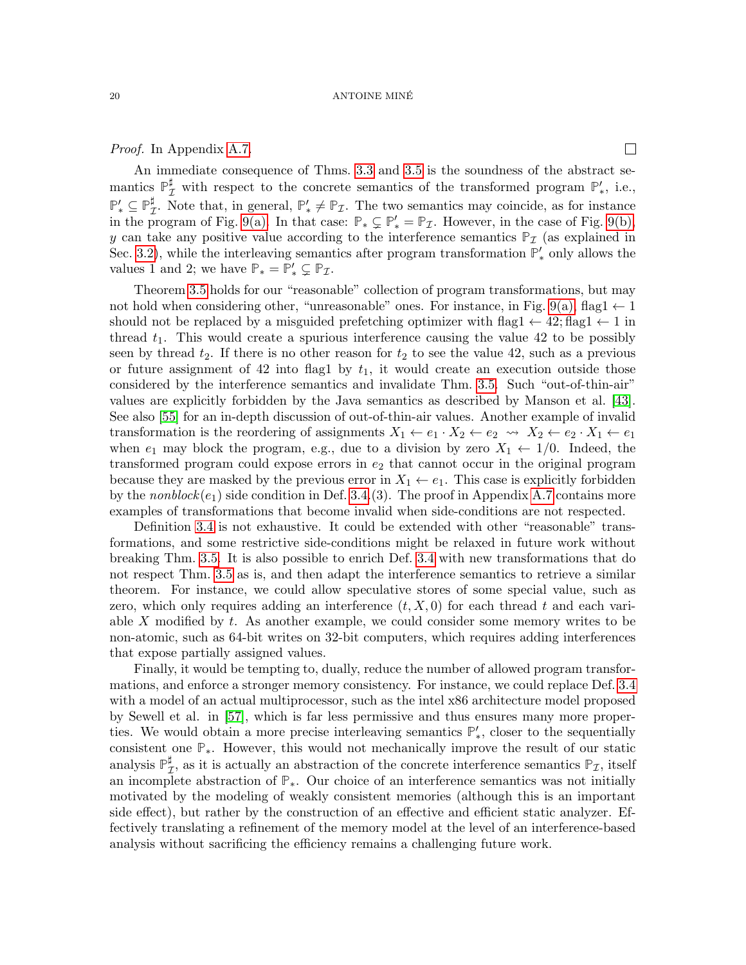#### 20 ANTOINE MINE´

Proof. In Appendix [A.7.](#page-53-0)

 $\Box$ 

An immediate consequence of Thms. [3.3](#page-15-2) and [3.5](#page-18-1) is the soundness of the abstract semantics  $\mathbb{P}_{\mathcal{I}}^{\sharp}$  with respect to the concrete semantics of the transformed program  $\mathbb{P}'_*$ , i.e.,  $\mathbb{P}'_*\subseteq \mathbb{P}^\sharp_2$  $\sharp$ . Note that, in general,  $\mathbb{P}'_* \neq \mathbb{P}_{\mathcal{I}}$ . The two semantics may coincide, as for instance in the program of Fig. [9\(a\).](#page-13-1) In that case:  $\mathbb{P}_* \subsetneq \mathbb{P}'_* = \mathbb{P}_{\mathcal{I}}$ . However, in the case of Fig. [9\(b\),](#page-13-2) y can take any positive value according to the interference semantics  $P<sub>I</sub>$  (as explained in Sec. [3.2\)](#page-10-0), while the interleaving semantics after program transformation  $\mathbb{P}'_*$  only allows the values 1 and 2; we have  $\mathbb{P}_* = \mathbb{P}'_* \subsetneq \mathbb{P}_{\mathcal{I}}$ .

Theorem [3.5](#page-18-1) holds for our "reasonable" collection of program transformations, but may not hold when considering other, "unreasonable" ones. For instance, in Fig. [9\(a\),](#page-13-1) flag1  $\leftarrow$  1 should not be replaced by a misguided prefetching optimizer with flag1  $\leftarrow$  42; flag1  $\leftarrow$  1 in thread  $t_1$ . This would create a spurious interference causing the value 42 to be possibly seen by thread  $t_2$ . If there is no other reason for  $t_2$  to see the value 42, such as a previous or future assignment of 42 into flag1 by  $t_1$ , it would create an execution outside those considered by the interference semantics and invalidate Thm. [3.5.](#page-18-1) Such "out-of-thin-air" values are explicitly forbidden by the Java semantics as described by Manson et al. [\[43\]](#page-47-12). See also [\[55\]](#page-48-5) for an in-depth discussion of out-of-thin-air values. Another example of invalid transformation is the reordering of assignments  $X_1 \leftarrow e_1 \cdot X_2 \leftarrow e_2 \rightsquigarrow X_2 \leftarrow e_2 \cdot X_1 \leftarrow e_1$ when  $e_1$  may block the program, e.g., due to a division by zero  $X_1 \leftarrow 1/0$ . Indeed, the transformed program could expose errors in  $e_2$  that cannot occur in the original program because they are masked by the previous error in  $X_1 \leftarrow e_1$ . This case is explicitly forbidden by the nonblock $(e_1)$  side condition in Def. [3.4.](#page-18-0)(3). The proof in Appendix [A.7](#page-53-0) contains more examples of transformations that become invalid when side-conditions are not respected.

Definition [3.4](#page-18-0) is not exhaustive. It could be extended with other "reasonable" transformations, and some restrictive side-conditions might be relaxed in future work without breaking Thm. [3.5.](#page-18-1) It is also possible to enrich Def. [3.4](#page-18-0) with new transformations that do not respect Thm. [3.5](#page-18-1) as is, and then adapt the interference semantics to retrieve a similar theorem. For instance, we could allow speculative stores of some special value, such as zero, which only requires adding an interference  $(t, X, 0)$  for each thread t and each variable  $X$  modified by  $t$ . As another example, we could consider some memory writes to be non-atomic, such as 64-bit writes on 32-bit computers, which requires adding interferences that expose partially assigned values.

Finally, it would be tempting to, dually, reduce the number of allowed program transformations, and enforce a stronger memory consistency. For instance, we could replace Def. [3.4](#page-18-0) with a model of an actual multiprocessor, such as the intel x86 architecture model proposed by Sewell et al. in [\[57\]](#page-48-6), which is far less permissive and thus ensures many more properties. We would obtain a more precise interleaving semantics  $\mathbb{P}'_*$ , closer to the sequentially consistent one **P**∗. However, this would not mechanically improve the result of our static analysis  $\mathbb{P}_7^{\sharp}$  $\mathcal{I}$ , as it is actually an abstraction of the concrete interference semantics  $\mathbb{P}_{\mathcal{I}}$ , itself an incomplete abstraction of **P**∗. Our choice of an interference semantics was not initially motivated by the modeling of weakly consistent memories (although this is an important side effect), but rather by the construction of an effective and efficient static analyzer. Effectively translating a refinement of the memory model at the level of an interference-based analysis without sacrificing the efficiency remains a challenging future work.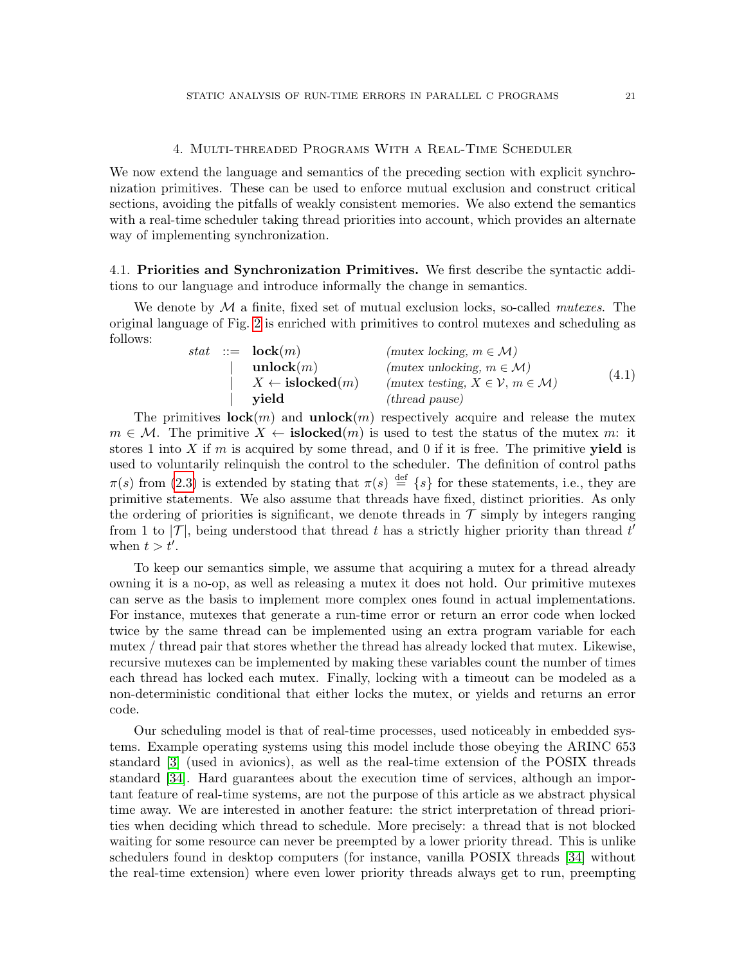## 4. Multi-threaded Programs With a Real-Time Scheduler

<span id="page-20-0"></span>We now extend the language and semantics of the preceding section with explicit synchronization primitives. These can be used to enforce mutual exclusion and construct critical sections, avoiding the pitfalls of weakly consistent memories. We also extend the semantics with a real-time scheduler taking thread priorities into account, which provides an alternate way of implementing synchronization.

<span id="page-20-1"></span>4.1. Priorities and Synchronization Primitives. We first describe the syntactic additions to our language and introduce informally the change in semantics.

We denote by  $\mathcal M$  a finite, fixed set of mutual exclusion locks, so-called *mutexes*. The original language of Fig. [2](#page-4-1) is enriched with primitives to control mutexes and scheduling as follows:

|  | stat ::= $\mathbf{lock}(m)$             | (mutex locking, $m \in \mathcal{M}$ )                       |       |
|--|-----------------------------------------|-------------------------------------------------------------|-------|
|  | $\mathbf{unlock}(m)$                    | (mutex unlocking, $m \in \mathcal{M}$ )                     |       |
|  | $\vert X \leftarrow \text{islocked}(m)$ | (mutex testing, $X \in \mathcal{V}$ , $m \in \mathcal{M}$ ) | (4.1) |
|  | vield                                   | ( <i>thread</i> pause)                                      |       |

The primitives  $\mathbf{lock}(m)$  and  $\mathbf{unlock}(m)$  respectively acquire and release the mutex  $m \in \mathcal{M}$ . The primitive  $X \leftarrow \mathbf{islocked}(m)$  is used to test the status of the mutex m: it stores 1 into X if  $m$  is acquired by some thread, and 0 if it is free. The primitive **yield** is used to voluntarily relinquish the control to the scheduler. The definition of control paths  $\pi(s)$  from [\(2.3\)](#page-8-2) is extended by stating that  $\pi(s) \stackrel{\text{def}}{=} \{s\}$  for these statements, i.e., they are primitive statements. We also assume that threads have fixed, distinct priorities. As only the ordering of priorities is significant, we denote threads in  $\mathcal T$  simply by integers ranging from 1 to  $|\mathcal{T}|$ , being understood that thread t has a strictly higher priority than thread t' when  $t > t'$ .

To keep our semantics simple, we assume that acquiring a mutex for a thread already owning it is a no-op, as well as releasing a mutex it does not hold. Our primitive mutexes can serve as the basis to implement more complex ones found in actual implementations. For instance, mutexes that generate a run-time error or return an error code when locked twice by the same thread can be implemented using an extra program variable for each mutex / thread pair that stores whether the thread has already locked that mutex. Likewise, recursive mutexes can be implemented by making these variables count the number of times each thread has locked each mutex. Finally, locking with a timeout can be modeled as a non-deterministic conditional that either locks the mutex, or yields and returns an error code.

Our scheduling model is that of real-time processes, used noticeably in embedded systems. Example operating systems using this model include those obeying the ARINC 653 standard [\[3\]](#page-45-0) (used in avionics), as well as the real-time extension of the POSIX threads standard [\[34\]](#page-47-1). Hard guarantees about the execution time of services, although an important feature of real-time systems, are not the purpose of this article as we abstract physical time away. We are interested in another feature: the strict interpretation of thread priorities when deciding which thread to schedule. More precisely: a thread that is not blocked waiting for some resource can never be preempted by a lower priority thread. This is unlike schedulers found in desktop computers (for instance, vanilla POSIX threads [\[34\]](#page-47-1) without the real-time extension) where even lower priority threads always get to run, preempting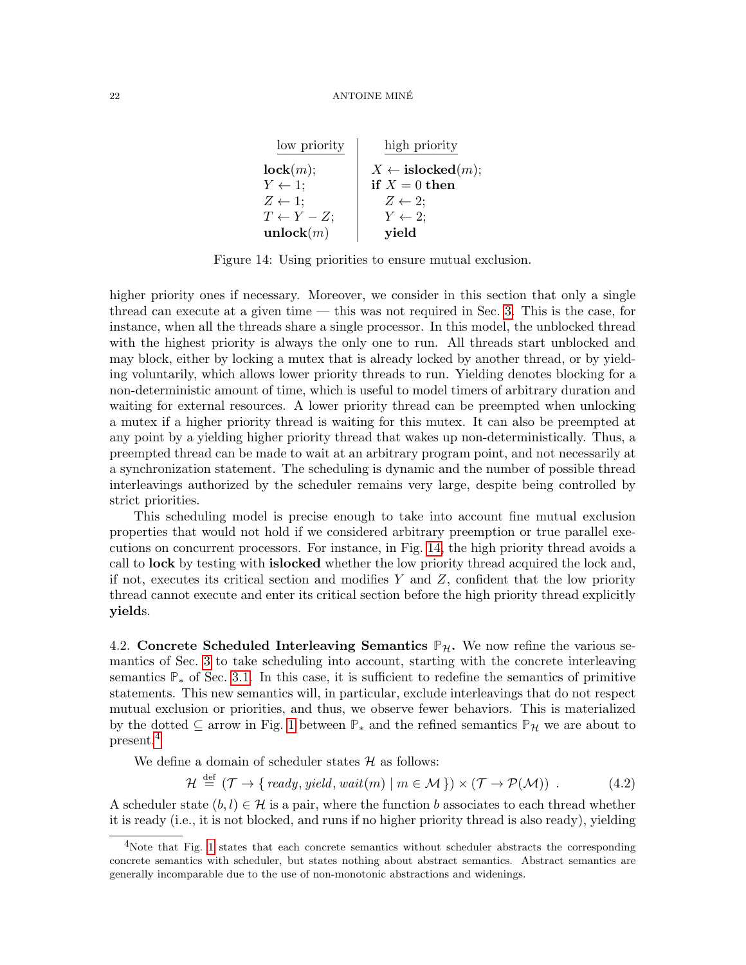| low priority           | high priority                      |
|------------------------|------------------------------------|
| lock(m);               | $X \leftarrow \text{islocked}(m);$ |
| $Y \leftarrow 1$ ;     | if $X = 0$ then                    |
| $Z \leftarrow 1$ ;     | $Z \leftarrow 2$                   |
| $T \leftarrow Y - Z$ ; | $Y \leftarrow 2$ ;                 |
| unlock $(m)$           | yield                              |

<span id="page-21-1"></span>Figure 14: Using priorities to ensure mutual exclusion.

higher priority ones if necessary. Moreover, we consider in this section that only a single thread can execute at a given time — this was not required in Sec. [3.](#page-9-0) This is the case, for instance, when all the threads share a single processor. In this model, the unblocked thread with the highest priority is always the only one to run. All threads start unblocked and may block, either by locking a mutex that is already locked by another thread, or by yielding voluntarily, which allows lower priority threads to run. Yielding denotes blocking for a non-deterministic amount of time, which is useful to model timers of arbitrary duration and waiting for external resources. A lower priority thread can be preempted when unlocking a mutex if a higher priority thread is waiting for this mutex. It can also be preempted at any point by a yielding higher priority thread that wakes up non-deterministically. Thus, a preempted thread can be made to wait at an arbitrary program point, and not necessarily at a synchronization statement. The scheduling is dynamic and the number of possible thread interleavings authorized by the scheduler remains very large, despite being controlled by strict priorities.

This scheduling model is precise enough to take into account fine mutual exclusion properties that would not hold if we considered arbitrary preemption or true parallel executions on concurrent processors. For instance, in Fig. [14,](#page-21-1) the high priority thread avoids a call to lock by testing with islocked whether the low priority thread acquired the lock and, if not, executes its critical section and modifies Y and  $Z$ , confident that the low priority thread cannot execute and enter its critical section before the high priority thread explicitly yields.

<span id="page-21-0"></span>4.2. Concrete Scheduled Interleaving Semantics  $\mathbb{P}_{\mathcal{H}}$ . We now refine the various semantics of Sec. [3](#page-9-0) to take scheduling into account, starting with the concrete interleaving semantics **P**<sup>∗</sup> of Sec. [3.1.](#page-9-1) In this case, it is sufficient to redefine the semantics of primitive statements. This new semantics will, in particular, exclude interleavings that do not respect mutual exclusion or priorities, and thus, we observe fewer behaviors. This is materialized by the dotted  $\subseteq$  arrow in Fig. [1](#page-3-1) between  $\mathbb{P}_*$  and the refined semantics  $\mathbb{P}_H$  we are about to present.[4](#page-21-2)

We define a domain of scheduler states  $H$  as follows:

$$
\mathcal{H} \stackrel{\text{def}}{=} (\mathcal{T} \to \{ \text{ ready}, \text{yield}, \text{wait}(m) \mid m \in \mathcal{M} \}) \times (\mathcal{T} \to \mathcal{P}(\mathcal{M})) \tag{4.2}
$$

A scheduler state  $(b, l) \in \mathcal{H}$  is a pair, where the function b associates to each thread whether it is ready (i.e., it is not blocked, and runs if no higher priority thread is also ready), yielding

<span id="page-21-2"></span><sup>&</sup>lt;sup>4</sup>Note that Fig. [1](#page-3-1) states that each concrete semantics without scheduler abstracts the corresponding concrete semantics with scheduler, but states nothing about abstract semantics. Abstract semantics are generally incomparable due to the use of non-monotonic abstractions and widenings.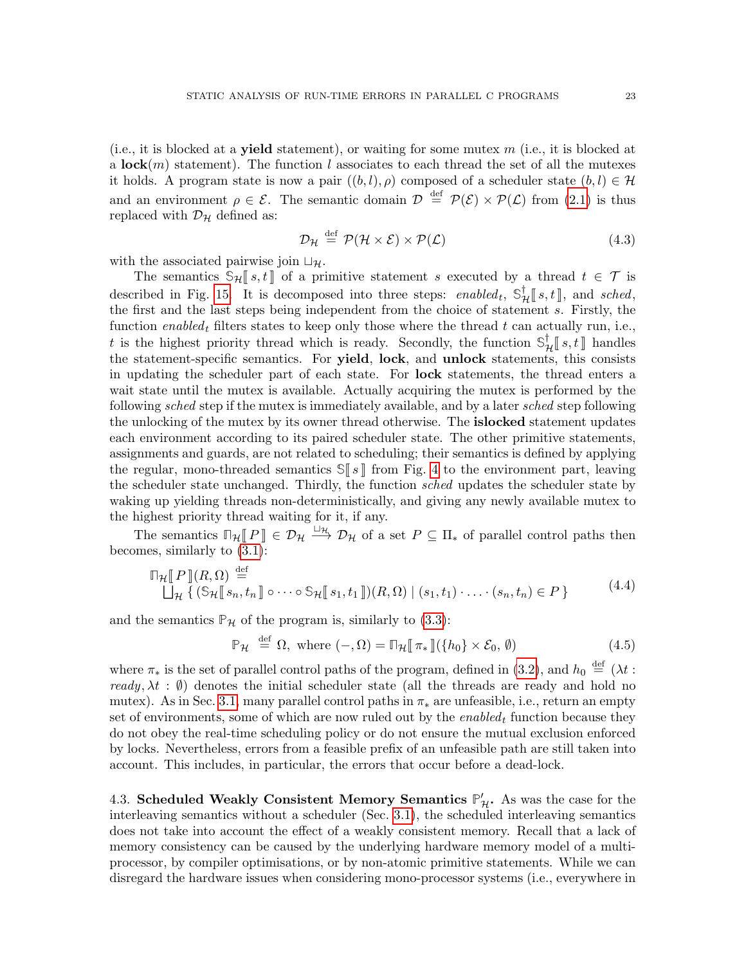(i.e., it is blocked at a **yield** statement), or waiting for some mutex  $m$  (i.e., it is blocked at a lock $(m)$  statement). The function l associates to each thread the set of all the mutexes it holds. A program state is now a pair  $((b, l), \rho)$  composed of a scheduler state  $(b, l) \in \mathcal{H}$ and an environment  $\rho \in \mathcal{E}$ . The semantic domain  $\mathcal{D} \stackrel{\text{def}}{=} \mathcal{P}(\mathcal{E}) \times \mathcal{P}(\mathcal{L})$  from [\(2.1\)](#page-5-2) is thus replaced with  $\mathcal{D}_{\mathcal{H}}$  defined as:

$$
\mathcal{D}_{\mathcal{H}} \stackrel{\text{def}}{=} \mathcal{P}(\mathcal{H} \times \mathcal{E}) \times \mathcal{P}(\mathcal{L}) \tag{4.3}
$$

with the associated pairwise join  $\Box_{\mathcal{H}}$ .

The semantics  $\Im_{\mathcal{H}}[s,t]$  of a primitive statement s executed by a thread  $t \in \mathcal{T}$  is described in Fig. [15.](#page-23-0) It is decomposed into three steps: enabled<sub>t</sub>,  $\mathbb{S}_{\mathcal{H}}^{\dagger}[s,t]$ , and sched, the first and the last stops being independent from the choice of statement s. Firstly the the first and the last steps being independent from the choice of statement s. Firstly, the function enabled<sub>t</sub> filters states to keep only those where the thread t can actually run, i.e., t is the highest priority thread which is ready. Secondly, the function  $\mathbb{S}_{\mathcal{H}}^{\dagger}[s,t]$  handles<br>the statement specific computies. For **viold** looks and **unlock** statements, this consists the statement-specific semantics. For **yield, lock**, and **unlock** statements, this consists in updating the scheduler part of each state. For lock statements, the thread enters a wait state until the mutex is available. Actually acquiring the mutex is performed by the following *sched* step if the mutex is immediately available, and by a later *sched* step following the unlocking of the mutex by its owner thread otherwise. The **islocked** statement updates each environment according to its paired scheduler state. The other primitive statements, assignments and guards, are not related to scheduling; their semantics is defined by applying the regular, mono-threaded semantics  $\mathbb{S}$  s  $\parallel$  from Fig. [4](#page-6-1) to the environment part, leaving the scheduler state unchanged. Thirdly, the function sched updates the scheduler state by waking up yielding threads non-deterministically, and giving any newly available mutex to the highest priority thread waiting for it, if any.

The semantics  $\mathbb{F}_{\mathcal{H}}[P] \in \mathcal{D}_{\mathcal{H}} \xrightarrow{\sqcup_{\mathcal{H}}} \mathcal{D}_{\mathcal{H}}$  of a set  $P \subseteq \Pi_*$  of parallel control paths then becomes, similarly to [\(3.1\)](#page-9-6):

$$
\mathbb{T}_{\mathcal{H}}[\![P]\!](R,\Omega) \stackrel{\text{def}}{=} \bigcup_{\mathcal{H}} \{ (\mathbb{S}_{\mathcal{H}}[\![s_n, t_n]\!]) \circ \cdots \circ \mathbb{S}_{\mathcal{H}}[\![s_1, t_1]\!])(R,\Omega) \mid (s_1, t_1) \cdot \ldots \cdot (s_n, t_n) \in P \}
$$
\n
$$
(4.4)
$$

and the semantics  $\mathbb{P}_{\mathcal{H}}$  of the program is, similarly to [\(3.3\)](#page-10-1):

<span id="page-22-1"></span>
$$
\mathbb{P}_{\mathcal{H}} \stackrel{\text{def}}{=} \Omega, \text{ where } (-,\Omega) = \mathbb{D}_{\mathcal{H}}[\![\pi_*\!] \big( \{h_0\} \times \mathcal{E}_0, \emptyset \big) \tag{4.5}
$$

where  $\pi_*$  is the set of parallel control paths of the program, defined in [\(3.2\)](#page-10-2), and  $h_0 \stackrel{\text{def}}{=} (\lambda t$ : ready,  $\lambda t$ :  $\emptyset$ ) denotes the initial scheduler state (all the threads are ready and hold no mutex). As in Sec. [3.1,](#page-9-1) many parallel control paths in  $\pi_*$  are unfeasible, i.e., return an empty set of environments, some of which are now ruled out by the  $enabled_t$  function because they do not obey the real-time scheduling policy or do not ensure the mutual exclusion enforced by locks. Nevertheless, errors from a feasible prefix of an unfeasible path are still taken into account. This includes, in particular, the errors that occur before a dead-lock.

<span id="page-22-0"></span>4.3. Scheduled Weakly Consistent Memory Semantics  $\mathbb{P}'_{\mathcal{H}}$ . As was the case for the interleaving semantics without a scheduler (Sec. [3.1\)](#page-9-1), the scheduled interleaving semantics does not take into account the effect of a weakly consistent memory. Recall that a lack of memory consistency can be caused by the underlying hardware memory model of a multiprocessor, by compiler optimisations, or by non-atomic primitive statements. While we can disregard the hardware issues when considering mono-processor systems (i.e., everywhere in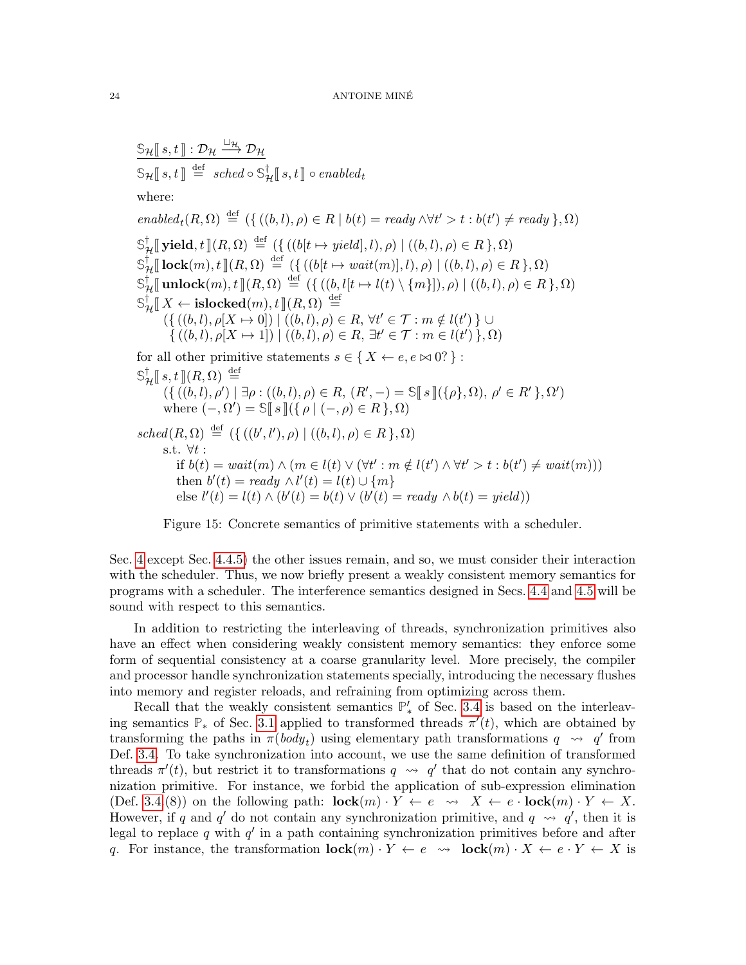$\mathbb{S}_{\mathcal{H}}[s,t] : \mathcal{D}_{\mathcal{H}} \xrightarrow{\sqcup_{\mathcal{H}}} \mathcal{D}_{\mathcal{H}}$  $\mathbb{S}_{\mathcal{H}}[\![s,t]\!] \stackrel{\text{def}}{=} \mathit{sched} \circ \mathbb{S}_{\mathcal{H}}^{\dagger}[\![s,t]\!] \circ \mathit{enabled}_t$ where:  $enable d_t(R, \Omega) \stackrel{\text{def}}{=} (\{((b, l), \rho) \in R \mid b(t) = ready \land \forall t' > t : b(t') \neq ready \}, \Omega)$  $\mathbb{S}_{\mathcal{H}}^{\dagger}[\![\mathbf{yield}, t]\!](R, \Omega) \stackrel{\text{def}}{=} (\{ ((b[t \mapsto yield], l), \rho) \mid ((b, l), \rho) \in R \}, \Omega)$  $\mathbb{S}_{\mathcal{H}}^{\dagger}$  **[** lock(m), t ]](R,  $\Omega$ )  $\stackrel{\text{def}}{=}$  ({ ((b[t  $\mapsto$  wait(m)], l),  $\rho$ ) | ((b, l),  $\rho$ )  $\in$  R },  $\Omega$ )  $\mathbb{S}_{\mathcal{H}}^{\dagger}[\![\mathbf{unlock}(m),t]\!](R,\Omega) \stackrel{\text{def}}{=} (\{((b,l[t \mapsto l(t) \setminus \{m\}]),\rho) \mid ((b,l),\rho) \in R\},\Omega)$  $\mathbb{S}_{\mathcal{H}}^{\dagger} \llbracket X \leftarrow \mathbf{islocked}(m), t \rrbracket (R, \Omega) \stackrel{\text{def}}{=} \left( \{ ((b, l), \rho[X \mapsto 0]) \mid ((b, l), \rho) \in R, \forall t' \in \mathcal{T} : m \notin l(t') \} \cup \right)$  $\{((b, l), \rho[X \mapsto 1]) \mid ((b, l), \rho) \in R, \exists t' \in \mathcal{T} : m \in l(t') \}, \Omega)$ for all other primitive statements  $s \in \{X \leftarrow e, e \bowtie 0\}$ :  $\mathbb{S}_{\mathcal{H}}^{\dagger}[[s,t]](R,\Omega) \stackrel{\text{def}}{=}$  $(\{\vec{b}, l), \rho'\}\mid \exists \rho : ((b, l), \rho) \in R, (R', -) = \mathbb{S}[\![s]\!](\{\rho\}, \Omega), \rho' \in R'\}, \Omega')$ <br>where  $(\Theta') = \mathbb{S}[\![s]\!](\{\rho\}, \Omega)$ where  $(-, \Omega') = \mathbb{S}[[s]](\{ \rho \mid (-, \rho) \in R \}, \Omega)$  $sched(R, \Omega) \stackrel{\text{def}}{=} (\{((b', l'), \rho) | ((b, l), \rho) \in R\}, \Omega)$ s.t.  $\forall t$  : if  $b(t) = wait(m) \land (m \in l(t) \lor (\forall t' : m \notin l(t') \land \forall t' > t : b(t') \neq wait(m)))$ then  $b'(t) = ready \wedge l'(t) = l(t) \cup \{m\}$ else  $l'(t) = l(t) \wedge (b'(t) = b(t) \vee (b'(t) = ready \wedge b(t) = yield))$ 

<span id="page-23-0"></span>Figure 15: Concrete semantics of primitive statements with a scheduler.

Sec. [4](#page-20-0) except Sec. [4.4.5\)](#page-31-0) the other issues remain, and so, we must consider their interaction with the scheduler. Thus, we now briefly present a weakly consistent memory semantics for programs with a scheduler. The interference semantics designed in Secs. [4.4](#page-24-0) and [4.5](#page-33-0) will be sound with respect to this semantics.

In addition to restricting the interleaving of threads, synchronization primitives also have an effect when considering weakly consistent memory semantics: they enforce some form of sequential consistency at a coarse granularity level. More precisely, the compiler and processor handle synchronization statements specially, introducing the necessary flushes into memory and register reloads, and refraining from optimizing across them.

Recall that the weakly consistent semantics  $\mathbb{P}'_*$  of Sec. [3.4](#page-17-0) is based on the interleaving semantics  $\mathbb{P}_*$  of Sec. [3.1](#page-9-1) applied to transformed threads  $\pi'(t)$ , which are obtained by transforming the paths in  $\pi(body_t)$  using elementary path transformations  $q \rightarrow q'$  from Def. [3.4.](#page-18-0) To take synchronization into account, we use the same definition of transformed threads  $\pi'(t)$ , but restrict it to transformations  $q \leftrightarrow q'$  that do not contain any synchronization primitive. For instance, we forbid the application of sub-expression elimination (Def. [3.4.](#page-18-0)(8)) on the following path:  $\mathbf{lock}(m) \cdot Y \leftarrow e \leadsto X \leftarrow e \cdot \mathbf{lock}(m) \cdot Y \leftarrow X$ . However, if q and q' do not contain any synchronization primitive, and  $q \rightarrow q'$ , then it is legal to replace q with  $q'$  in a path containing synchronization primitives before and after q. For instance, the transformation  $\mathbf{lock}(m) \cdot Y \leftarrow e \leadsto \mathbf{lock}(m) \cdot X \leftarrow e \cdot Y \leftarrow X$  is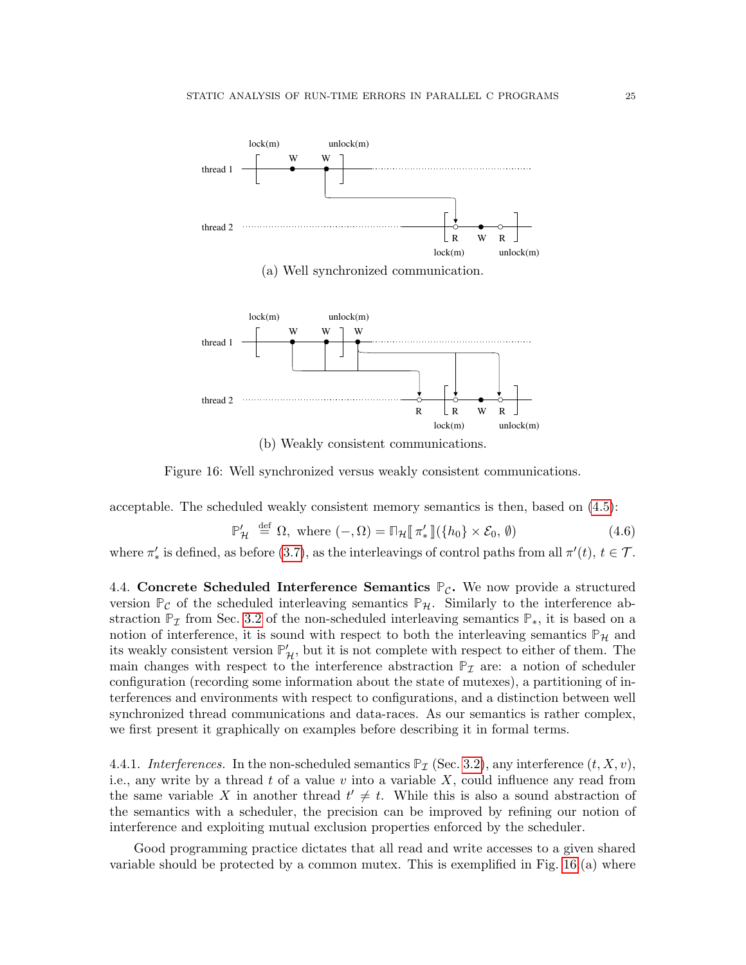

(a) Well synchronized communication.



<span id="page-24-1"></span>(b) Weakly consistent communications.

Figure 16: Well synchronized versus weakly consistent communications.

acceptable. The scheduled weakly consistent memory semantics is then, based on [\(4.5\)](#page-22-1):

$$
\mathbb{P}'_{\mathcal{H}} \stackrel{\text{def}}{=} \Omega, \text{ where } (-,\Omega) = \mathbb{D}_{\mathcal{H}}[\![\pi'_*]\!](\{h_0\} \times \mathcal{E}_0, \emptyset) \tag{4.6}
$$

where  $\pi'_{*}$  is defined, as before [\(3.7\)](#page-18-3), as the interleavings of control paths from all  $\pi'(t)$ ,  $t \in \mathcal{T}$ .

<span id="page-24-0"></span>4.4. Concrete Scheduled Interference Semantics  $P_{\mathcal{C}}$ . We now provide a structured version  $\mathbb{P}_{\mathcal{C}}$  of the scheduled interleaving semantics  $\mathbb{P}_{\mathcal{H}}$ . Similarly to the interference abstraction  $\mathbb{P}_I$  from Sec. [3.2](#page-10-0) of the non-scheduled interleaving semantics  $\mathbb{P}_*$ , it is based on a notion of interference, it is sound with respect to both the interleaving semantics  $\mathbb{P}_{\mathcal{H}}$  and its weakly consistent version  $\mathbb{P}'_{\mathcal{H}}$ , but it is not complete with respect to either of them. The main changes with respect to the interference abstraction  $\mathbb{P}_{\mathcal{I}}$  are: a notion of scheduler configuration (recording some information about the state of mutexes), a partitioning of interferences and environments with respect to configurations, and a distinction between well synchronized thread communications and data-races. As our semantics is rather complex, we first present it graphically on examples before describing it in formal terms.

4.4.1. Interferences. In the non-scheduled semantics  $\mathbb{P}_{\mathcal{I}}$  (Sec. [3.2\)](#page-10-0), any interference  $(t, X, v)$ , i.e., any write by a thread t of a value  $v$  into a variable  $X$ , could influence any read from the same variable X in another thread  $t' \neq t$ . While this is also a sound abstraction of the semantics with a scheduler, the precision can be improved by refining our notion of interference and exploiting mutual exclusion properties enforced by the scheduler.

Good programming practice dictates that all read and write accesses to a given shared variable should be protected by a common mutex. This is exemplified in Fig. [16.](#page-24-1)(a) where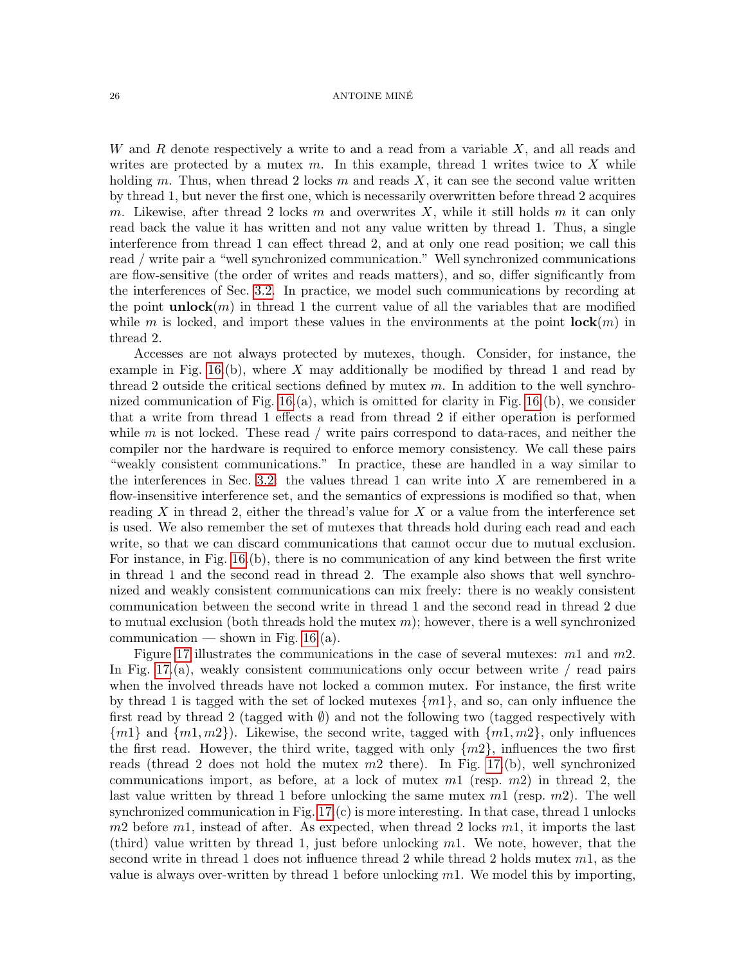#### 26 ANTOINE MINÉ

W and R denote respectively a write to and a read from a variable  $X$ , and all reads and writes are protected by a mutex  $m$ . In this example, thread 1 writes twice to X while holding m. Thus, when thread 2 locks m and reads  $X$ , it can see the second value written by thread 1, but never the first one, which is necessarily overwritten before thread 2 acquires m. Likewise, after thread 2 locks m and overwrites X, while it still holds m it can only read back the value it has written and not any value written by thread 1. Thus, a single interference from thread 1 can effect thread 2, and at only one read position; we call this read / write pair a "well synchronized communication." Well synchronized communications are flow-sensitive (the order of writes and reads matters), and so, differ significantly from the interferences of Sec. [3.2.](#page-10-0) In practice, we model such communications by recording at the point **unlock** $(m)$  in thread 1 the current value of all the variables that are modified while m is locked, and import these values in the environments at the point  $\mathbf{lock}(m)$  in thread 2.

Accesses are not always protected by mutexes, though. Consider, for instance, the example in Fig.  $16.(b)$ , where X may additionally be modified by thread 1 and read by thread 2 outside the critical sections defined by mutex  $m$ . In addition to the well synchronized communication of Fig.  $16.(a)$ , which is omitted for clarity in Fig.  $16.(b)$ , we consider that a write from thread 1 effects a read from thread 2 if either operation is performed while  $m$  is not locked. These read / write pairs correspond to data-races, and neither the compiler nor the hardware is required to enforce memory consistency. We call these pairs "weakly consistent communications." In practice, these are handled in a way similar to the interferences in Sec. [3.2:](#page-10-0) the values thread 1 can write into  $X$  are remembered in a flow-insensitive interference set, and the semantics of expressions is modified so that, when reading X in thread 2, either the thread's value for X or a value from the interference set is used. We also remember the set of mutexes that threads hold during each read and each write, so that we can discard communications that cannot occur due to mutual exclusion. For instance, in Fig. [16.](#page-24-1)(b), there is no communication of any kind between the first write in thread 1 and the second read in thread 2. The example also shows that well synchronized and weakly consistent communications can mix freely: there is no weakly consistent communication between the second write in thread 1 and the second read in thread 2 due to mutual exclusion (both threads hold the mutex  $m$ ); however, there is a well synchronized communication — shown in Fig. [16.](#page-24-1)(a).

Figure [17](#page-26-0) illustrates the communications in the case of several mutexes: m1 and m2. In Fig. [17.](#page-26-0)(a), weakly consistent communications only occur between write  $/$  read pairs when the involved threads have not locked a common mutex. For instance, the first write by thread 1 is tagged with the set of locked mutexes  $\{m1\}$ , and so, can only influence the first read by thread 2 (tagged with  $\emptyset$ ) and not the following two (tagged respectively with  ${m1}$  and  ${m1,m2}$ . Likewise, the second write, tagged with  ${m1,m2}$ , only influences the first read. However, the third write, tagged with only  $\{m2\}$ , influences the two first reads (thread 2 does not hold the mutex  $m2$  there). In Fig. [17.](#page-26-0)(b), well synchronized communications import, as before, at a lock of mutex  $m1$  (resp.  $m2$ ) in thread 2, the last value written by thread 1 before unlocking the same mutex  $m1$  (resp.  $m2$ ). The well synchronized communication in Fig. [17.](#page-26-0)(c) is more interesting. In that case, thread 1 unlocks  $m2$  before  $m1$ , instead of after. As expected, when thread 2 locks  $m1$ , it imports the last (third) value written by thread 1, just before unlocking  $m1$ . We note, however, that the second write in thread 1 does not influence thread 2 while thread 2 holds mutex  $m_1$ , as the value is always over-written by thread 1 before unlocking  $m1$ . We model this by importing,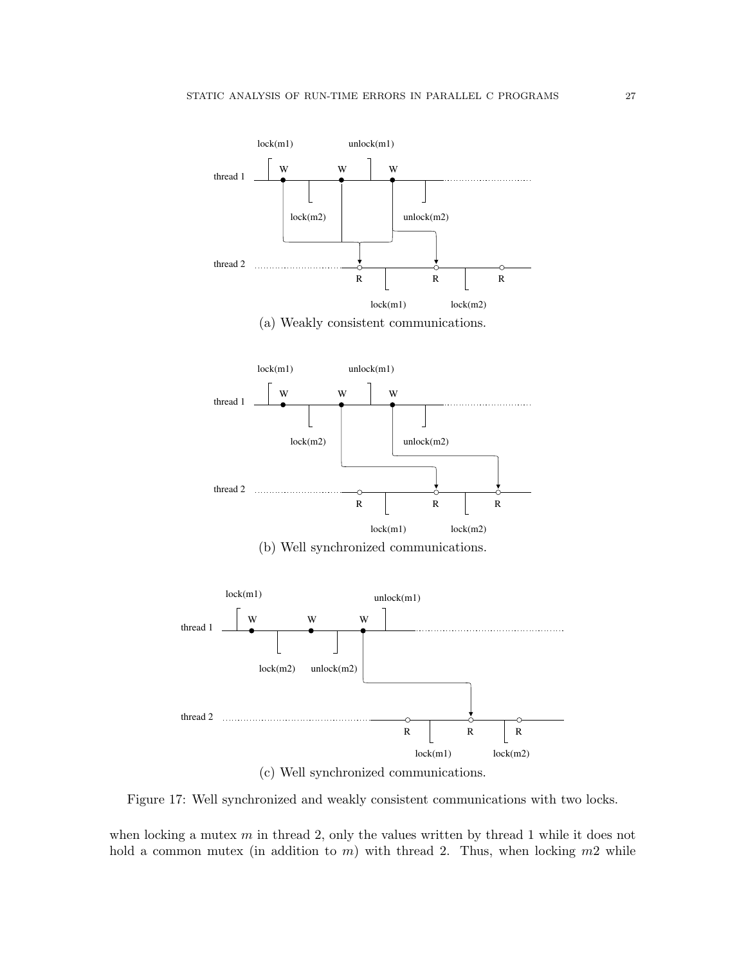



<span id="page-26-0"></span>Figure 17: Well synchronized and weakly consistent communications with two locks.

when locking a mutex  $m$  in thread 2, only the values written by thread 1 while it does not hold a common mutex (in addition to  $m$ ) with thread 2. Thus, when locking  $m2$  while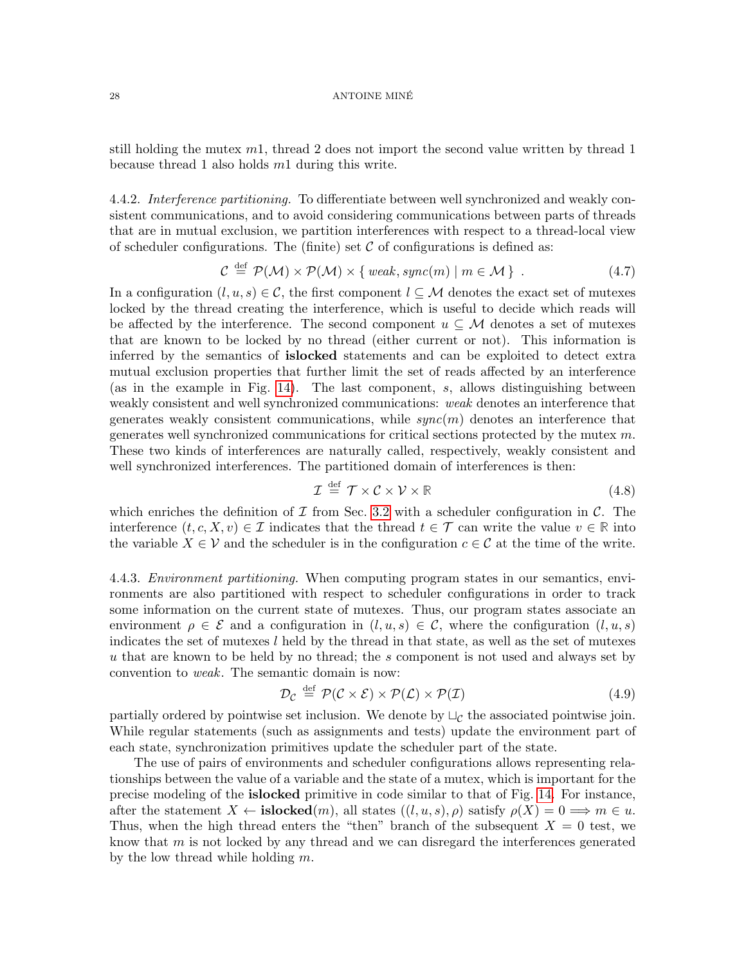#### 28 ANTOINE MINÉ

still holding the mutex  $m_1$ , thread 2 does not import the second value written by thread 1 because thread 1 also holds m1 during this write.

4.4.2. Interference partitioning. To differentiate between well synchronized and weakly consistent communications, and to avoid considering communications between parts of threads that are in mutual exclusion, we partition interferences with respect to a thread-local view of scheduler configurations. The (finite) set  $\mathcal C$  of configurations is defined as:

<span id="page-27-0"></span>
$$
\mathcal{C} \stackrel{\text{def}}{=} \mathcal{P}(\mathcal{M}) \times \mathcal{P}(\mathcal{M}) \times \{ \text{ weak}, \text{sync}(m) \mid m \in \mathcal{M} \} . \tag{4.7}
$$

In a configuration  $(l, u, s) \in \mathcal{C}$ , the first component  $l \subseteq \mathcal{M}$  denotes the exact set of mutexes locked by the thread creating the interference, which is useful to decide which reads will be affected by the interference. The second component  $u \subseteq \mathcal{M}$  denotes a set of mutexes that are known to be locked by no thread (either current or not). This information is inferred by the semantics of islocked statements and can be exploited to detect extra mutual exclusion properties that further limit the set of reads affected by an interference (as in the example in Fig. [14\)](#page-21-1). The last component, s, allows distinguishing between weakly consistent and well synchronized communications: weak denotes an interference that generates weakly consistent communications, while  $sync(m)$  denotes an interference that generates well synchronized communications for critical sections protected by the mutex m. These two kinds of interferences are naturally called, respectively, weakly consistent and well synchronized interferences. The partitioned domain of interferences is then:

<span id="page-27-1"></span>
$$
\mathcal{I} \stackrel{\text{def}}{=} \mathcal{T} \times \mathcal{C} \times \mathcal{V} \times \mathbb{R} \tag{4.8}
$$

which enriches the definition of  $\mathcal I$  from Sec. [3.2](#page-10-0) with a scheduler configuration in  $\mathcal C$ . The interference  $(t, c, X, v) \in \mathcal{I}$  indicates that the thread  $t \in \mathcal{T}$  can write the value  $v \in \mathbb{R}$  into the variable  $X \in \mathcal{V}$  and the scheduler is in the configuration  $c \in \mathcal{C}$  at the time of the write.

4.4.3. *Environment partitioning*. When computing program states in our semantics, environments are also partitioned with respect to scheduler configurations in order to track some information on the current state of mutexes. Thus, our program states associate an environment  $\rho \in \mathcal{E}$  and a configuration in  $(l, u, s) \in \mathcal{C}$ , where the configuration  $(l, u, s)$ indicates the set of mutexes  $l$  held by the thread in that state, as well as the set of mutexes u that are known to be held by no thread; the s component is not used and always set by convention to weak. The semantic domain is now:

<span id="page-27-2"></span>
$$
\mathcal{D}_{\mathcal{C}} \stackrel{\text{def}}{=} \mathcal{P}(\mathcal{C} \times \mathcal{E}) \times \mathcal{P}(\mathcal{L}) \times \mathcal{P}(\mathcal{I}) \tag{4.9}
$$

partially ordered by pointwise set inclusion. We denote by  $\sqcup_{\mathcal{C}}$  the associated pointwise join. While regular statements (such as assignments and tests) update the environment part of each state, synchronization primitives update the scheduler part of the state.

The use of pairs of environments and scheduler configurations allows representing relationships between the value of a variable and the state of a mutex, which is important for the precise modeling of the islocked primitive in code similar to that of Fig. [14.](#page-21-1) For instance, after the statement  $X \leftarrow \textbf{islocked}(m)$ , all states  $((l, u, s), \rho)$  satisfy  $\rho(X) = 0 \Longrightarrow m \in u$ . Thus, when the high thread enters the "then" branch of the subsequent  $X = 0$  test, we know that  $m$  is not locked by any thread and we can disregard the interferences generated by the low thread while holding  $m$ .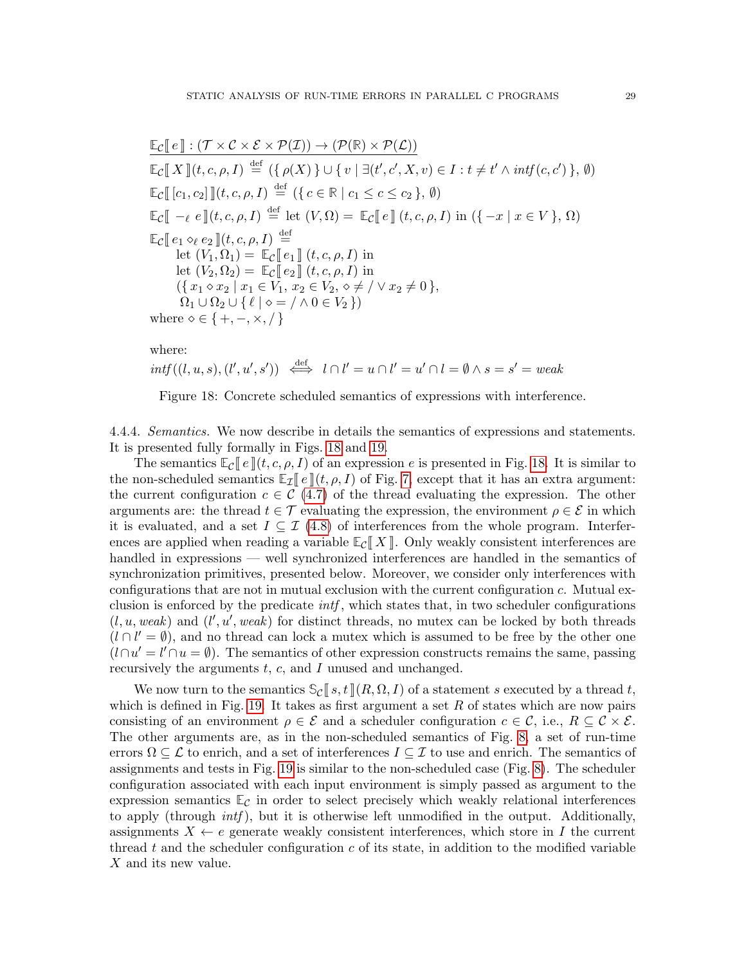$$
\mathbb{E}_{\mathcal{C}}[\![e]\!](\mathcal{T} \times \mathcal{C} \times \mathcal{E} \times \mathcal{P}(\mathcal{I})) \rightarrow (\mathcal{P}(\mathbb{R}) \times \mathcal{P}(\mathcal{L}))
$$
\n
$$
\mathbb{E}_{\mathcal{C}}[\![X]\!](t, c, \rho, I) \stackrel{\text{def}}{=} (\{\rho(X)\} \cup \{v \mid \exists (t', c', X, v) \in I : t \neq t' \land \mathit{int}(c, c')\}, \emptyset)
$$
\n
$$
\mathbb{E}_{\mathcal{C}}[\![c_1, c_2]\!](t, c, \rho, I) \stackrel{\text{def}}{=} (\{c \in \mathbb{R} \mid c_1 \leq c \leq c_2\}, \emptyset)
$$
\n
$$
\mathbb{E}_{\mathcal{C}}[\![-e \in \mathbb{I}](t, c, \rho, I) \stackrel{\text{def}}{=} \text{let } (V, \Omega) = \mathbb{E}_{\mathcal{C}}[\![e]\!](t, c, \rho, I) \text{ in } (\{-x \mid x \in V\}, \Omega)
$$
\n
$$
\mathbb{E}_{\mathcal{C}}[\![e_1 \diamond_{\ell} e_2]\!](t, c, \rho, I) \stackrel{\text{def}}{=} \text{let } (V_1, \Omega_1) = \mathbb{E}_{\mathcal{C}}[\![e_1]\!](t, c, \rho, I) \text{ in}
$$
\n
$$
\text{let } (V_2, \Omega_2) = \mathbb{E}_{\mathcal{C}}[\![e_2]\!](t, c, \rho, I) \text{ in}
$$
\n
$$
(\{x_1 \diamond x_2 \mid x_1 \in V_1, x_2 \in V_2, \diamond \neq / \lor x_2 \neq 0\}, \Omega_1 \cup \Omega_2 \cup \{\ell \mid \diamond = / \land 0 \in V_2\})
$$
\nwhere  $\diamond \in \{+, -, \times, /\}$ 

where:

$$
int((l, u, s), (l', u', s')) \iff l \cap l' = u \cap l' = u' \cap l = \emptyset \land s = s' = weak
$$

<span id="page-28-0"></span>Figure 18: Concrete scheduled semantics of expressions with interference.

4.4.4. Semantics. We now describe in details the semantics of expressions and statements. It is presented fully formally in Figs. [18](#page-28-0) and [19.](#page-29-0)

The semantics  $\mathbb{E}_{\mathcal{C}}[e](t, c, \rho, I)$  of an expression e is presented in Fig. [18.](#page-28-0) It is similar to the non-scheduled semantics  $\mathbb{E}_{\mathcal{I}}[e](t, \rho, I)$  of Fig. [7,](#page-11-0) except that it has an extra argument: the current configuration  $c \in \mathcal{C}(4.7)$  $c \in \mathcal{C}(4.7)$  of the thread evaluating the expression. The other arguments are: the thread  $t \in \mathcal{T}$  evaluating the expression, the environment  $\rho \in \mathcal{E}$  in which it is evaluated, and a set  $I \subseteq \mathcal{I}$  (4.[8\)](#page-27-1) of interferences from the whole program. Interferences are applied when reading a variable  $\mathbb{E}_{\mathcal{C}}[X]$ . Only weakly consistent interferences are handled in expressions — well synchronized interferences are handled in the semantics of synchronization primitives, presented below. Moreover, we consider only interferences with configurations that are not in mutual exclusion with the current configuration c. Mutual exclusion is enforced by the predicate  $\int int f$ , which states that, in two scheduler configurations  $(l, u, weak)$  and  $(l', u', weak)$  for distinct threads, no mutex can be locked by both threads  $(l \cap l' = \emptyset)$ , and no thread can lock a mutex which is assumed to be free by the other one  $(l \cap u' = l' \cap u = \emptyset)$ . The semantics of other expression constructs remains the same, passing recursively the arguments  $t, c$ , and I unused and unchanged.

We now turn to the semantics  $\mathbb{S}_{\mathcal{C}}[s,t](R,\Omega,I)$  of a statement s executed by a thread t, which is defined in Fig. [19.](#page-29-0) It takes as first argument a set  $R$  of states which are now pairs consisting of an environment  $\rho \in \mathcal{E}$  and a scheduler configuration  $c \in \mathcal{C}$ , i.e.,  $R \subseteq \mathcal{C} \times \mathcal{E}$ . The other arguments are, as in the non-scheduled semantics of Fig. [8,](#page-11-1) a set of run-time errors  $\Omega \subseteq \mathcal{L}$  to enrich, and a set of interferences  $I \subseteq \mathcal{I}$  to use and enrich. The semantics of assignments and tests in Fig. [19](#page-29-0) is similar to the non-scheduled case (Fig. [8\)](#page-11-1). The scheduler configuration associated with each input environment is simply passed as argument to the expression semantics  $\mathbb{E}_{\mathcal{C}}$  in order to select precisely which weakly relational interferences to apply (through *intf*), but it is otherwise left unmodified in the output. Additionally, assignments  $X \leftarrow e$  generate weakly consistent interferences, which store in I the current thread t and the scheduler configuration  $c$  of its state, in addition to the modified variable X and its new value.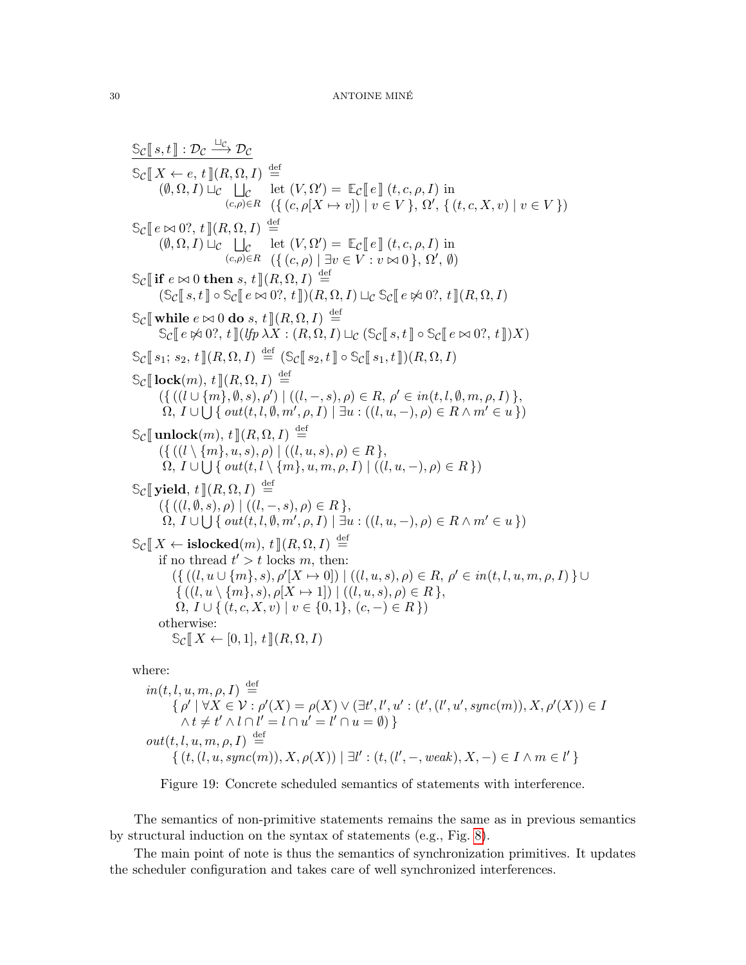$\mathbb{S}_{\mathcal{C}}[\![s,t]\!]:\mathcal{D}_{\mathcal{C}} \stackrel{\sqcup_{\mathcal{C}}}{\longrightarrow} \mathcal{D}_{\mathcal{C}}$  $\mathbb{S}_{\mathcal{C}}[X \leftarrow e, t](R, \Omega, I) \stackrel{\text{def}}{=}$  $(\emptyset, \Omega, I) \sqcup_{\mathcal{C}} \bigsqcup_{(c,\rho) \in R}$ let  $(V, \Omega') = \mathbb{E}_{\mathcal{C}}[\![e]\!](t, c, \rho, I)$  in<br>  $(\{(c, \rho[X \mapsto v]) \mid v \in V\}, \Omega', \{(t, c, X, v) \mid v \in V\})$  $\mathbb{S}_{\mathcal{C}}[e \bowtie 0?, t](R, \Omega, I) \stackrel{\text{def}}{=}$  $(\emptyset, \Omega, I) \sqcup_{\mathcal{C}} \bigcup_{(c,\rho)\in R}$ let  $(V, \Omega') = \mathbb{E}_{\mathcal{C}} \llbracket e \rrbracket (t, c, \rho, I)$  in<br> $(\{ (c, \rho) \mid \exists v \in V : v \bowtie 0 \}, \Omega', \emptyset)$  $\mathbb{S}_{\mathcal{C}}$  if  $e \bowtie 0$  then s,  $t \cdot \cdot \cdot (R, \Omega, I) \stackrel{\text{def}}{=}$  $(\mathbb{S}_{\mathcal{C}}[[s,t]] \circ \mathbb{S}_{\mathcal{C}}[[e \bowtie 0?, t]])(R, \Omega, I) \sqcup_{\mathcal{C}} \mathbb{S}_{\mathcal{C}}[[e \Join 0?, t]](R, \Omega, I))$  $\mathbb{S}_{\mathcal{C}}[\![\text{while }e \bowtie 0 \text{ do }s,t]\!](R,\Omega,I) \stackrel{\text{def}}{=}$ <br> $\mathbb{S}_{\alpha}[\![\!]e \bowtie 0? t]\!](\ell_{\alpha} \wr Y \cdot (R,\Omega,I))$  $\mathbb{S}_{\mathcal{C}}[e \not\approx 0?, t](\text{lip }\lambda \overset{\sim}{X} : (R, \overset{\sim}{\Omega}, I) \sqcup_{\mathcal{C}} (\mathbb{S}_{\mathcal{C}}[s, t] \circ \mathbb{S}_{\mathcal{C}}[e \bowtie 0?, t])X)$  $\mathbb{S}_{\mathcal{C}}[[s_1; s_2, t]](R, \Omega, I) \stackrel{\text{def}}{=} (\mathbb{S}_{\mathcal{C}}[[s_2, t]] \circ \mathbb{S}_{\mathcal{C}}[[s_1, t]])(R, \Omega, I)$  $\mathbb{S}_{\mathcal{C}}[\![\mathbf{lock}(m), t]\!](R, \Omega, I) \stackrel{\text{def}}{=}$  $({\{((l \cup \{m\}, \emptyset, s), \rho') \mid ((l, -, s), \rho) \in R, \rho' \in in(t, l, \emptyset, m, \rho, I)\},\$  $\Omega, I \cup \bigcup \{ out(t, l, \emptyset, m', \rho, I) \mid \exists u \cdot ((l, u, -), \rho) \in R \wedge m' \in u \}$  $\mathbb{S}_{\mathcal{C}}[\![\mathbf{unlock}(m), t]\!](R, \Omega, I) \stackrel{\text{def}}{=}$  $(\{((l \setminus \{m\}, u, s), \rho) \mid ((l, u, s), \rho) \in R\},\$  $\Omega, I \cup \bigcup \{ out(t, l \setminus \{m\}, u, m, \rho, I) \mid ((l, u, -), \rho) \in R \})$  $\mathbb{S}_{\mathcal{C}}[\![\text{yield}, t]\!](R, \Omega, I) \stackrel{\text{def}}{=}$  $({\{((l, \emptyset, s), \rho) | ((l, -, s), \rho) \in R}\},\$  $\Omega, I \cup \bigcup \{ out(t, l, \emptyset, m', \rho, I) \mid \exists u \cdot ((l, u, -), \rho) \in R \land m' \in u \}$  $\mathbb{S}_{\mathcal{C}}[X \leftarrow \text{islocked}(m), t](R, \Omega, I) \stackrel{\text{def}}{=}$ <br>if no throad  $t' > t$  locks m though if no thread  $t' > t$  locks m, then:  $({\{((l, u \cup \{m\}, s), \rho' [X \mapsto 0]) \mid ((l, u, s), \rho) \in R, \rho' \in in(t, l, u, m, \rho, I)\}} \cup$  $\{((l, u \setminus \{m\}, s), \rho[X \mapsto 1]) \mid ((l, u, s), \rho) \in R\},\$  $\Omega, I \cup \{ (t, c, X, v) \mid v \in \{0, 1\}, (c, -) \in R \}$ otherwise:  $\mathbb{S}_{\mathcal{C}}[X \leftarrow [0,1], t](R,\Omega,I)$ 

where:

$$
in(t, l, u, m, \rho, I) \stackrel{\text{def}}{=} \{ \begin{aligned} \rho' \mid \forall X \in \mathcal{V} : \rho'(X) = \rho(X) \vee (\exists t', l', u' : (t', (l', u', sync(m)), X, \rho'(X)) \in I \\ \wedge t \neq t' \wedge l \cap l' = l \cap u' = l' \cap u = \emptyset) \} \\ out(t, l, u, m, \rho, I) \stackrel{\text{def}}{=} \{ (t, (l, u, sync(m)), X, \rho(X)) \mid \exists l' : (t, (l', -, weak), X, -) \in I \wedge m \in l' \} \end{aligned}
$$

<span id="page-29-0"></span>Figure 19: Concrete scheduled semantics of statements with interference.

The semantics of non-primitive statements remains the same as in previous semantics by structural induction on the syntax of statements (e.g., Fig. [8\)](#page-11-1).

The main point of note is thus the semantics of synchronization primitives. It updates the scheduler configuration and takes care of well synchronized interferences.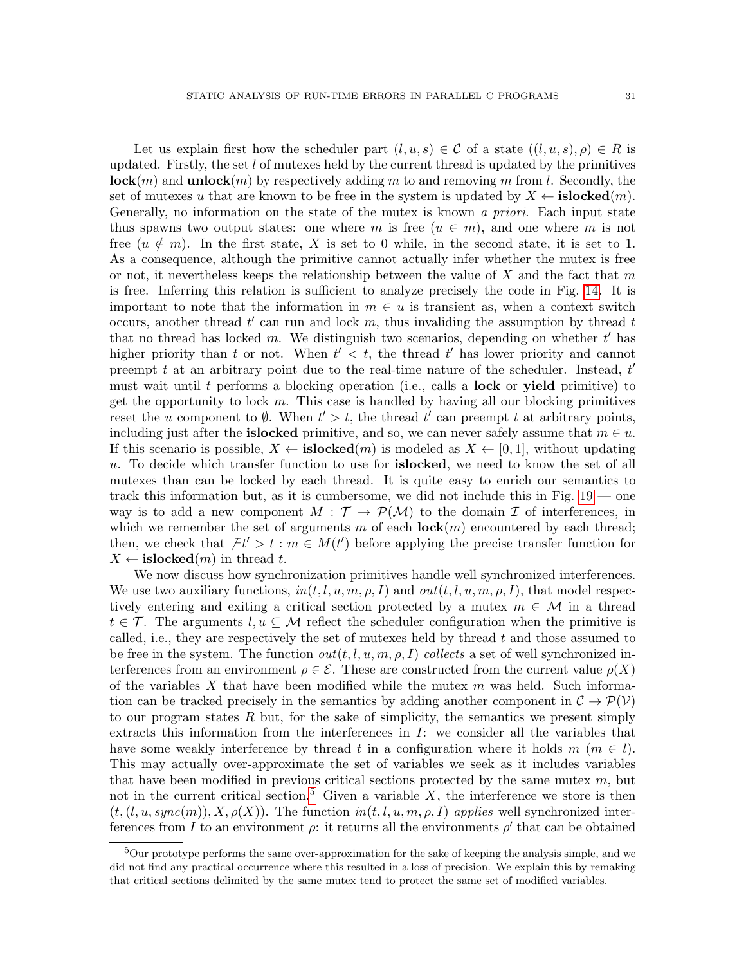Let us explain first how the scheduler part  $(l, u, s) \in \mathcal{C}$  of a state  $((l, u, s), \rho) \in R$  is updated. Firstly, the set  $l$  of mutexes held by the current thread is updated by the primitives  $\mathbf{lock}(m)$  and  $\mathbf{unlock}(m)$  by respectively adding m to and removing m from l. Secondly, the set of mutexes u that are known to be free in the system is updated by  $X \leftarrow \textbf{islocked}(m)$ . Generally, no information on the state of the mutex is known a priori. Each input state thus spawns two output states: one where m is free  $(u \in m)$ , and one where m is not free  $(u \notin m)$ . In the first state, X is set to 0 while, in the second state, it is set to 1. As a consequence, although the primitive cannot actually infer whether the mutex is free or not, it nevertheless keeps the relationship between the value of X and the fact that  $m$ is free. Inferring this relation is sufficient to analyze precisely the code in Fig. [14.](#page-21-1) It is important to note that the information in  $m \in u$  is transient as, when a context switch occurs, another thread  $t'$  can run and lock  $m$ , thus invaliding the assumption by thread  $t$ that no thread has locked m. We distinguish two scenarios, depending on whether  $t'$  has higher priority than t or not. When  $t' < t$ , the thread t' has lower priority and cannot preempt t at an arbitrary point due to the real-time nature of the scheduler. Instead,  $t'$ must wait until t performs a blocking operation (i.e., calls a **lock** or **yield** primitive) to get the opportunity to lock  $m$ . This case is handled by having all our blocking primitives reset the u component to  $\emptyset$ . When  $t' > t$ , the thread  $t'$  can preempt t at arbitrary points, including just after the **islocked** primitive, and so, we can never safely assume that  $m \in u$ . If this scenario is possible,  $X \leftarrow \textbf{islocked}(m)$  is modeled as  $X \leftarrow [0, 1]$ , without updating u. To decide which transfer function to use for islocked, we need to know the set of all mutexes than can be locked by each thread. It is quite easy to enrich our semantics to track this information but, as it is cumbersome, we did not include this in Fig. [19](#page-29-0) — one way is to add a new component  $M : \mathcal{T} \to \mathcal{P}(\mathcal{M})$  to the domain  $\mathcal I$  of interferences, in which we remember the set of arguments m of each  $\mathbf{lock}(m)$  encountered by each thread; then, we check that  $\exists t' > t : m \in M(t')$  before applying the precise transfer function for  $X \leftarrow \text{islocked}(m)$  in thread t.

We now discuss how synchronization primitives handle well synchronized interferences. We use two auxiliary functions,  $in(t, l, u, m, \rho, I)$  and  $out(t, l, u, m, \rho, I)$ , that model respectively entering and exiting a critical section protected by a mutex  $m \in \mathcal{M}$  in a thread  $t \in \mathcal{T}$ . The arguments  $l, u \subseteq \mathcal{M}$  reflect the scheduler configuration when the primitive is called, i.e., they are respectively the set of mutexes held by thread  $t$  and those assumed to be free in the system. The function  $out(t, l, u, m, \rho, I)$  collects a set of well synchronized interferences from an environment  $\rho \in \mathcal{E}$ . These are constructed from the current value  $\rho(X)$ of the variables X that have been modified while the mutex  $m$  was held. Such information can be tracked precisely in the semantics by adding another component in  $\mathcal{C} \to \mathcal{P}(\mathcal{V})$ to our program states  $R$  but, for the sake of simplicity, the semantics we present simply extracts this information from the interferences in  $I$ : we consider all the variables that have some weakly interference by thread t in a configuration where it holds  $m \ (m \in l)$ . This may actually over-approximate the set of variables we seek as it includes variables that have been modified in previous critical sections protected by the same mutes  $m$ , but not in the current critical section.<sup>[5](#page-30-0)</sup> Given a variable  $X$ , the interference we store is then  $(t, (l, u, sync(m)), X, \rho(X))$ . The function  $in(t, l, u, m, \rho, I)$  applies well synchronized interferences from I to an environment  $\rho$ : it returns all the environments  $\rho'$  that can be obtained

<span id="page-30-0"></span><sup>&</sup>lt;sup>5</sup>Our prototype performs the same over-approximation for the sake of keeping the analysis simple, and we did not find any practical occurrence where this resulted in a loss of precision. We explain this by remaking that critical sections delimited by the same mutex tend to protect the same set of modified variables.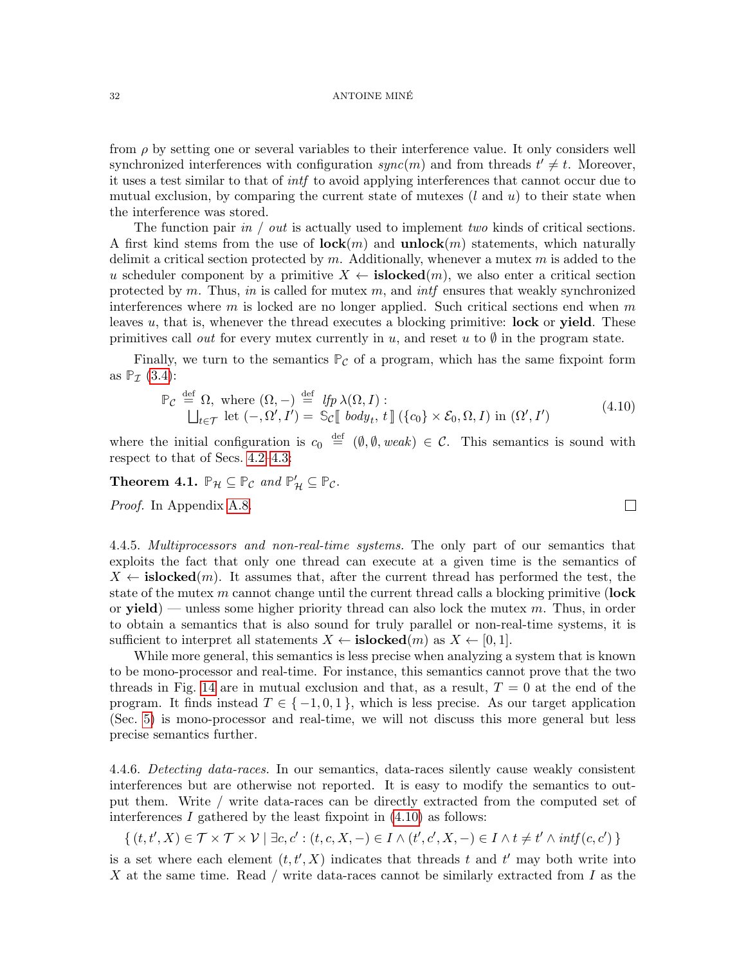#### 32 ANTOINE MINE´

from  $\rho$  by setting one or several variables to their interference value. It only considers well synchronized interferences with configuration  $sync(m)$  and from threads  $t' \neq t$ . Moreover, it uses a test similar to that of intf to avoid applying interferences that cannot occur due to mutual exclusion, by comparing the current state of mutexes  $(l \text{ and } u)$  to their state when the interference was stored.

The function pair in / out is actually used to implement two kinds of critical sections. A first kind stems from the use of  $\mathbf{lock}(m)$  and  $\mathbf{unlock}(m)$  statements, which naturally delimit a critical section protected by  $m$ . Additionally, whenever a mutex  $m$  is added to the u scheduler component by a primitive  $X \leftarrow \text{islocked}(m)$ , we also enter a critical section protected by m. Thus, in is called for mutex m, and integently ensures that weakly synchronized interferences where  $m$  is locked are no longer applied. Such critical sections end when  $m$ leaves  $u$ , that is, whenever the thread executes a blocking primitive: lock or yield. These primitives call out for every mutex currently in u, and reset u to  $\emptyset$  in the program state.

Finally, we turn to the semantics  $P_{\mathcal{C}}$  of a program, which has the same fixpoint form as  $\mathbb{P}_{\mathcal{I}}$  [\(3.4\)](#page-12-0):

<span id="page-31-1"></span>
$$
\mathbb{P}_{\mathcal{C}} \stackrel{\text{def}}{=} \Omega, \text{ where } (\Omega, -) \stackrel{\text{def}}{=} \mathit{lfp} \lambda(\Omega, I):
$$
\n
$$
\bigsqcup_{t \in \mathcal{T}} \text{let } (-, \Omega', I') = \mathbb{S}_{\mathcal{C}} \llbracket \mathit{body}_t, t \rrbracket (\{c_0\} \times \mathcal{E}_0, \Omega, I) \text{ in } (\Omega', I')
$$
\n
$$
(4.10)
$$

 $\Box$ 

where the initial configuration is  $c_0 \stackrel{\text{def}}{=} (\emptyset, \emptyset, weak) \in \mathcal{C}$ . This semantics is sound with respect to that of Secs. [4.2](#page-21-0)[–4.3:](#page-22-0)

<span id="page-31-2"></span>**Theorem 4.1.**  $\mathbb{P}_{\mathcal{H}} \subseteq \mathbb{P}_{\mathcal{C}}$  and  $\mathbb{P}'_{\mathcal{H}} \subseteq \mathbb{P}_{\mathcal{C}}$ .

Proof. In Appendix [A.8.](#page-58-0)

<span id="page-31-0"></span>4.4.5. *Multiprocessors and non-real-time systems*. The only part of our semantics that exploits the fact that only one thread can execute at a given time is the semantics of  $X \leftarrow \textbf{islocked}(m)$ . It assumes that, after the current thread has performed the test, the state of the mutex  $m$  cannot change until the current thread calls a blocking primitive (lock or  $yield$ ) — unless some higher priority thread can also lock the mutex  $m$ . Thus, in order to obtain a semantics that is also sound for truly parallel or non-real-time systems, it is sufficient to interpret all statements  $X \leftarrow \textbf{islocked}(m)$  as  $X \leftarrow [0, 1]$ .

While more general, this semantics is less precise when analyzing a system that is known to be mono-processor and real-time. For instance, this semantics cannot prove that the two threads in Fig. [14](#page-21-1) are in mutual exclusion and that, as a result,  $T = 0$  at the end of the program. It finds instead  $T \in \{-1,0,1\}$ , which is less precise. As our target application (Sec. [5\)](#page-37-0) is mono-processor and real-time, we will not discuss this more general but less precise semantics further.

4.4.6. Detecting data-races. In our semantics, data-races silently cause weakly consistent interferences but are otherwise not reported. It is easy to modify the semantics to output them. Write / write data-races can be directly extracted from the computed set of interferences  $I$  gathered by the least fixpoint in  $(4.10)$  as follows:

$$
\{ (t, t', X) \in \mathcal{T} \times \mathcal{T} \times \mathcal{V} \mid \exists c, c' : (t, c, X, -) \in I \wedge (t', c', X, -) \in I \wedge t \neq t' \wedge \mathit{intf}(c, c') \}
$$

is a set where each element  $(t, t', X)$  indicates that threads t and t' may both write into X at the same time. Read / write data-races cannot be similarly extracted from I as the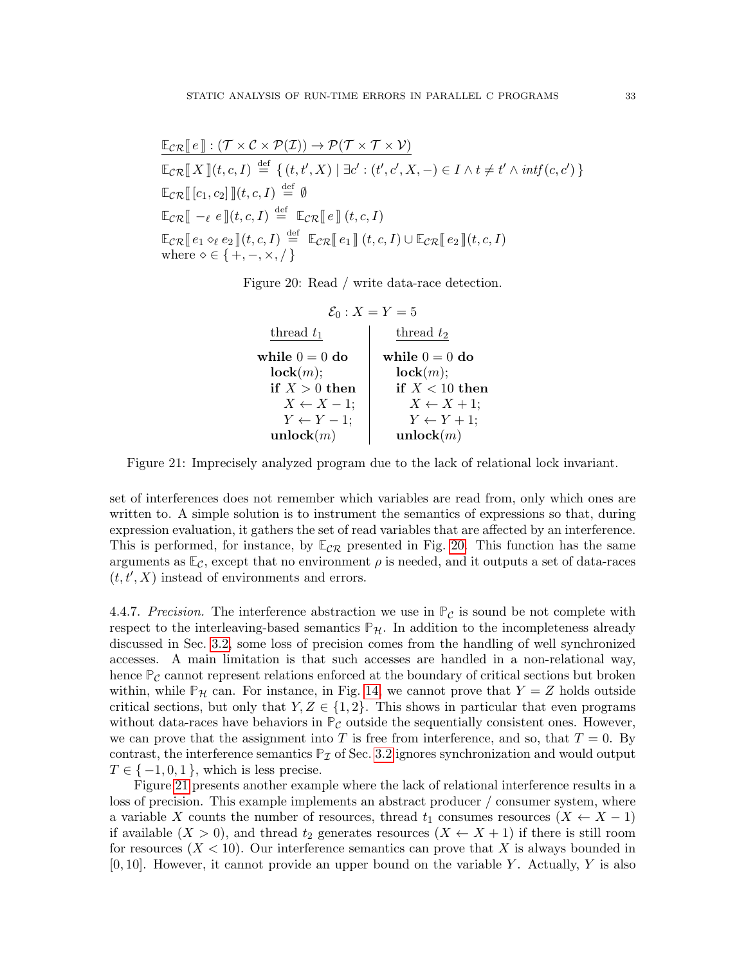$$
\mathbb{E}_{\mathcal{CR}}[\![e]\!](\mathcal{T} \times \mathcal{C} \times \mathcal{P}(\mathcal{I})) \to \mathcal{P}(\mathcal{T} \times \mathcal{T} \times \mathcal{V})
$$
\n
$$
\mathbb{E}_{\mathcal{CR}}[\![X]\!](t, c, I) \stackrel{\text{def}}{=} \{ (t, t', X) \mid \exists c' : (t', c', X, -) \in I \land t \neq t' \land \mathit{intf}(c, c') \}
$$
\n
$$
\mathbb{E}_{\mathcal{CR}}[\![c_1, c_2]\!]](t, c, I) \stackrel{\text{def}}{=} \emptyset
$$
\n
$$
\mathbb{E}_{\mathcal{CR}}[\![e] \to e \;](t, c, I) \stackrel{\text{def}}{=} \mathbb{E}_{\mathcal{CR}}[\![e]\!] (t, c, I)
$$
\n
$$
\mathbb{E}_{\mathcal{CR}}[\![e_1 \diamond_{\ell} e_2]\!](t, c, I) \stackrel{\text{def}}{=} \mathbb{E}_{\mathcal{CR}}[\![e_1]\!](t, c, I) \cup \mathbb{E}_{\mathcal{CR}}[\![e_2]\!](t, c, I)
$$
\nwhere  $\diamond \in \{+, -, \times, /\}$ 

Figure 20: Read / write data-race detection.

<span id="page-32-0"></span>
$$
\begin{array}{c|c} \mathcal{E}_0: X = Y = 5 \\ \text{thread } t_1 \\ \text{while } 0 = 0 \text{ do} \\ \text{lock}(m); \\ \text{if } X > 0 \text{ then} \\ X \leftarrow X - 1; \\ Y \leftarrow Y - 1; \\ \text{unlock}(m) \end{array} \quad \begin{array}{c} \text{thread } t_2 \\ \text{while } 0 = 0 \text{ do} \\ \text{lock}(m); \\ \text{if } X < 10 \text{ then} \\ X \leftarrow X + 1; \\ Y \leftarrow Y + 1; \\ \text{unlock}(m) \end{array}
$$

<span id="page-32-1"></span>Figure 21: Imprecisely analyzed program due to the lack of relational lock invariant.

set of interferences does not remember which variables are read from, only which ones are written to. A simple solution is to instrument the semantics of expressions so that, during expression evaluation, it gathers the set of read variables that are affected by an interference. This is performed, for instance, by  $\mathbb{E}_{\mathcal{CR}}$  presented in Fig. [20.](#page-32-0) This function has the same arguments as  $\mathbb{E}_{\mathcal{C}}$ , except that no environment  $\rho$  is needed, and it outputs a set of data-races  $(t, t, X)$  instead of environments and errors.

4.4.7. Precision. The interference abstraction we use in  $P_{\mathcal{C}}$  is sound be not complete with respect to the interleaving-based semantics  $\mathbb{P}_{\mathcal{H}}$ . In addition to the incompleteness already discussed in Sec. [3.2,](#page-10-0) some loss of precision comes from the handling of well synchronized accesses. A main limitation is that such accesses are handled in a non-relational way, hence  $P_c$  cannot represent relations enforced at the boundary of critical sections but broken within, while  $\mathbb{P}_{\mathcal{H}}$  can. For instance, in Fig. [14,](#page-21-1) we cannot prove that  $Y = Z$  holds outside critical sections, but only that  $Y, Z \in \{1, 2\}$ . This shows in particular that even programs without data-races have behaviors in  $\mathbb{P}_{\mathcal{C}}$  outside the sequentially consistent ones. However, we can prove that the assignment into T is free from interference, and so, that  $T = 0$ . By contrast, the interference semantics  $P<sub>I</sub>$  of Sec. [3.2](#page-10-0) ignores synchronization and would output  $T \in \{-1, 0, 1\}$ , which is less precise.

Figure [21](#page-32-1) presents another example where the lack of relational interference results in a loss of precision. This example implements an abstract producer / consumer system, where a variable X counts the number of resources, thread  $t_1$  consumes resources  $(X \leftarrow X - 1)$ if available  $(X > 0)$ , and thread  $t_2$  generates resources  $(X \leftarrow X + 1)$  if there is still room for resources  $(X < 10)$ . Our interference semantics can prove that X is always bounded in  $[0, 10]$ . However, it cannot provide an upper bound on the variable Y. Actually, Y is also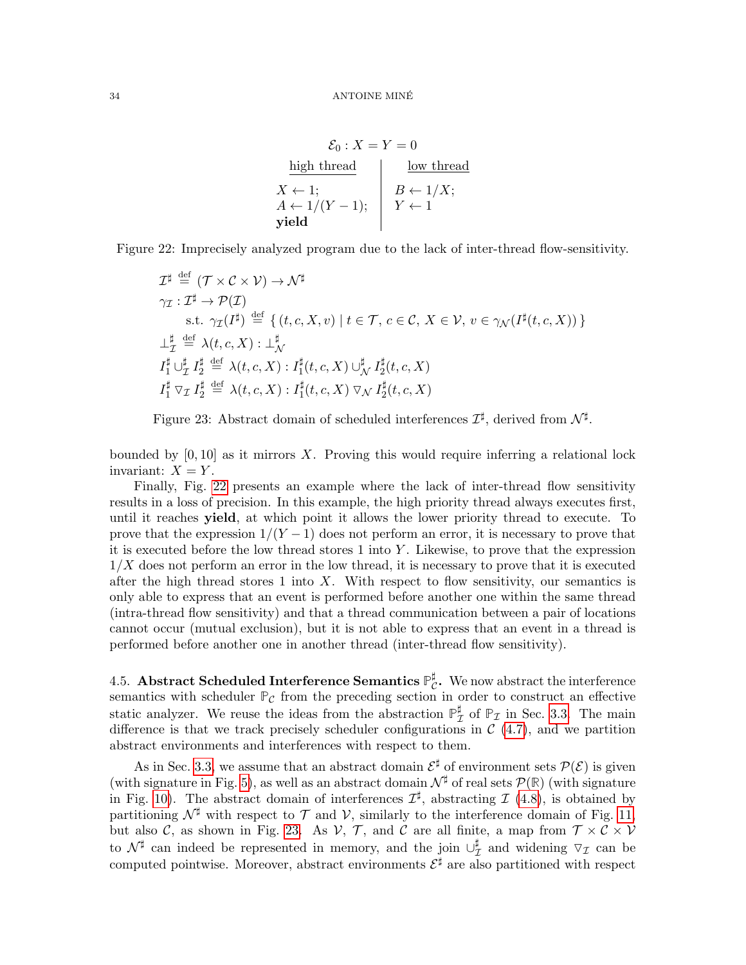$$
\mathcal{E}_0: X = Y = 0
$$
\nhigh thread

\n
$$
X \leftarrow 1;
$$
\n
$$
A \leftarrow 1/(Y - 1);
$$
\n
$$
Y \leftarrow 1
$$
\nyield

\nwith the probability of the following:

\n
$$
Y \leftarrow 1
$$
\n
$$
Y \leftarrow 1
$$

Figure 22: Imprecisely analyzed program due to the lack of inter-thread flow-sensitivity.

<span id="page-33-1"></span>
$$
\mathcal{I}^{\sharp} \stackrel{\text{def}}{=} (\mathcal{T} \times \mathcal{C} \times \mathcal{V}) \to \mathcal{N}^{\sharp}
$$
\n
$$
\gamma_{\mathcal{I}} : \mathcal{I}^{\sharp} \to \mathcal{P}(\mathcal{I})
$$
\n
$$
\text{s.t. } \gamma_{\mathcal{I}}(\mathcal{I}^{\sharp}) \stackrel{\text{def}}{=} \{ (t, c, X, v) \mid t \in \mathcal{T}, c \in \mathcal{C}, X \in \mathcal{V}, v \in \gamma_{\mathcal{N}}(\mathcal{I}^{\sharp}(t, c, X)) \}
$$
\n
$$
\perp_{\mathcal{I}}^{\sharp} \stackrel{\text{def}}{=} \lambda(t, c, X) : \perp_{\mathcal{N}}^{\sharp}
$$
\n
$$
\mathcal{I}_{1}^{\sharp} \cup_{\mathcal{I}}^{\sharp} \mathcal{I}_{2}^{\sharp} \stackrel{\text{def}}{=} \lambda(t, c, X) : \mathcal{I}_{1}^{\sharp}(t, c, X) \cup_{\mathcal{N}}^{\sharp} \mathcal{I}_{2}^{\sharp}(t, c, X)
$$
\n
$$
\mathcal{I}_{1}^{\sharp} \nabla_{\mathcal{I}} \mathcal{I}_{2}^{\sharp} \stackrel{\text{def}}{=} \lambda(t, c, X) : \mathcal{I}_{1}^{\sharp}(t, c, X) \nabla_{\mathcal{N}} \mathcal{I}_{2}^{\sharp}(t, c, X)
$$

<span id="page-33-2"></span>Figure 23: Abstract domain of scheduled interferences  $\mathcal{I}^{\sharp}$ , derived from  $\mathcal{N}^{\sharp}$ .

bounded by  $[0, 10]$  as it mirrors X. Proving this would require inferring a relational lock invariant:  $X = Y$ .

Finally, Fig. [22](#page-33-1) presents an example where the lack of inter-thread flow sensitivity results in a loss of precision. In this example, the high priority thread always executes first, until it reaches yield, at which point it allows the lower priority thread to execute. To prove that the expression  $1/(Y-1)$  does not perform an error, it is necessary to prove that it is executed before the low thread stores 1 into Y . Likewise, to prove that the expression  $1/X$  does not perform an error in the low thread, it is necessary to prove that it is executed after the high thread stores 1 into  $X$ . With respect to flow sensitivity, our semantics is only able to express that an event is performed before another one within the same thread (intra-thread flow sensitivity) and that a thread communication between a pair of locations cannot occur (mutual exclusion), but it is not able to express that an event in a thread is performed before another one in another thread (inter-thread flow sensitivity).

<span id="page-33-0"></span> $4.5.$  Abstract Scheduled Interference Semantics  $\mathbb{P}^{\sharp}$  $_{\mathcal{C}}^{\sharp}$ . We now abstract the interference semantics with scheduler  $P_c$  from the preceding section in order to construct an effective static analyzer. We reuse the ideas from the abstraction  $\mathbb{P}_7^{\sharp}$  $_{\mathcal{I}}^{\sharp}$  of  $\mathbb{P}_{\mathcal{I}}$  in Sec. [3.3.](#page-13-0) The main difference is that we track precisely scheduler configurations in  $\mathcal{C}(4.7)$  $\mathcal{C}(4.7)$ , and we partition abstract environments and interferences with respect to them.

As in Sec. [3.3,](#page-13-0) we assume that an abstract domain  $\mathcal{E}^{\sharp}$  of environment sets  $\mathcal{P}(\mathcal{E})$  is given (with signature in Fig. [5\)](#page-7-0), as well as an abstract domain  $\mathcal{N}^{\sharp}$  of real sets  $\mathcal{P}(\mathbb{R})$  (with signature in Fig. [10\)](#page-14-0). The abstract domain of interferences  $\mathcal{I}^{\sharp}$ , abstracting  $\mathcal{I}$  [\(4.8\)](#page-27-1), is obtained by partitioning  $\mathcal{N}^{\sharp}$  with respect to  $\mathcal{T}$  and  $\mathcal{V}$ , similarly to the interference domain of Fig. [11,](#page-14-1) but also C, as shown in Fig. [23.](#page-33-2) As  $V$ , T, and C are all finite, a map from  $T \times C \times V$ to  $\mathcal{N}^{\sharp}$  can indeed be represented in memory, and the join  $\cup_{7}^{\sharp}$  $\sharp$  and widening  $\nabla_{\mathcal{I}}$  can be computed pointwise. Moreover, abstract environments  $\mathcal{E}^{\sharp}$  are also partitioned with respect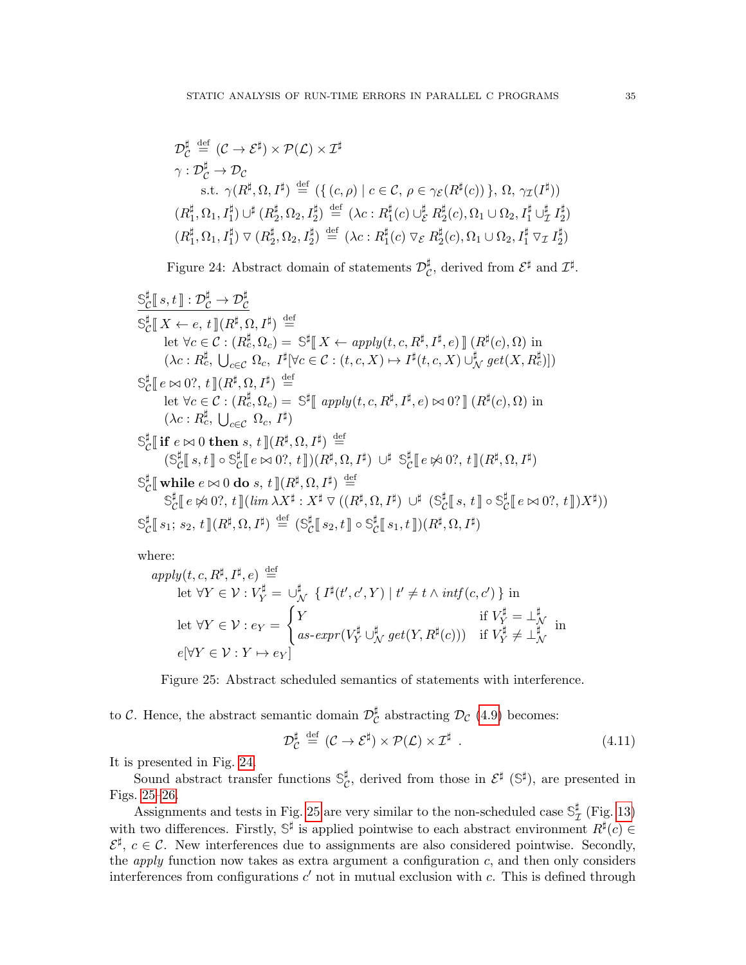$$
\mathcal{D}_{\mathcal{C}}^{\sharp} \stackrel{\text{def}}{=} (\mathcal{C} \to \mathcal{E}^{\sharp}) \times \mathcal{P}(\mathcal{L}) \times \mathcal{I}^{\sharp}
$$
\n
$$
\gamma : \mathcal{D}_{\mathcal{C}}^{\sharp} \to \mathcal{D}_{\mathcal{C}}
$$
\n
$$
\text{s.t. } \gamma(R^{\sharp}, \Omega, I^{\sharp}) \stackrel{\text{def}}{=} (\{ (c, \rho) \mid c \in \mathcal{C}, \rho \in \gamma_{\mathcal{E}}(R^{\sharp}(c)) \}, \Omega, \gamma_{\mathcal{I}}(I^{\sharp}))
$$
\n
$$
(R^{\sharp}_{1}, \Omega_{1}, I_{1}^{\sharp}) \cup^{\sharp} (R^{\sharp}_{2}, \Omega_{2}, I_{2}^{\sharp}) \stackrel{\text{def}}{=} (\lambda c : R^{\sharp}_{1}(c) \cup^{\sharp}_{\mathcal{E}} R^{\sharp}_{2}(c), \Omega_{1} \cup \Omega_{2}, I_{1}^{\sharp} \cup^{\sharp}_{\mathcal{I}} I_{2}^{\sharp})
$$
\n
$$
(R^{\sharp}_{1}, \Omega_{1}, I_{1}^{\sharp}) \vee (R^{\sharp}_{2}, \Omega_{2}, I_{2}^{\sharp}) \stackrel{\text{def}}{=} (\lambda c : R^{\sharp}_{1}(c) \vee_{\mathcal{E}} R^{\sharp}_{2}(c), \Omega_{1} \cup \Omega_{2}, I_{1}^{\sharp} \vee_{\mathcal{I}} I_{2}^{\sharp})
$$

<span id="page-34-0"></span>Figure 24: Abstract domain of statements  $\mathcal{D}_{\mathcal{C}}^{\sharp}$  $\mathcal{L}^{\sharp}$ , derived from  $\mathcal{E}^{\sharp}$  and  $\mathcal{I}^{\sharp}$ .

$$
\begin{aligned}\n&\frac{\mathbb{S}_{\mathcal{C}}^{\sharp}\left[s,t\right]\colon\mathcal{D}_{\mathcal{C}}^{\sharp}\to\mathcal{D}_{\mathcal{C}}^{\sharp}}{\mathbb{S}_{\mathcal{C}}^{\sharp}\left[\left(X\leftarrow e,t\right]\left(R^{\sharp},\Omega,I^{\sharp}\right)\right]} &\stackrel{\text{def}}{=} \\
&\text{let }\forall c\in\mathcal{C}:\left(R_{c}^{\sharp},\Omega_{c}\right)=\mathbb{S}^{\sharp}\left[\left(X\leftarrow apply(t,c,R^{\sharp},I^{\sharp},e)\right]\right]\left(R^{\sharp}(c),\Omega\right)\right] \\
&\quad\left(\lambda c:R_{c}^{\sharp},\bigcup_{c\in\mathcal{C}}\Omega_{c},I^{\sharp}\left|\forall c\in\mathcal{C}:(t,c,X)\mapsto I^{\sharp}(t,c,X)\bigcup_{N}^{\sharp}get(X,R_{c}^{\sharp})\right]\right)\n\end{aligned}
$$
\n
$$
\begin{aligned}\n&\frac{\mathbb{S}_{\mathcal{C}}^{\sharp}\left[e\bowtie 0?,t\right]\left(R^{\sharp},\Omega,I^{\sharp}\right)}{|\left(R^{\sharp},\Omega,L^{\sharp}\right)} &\stackrel{\text{def}}{=} \\
&\text{let }\forall c\in\mathcal{C}:\left(R_{c}^{\sharp},\Omega_{c}\right)=\mathbb{S}^{\sharp}\left[\left(\sup_{c\in\mathcal{C}}\Omega_{c},I^{\sharp}\right)\\
&\frac{\mathbb{S}_{\mathcal{C}}^{\sharp}\left[\left(\sup_{c\in\mathcal{C}}\Omega_{c},I^{\sharp}\right)\right]}{|\left(R^{\sharp},\Omega,I^{\sharp}\right)} &\stackrel{\text{def}}{=} \\
&\frac{\mathbb{S}_{\mathcal{C}}^{\sharp}\left[\left(s,t\right]\right]\circ\mathbb{S}_{\mathcal{C}}^{\sharp}\left[e\bowtie 0?,t\right]\right)\left(R^{\sharp},\Omega,I^{\sharp}\right)}{|\left(R^{\sharp},\Omega,I^{\sharp}\right)} &\stackrel{\text{def}}{=} \\
&\frac{\mathbb{S}_{\mathcal{C}}^{\sharp}\left[\left(\sup_{c\in\mathcal{C}}\Omega_{c},I^{\sharp}\right)\right]\left(R^{\sharp},\Omega,I^{\sharp}\right)}{|\left(R^{\sharp},\Omega,I^{\sharp}\right)} &\stackrel{\text{def}}{=} \\
&\frac{\mathbb{S}_{\mathcal{C}}
$$

where:

$$
apply(t, c, R^{\sharp}, I^{\sharp}, e) \stackrel{\text{def}}{=} \text{let } \forall Y \in \mathcal{V} : V_Y^{\sharp} = \bigcup_N^{\sharp} \{ I^{\sharp}(t', c', Y) \mid t' \neq t \land \text{intf}(c, c') \} \text{ in}
$$
\n
$$
\text{let } \forall Y \in \mathcal{V} : e_Y = \begin{cases} Y & \text{if } V_Y^{\sharp} = \perp_N^{\sharp} \\ as\text{-}expr(V_Y^{\sharp} \cup_N^{\sharp} get(Y, R^{\sharp}(c))) & \text{if } V_Y^{\sharp} \neq \perp_N^{\sharp} \\ W & \text{if } V_Y^{\sharp} \neq \perp_N^{\sharp} \end{cases}
$$

<span id="page-34-1"></span>Figure 25: Abstract scheduled semantics of statements with interference.

to C. Hence, the abstract semantic domain  $\mathcal{D}_{\mathcal{C}}^{\sharp}$  $_{\mathcal{C}}^{\sharp}$  abstracting  $\mathcal{D}_{\mathcal{C}}$  (4.[9\)](#page-27-2) becomes:

$$
\mathcal{D}_{\mathcal{C}}^{\sharp} \stackrel{\text{def}}{=} (\mathcal{C} \to \mathcal{E}^{\sharp}) \times \mathcal{P}(\mathcal{L}) \times \mathcal{I}^{\sharp} \tag{4.11}
$$

It is presented in Fig. [24.](#page-34-0)

Sound abstract transfer functions  $\mathbb{S}_{\mathcal{C}}^{\sharp}$  $\mathcal{E}^{\sharp}$ , derived from those in  $\mathcal{E}^{\sharp}$  ( $\mathbb{S}^{\sharp}$ ), are presented in Figs. [25](#page-34-1)[–26.](#page-35-0)

Assignments and tests in Fig. [25](#page-34-1) are very similar to the non-scheduled case  $\mathcal{S}_7^{\sharp}$  $_{\mathcal{I}}^{\sharp}$  (Fig. [13\)](#page-16-0) with two differences. Firstly,  $\mathbb{S}^{\sharp}$  is applied pointwise to each abstract environment  $R^{\sharp}(c) \in$  $\mathcal{E}^{\sharp}$ ,  $c \in \mathcal{C}$ . New interferences due to assignments are also considered pointwise. Secondly, the *apply* function now takes as extra argument a configuration  $c$ , and then only considers interferences from configurations  $c'$  not in mutual exclusion with  $c$ . This is defined through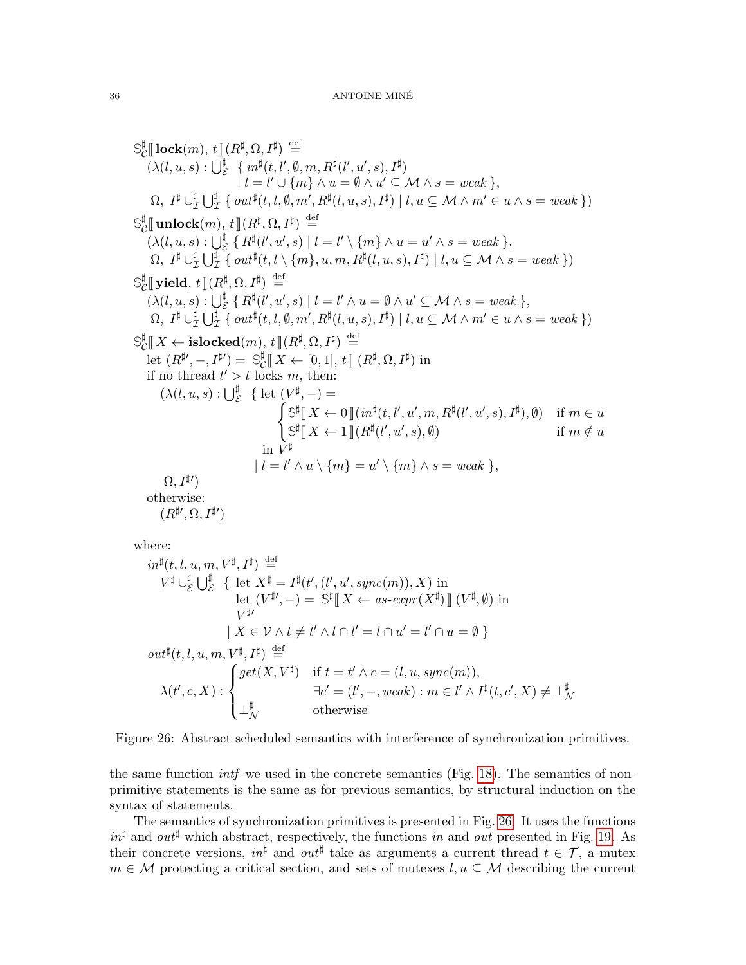$$
\begin{aligned}\n\mathbf{S}_{\mathcal{C}}^{\sharp}[\mathbf{lock}(m), t][R^{\sharp}, \Omega, I^{\sharp}) &\stackrel{\text{def}}{=} \\
(\lambda(l, u, s) : \bigcup_{\mathcal{E}}^{\sharp} \{in^{\sharp}(l, l', \emptyset, m, R^{\sharp}(l', u', s), I^{\sharp}) \\
|l = l' \cup \{m\} \land u = \emptyset \land u' \subseteq \mathcal{M} \land s = weak \}, \\
\Omega, I^{\sharp} \cup_{\mathcal{I}}^{\sharp} \bigcup_{\mathcal{I}}^{\sharp} \{out^{\sharp}(l, l, \emptyset, m', R^{\sharp}(l, u, s), I^{\sharp}) | l, u \subseteq \mathcal{M} \land m' \in u \land s = weak \}) \\
\mathbf{S}_{\mathcal{C}}^{\sharp}[\mathbf{unlock}(m), t][R^{\sharp}, \Omega, I^{\sharp}) &\stackrel{\text{def}}{=} \\
(\lambda(l, u, s) : \bigcup_{\mathcal{I}}^{\sharp} \{R^{\sharp}(l', u', s) | l = l' \setminus \{m\} \land u = u' \land s = weak \}, \\
\Omega, I^{\sharp} \cup_{\mathcal{I}}^{\sharp} \bigcup_{\mathcal{I}}^{\sharp} \{out^{\sharp}(l, l, \setminus \{m\}, u, m, R^{\sharp}(l, u, s), I^{\sharp}) | l, u \subseteq \mathcal{M} \land s = weak \}) \\
\mathbf{S}_{\mathcal{C}}^{\sharp}[\mathbf{yield}, t][R^{\sharp}, \Omega, I^{\sharp}) &\stackrel{\text{def}}{=} \\
(\lambda(l, u, s) : \bigcup_{\mathcal{I}}^{\sharp} \{R^{\sharp}(l', u', s) | l = l' \land u = \emptyset \land u' \subseteq \mathcal{M} \land s = weak \}, \\
\Omega, I^{\sharp} \cup_{\mathcal{I}}^{\sharp} \bigcup_{\mathcal{I}}^{\sharp} \{out^{\sharp}(l, l, \emptyset, m', R^{\sharp}(l, u, s), I^{\sharp}) | l, u \subseteq \mathcal{M} \land m' \in u \land s = weak \}) \\
\mathbf{S}_{\mathcal{C}}^{\sharp}[\mathbf{X} \leftarrow \mathbf{islocked}(m), t][R^{\sharp}, \Omega, I^{\sharp}) &\stackrel{\text{def}}{=} \\
\text{let } (R^{\sharp\prime}, -, I^{\sharp\prime}) = \mathcal{S}_{\math
$$

where:

$$
in^{\sharp}(t, l, u, m, V^{\sharp}, I^{\sharp}) \stackrel{\text{def}}{=} V^{\sharp} \cup_{\mathcal{E}}^{\sharp} \bigcup_{\mathcal{E}}^{\sharp} \{ \text{ let } X^{\sharp} = I^{\sharp}(t', (l', u', sync(m)), X) \text{ in} \}
$$
  
\nlet  $(V^{\sharp\prime}, -) = \mathbb{S}^{\sharp} \llbracket X \leftarrow as - expr(X^{\sharp}) \llbracket (V^{\sharp}, \emptyset) \text{ in} \$   
\n $V^{\sharp\prime}$   
\n $| X \in \mathcal{V} \land t \neq t' \land l \cap l' = l \cap u' = l' \cap u = \emptyset \}$   
\nout $\sharp(t, l, u, m, V^{\sharp}, I^{\sharp}) \stackrel{\text{def}}{=} \$   
\n $\lambda(t', c, X) : \begin{cases} get(X, V^{\sharp}) & \text{if } t = t' \land c = (l, u, sync(m)), \\ \text{if } t = (l', -, weak) : m \in l' \land I^{\sharp}(t, c', X) \neq \bot^{\sharp}_{\mathcal{N}} \\ \bot^{\sharp}_{\mathcal{N}} & \text{otherwise} \end{cases}$ 

<span id="page-35-0"></span>Figure 26: Abstract scheduled semantics with interference of synchronization primitives.

the same function *intf* we used in the concrete semantics (Fig. [18\)](#page-28-0). The semantics of nonprimitive statements is the same as for previous semantics, by structural induction on the syntax of statements.

The semantics of synchronization primitives is presented in Fig. [26.](#page-35-0) It uses the functions  $in^{\sharp}$  and  $out^{\sharp}$  which abstract, respectively, the functions in and out presented in Fig. [19.](#page-29-0) As their concrete versions,  $in^{\sharp}$  and  $out^{\sharp}$  take as arguments a current thread  $t \in \mathcal{T}$ , a mutex  $m \in \mathcal{M}$  protecting a critical section, and sets of mutexes  $l, u \subseteq \mathcal{M}$  describing the current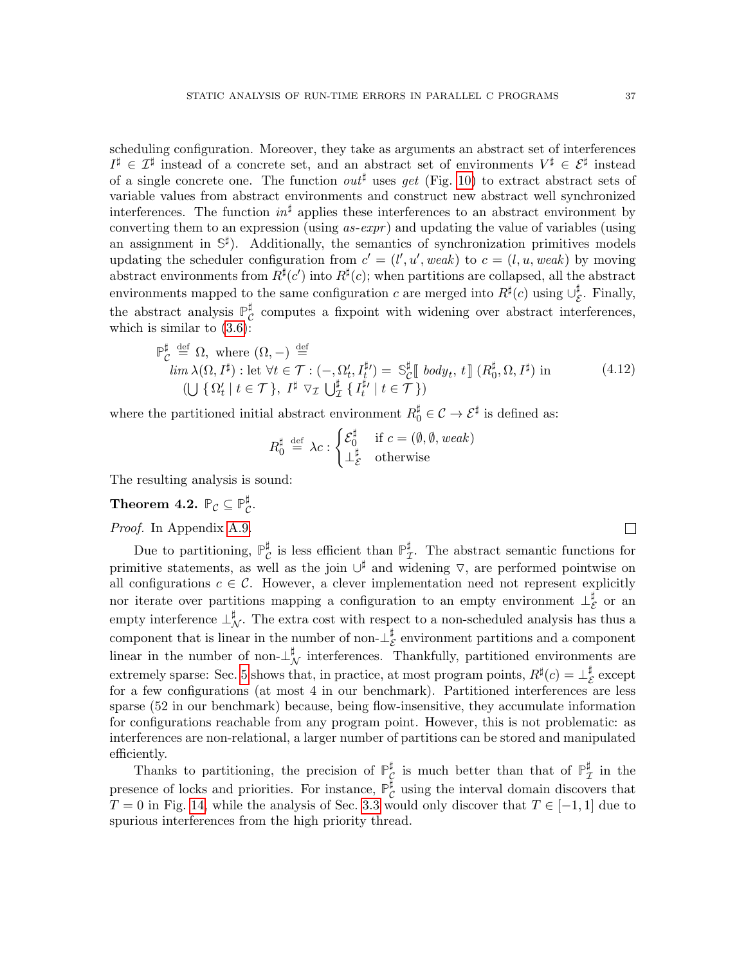scheduling configuration. Moreover, they take as arguments an abstract set of interferences  $I^{\sharp} \in \mathcal{I}^{\sharp}$  instead of a concrete set, and an abstract set of environments  $V^{\sharp} \in \mathcal{E}^{\sharp}$  instead of a single concrete one. The function  $\partial u t^{\sharp}$  uses get (Fig. [10\)](#page-14-0) to extract abstract sets of variable values from abstract environments and construct new abstract well synchronized interferences. The function  $in^{\sharp}$  applies these interferences to an abstract environment by converting them to an expression (using  $as-expr$ ) and updating the value of variables (using an assignment in  $\mathbb{S}^{\sharp}$ ). Additionally, the semantics of synchronization primitives models updating the scheduler configuration from  $c' = (l', u', weak)$  to  $c = (l, u, weak)$  by moving abstract environments from  $R^{\sharp}(c')$  into  $R^{\sharp}(c)$ ; when partitions are collapsed, all the abstract environments mapped to the same configuration c are merged into  $R^{\sharp}(c)$  using  $\cup_{\zeta}^{\sharp}$  $\frac{1}{\mathcal{E}}$ . Finally, the abstract analysis  $\mathbb{P}_{\alpha}^{\sharp}$  $\mathcal{C}$  computes a fixpoint with widening over abstract interferences, which is similar to  $(3.6)$ :

$$
\check{C} \stackrel{\text{def}}{=} \Omega, \text{ where } (\Omega, -) \stackrel{\text{def}}{=} \lim_{\lambda(\Omega, I^{\sharp}) \cdot \text{let}} \forall t \in \mathcal{T} : (-, \Omega_t', I_t^{\sharp}) = \mathbb{S}_{\mathcal{C}}^{\sharp} \llbracket \text{ body}_t, t \llbracket (R_0^{\sharp}, \Omega, I^{\sharp}) \text{ in} \qquad (4.12)
$$
\n
$$
(\bigcup \{ \Omega_t' \mid t \in \mathcal{T} \}, I^{\sharp} \nabla_{\mathcal{I}} \bigcup_{\mathcal{I}}^{\sharp} \{ I_t^{\sharp\prime} \mid t \in \mathcal{T} \})
$$

where the partitioned initial abstract environment  $R_0^{\sharp} \in \mathcal{C} \to \mathcal{E}^{\sharp}$  is defined as:

$$
R_0^{\sharp} \stackrel{\text{def}}{=} \lambda c : \begin{cases} \mathcal{E}_0^{\sharp} & \text{if } c = (\emptyset, \emptyset, \text{weak}) \\ \perp_{\mathcal{E}}^{\sharp} & \text{otherwise} \end{cases}
$$

The resulting analysis is sound:

#### <span id="page-36-0"></span>Theorem 4.2.  $\mathbb{P}_{\mathcal{C}} \subseteq \mathbb{P}_{\mathcal{C}}^{\sharp}$ ¤្.

**P**

Proof. In Appendix [A.9.](#page-61-0)

Due to partitioning,  $\mathbb{P}_{\mathcal{C}}^{\sharp}$  $\mathcal{C}$  is less efficient than  $\mathbb{P}_p^{\sharp}$  $_{\mathcal{I}}^{\sharp}$ . The abstract semantic functions for primitive statements, as well as the join  $\cup^{\sharp}$  and widening  $\triangledown$ , are performed pointwise on all configurations  $c \in \mathcal{C}$ . However, a clever implementation need not represent explicitly nor iterate over partitions mapping a configuration to an empty environment  $\perp^{\sharp}$  $\frac{\mu}{\mathcal{E}}$  or an empty interference  $\perp_N^{\sharp}$ . The extra cost with respect to a non-scheduled analysis has thus a component that is linear in the number of non- $\perp^{\sharp}$  $\frac{1}{\mathcal{E}}$  environment partitions and a component linear in the number of non- $\perp_{\mathcal{N}}^{\sharp}$  interferences. Thankfully, partitioned environments are extremely sparse: Sec. [5](#page-37-0) shows that, in practice, at most program points,  $R^{\sharp}(c) = \perp_{\epsilon}^{\sharp}$  $\frac{1}{\mathcal{E}}$  except for a few configurations (at most 4 in our benchmark). Partitioned interferences are less sparse (52 in our benchmark) because, being flow-insensitive, they accumulate information for configurations reachable from any program point. However, this is not problematic: as interferences are non-relational, a larger number of partitions can be stored and manipulated efficiently.

Thanks to partitioning, the precision of  $\mathbb{P}_{\alpha}^{\sharp}$  $\frac{\sharp}{\mathcal{C}}$  is much better than that of  $\mathbb{P}_2^{\sharp}$  $\frac{1}{\mathcal{I}}$  in the presence of locks and priorities. For instance, **P** ]  $_{\mathcal{C}}^{\sharp}$  using the interval domain discovers that  $T = 0$  in Fig. [14,](#page-21-1) while the analysis of Sec. [3.3](#page-13-0) would only discover that  $T \in [-1, 1]$  due to spurious interferences from the high priority thread.

 $\Box$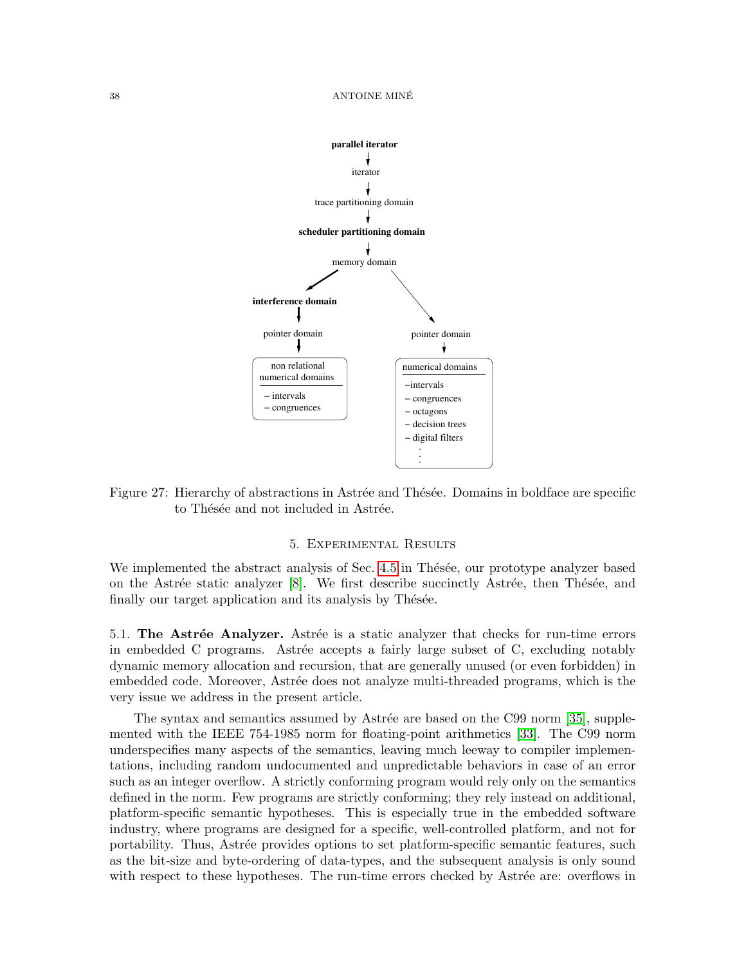

<span id="page-37-1"></span>Figure 27: Hierarchy of abstractions in Astrée and Thésée. Domains in boldface are specific to Thésée and not included in Astrée.

# 5. Experimental Results

<span id="page-37-0"></span>We implemented the abstract analysis of Sec. [4.5](#page-33-0) in Thésée, our prototype analyzer based on the Astrée static analyzer  $[8]$ . We first describe succinctly Astrée, then Thésée, and finally our target application and its analysis by Thésée.

5.1. The Astrée Analyzer. Astrée is a static analyzer that checks for run-time errors in embedded C programs. Astrée accepts a fairly large subset of C, excluding notably dynamic memory allocation and recursion, that are generally unused (or even forbidden) in embedded code. Moreover, Astrée does not analyze multi-threaded programs, which is the very issue we address in the present article.

The syntax and semantics assumed by Astrée are based on the C99 norm [\[35\]](#page-47-13), supplemented with the IEEE 754-1985 norm for floating-point arithmetics [\[33\]](#page-47-14). The C99 norm underspecifies many aspects of the semantics, leaving much leeway to compiler implementations, including random undocumented and unpredictable behaviors in case of an error such as an integer overflow. A strictly conforming program would rely only on the semantics defined in the norm. Few programs are strictly conforming; they rely instead on additional, platform-specific semantic hypotheses. This is especially true in the embedded software industry, where programs are designed for a specific, well-controlled platform, and not for portability. Thus, Astrée provides options to set platform-specific semantic features, such as the bit-size and byte-ordering of data-types, and the subsequent analysis is only sound with respect to these hypotheses. The run-time errors checked by Astrée are: overflows in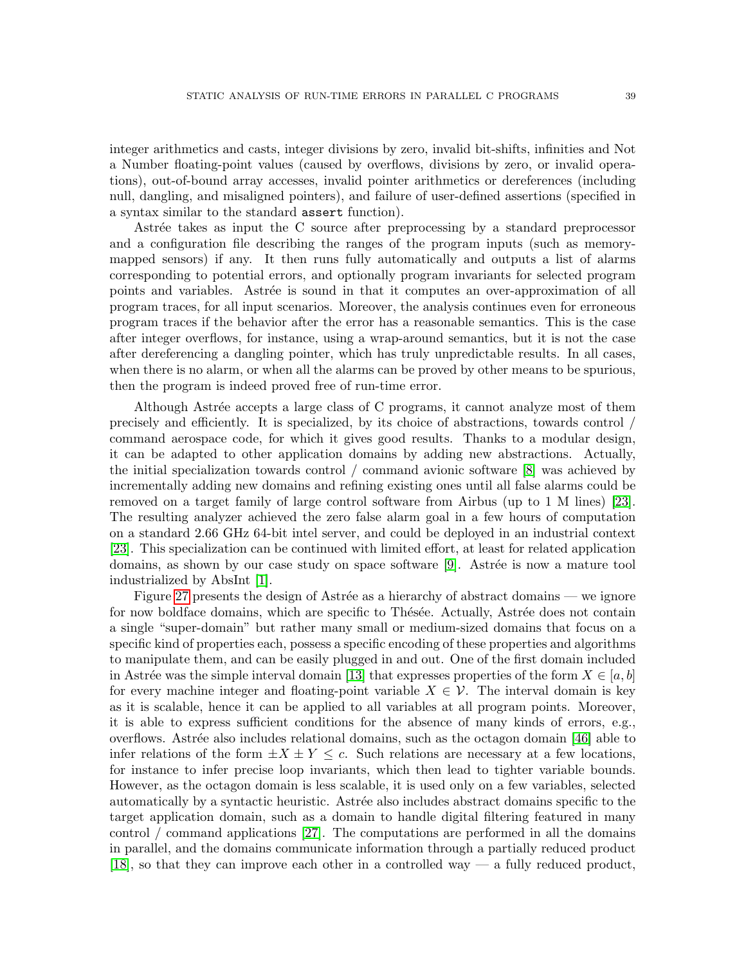integer arithmetics and casts, integer divisions by zero, invalid bit-shifts, infinities and Not a Number floating-point values (caused by overflows, divisions by zero, or invalid operations), out-of-bound array accesses, invalid pointer arithmetics or dereferences (including null, dangling, and misaligned pointers), and failure of user-defined assertions (specified in a syntax similar to the standard assert function).

Astrée takes as input the C source after preprocessing by a standard preprocessor and a configuration file describing the ranges of the program inputs (such as memorymapped sensors) if any. It then runs fully automatically and outputs a list of alarms corresponding to potential errors, and optionally program invariants for selected program points and variables. Astrée is sound in that it computes an over-approximation of all program traces, for all input scenarios. Moreover, the analysis continues even for erroneous program traces if the behavior after the error has a reasonable semantics. This is the case after integer overflows, for instance, using a wrap-around semantics, but it is not the case after dereferencing a dangling pointer, which has truly unpredictable results. In all cases, when there is no alarm, or when all the alarms can be proved by other means to be spurious, then the program is indeed proved free of run-time error.

Although Astrée accepts a large class of C programs, it cannot analyze most of them precisely and efficiently. It is specialized, by its choice of abstractions, towards control / command aerospace code, for which it gives good results. Thanks to a modular design, it can be adapted to other application domains by adding new abstractions. Actually, the initial specialization towards control / command avionic software [\[8\]](#page-46-0) was achieved by incrementally adding new domains and refining existing ones until all false alarms could be removed on a target family of large control software from Airbus (up to 1 M lines) [\[23\]](#page-46-9). The resulting analyzer achieved the zero false alarm goal in a few hours of computation on a standard 2.66 GHz 64-bit intel server, and could be deployed in an industrial context [\[23\]](#page-46-9). This specialization can be continued with limited effort, at least for related application domains, as shown by our case study on space software [\[9\]](#page-46-10). Astrée is now a mature tool industrialized by AbsInt [\[1\]](#page-45-1).

Figure [27](#page-37-1) presents the design of Astrée as a hierarchy of abstract domains — we ignore for now boldface domains, which are specific to Thésée. Actually, Astrée does not contain a single "super-domain" but rather many small or medium-sized domains that focus on a specific kind of properties each, possess a specific encoding of these properties and algorithms to manipulate them, and can be easily plugged in and out. One of the first domain included in Astrée was the simple interval domain [\[13\]](#page-46-1) that expresses properties of the form  $X \in [a, b]$ for every machine integer and floating-point variable  $X \in \mathcal{V}$ . The interval domain is key as it is scalable, hence it can be applied to all variables at all program points. Moreover, it is able to express sufficient conditions for the absence of many kinds of errors, e.g., overflows. Astrée also includes relational domains, such as the octagon domain [\[46\]](#page-47-3) able to infer relations of the form  $\pm X \pm Y \leq c$ . Such relations are necessary at a few locations, for instance to infer precise loop invariants, which then lead to tighter variable bounds. However, as the octagon domain is less scalable, it is used only on a few variables, selected automatically by a syntactic heuristic. Astrée also includes abstract domains specific to the target application domain, such as a domain to handle digital filtering featured in many control / command applications [\[27\]](#page-47-15). The computations are performed in all the domains in parallel, and the domains communicate information through a partially reduced product [\[18\]](#page-46-11), so that they can improve each other in a controlled way — a fully reduced product,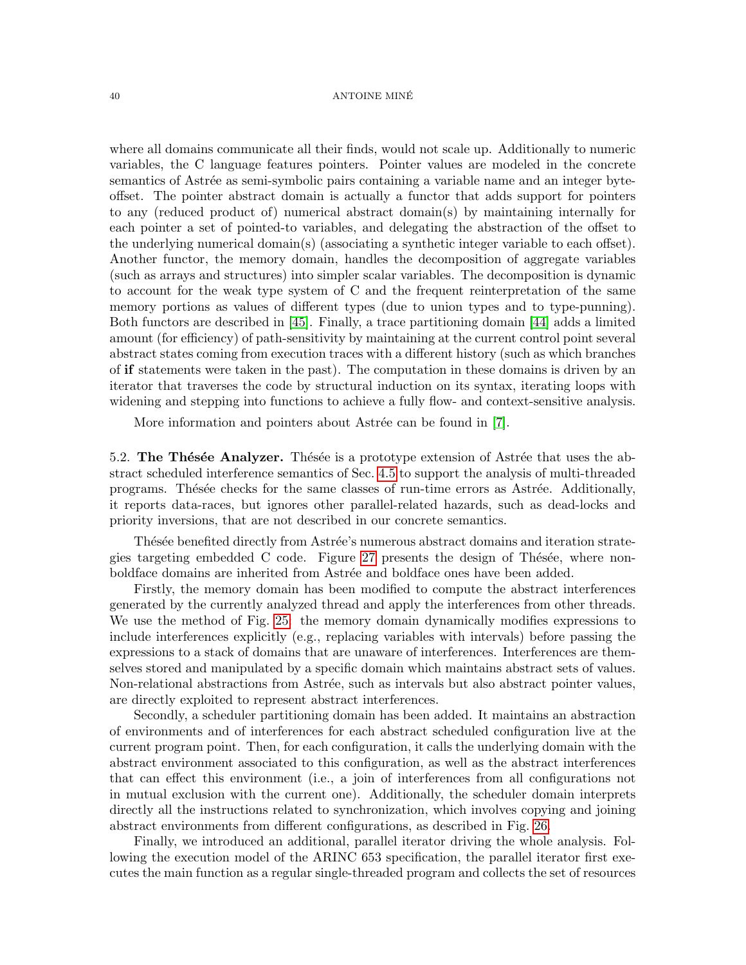#### 40 ANTOINE MINE´

where all domains communicate all their finds, would not scale up. Additionally to numeric variables, the C language features pointers. Pointer values are modeled in the concrete semantics of Astrée as semi-symbolic pairs containing a variable name and an integer byteoffset. The pointer abstract domain is actually a functor that adds support for pointers to any (reduced product of) numerical abstract domain(s) by maintaining internally for each pointer a set of pointed-to variables, and delegating the abstraction of the offset to the underlying numerical domain(s) (associating a synthetic integer variable to each offset). Another functor, the memory domain, handles the decomposition of aggregate variables (such as arrays and structures) into simpler scalar variables. The decomposition is dynamic to account for the weak type system of C and the frequent reinterpretation of the same memory portions as values of different types (due to union types and to type-punning). Both functors are described in [\[45\]](#page-47-16). Finally, a trace partitioning domain [\[44\]](#page-47-17) adds a limited amount (for efficiency) of path-sensitivity by maintaining at the current control point several abstract states coming from execution traces with a different history (such as which branches of if statements were taken in the past). The computation in these domains is driven by an iterator that traverses the code by structural induction on its syntax, iterating loops with widening and stepping into functions to achieve a fully flow- and context-sensitive analysis.

More information and pointers about Astrée can be found in [\[7\]](#page-46-2).

5.2. The Thésée Analyzer. Thésée is a prototype extension of Astrée that uses the abstract scheduled interference semantics of Sec. [4.5](#page-33-0) to support the analysis of multi-threaded programs. Thésée checks for the same classes of run-time errors as Astrée. Additionally, it reports data-races, but ignores other parallel-related hazards, such as dead-locks and priority inversions, that are not described in our concrete semantics.

Thésée benefited directly from Astrée's numerous abstract domains and iteration strate-gies targeting embedded C code. Figure [27](#page-37-1) presents the design of Thésée, where nonboldface domains are inherited from Astrée and boldface ones have been added.

Firstly, the memory domain has been modified to compute the abstract interferences generated by the currently analyzed thread and apply the interferences from other threads. We use the method of Fig. [25:](#page-34-1) the memory domain dynamically modifies expressions to include interferences explicitly (e.g., replacing variables with intervals) before passing the expressions to a stack of domains that are unaware of interferences. Interferences are themselves stored and manipulated by a specific domain which maintains abstract sets of values. Non-relational abstractions from Astrée, such as intervals but also abstract pointer values, are directly exploited to represent abstract interferences.

Secondly, a scheduler partitioning domain has been added. It maintains an abstraction of environments and of interferences for each abstract scheduled configuration live at the current program point. Then, for each configuration, it calls the underlying domain with the abstract environment associated to this configuration, as well as the abstract interferences that can effect this environment (i.e., a join of interferences from all configurations not in mutual exclusion with the current one). Additionally, the scheduler domain interprets directly all the instructions related to synchronization, which involves copying and joining abstract environments from different configurations, as described in Fig. [26.](#page-35-0)

Finally, we introduced an additional, parallel iterator driving the whole analysis. Following the execution model of the ARINC 653 specification, the parallel iterator first executes the main function as a regular single-threaded program and collects the set of resources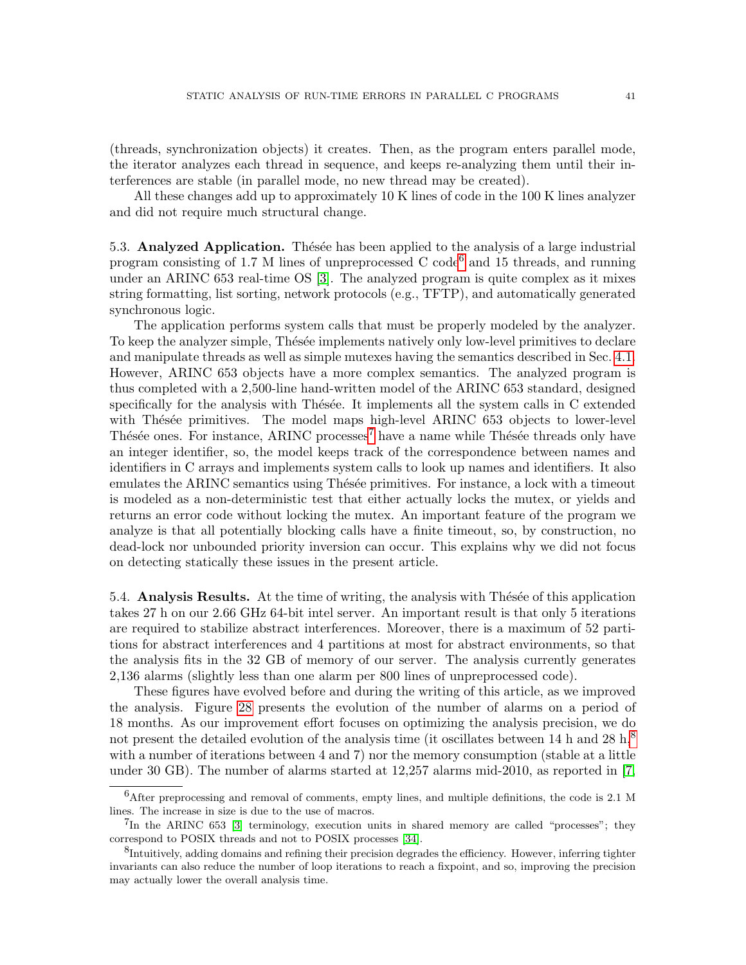(threads, synchronization objects) it creates. Then, as the program enters parallel mode, the iterator analyzes each thread in sequence, and keeps re-analyzing them until their interferences are stable (in parallel mode, no new thread may be created).

All these changes add up to approximately 10 K lines of code in the 100 K lines analyzer and did not require much structural change.

5.3. Analyzed Application. These has been applied to the analysis of a large industrial program consisting of 1.7 M lines of unpreprocessed C code<sup>[6](#page-40-0)</sup> and 15 threads, and running under an ARINC 653 real-time OS [\[3\]](#page-45-0). The analyzed program is quite complex as it mixes string formatting, list sorting, network protocols (e.g., TFTP), and automatically generated synchronous logic.

The application performs system calls that must be properly modeled by the analyzer. To keep the analyzer simple, Thésée implements natively only low-level primitives to declare and manipulate threads as well as simple mutexes having the semantics described in Sec. [4.1.](#page-20-1) However, ARINC 653 objects have a more complex semantics. The analyzed program is thus completed with a 2,500-line hand-written model of the ARINC 653 standard, designed specifically for the analysis with Thésée. It implements all the system calls in C extended with Thésée primitives. The model maps high-level ARINC 653 objects to lower-level Thésée ones. For instance, ARINC processes<sup>[7](#page-40-1)</sup> have a name while Thésée threads only have an integer identifier, so, the model keeps track of the correspondence between names and identifiers in C arrays and implements system calls to look up names and identifiers. It also emulates the ARINC semantics using These primitives. For instance, a lock with a timeout is modeled as a non-deterministic test that either actually locks the mutex, or yields and returns an error code without locking the mutex. An important feature of the program we analyze is that all potentially blocking calls have a finite timeout, so, by construction, no dead-lock nor unbounded priority inversion can occur. This explains why we did not focus on detecting statically these issues in the present article.

5.4. **Analysis Results.** At the time of writing, the analysis with Thésée of this application takes 27 h on our 2.66 GHz 64-bit intel server. An important result is that only 5 iterations are required to stabilize abstract interferences. Moreover, there is a maximum of 52 partitions for abstract interferences and 4 partitions at most for abstract environments, so that the analysis fits in the 32 GB of memory of our server. The analysis currently generates 2,136 alarms (slightly less than one alarm per 800 lines of unpreprocessed code).

These figures have evolved before and during the writing of this article, as we improved the analysis. Figure [28](#page-41-0) presents the evolution of the number of alarms on a period of 18 months. As our improvement effort focuses on optimizing the analysis precision, we do not present the detailed evolution of the analysis time (it oscillates between 14 h and 2[8](#page-40-2) h,<sup>8</sup>) with a number of iterations between 4 and 7) nor the memory consumption (stable at a little under 30 GB). The number of alarms started at 12,257 alarms mid-2010, as reported in [\[7,](#page-46-2)

<span id="page-40-0"></span> ${}^{6}$ After preprocessing and removal of comments, empty lines, and multiple definitions, the code is 2.1 M lines. The increase in size is due to the use of macros.

<span id="page-40-1"></span><sup>&</sup>lt;sup>7</sup>In the ARINC 653 [\[3\]](#page-45-0) terminology, execution units in shared memory are called "processes"; they correspond to POSIX threads and not to POSIX processes [\[34\]](#page-47-1).

<span id="page-40-2"></span><sup>&</sup>lt;sup>8</sup>Intuitively, adding domains and refining their precision degrades the efficiency. However, inferring tighter invariants can also reduce the number of loop iterations to reach a fixpoint, and so, improving the precision may actually lower the overall analysis time.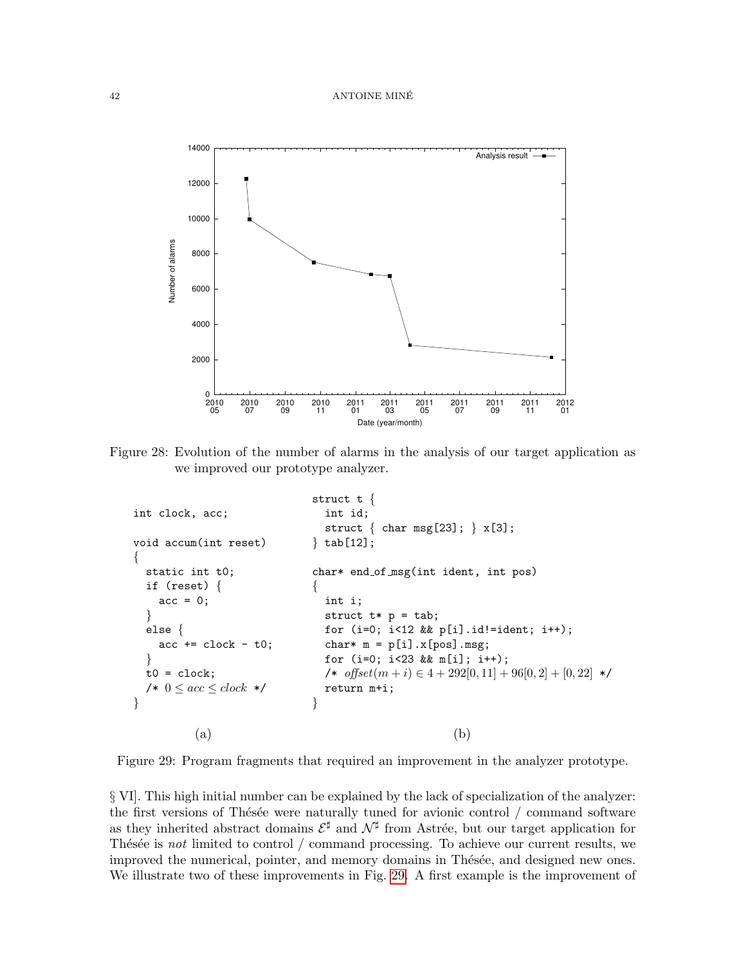### 42 ANTOINE MINE´



<span id="page-41-0"></span>Figure 28: Evolution of the number of alarms in the analysis of our target application as we improved our prototype analyzer.

```
int clock, acc;
void accum(int reset)
{
 static int t0;
 if (reset) {
   acc = 0;
  }
  else {
    acc += clock - t0;}
 t0 = clock;/* 0 < acc < clock */
}
                           struct t {
                              int id;
                              struct \{char msg[23]; \} x[3];\} tab[12];
                            char* end of msg(int ident, int pos)
                            \{int i;
                              struct t * p = tab;for (i=0; i<12 && p[i].id!=ident; i++);
                              char* m = p[i].x[pos].msg;for (i=0; i<23 && m[i]; i++);
                              /* offset(m + i) ∈ 4 + 292[0, 11] + 96[0, 2] + [0, 22] */
                             return m+i;
                            }
         (a) (b)
```
<span id="page-41-1"></span>Figure 29: Program fragments that required an improvement in the analyzer prototype.

§ VI]. This high initial number can be explained by the lack of specialization of the analyzer: the first versions of Thésée were naturally tuned for avionic control  $/$  command software as they inherited abstract domains  $\mathcal{E}^{\sharp}$  and  $\mathcal{N}^{\sharp}$  from Astrée, but our target application for Thésée is not limited to control  $/$  command processing. To achieve our current results, we improved the numerical, pointer, and memory domains in Thésée, and designed new ones. We illustrate two of these improvements in Fig. [29.](#page-41-1) A first example is the improvement of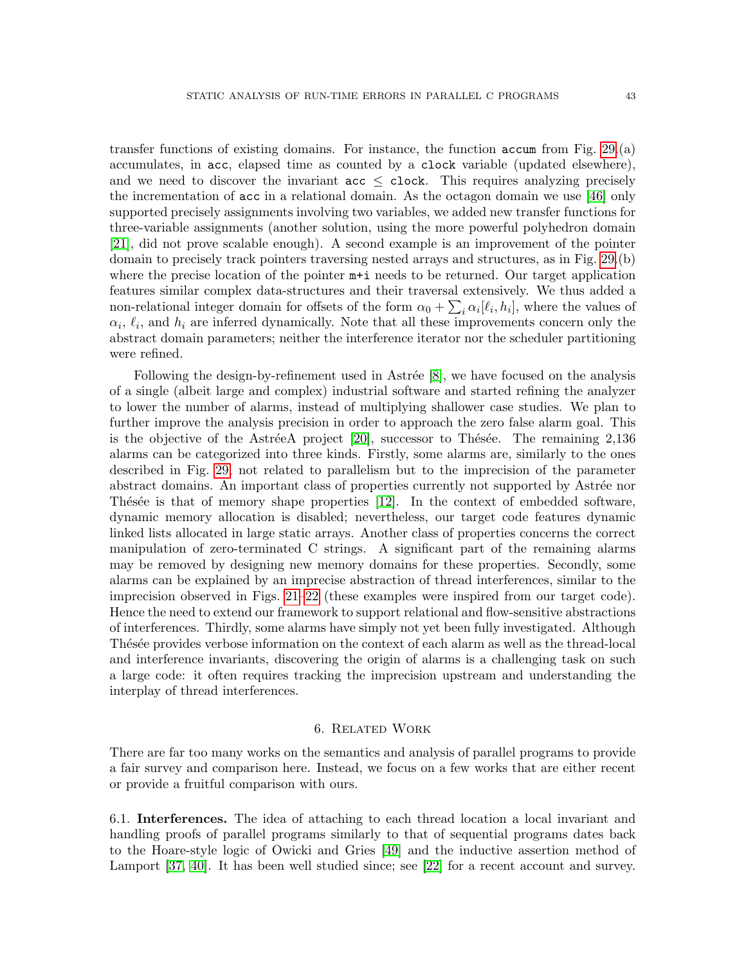transfer functions of existing domains. For instance, the function accum from Fig. [29.](#page-41-1)(a) accumulates, in acc, elapsed time as counted by a clock variable (updated elsewhere), and we need to discover the invariant  $acc \leq clock$ . This requires analyzing precisely the incrementation of acc in a relational domain. As the octagon domain we use [\[46\]](#page-47-3) only supported precisely assignments involving two variables, we added new transfer functions for three-variable assignments (another solution, using the more powerful polyhedron domain [\[21\]](#page-46-6), did not prove scalable enough). A second example is an improvement of the pointer domain to precisely track pointers traversing nested arrays and structures, as in Fig. [29.](#page-41-1)(b) where the precise location of the pointer  $m+i$  needs to be returned. Our target application features similar complex data-structures and their traversal extensively. We thus added a non-relational integer domain for offsets of the form  $\alpha_0 + \sum_i \alpha_i [\ell_i, h_i]$ , where the values of  $\alpha_i, \ell_i$ , and  $h_i$  are inferred dynamically. Note that all these improvements concern only the abstract domain parameters; neither the interference iterator nor the scheduler partitioning were refined.

Following the design-by-refinement used in Astrée  $[8]$ , we have focused on the analysis of a single (albeit large and complex) industrial software and started refining the analyzer to lower the number of alarms, instead of multiplying shallower case studies. We plan to further improve the analysis precision in order to approach the zero false alarm goal. This is the objective of the AstréeA project  $[20]$ , successor to Thésée. The remaining 2,136 alarms can be categorized into three kinds. Firstly, some alarms are, similarly to the ones described in Fig. [29,](#page-41-1) not related to parallelism but to the imprecision of the parameter abstract domains. An important class of properties currently not supported by Astrée nor Thésée is that of memory shape properties  $[12]$ . In the context of embedded software, dynamic memory allocation is disabled; nevertheless, our target code features dynamic linked lists allocated in large static arrays. Another class of properties concerns the correct manipulation of zero-terminated C strings. A significant part of the remaining alarms may be removed by designing new memory domains for these properties. Secondly, some alarms can be explained by an imprecise abstraction of thread interferences, similar to the imprecision observed in Figs. [21–](#page-32-1)[22](#page-33-1) (these examples were inspired from our target code). Hence the need to extend our framework to support relational and flow-sensitive abstractions of interferences. Thirdly, some alarms have simply not yet been fully investigated. Although Thésée provides verbose information on the context of each alarm as well as the thread-local and interference invariants, discovering the origin of alarms is a challenging task on such a large code: it often requires tracking the imprecision upstream and understanding the interplay of thread interferences.

## 6. Related Work

<span id="page-42-0"></span>There are far too many works on the semantics and analysis of parallel programs to provide a fair survey and comparison here. Instead, we focus on a few works that are either recent or provide a fruitful comparison with ours.

6.1. Interferences. The idea of attaching to each thread location a local invariant and handling proofs of parallel programs similarly to that of sequential programs dates back to the Hoare-style logic of Owicki and Gries [\[49\]](#page-48-3) and the inductive assertion method of Lamport [\[37,](#page-47-7) [40\]](#page-47-8). It has been well studied since; see [\[22\]](#page-46-14) for a recent account and survey.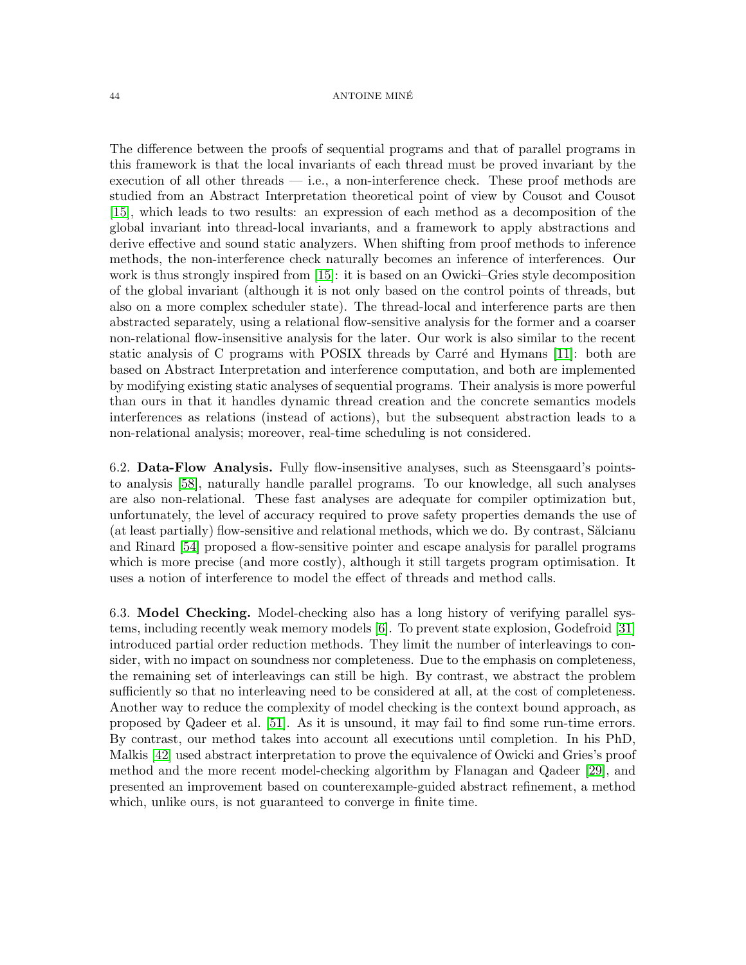### 44 ANTOINE MINE´

The difference between the proofs of sequential programs and that of parallel programs in this framework is that the local invariants of each thread must be proved invariant by the execution of all other threads  $-$  i.e., a non-interference check. These proof methods are studied from an Abstract Interpretation theoretical point of view by Cousot and Cousot [\[15\]](#page-46-8), which leads to two results: an expression of each method as a decomposition of the global invariant into thread-local invariants, and a framework to apply abstractions and derive effective and sound static analyzers. When shifting from proof methods to inference methods, the non-interference check naturally becomes an inference of interferences. Our work is thus strongly inspired from [\[15\]](#page-46-8): it is based on an Owicki–Gries style decomposition of the global invariant (although it is not only based on the control points of threads, but also on a more complex scheduler state). The thread-local and interference parts are then abstracted separately, using a relational flow-sensitive analysis for the former and a coarser non-relational flow-insensitive analysis for the later. Our work is also similar to the recent static analysis of C programs with POSIX threads by Carré and Hymans  $[11]$ : both are based on Abstract Interpretation and interference computation, and both are implemented by modifying existing static analyses of sequential programs. Their analysis is more powerful than ours in that it handles dynamic thread creation and the concrete semantics models interferences as relations (instead of actions), but the subsequent abstraction leads to a non-relational analysis; moreover, real-time scheduling is not considered.

6.2. Data-Flow Analysis. Fully flow-insensitive analyses, such as Steensgaard's pointsto analysis [\[58\]](#page-48-7), naturally handle parallel programs. To our knowledge, all such analyses are also non-relational. These fast analyses are adequate for compiler optimization but, unfortunately, the level of accuracy required to prove safety properties demands the use of (at least partially) flow-sensitive and relational methods, which we do. By contrast, Sălcianu and Rinard [\[54\]](#page-48-8) proposed a flow-sensitive pointer and escape analysis for parallel programs which is more precise (and more costly), although it still targets program optimisation. It uses a notion of interference to model the effect of threads and method calls.

6.3. Model Checking. Model-checking also has a long history of verifying parallel systems, including recently weak memory models [\[6\]](#page-46-16). To prevent state explosion, Godefroid [\[31\]](#page-47-18) introduced partial order reduction methods. They limit the number of interleavings to consider, with no impact on soundness nor completeness. Due to the emphasis on completeness, the remaining set of interleavings can still be high. By contrast, we abstract the problem sufficiently so that no interleaving need to be considered at all, at the cost of completeness. Another way to reduce the complexity of model checking is the context bound approach, as proposed by Qadeer et al. [\[51\]](#page-48-9). As it is unsound, it may fail to find some run-time errors. By contrast, our method takes into account all executions until completion. In his PhD, Malkis [\[42\]](#page-47-19) used abstract interpretation to prove the equivalence of Owicki and Gries's proof method and the more recent model-checking algorithm by Flanagan and Qadeer [\[29\]](#page-47-20), and presented an improvement based on counterexample-guided abstract refinement, a method which, unlike ours, is not guaranteed to converge in finite time.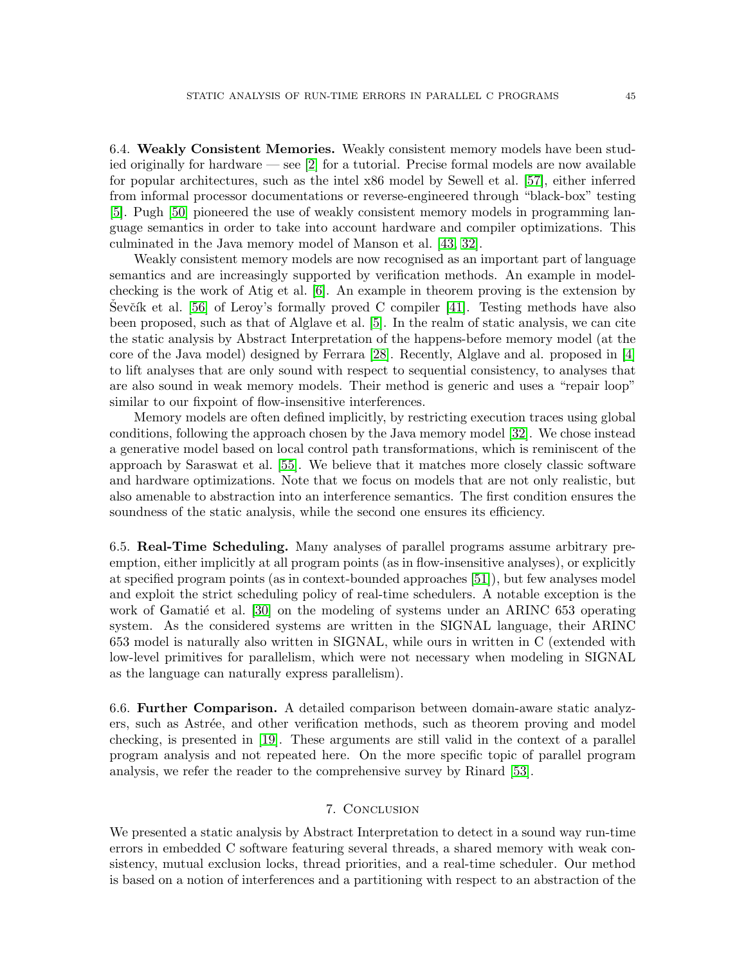6.4. Weakly Consistent Memories. Weakly consistent memory models have been studied originally for hardware — see [\[2\]](#page-45-2) for a tutorial. Precise formal models are now available for popular architectures, such as the intel x86 model by Sewell et al. [\[57\]](#page-48-6), either inferred from informal processor documentations or reverse-engineered through "black-box" testing [\[5\]](#page-46-17). Pugh [\[50\]](#page-48-10) pioneered the use of weakly consistent memory models in programming language semantics in order to take into account hardware and compiler optimizations. This culminated in the Java memory model of Manson et al. [\[43,](#page-47-12) [32\]](#page-47-21).

Weakly consistent memory models are now recognised as an important part of language semantics and are increasingly supported by verification methods. An example in modelchecking is the work of Atig et al. [\[6\]](#page-46-16). An example in theorem proving is the extension by Sevčík et al. [\[56\]](#page-48-11) of Leroy's formally proved C compiler [\[41\]](#page-47-22). Testing methods have also been proposed, such as that of Alglave et al. [\[5\]](#page-46-17). In the realm of static analysis, we can cite the static analysis by Abstract Interpretation of the happens-before memory model (at the core of the Java model) designed by Ferrara [\[28\]](#page-47-23). Recently, Alglave and al. proposed in [\[4\]](#page-45-3) to lift analyses that are only sound with respect to sequential consistency, to analyses that are also sound in weak memory models. Their method is generic and uses a "repair loop" similar to our fixpoint of flow-insensitive interferences.

Memory models are often defined implicitly, by restricting execution traces using global conditions, following the approach chosen by the Java memory model [\[32\]](#page-47-21). We chose instead a generative model based on local control path transformations, which is reminiscent of the approach by Saraswat et al. [\[55\]](#page-48-5). We believe that it matches more closely classic software and hardware optimizations. Note that we focus on models that are not only realistic, but also amenable to abstraction into an interference semantics. The first condition ensures the soundness of the static analysis, while the second one ensures its efficiency.

6.5. Real-Time Scheduling. Many analyses of parallel programs assume arbitrary preemption, either implicitly at all program points (as in flow-insensitive analyses), or explicitly at specified program points (as in context-bounded approaches [\[51\]](#page-48-9)), but few analyses model and exploit the strict scheduling policy of real-time schedulers. A notable exception is the work of Gamatié et al.  $[30]$  on the modeling of systems under an ARINC 653 operating system. As the considered systems are written in the SIGNAL language, their ARINC 653 model is naturally also written in SIGNAL, while ours in written in C (extended with low-level primitives for parallelism, which were not necessary when modeling in SIGNAL as the language can naturally express parallelism).

6.6. Further Comparison. A detailed comparison between domain-aware static analyzers, such as Astrée, and other verification methods, such as theorem proving and model checking, is presented in [\[19\]](#page-46-18). These arguments are still valid in the context of a parallel program analysis and not repeated here. On the more specific topic of parallel program analysis, we refer the reader to the comprehensive survey by Rinard [\[53\]](#page-48-12).

## 7. Conclusion

<span id="page-44-0"></span>We presented a static analysis by Abstract Interpretation to detect in a sound way run-time errors in embedded C software featuring several threads, a shared memory with weak consistency, mutual exclusion locks, thread priorities, and a real-time scheduler. Our method is based on a notion of interferences and a partitioning with respect to an abstraction of the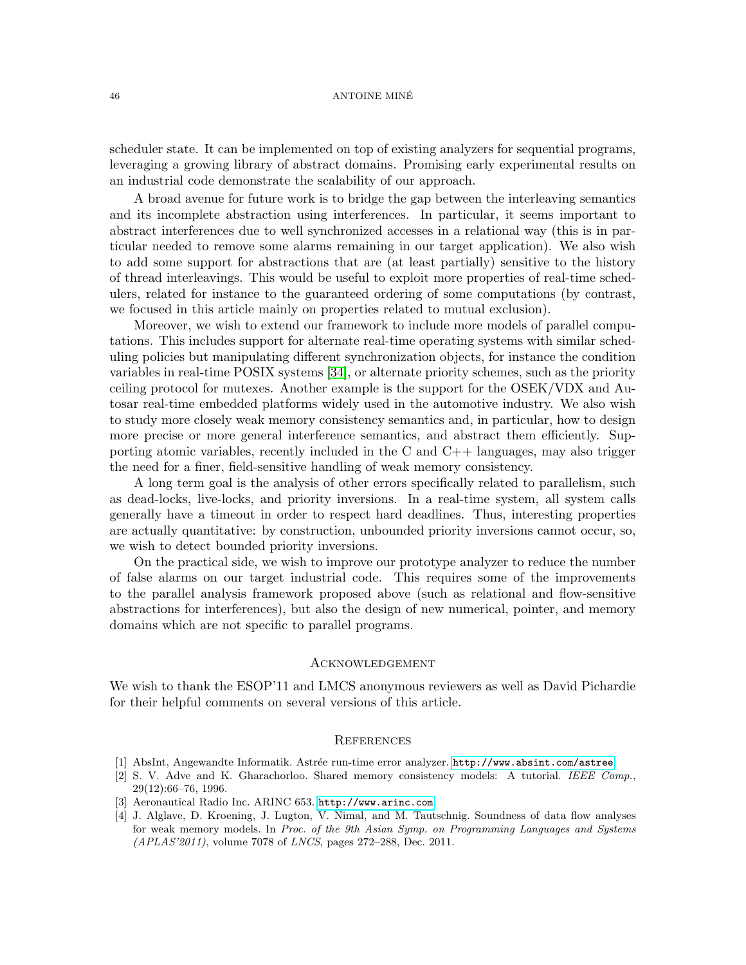#### 46 ANTOINE MINE´

scheduler state. It can be implemented on top of existing analyzers for sequential programs, leveraging a growing library of abstract domains. Promising early experimental results on an industrial code demonstrate the scalability of our approach.

A broad avenue for future work is to bridge the gap between the interleaving semantics and its incomplete abstraction using interferences. In particular, it seems important to abstract interferences due to well synchronized accesses in a relational way (this is in particular needed to remove some alarms remaining in our target application). We also wish to add some support for abstractions that are (at least partially) sensitive to the history of thread interleavings. This would be useful to exploit more properties of real-time schedulers, related for instance to the guaranteed ordering of some computations (by contrast, we focused in this article mainly on properties related to mutual exclusion).

Moreover, we wish to extend our framework to include more models of parallel computations. This includes support for alternate real-time operating systems with similar scheduling policies but manipulating different synchronization objects, for instance the condition variables in real-time POSIX systems [\[34\]](#page-47-1), or alternate priority schemes, such as the priority ceiling protocol for mutexes. Another example is the support for the OSEK/VDX and Autosar real-time embedded platforms widely used in the automotive industry. We also wish to study more closely weak memory consistency semantics and, in particular, how to design more precise or more general interference semantics, and abstract them efficiently. Supporting atomic variables, recently included in the C and  $C_{++}$  languages, may also trigger the need for a finer, field-sensitive handling of weak memory consistency.

A long term goal is the analysis of other errors specifically related to parallelism, such as dead-locks, live-locks, and priority inversions. In a real-time system, all system calls generally have a timeout in order to respect hard deadlines. Thus, interesting properties are actually quantitative: by construction, unbounded priority inversions cannot occur, so, we wish to detect bounded priority inversions.

On the practical side, we wish to improve our prototype analyzer to reduce the number of false alarms on our target industrial code. This requires some of the improvements to the parallel analysis framework proposed above (such as relational and flow-sensitive abstractions for interferences), but also the design of new numerical, pointer, and memory domains which are not specific to parallel programs.

## **ACKNOWLEDGEMENT**

We wish to thank the ESOP'11 and LMCS anonymous reviewers as well as David Pichardie for their helpful comments on several versions of this article.

#### **REFERENCES**

- <span id="page-45-1"></span>[1] AbsInt, Angewandte Informatik. Astrée run-time error analyzer. <http://www.absint.com/astree>.
- <span id="page-45-2"></span>[2] S. V. Adve and K. Gharachorloo. Shared memory consistency models: A tutorial. IEEE Comp., 29(12):66–76, 1996.
- <span id="page-45-0"></span>[3] Aeronautical Radio Inc. ARINC 653. <http://www.arinc.com>.
- <span id="page-45-3"></span>[4] J. Alglave, D. Kroening, J. Lugton, V. Nimal, and M. Tautschnig. Soundness of data flow analyses for weak memory models. In Proc. of the 9th Asian Symp. on Programming Languages and Systems (APLAS'2011), volume 7078 of LNCS, pages 272–288, Dec. 2011.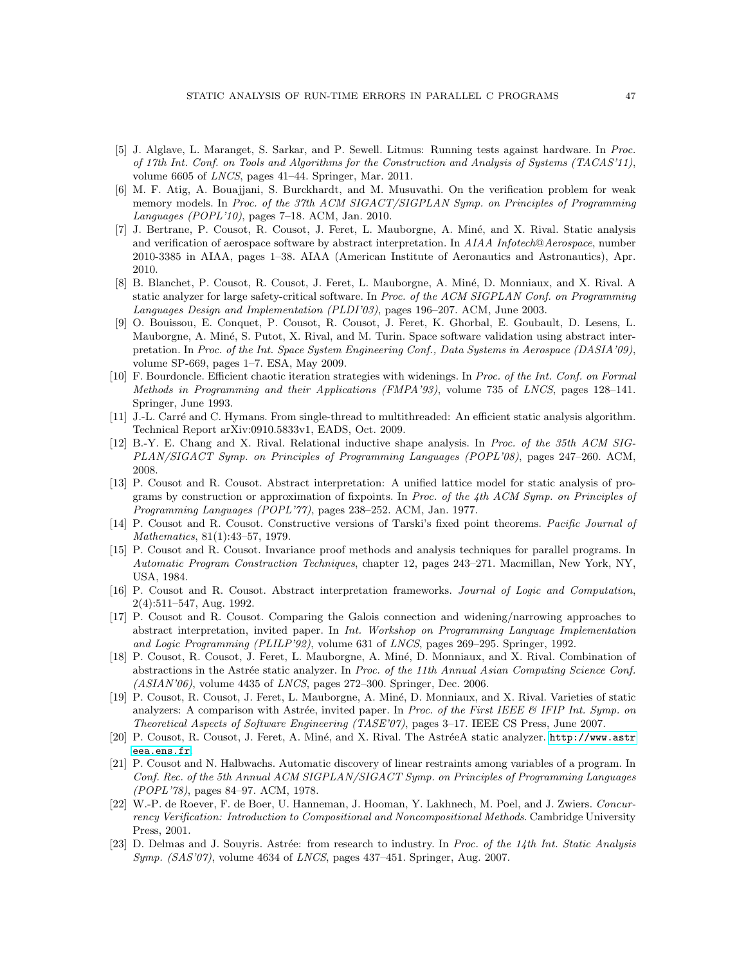- <span id="page-46-17"></span>[5] J. Alglave, L. Maranget, S. Sarkar, and P. Sewell. Litmus: Running tests against hardware. In Proc. of 17th Int. Conf. on Tools and Algorithms for the Construction and Analysis of Systems (TACAS'11), volume 6605 of LNCS, pages 41–44. Springer, Mar. 2011.
- <span id="page-46-16"></span>[6] M. F. Atig, A. Bouajjani, S. Burckhardt, and M. Musuvathi. On the verification problem for weak memory models. In Proc. of the 37th ACM SIGACT/SIGPLAN Symp. on Principles of Programming Languages (POPL'10), pages 7–18. ACM, Jan. 2010.
- <span id="page-46-2"></span>[7] J. Bertrane, P. Cousot, R. Cousot, J. Feret, L. Mauborgne, A. Min´e, and X. Rival. Static analysis and verification of aerospace software by abstract interpretation. In AIAA Infotech@Aerospace, number 2010-3385 in AIAA, pages 1–38. AIAA (American Institute of Aeronautics and Astronautics), Apr. 2010.
- <span id="page-46-0"></span>[8] B. Blanchet, P. Cousot, R. Cousot, J. Feret, L. Mauborgne, A. Miné, D. Monniaux, and X. Rival. A static analyzer for large safety-critical software. In Proc. of the ACM SIGPLAN Conf. on Programming Languages Design and Implementation (PLDI'03), pages 196–207. ACM, June 2003.
- <span id="page-46-10"></span>[9] O. Bouissou, E. Conquet, P. Cousot, R. Cousot, J. Feret, K. Ghorbal, E. Goubault, D. Lesens, L. Mauborgne, A. Miné, S. Putot, X. Rival, and M. Turin. Space software validation using abstract interpretation. In Proc. of the Int. Space System Engineering Conf., Data Systems in Aerospace (DASIA'09), volume SP-669, pages 1–7. ESA, May 2009.
- <span id="page-46-7"></span>[10] F. Bourdoncle. Efficient chaotic iteration strategies with widenings. In Proc. of the Int. Conf. on Formal Methods in Programming and their Applications (FMPA'93), volume 735 of LNCS, pages 128–141. Springer, June 1993.
- <span id="page-46-15"></span>[11] J.-L. Carré and C. Hymans. From single-thread to multithreaded: An efficient static analysis algorithm. Technical Report arXiv:0910.5833v1, EADS, Oct. 2009.
- <span id="page-46-13"></span>[12] B.-Y. E. Chang and X. Rival. Relational inductive shape analysis. In Proc. of the 35th ACM SIG-PLAN/SIGACT Symp. on Principles of Programming Languages (POPL'08), pages 247–260. ACM, 2008.
- <span id="page-46-1"></span>[13] P. Cousot and R. Cousot. Abstract interpretation: A unified lattice model for static analysis of programs by construction or approximation of fixpoints. In Proc. of the 4th ACM Symp. on Principles of Programming Languages (POPL'77), pages 238–252. ACM, Jan. 1977.
- <span id="page-46-3"></span>[14] P. Cousot and R. Cousot. Constructive versions of Tarski's fixed point theorems. Pacific Journal of Mathematics, 81(1):43–57, 1979.
- <span id="page-46-8"></span>[15] P. Cousot and R. Cousot. Invariance proof methods and analysis techniques for parallel programs. In Automatic Program Construction Techniques, chapter 12, pages 243–271. Macmillan, New York, NY, USA, 1984.
- <span id="page-46-4"></span>[16] P. Cousot and R. Cousot. Abstract interpretation frameworks. Journal of Logic and Computation, 2(4):511–547, Aug. 1992.
- <span id="page-46-5"></span>[17] P. Cousot and R. Cousot. Comparing the Galois connection and widening/narrowing approaches to abstract interpretation, invited paper. In Int. Workshop on Programming Language Implementation and Logic Programming (PLILP'92), volume 631 of LNCS, pages 269–295. Springer, 1992.
- <span id="page-46-11"></span>[18] P. Cousot, R. Cousot, J. Feret, L. Mauborgne, A. Miné, D. Monniaux, and X. Rival. Combination of abstractions in the Astrée static analyzer. In Proc. of the 11th Annual Asian Computing Science Conf.  $(ASIAN'06)$ , volume 4435 of *LNCS*, pages 272–300. Springer, Dec. 2006.
- <span id="page-46-18"></span>[19] P. Cousot, R. Cousot, J. Feret, L. Mauborgne, A. Min´e, D. Monniaux, and X. Rival. Varieties of static analyzers: A comparison with Astrée, invited paper. In Proc. of the First IEEE  $\&$  IFIP Int. Symp. on Theoretical Aspects of Software Engineering (TASE'07), pages 3–17. IEEE CS Press, June 2007.
- <span id="page-46-12"></span>[20] P. Cousot, R. Cousot, J. Feret, A. Miné, and X. Rival. The AstréeA static analyzer. [http://www.astr](http://www.astreea.ens.fr) [eea.ens.fr](http://www.astreea.ens.fr).
- <span id="page-46-6"></span>[21] P. Cousot and N. Halbwachs. Automatic discovery of linear restraints among variables of a program. In Conf. Rec. of the 5th Annual ACM SIGPLAN/SIGACT Symp. on Principles of Programming Languages (POPL'78), pages 84–97. ACM, 1978.
- <span id="page-46-14"></span>[22] W.-P. de Roever, F. de Boer, U. Hanneman, J. Hooman, Y. Lakhnech, M. Poel, and J. Zwiers. Concurrency Verification: Introduction to Compositional and Noncompositional Methods. Cambridge University Press, 2001.
- <span id="page-46-9"></span>[23] D. Delmas and J. Souyris. Astrée: from research to industry. In Proc. of the 14th Int. Static Analysis Symp. (SAS'07), volume 4634 of LNCS, pages 437–451. Springer, Aug. 2007.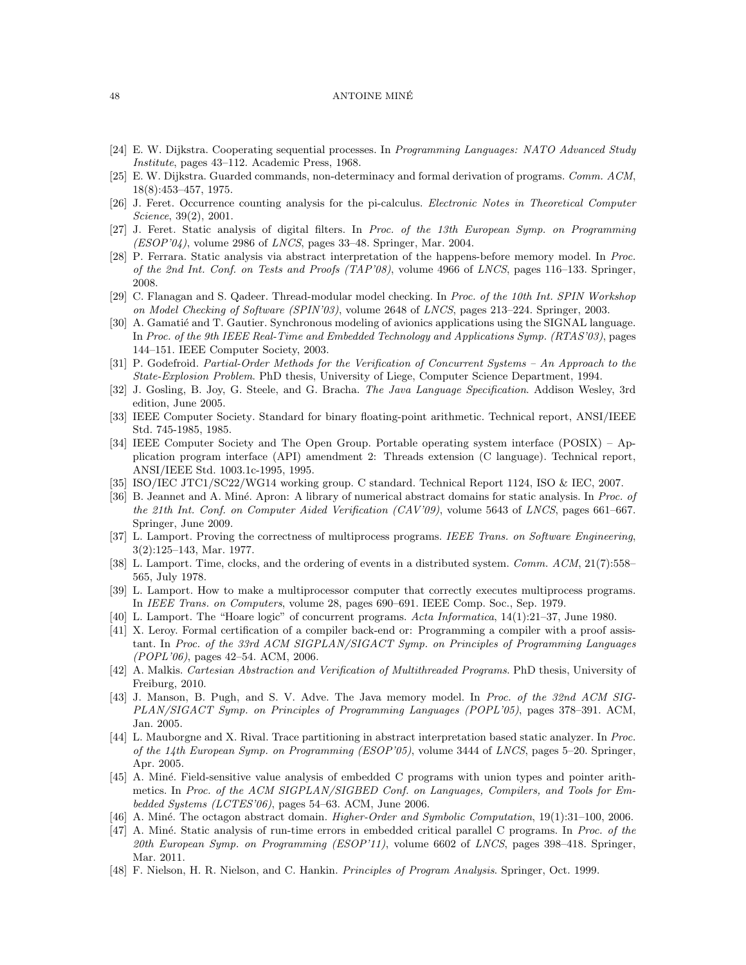#### 48 ANTOINE MINE´

- <span id="page-47-6"></span>[24] E. W. Dijkstra. Cooperating sequential processes. In Programming Languages: NATO Advanced Study Institute, pages 43–112. Academic Press, 1968.
- <span id="page-47-2"></span>[25] E. W. Dijkstra. Guarded commands, non-determinacy and formal derivation of programs. Comm. ACM, 18(8):453–457, 1975.
- <span id="page-47-10"></span>[26] J. Feret. Occurrence counting analysis for the pi-calculus. Electronic Notes in Theoretical Computer Science, 39(2), 2001.
- <span id="page-47-15"></span>[27] J. Feret. Static analysis of digital filters. In Proc. of the 13th European Symp. on Programming  $(ESOP'04)$ , volume 2986 of *LNCS*, pages 33–48. Springer, Mar. 2004.
- <span id="page-47-23"></span>[28] P. Ferrara. Static analysis via abstract interpretation of the happens-before memory model. In Proc. of the 2nd Int. Conf. on Tests and Proofs (TAP'08), volume 4966 of LNCS, pages 116–133. Springer, 2008.
- <span id="page-47-20"></span>[29] C. Flanagan and S. Qadeer. Thread-modular model checking. In Proc. of the 10th Int. SPIN Workshop on Model Checking of Software (SPIN'03), volume 2648 of LNCS, pages 213–224. Springer, 2003.
- <span id="page-47-24"></span>[30] A. Gamatié and T. Gautier. Synchronous modeling of avionics applications using the SIGNAL language. In Proc. of the 9th IEEE Real-Time and Embedded Technology and Applications Symp. (RTAS'03), pages 144–151. IEEE Computer Society, 2003.
- <span id="page-47-18"></span>[31] P. Godefroid. Partial-Order Methods for the Verification of Concurrent Systems – An Approach to the State-Explosion Problem. PhD thesis, University of Liege, Computer Science Department, 1994.
- <span id="page-47-21"></span>[32] J. Gosling, B. Joy, G. Steele, and G. Bracha. The Java Language Specification. Addison Wesley, 3rd edition, June 2005.
- <span id="page-47-14"></span>[33] IEEE Computer Society. Standard for binary floating-point arithmetic. Technical report, ANSI/IEEE Std. 745-1985, 1985.
- <span id="page-47-1"></span>[34] IEEE Computer Society and The Open Group. Portable operating system interface (POSIX) – Application program interface (API) amendment 2: Threads extension (C language). Technical report, ANSI/IEEE Std. 1003.1c-1995, 1995.
- <span id="page-47-13"></span>[35] ISO/IEC JTC1/SC22/WG14 working group. C standard. Technical Report 1124, ISO & IEC, 2007.
- <span id="page-47-9"></span>[36] B. Jeannet and A. Miné. Apron: A library of numerical abstract domains for static analysis. In Proc. of the 21th Int. Conf. on Computer Aided Verification (CAV'09), volume 5643 of LNCS, pages 661–667. Springer, June 2009.
- <span id="page-47-7"></span>[37] L. Lamport. Proving the correctness of multiprocess programs. IEEE Trans. on Software Engineering, 3(2):125–143, Mar. 1977.
- <span id="page-47-11"></span>[38] L. Lamport. Time, clocks, and the ordering of events in a distributed system. Comm. ACM, 21(7):558– 565, July 1978.
- <span id="page-47-5"></span>[39] L. Lamport. How to make a multiprocessor computer that correctly executes multiprocess programs. In IEEE Trans. on Computers, volume 28, pages 690–691. IEEE Comp. Soc., Sep. 1979.
- <span id="page-47-8"></span>[40] L. Lamport. The "Hoare logic" of concurrent programs. Acta Informatica, 14(1):21–37, June 1980.
- <span id="page-47-22"></span>[41] X. Leroy. Formal certification of a compiler back-end or: Programming a compiler with a proof assistant. In Proc. of the 33rd ACM SIGPLAN/SIGACT Symp. on Principles of Programming Languages (POPL'06), pages 42–54. ACM, 2006.
- <span id="page-47-19"></span>[42] A. Malkis. Cartesian Abstraction and Verification of Multithreaded Programs. PhD thesis, University of Freiburg, 2010.
- <span id="page-47-12"></span>[43] J. Manson, B. Pugh, and S. V. Adve. The Java memory model. In Proc. of the 32nd ACM SIG-PLAN/SIGACT Symp. on Principles of Programming Languages (POPL'05), pages 378–391. ACM, Jan. 2005.
- <span id="page-47-17"></span>[44] L. Mauborgne and X. Rival. Trace partitioning in abstract interpretation based static analyzer. In Proc. of the 14th European Symp. on Programming (ESOP'05), volume 3444 of LNCS, pages 5–20. Springer, Apr. 2005.
- <span id="page-47-16"></span>[45] A. Miné. Field-sensitive value analysis of embedded C programs with union types and pointer arithmetics. In Proc. of the ACM SIGPLAN/SIGBED Conf. on Languages, Compilers, and Tools for Embedded Systems (LCTES'06), pages 54–63. ACM, June 2006.
- <span id="page-47-3"></span>[46] A. Miné. The octagon abstract domain. *Higher-Order and Symbolic Computation*, 19(1):31–100, 2006.
- <span id="page-47-0"></span>[47] A. Miné. Static analysis of run-time errors in embedded critical parallel C programs. In Proc. of the 20th European Symp. on Programming (ESOP'11), volume 6602 of LNCS, pages 398–418. Springer, Mar. 2011.
- <span id="page-47-4"></span>[48] F. Nielson, H. R. Nielson, and C. Hankin. Principles of Program Analysis. Springer, Oct. 1999.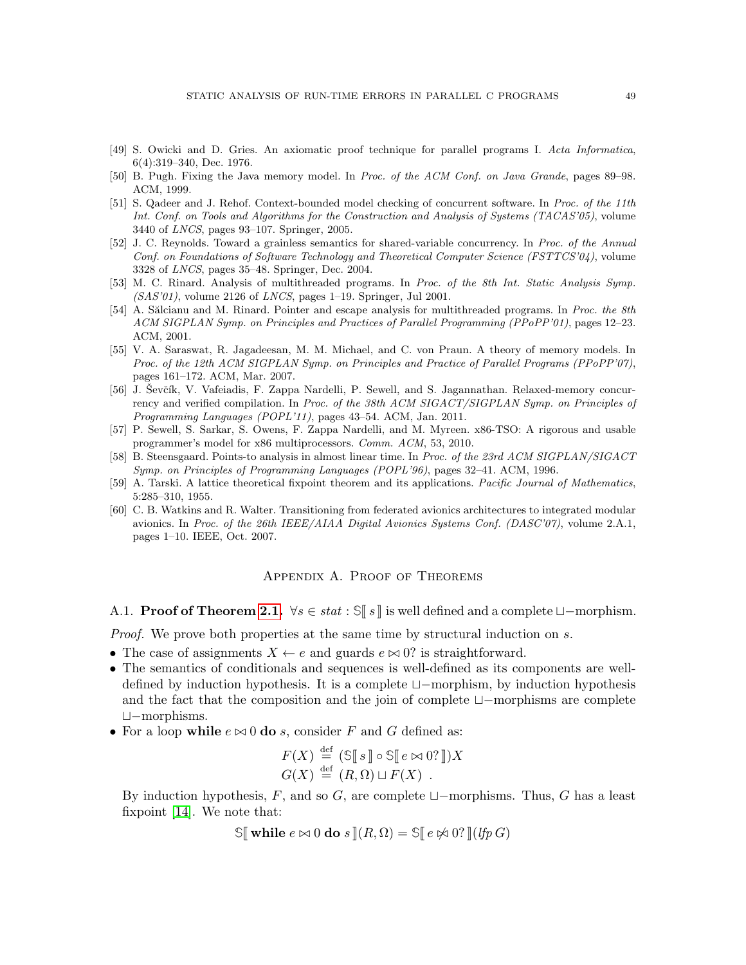- <span id="page-48-3"></span>[49] S. Owicki and D. Gries. An axiomatic proof technique for parallel programs I. Acta Informatica, 6(4):319–340, Dec. 1976.
- <span id="page-48-10"></span>[50] B. Pugh. Fixing the Java memory model. In Proc. of the ACM Conf. on Java Grande, pages 89–98. ACM, 1999.
- <span id="page-48-9"></span>[51] S. Qadeer and J. Rehof. Context-bounded model checking of concurrent software. In Proc. of the 11th Int. Conf. on Tools and Algorithms for the Construction and Analysis of Systems (TACAS'05), volume 3440 of LNCS, pages 93–107. Springer, 2005.
- <span id="page-48-4"></span>[52] J. C. Reynolds. Toward a grainless semantics for shared-variable concurrency. In Proc. of the Annual Conf. on Foundations of Software Technology and Theoretical Computer Science (FSTTCS'04), volume 3328 of LNCS, pages 35–48. Springer, Dec. 2004.
- <span id="page-48-12"></span>[53] M. C. Rinard. Analysis of multithreaded programs. In Proc. of the 8th Int. Static Analysis Symp.  $(SAS'01)$ , volume 2126 of *LNCS*, pages 1–19. Springer, Jul 2001.
- <span id="page-48-8"></span>[54] A. Sălcianu and M. Rinard. Pointer and escape analysis for multithreaded programs. In Proc. the 8th ACM SIGPLAN Symp. on Principles and Practices of Parallel Programming (PPoPP'01), pages 12–23. ACM, 2001.
- <span id="page-48-5"></span>[55] V. A. Saraswat, R. Jagadeesan, M. M. Michael, and C. von Praun. A theory of memory models. In Proc. of the 12th ACM SIGPLAN Symp. on Principles and Practice of Parallel Programs (PPoPP'07), pages 161–172. ACM, Mar. 2007.
- <span id="page-48-11"></span>[56] J. Ševčík, V. Vafeiadis, F. Zappa Nardelli, P. Sewell, and S. Jagannathan. Relaxed-memory concurrency and verified compilation. In Proc. of the 38th ACM SIGACT/SIGPLAN Symp. on Principles of Programming Languages (POPL'11), pages 43–54. ACM, Jan. 2011.
- <span id="page-48-6"></span>[57] P. Sewell, S. Sarkar, S. Owens, F. Zappa Nardelli, and M. Myreen. x86-TSO: A rigorous and usable programmer's model for x86 multiprocessors. Comm. ACM, 53, 2010.
- <span id="page-48-7"></span>[58] B. Steensgaard. Points-to analysis in almost linear time. In Proc. of the 23rd ACM SIGPLAN/SIGACT Symp. on Principles of Programming Languages (POPL'96), pages 32–41. ACM, 1996.
- <span id="page-48-1"></span>[59] A. Tarski. A lattice theoretical fixpoint theorem and its applications. Pacific Journal of Mathematics, 5:285–310, 1955.
- <span id="page-48-0"></span>[60] C. B. Watkins and R. Walter. Transitioning from federated avionics architectures to integrated modular avionics. In Proc. of the 26th IEEE/AIAA Digital Avionics Systems Conf. (DASC'07), volume 2.A.1, pages 1–10. IEEE, Oct. 2007.

## Appendix A. Proof of Theorems

<span id="page-48-2"></span>A.1. **Proof of Theorem [2.1.](#page-5-3)**  $\forall s \in stat : \mathcal{S} \parallel s \parallel$  is well defined and a complete  $\sqcup$ −morphism.

*Proof.* We prove both properties at the same time by structural induction on s.

- The case of assignments  $X \leftarrow e$  and guards  $e \bowtie 0$ ? is straightforward.
- The semantics of conditionals and sequences is well-defined as its components are welldefined by induction hypothesis. It is a complete t−morphism, by induction hypothesis and the fact that the composition and the join of complete  $\Box$ −morphisms are complete t−morphisms.
- For a loop while  $e \bowtie 0$  do s, consider F and G defined as:

$$
F(X) \stackrel{\text{def}}{=} (\mathbb{S}[[s]] \circ \mathbb{S}[[e \bowtie 0?]])X
$$
  

$$
G(X) \stackrel{\text{def}}{=} (R, \Omega) \sqcup F(X) .
$$

By induction hypothesis, F, and so G, are complete  $\Box$ -morphisms. Thus, G has a least fixpoint [\[14\]](#page-46-3). We note that:

 $\Im$  while  $e \bowtie 0$  do  $s \Vert (R, \Omega) = \Im$   $e \not\bowtie 0$ ?  $\Im$   $(lfp \ G)$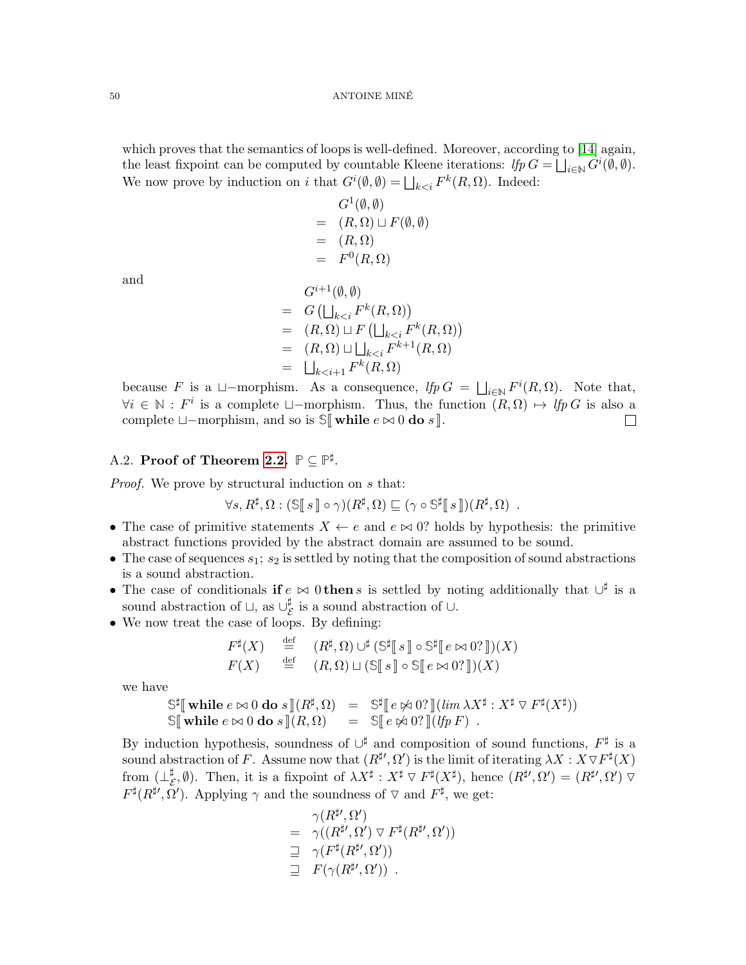which proves that the semantics of loops is well-defined. Moreover, according to [\[14\]](#page-46-3) again, the least fixpoint can be computed by countable Kleene iterations:  $lfp G = \bigsqcup_{i \in \mathbb{N}} G^i(\emptyset, \emptyset)$ . We now prove by induction on i that  $G^{i}(\emptyset, \emptyset) = \bigsqcup_{k < i} F^{k}(R, \Omega)$ . Indeed:

> $G^1(\emptyset, \emptyset)$  $= (R, \Omega) \sqcup F(\emptyset, \emptyset)$  $= (R, \Omega)$  $= F^0(R, \Omega)$

and

$$
G^{i+1}(\emptyset, \emptyset)
$$
  
=  $G(\bigsqcup_{k < i} F^k(R, \Omega))$   
=  $(R, \Omega) \sqcup F(\bigsqcup_{k < i} F^k(R, \Omega))$   
=  $(R, \Omega) \sqcup \bigsqcup_{k < i} F^{k+1}(R, \Omega)$   
=  $\bigsqcup_{k < i+1} F^k(R, \Omega)$ 

because F is a  $\Box$ -morphism. As a consequence,  $lfp \ G = \ \bigsqcup_{i \in \mathbb{N}} F^i(R, \Omega)$ . Note that,  $\forall i \in \mathbb{N} : F^i$  is a complete  $\Box$ -morphism. Thus, the function  $(R, \Omega) \mapsto lfp \, G$  is also a complete  $\Box$ -morphism, and so is **SWhile**  $e \Join 0$  **do** s**l**.  $\Box$ 

# <span id="page-49-0"></span>A.2. Proof of Theorem [2.2.](#page-7-1)  $\mathbb{P} \subseteq \mathbb{P}^{\sharp}$ .

Proof. We prove by structural induction on s that:

 $\forall s, R^{\sharp}, \Omega : (\mathbb{S}[\![s]\!]) \circ \gamma)(R^{\sharp}, \Omega) \sqsubseteq (\gamma \circ \mathbb{S}^{\sharp}[\![s]\!])(R^{\sharp}, \Omega) .$ 

- The case of primitive statements  $X \leftarrow e$  and  $e \bowtie 0$ ? holds by hypothesis: the primitive abstract functions provided by the abstract domain are assumed to be sound.
- The case of sequences  $s_1$ ;  $s_2$  is settled by noting that the composition of sound abstractions is a sound abstraction.
- The case of conditionals if  $e \bowtie 0$  then s is settled by noting additionally that  $\cup^{\sharp}$  is a sound abstraction of  $\sqcup$ , as  $\cup_{\zeta}^{\sharp}$  $\frac{\pi}{\mathcal{E}}$  is a sound abstraction of  $\cup$ .
- We now treat the case of loops. By defining:

$$
F^{\sharp}(X) \stackrel{\text{def}}{=} (R^{\sharp}, \Omega) \cup^{\sharp} (\mathbb{S}^{\sharp} [s] \circ \mathbb{S}^{\sharp} [e \bowtie 0? ])(X)
$$
  

$$
F(X) \stackrel{\text{def}}{=} (R, \Omega) \sqcup (\mathbb{S} [s] \circ \mathbb{S} [e \bowtie 0? ])(X)
$$

we have

$$
\mathbb{S}^{\sharp}[\![\text{while } e \bowtie 0 \text{ do } s \!](R^{\sharp}, \Omega) = \mathbb{S}^{\sharp}[\![e \nleftrightarrow 0? \!](\lim \lambda X^{\sharp} : X^{\sharp} \nabla F^{\sharp}(X^{\sharp}))
$$
  

$$
\mathbb{S}[\![\text{while } e \bowtie 0 \text{ do } s \!](R, \Omega) = \mathbb{S}[\![e \nleftrightarrow 0? \!](\text{lip } F).
$$

By induction hypothesis, soundness of  $\cup^{\sharp}$  and composition of sound functions,  $F^{\sharp}$  is a sound abstraction of F. Assume now that  $(R^{\sharp \prime}, \Omega')$  is the limit of iterating  $\lambda X : X \nabla F^{\sharp}(X)$ from  $(\perp_{\beta}^{\sharp})$  $(\mathcal{E}, \emptyset)$ . Then, it is a fixpoint of  $\lambda X^{\sharp}: X^{\sharp} \nabla F^{\sharp}(X^{\sharp}),$  hence  $(R^{\sharp \prime}, \Omega') = (R^{\sharp \prime}, \Omega') \nabla F^{\sharp}(X^{\sharp})$  $F^{\sharp}(R^{\sharp \prime}, \Omega')$ . Applying  $\gamma$  and the soundness of  $\nabla$  and  $F^{\sharp}$ , we get:

$$
\gamma(R^{\sharp\prime},\Omega^{\prime})
$$
\n
$$
= \gamma((R^{\sharp\prime},\Omega^{\prime}) \triangledown F^{\sharp}(R^{\sharp\prime},\Omega^{\prime}))
$$
\n
$$
\supseteq \gamma(F^{\sharp}(R^{\sharp\prime},\Omega^{\prime}))
$$
\n
$$
\supseteq F(\gamma(R^{\sharp\prime},\Omega^{\prime})) .
$$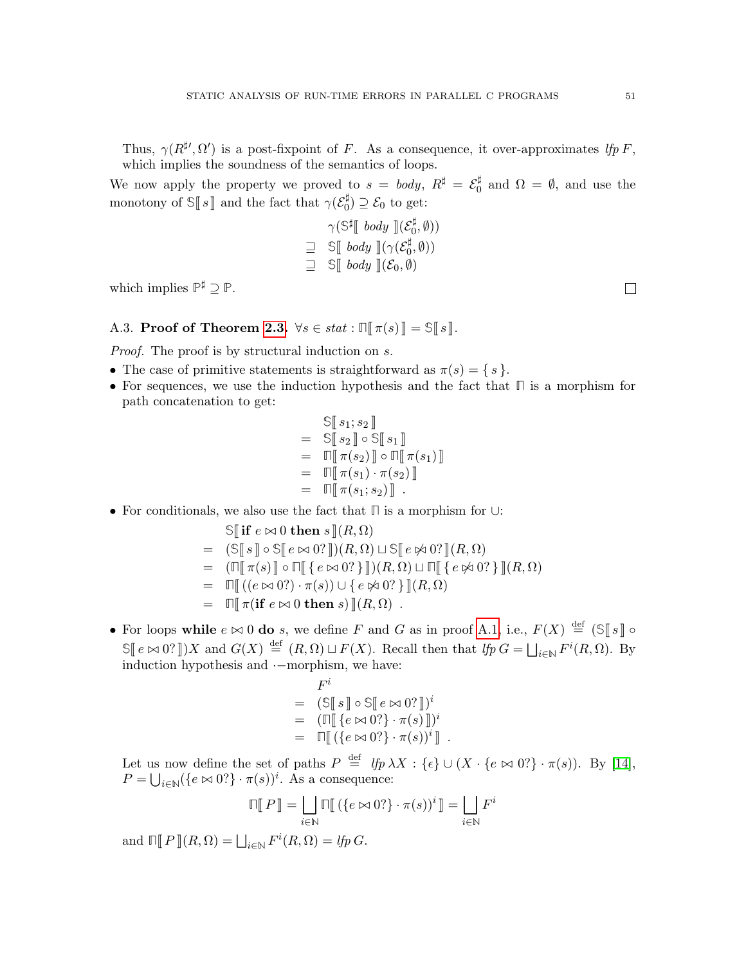Thus,  $\gamma(R^{\sharp \prime}, \Omega')$  is a post-fixpoint of F. As a consequence, it over-approximates lfp F, which implies the soundness of the semantics of loops.

We now apply the property we proved to  $s = body, R^{\sharp} = \mathcal{E}_0^{\sharp}$  $\frac{1}{0}$  and  $\Omega = \emptyset$ , and use the monotony of  $\Im[s]$  and the fact that  $\gamma(\mathcal{E}_0^{\sharp})$  $\mathcal{E}_0$   $\supset \mathcal{E}_0$  to get:

$$
\gamma(\mathbb{S}^{\sharp}[\text{ body }](\mathcal{E}_0^{\sharp}, \emptyset))
$$
  

$$
\supseteq \mathbb{S}[\text{ body }](\gamma(\mathcal{E}_0^{\sharp}, \emptyset))
$$
  

$$
\supseteq \mathbb{S}[\text{body }](\mathcal{E}_0, \emptyset)
$$

which implies  $\mathbb{P}^{\sharp} \supseteq \mathbb{P}$ .

<span id="page-50-0"></span>A.3. Proof of Theorem [2.3.](#page-9-5)  $\forall s \in stat : \mathbb{R} \setminus \pi(s) \mathbb{R} = \mathbb{S} \setminus \mathbb{R} \mathbb{R}.$ 

Proof. The proof is by structural induction on s.

- The case of primitive statements is straightforward as  $\pi(s) = \{ s \}.$
- For sequences, we use the induction hypothesis and the fact that **Π** is a morphism for path concatenation to get:

$$
\begin{aligned}\n\mathbb{S}[\![s_1; s_2]\!] \\
&= \mathbb{S}[\![s_2]\!] \circ \mathbb{S}[\![s_1]\!] \\
&= \Pi[\![\pi(s_2)\!] \circ \Pi[\![\pi(s_1)\!] \\
&= \Pi[\![\pi(s_1) \cdot \pi(s_2)\!] \\
&= \Pi[\![\pi(s_1; s_2)\!] \ .\n\end{aligned}
$$

• For conditionals, we also use the fact that **Π** is a morphism for ∪:

$$
\begin{aligned}\n\mathbb{S}[\![\mathbf{if}\;e\bowtie 0\;\mathbf{then}\;s\,](R,\Omega) \\
&= (\mathbb{S}[\![s\,]\!] \circ \mathbb{S}[\![e\bowtie 0? \,]])(R,\Omega) \sqcup \mathbb{S}[\![e\Join 0? \,]](R,\Omega) \\
&= (\Pi[\![\pi(s)\,]\!] \circ \Pi[\![\{e\bowtie 0? \} \,]])(R,\Omega) \sqcup \Pi[\![\{e\Join 0? \} \,]](R,\Omega) \\
&= \Pi[\![(e\bowtie 0?)\cdot \pi(s)) \cup \{e\Join 0? \} \,]](R,\Omega) \\
&= \Pi[\![\pi(\mathbf{if}\;e\bowtie 0\;\mathbf{then}\;s) \,]](R,\Omega)\n\end{aligned}
$$

• For loops while  $e \bowtie 0$  do s, we define F and G as in proof [A.1,](#page-48-2) i.e.,  $F(X) \stackrel{\text{def}}{=} (\mathbb{S}[[s]] \circ \mathbb{S}[[s]] \circ$  $\mathbb{S}[[e \bowtie 0.9]]$ )X and  $G(X) \stackrel{\text{def}}{=} (R, \Omega) \sqcup F(X)$ . Recall then that  $lfp \ G = \bigsqcup_{i \in \mathbb{N}} F^i(R, \Omega)$ . By induction hypothesis and ·−morphism, we have:

$$
F^i
$$
  
=  $(\mathbb{S}[[s]] \circ \mathbb{S}[[e \bowtie 0?]])^i$   
=  $(\Pi[[\{e \bowtie 0?\} \cdot \pi(s)]])^i$   
=  $\Pi[[(\{e \bowtie 0?\} \cdot \pi(s))^i]]$ .

Let us now define the set of paths  $P \stackrel{\text{def}}{=} \{tp \lambda X : \{\epsilon\} \cup (X \cdot \{e \bowtie 0\}) \cdot \pi(s)\}.$  By [\[14\]](#page-46-3),  $P = \bigcup_{i \in \mathbb{N}} (\{e \bowtie 0\})^i$ . As a consequence:

$$
\mathbb{T}[\![P]\!] = \bigsqcup_{i \in \mathbb{N}} \mathbb{T}[\![(e \bowtie 0?] \cdot \pi(s))^i] \!]= \bigsqcup_{i \in \mathbb{N}} F^i
$$

and  $\Pi[P](R,\Omega) = \bigsqcup_{i\in\mathbb{N}} F^i(R,\Omega) = \text{If } p \in \Omega.$ 

 $\Box$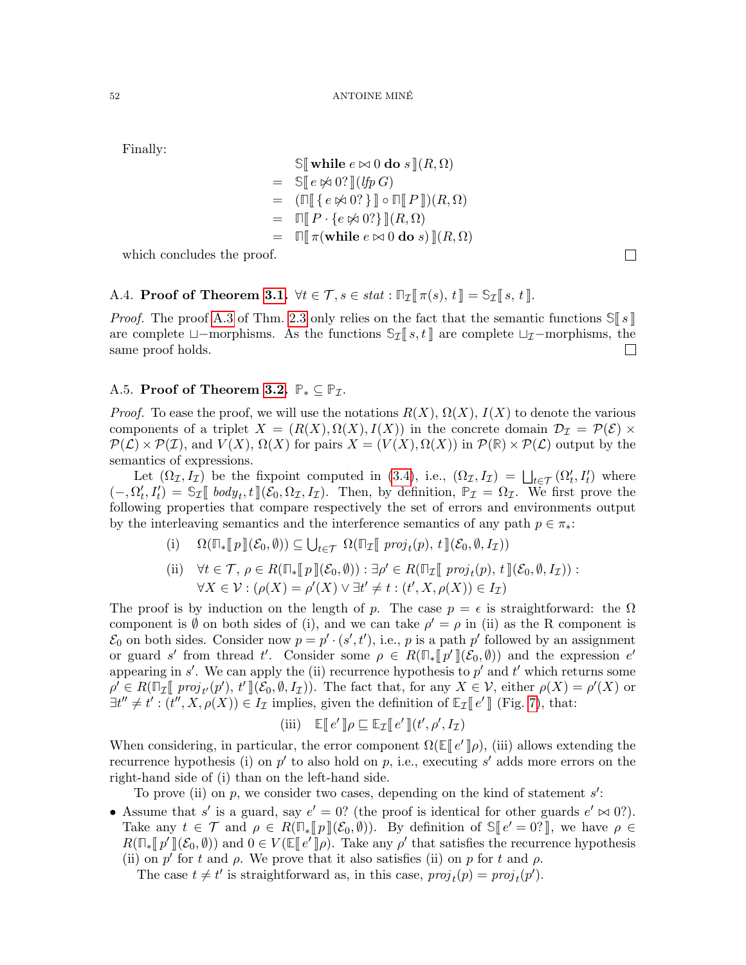Finally:

$$
\begin{aligned}\n\mathbb{S}[\![\textbf{while } e \bowtie 0 \textbf{ do } s \!] (R, \Omega) \\
&= \mathbb{S}[\![e \not\bowtie 0? \!] (lfp \, G) \\
&= (\mathbb{\Pi}[\![\{e \not\bowtie 0?\}\!] \circ \mathbb{\Pi}[\![P \!]\!])(R, \Omega) \\
&= \mathbb{\Pi}[\![P \cdot \{e \not\bowtie 0?\}\!] (R, \Omega) \\
&= \mathbb{\Pi}[\![\pi(\textbf{while } e \bowtie 0 \textbf{ do } s) \!] (R, \Omega)\n\end{aligned}
$$

which concludes the proof.

# <span id="page-51-0"></span>A.4. Proof of Theorem [3.1.](#page-12-2)  $\forall t \in \mathcal{T}, s \in stat : \mathbb{T}_{\mathcal{I}}[\![\pi(s), t]\!] = \mathbb{S}_{\mathcal{I}}[\![s, t]\!]$ .

*Proof.* The proof [A.3](#page-50-0) of Thm. [2.3](#page-9-5) only relies on the fact that the semantic functions  $\mathbb{S} \| s \|$ are complete  $\Box$ -morphisms. As the functions  $\Im \mathcal{I} [s, t]$  are complete  $\Box \mathcal{I}$ -morphisms, the same proof holds. same proof holds.

# <span id="page-51-1"></span>A.5. **Proof of Theorem [3.2.](#page-12-1)**  $\mathbb{P}_* \subseteq \mathbb{P}_{\mathcal{I}}$ .

*Proof.* To ease the proof, we will use the notations  $R(X)$ ,  $\Omega(X)$ ,  $I(X)$  to denote the various components of a triplet  $X = (R(X), \Omega(X), I(X))$  in the concrete domain  $\mathcal{D}_{\mathcal{I}} = \mathcal{P}(\mathcal{E}) \times$  $\mathcal{P}(\mathcal{L}) \times \mathcal{P}(\mathcal{I})$ , and  $V(X)$ ,  $\Omega(X)$  for pairs  $X = (V(X), \Omega(X))$  in  $\mathcal{P}(\mathbb{R}) \times \mathcal{P}(\mathcal{L})$  output by the semantics of expressions.

Let  $(\Omega_{\mathcal{I}}, I_{\mathcal{I}})$  be the fixpoint computed in [\(3.4\)](#page-12-0), i.e.,  $(\Omega_{\mathcal{I}}, I_{\mathcal{I}}) = \bigsqcup_{t \in \mathcal{T}} (\Omega_t', I_t')$  where  $(-, \Omega'_t, I'_t) = \mathbb{S}_{\mathcal{I}}[ \text{ body}_t, t] (\mathcal{E}_0, \Omega_{\mathcal{I}}, I_{\mathcal{I}}).$  Then, by definition,  $\mathbb{P}_{\mathcal{I}} = \Omega_{\mathcal{I}}.$  We first prove the following proporting that compare respectively the set of errors and oppiraments output following properties that compare respectively the set of errors and environments output by the interleaving semantics and the interference semantics of any path  $p \in \pi_*$ :

- (i)  $\Omega(\mathbb{T}_\ast[\![p]\!](\mathcal{E}_0, \emptyset)) \subseteq \bigcup_{t \in \mathcal{T}} \Omega(\mathbb{T}_\mathcal{I}[\![proj_t(p), t]\!](\mathcal{E}_0, \emptyset, I_\mathcal{I}))$
- (ii)  $\forall t \in \mathcal{T}, \, \rho \in R(\mathbb{T}_*[[p]](\mathcal{E}_0, \emptyset)) : \exists \rho' \in R(\mathbb{T}_\mathcal{I}[[proj_t(p), t]](\mathcal{E}_0, \emptyset, I_\mathcal{I})) :$  $\forall X \in \mathcal{V} : (\rho(X) = \rho'(X) \lor \exists t' \neq t : (t', X, \rho(X)) \in I_{\mathcal{I}})$

The proof is by induction on the length of p. The case  $p = \epsilon$  is straightforward: the  $\Omega$ component is  $\emptyset$  on both sides of (i), and we can take  $\rho' = \rho$  in (ii) as the R component is  $\mathcal{E}_0$  on both sides. Consider now  $p = p' \cdot (s', t')$ , i.e., p is a path p' followed by an assignment or guard s' from thread t'. Consider some  $\rho \in R(\mathbb{T}_{*}\llbracket p'\rrbracket(\mathcal{E}_{0},\emptyset))$  and the expression e'<br>appearing in s'. We can apply the (ii) recurrence hypothesis to s' and t' which returns some appearing in s'. We can apply the (ii) recurrence hypothesis to  $p'$  and  $t'$  which returns some  $\rho' \in R(\mathbb{T}_{\mathcal{I}}[\![proj_{t'}(p'), t']\!](\mathcal{E}_0, \emptyset, I_{\mathcal{I}})).$  The fact that, for any  $X \in \mathcal{V}$ , either  $\rho(X) = \rho'(X)$  or  $\exists t'' \neq t'$ ,  $(t'' \times \rho(X)) \subset L$  implies given the definition of  $\mathbb{F}_{\tau}[\![\rho']\!](\text{Fix } 7)$ , that  $\exists t'' \neq t' : (t'', X, \rho(X)) \in I_{\mathcal{I}}$  implies, given the definition of  $\mathbb{E}_{\mathcal{I}}[[e']]$  (Fig. [7\)](#page-11-0), that:

(iii) 
$$
\mathbb{E}[\![e']\!] \rho \sqsubseteq \mathbb{E}_{\mathcal{I}}[\![e']\!] (t', \rho', I_{\mathcal{I}})
$$

When considering, in particular, the error component  $\Omega(\mathbb{E}[e']\rho)$ , (iii) allows extending the requirement boundary  $\mathbb{E}[e'|\rho]$  and  $\mathbb{E}[e'|\rho]$  and  $\mathbb{E}[e'|\rho]$  and  $\mathbb{E}[e'|\rho]$  and  $\mathbb{E}[e'|\rho]$  and  $\mathbb{E}[e'|\rho]$ recurrence hypothesis (i) on  $p'$  to also hold on p, i.e., executing s' adds more errors on the right-hand side of (i) than on the left-hand side.

To prove (ii) on  $p$ , we consider two cases, depending on the kind of statement  $s'$ :

• Assume that s' is a guard, say  $e' = 0$ ? (the proof is identical for other guards  $e' \approx 0$ ?). Take any  $t \in \mathcal{T}$  and  $\rho \in R(\mathbb{T}_*[\![p]\!](\mathcal{E}_0, \emptyset))$ . By definition of  $\mathbb{S}[\![e' = 0]^p]$ , we have  $\rho \in R(\mathbb{T}_n[\![p']\!](\mathcal{E}_0, \emptyset))$  and  $0 \in V(\mathbb{F}[\![p']\!](\mathcal{E}_0, \emptyset))$ . Take any  $g'$  that satisfies the requirement hypo  $R(\mathbb{F}_{*}\llbracket p'\rrbracket(\mathcal{E}_{0},\emptyset))$  and  $0 \in V(\mathbb{E}\llbracket e'\rrbracket \rho)$ . Take any  $\rho'$  that satisfies the recurrence hypothesis<br>(ii) on  $p'$  for t and  $e$ . We prove that it also satisfies (ii) on  $p$  for t and  $e$ . (ii) on p' for t and  $\rho$ . We prove that it also satisfies (ii) on p for t and  $\rho$ .

The case  $t \neq t'$  is straightforward as, in this case,  $proj_t(p) = proj_t(p')$ .

 $\Box$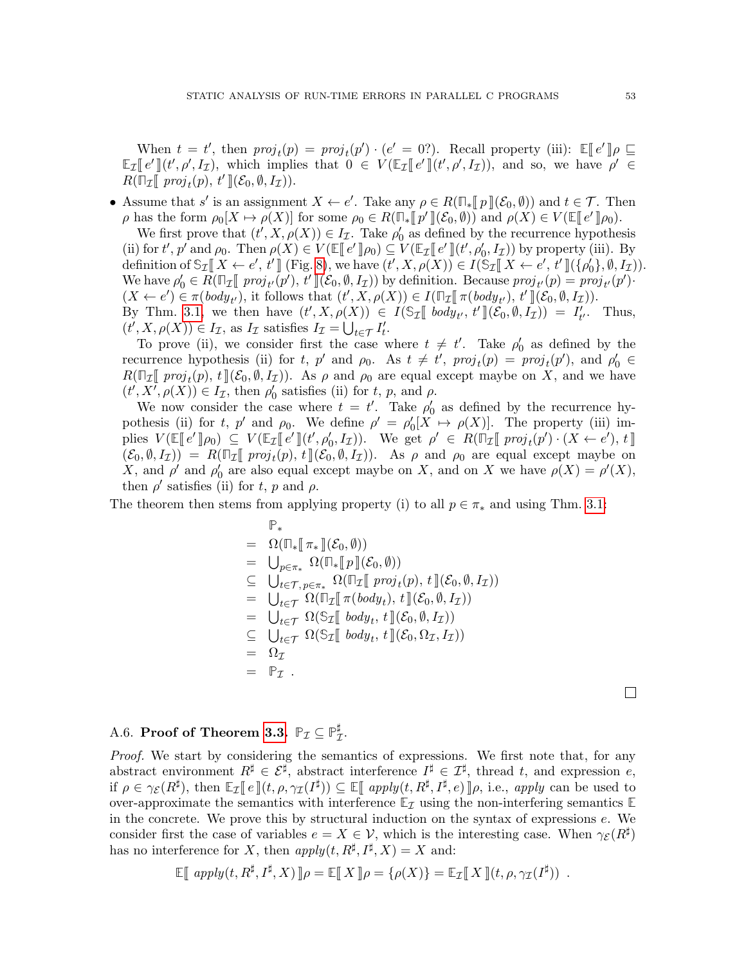When  $t = t'$ , then  $proj_t(p) = proj_t(p') \cdot (e' = 0)$ . Recall property (iii):  $\mathbb{E}[e'] \rho \subseteq \mathbb{E}[e'] \cap \mathbb{E}[e']$ , which implies that  $0 \in V(\mathbb{E}[\mathbb{E}[e'] \cup \{e' = 0\})$  and so we have  $e' \in \mathbb{E}[e']$  $\mathbb{E}_{\mathcal{I}}[e'](t', \rho', I_{\mathcal{I}}),$  which implies that  $0 \in V(\mathbb{E}_{\mathcal{I}}[e'](t', \rho', I_{\mathcal{I}})),$  and so, we have  $\rho' \in B(\mathbb{E}_{\mathcal{I}}[e', \rho', I_{\mathcal{I}}])$  $R(\overline{\mathbb{F}_\mathcal{I}\mathbb{F}}\;proj_t(p),\,t'\,]\!(\mathcal{E}_0,\emptyset,I_\mathcal{I})).$ 

• Assume that s' is an assignment  $X \leftarrow e'$ . Take any  $\rho \in R(\mathbb{F}_{\ast}[\![p]\!](\mathcal{E}_0, \emptyset))$  and  $t \in \mathcal{T}$ . Then a has the form  $\varrho_0[X] \rightarrow \varrho(X)$  for some  $\varrho_0 \in R(\mathbb{F}_{\ast}[\![p]\!](\mathcal{E}_0, \emptyset))$  and  $\varrho(X) \in V(\mathbb{F}_{\ast}[\![q]\!](\mathcal{E$  $ρ$  has the form  $ρ_0[X \mapsto ρ(X)]$  for some  $ρ_0 ∈ R(\mathbb{F}_\ast \llbracket p' \rrbracket(\mathcal{E}_0, \emptyset))$  and  $ρ(X) ∈ V(\mathbb{E} \llbracket e' \rrbracket ρ_0)$ .<br>We first prove that  $(t' \times ρ(X)) ∈ L_τ$ . Take  $ρ'$  as defined by the recurrence hypother

We first prove that  $(t', X, \rho(X)) \in I_{\mathcal{I}}$ . Take  $\rho'_0$  as defined by the recurrence hypothesis (ii) for  $t', p'$  and  $\rho_0$ . Then  $\rho(X) \in V(\mathbb{E}[e' \rrbracket \rho_0) \subseteq V(\mathbb{E}[e' \rrbracket \cdot t', \rho'_0, I_{\mathcal{I}}))$  by property (iii). By definition of  $\mathbb{S} \subset \mathbb{F}[X \land g'_0, t']$  (Fig. 8), we have  $(t' \times g'_0, X) \subseteq I(\mathbb{S} \subset \mathbb{F}[X \land g'_0, t']$  (f  $g'_1 \in$ definition of  $\mathbb{S}_{\mathcal{I}}[X \leftarrow e', t']$  (Fig. [8\)](#page-11-1), we have  $(t', X, \rho(X)) \in I(\mathbb{S}_{\mathcal{I}}[X \leftarrow e', t']$  ( $\{\rho'_0\}, \emptyset, I_{\mathcal{I}})$ ). We have  $\rho'_0 \in R(\mathbb{T}_{\mathcal{I}}[\![proj_t(\overline{p}'), t']\!](\mathcal{E}_0, \emptyset, I_{\mathcal{I}}))$  by definition. Because  $proj_{t'}(p) = proj_{t'}(p') \cdot (X \wedge \neg \mathcal{E}_0) \subset \pi(\text{hody}_0)$  it follows that  $(t' \times \rho(X)) \subset I(\mathbb{T}_{\neg \mathbb{F}} \pi(\text{hody}_0) \rightarrow t' \mathbb{T}(\mathcal{E}_\neg \mathcal{A}_\neg I_{\neg \mathcal{I$  $(X \leftarrow e') \in \pi(\text{body}_t)$ , it follows that  $(t', X, \rho(X)) \in I(\mathbb{T}_{\mathbb{Z}}[\pi(\text{body}_t), t'](\mathcal{E}_0, \emptyset, I_{\mathcal{I}})).$ <br>By Thm 3.1, we then have  $(t', X, \rho(X)) \in I(\mathbb{S}_{\mathbb{Z}}[\text{body}_t, t'](\mathcal{E}_0, \emptyset, I_{\mathcal{I}})) = I'$ By Thm. [3.1,](#page-12-2) we then have  $(t', X, \rho(X)) \in I(\mathbb{S}_{\mathcal{I}}[[\text{body}_{t'}, t']](\mathcal{E}_0, \emptyset, I_{\mathcal{I}})) = I'_t$ <br>  $(t', X, \rho(X)) \subset I_{\tau}$  as  $I_{\tau}$  satisfies  $I_{\tau} = \begin{bmatrix} 1 \\ 0 \end{bmatrix}$ <sup>0</sup>. Thus,  $(t', X, \rho(X)) \in I_{\mathcal{I}}$ , as  $I_{\mathcal{I}}$  satisfies  $I_{\mathcal{I}} = \bigcup_{t \in \mathcal{T}} I_t'.$ 

To prove (ii), we consider first the case where  $t \neq t'$ . Take  $\rho'_0$  as defined by the recurrence hypothesis (ii) for t, p' and  $\rho_0$ . As  $t \neq t'$ ,  $proj_t(p) = proj_t(p')$ , and  $\rho'_0 \in$  $R(\mathbb{T}_{\mathcal{I}}[\text{proj}_t(p), t](\mathcal{E}_0, \emptyset, I_{\mathcal{I}})).$  As  $\rho$  and  $\rho_0$  are equal except maybe on X, and we have  $(t', X', \rho(X)) \subset I_{\tau}$  then  $\rho'$  extistes (ii) for t, n and e  $(t', X', \rho(X)) \in I_{\mathcal{I}}$ , then  $\rho'_0$  satisfies (ii) for t, p, and  $\rho$ .

We now consider the case where  $t = t'$ . Take  $\rho'_0$  as defined by the recurrence hypothesis (ii) for t, p' and  $\rho_0$ . We define  $\rho' = \rho'_0[X \mapsto \rho(X)]$ . The property (iii) implies  $V(\mathbb{E}[\![e']\!] \rho_0) \subseteq V(\mathbb{E}_{\mathcal{I}}[\![e']\!](t', \rho'_0, I_{\mathcal{I}})).$  We get  $\rho' \in R(\mathbb{E}_{\mathcal{I}}[\![\![\![\![\mathit{proj}_t(p')\!]\!](X \leftarrow e'), t]$ <br>  $(S_0, \emptyset, I_{\mathcal{I}})) = R(\mathbb{E}_{\mathcal{I}}[\![\![\mathit{proj}_t(p', \mathcal{I})\!]\!](X \leftarrow e'))$  as a not go are could except mayb  $(\mathcal{E}_0, \emptyset, I_\mathcal{I}) = R(\mathbb{T}_\mathcal{I} [\![ \mathit{proj}_t(p), t]\!](\mathcal{E}_0, \emptyset, I_\mathcal{I})).$  As  $\rho$  and  $\rho_0$  are equal except maybe on  $Y$  and  $\rho'_0$  are equal except maybe on  $Y$  and  $\rho'_0$  are have  $\rho'_0(Y) = \rho'_0(Y)$ X, and  $\rho'$  and  $\rho'_0$  are also equal except maybe on X, and on X we have  $\rho(X) = \rho'(X)$ , then  $\rho'$  satisfies (ii) for t, p and  $\rho$ .

The theorem then stems from applying property (i) to all  $p \in \pi_*$  and using Thm. [3.1:](#page-12-2)

$$
\mathbb{P}_{*} = \Omega(\mathbb{F}_{*}\llbracket \pi_{*}\rrbracket(\mathcal{E}_{0},\emptyset)) \n= \bigcup_{p\in\pi_{*}} \Omega(\mathbb{F}_{*}\llbracket p \rrbracket(\mathcal{E}_{0},\emptyset)) \n\subseteq \bigcup_{t\in\mathcal{T}, p\in\pi_{*}} \Omega(\mathbb{F}_{\mathcal{I}}\llbracket \text{ proj}_{t}(p), t \rrbracket(\mathcal{E}_{0},\emptyset, I_{\mathcal{I}})) \n= \bigcup_{t\in\mathcal{T}} \Omega(\mathbb{F}_{\mathcal{I}}\llbracket \pi(\text{body}_{t}), t \rrbracket(\mathcal{E}_{0},\emptyset, I_{\mathcal{I}})) \n= \bigcup_{t\in\mathcal{T}} \Omega(\mathbb{S}_{\mathcal{I}}\llbracket \text{ body}_{t}, t \rrbracket(\mathcal{E}_{0},\emptyset, I_{\mathcal{I}})) \n\subseteq \bigcup_{t\in\mathcal{T}} \Omega(\mathbb{S}_{\mathcal{I}}\llbracket \text{ body}_{t}, t \rrbracket(\mathcal{E}_{0}, \Omega_{\mathcal{I}}, I_{\mathcal{I}})) \n= \Omega_{\mathcal{I}} \n= \mathbb{P}_{\mathcal{I}}.
$$

#### <span id="page-52-0"></span>A.6. Proof of Theorem [3.3.](#page-15-2)  $\mathbb{P}_{\mathcal{I}} \subseteq \mathbb{P}^{\sharp}_{\mathcal{I}}$ μ<br>Τ

Proof. We start by considering the semantics of expressions. We first note that, for any abstract environment  $R^{\sharp} \in \mathcal{E}^{\sharp}$ , abstract interference  $I^{\sharp} \in \mathcal{I}^{\sharp}$ , thread t, and expression e, if  $\rho \in \gamma_{\mathcal{E}}(R^{\sharp})$ , then  $\mathbb{E}_{\mathcal{I}}[e](t, \rho, \gamma_{\mathcal{I}}(I^{\sharp})) \subseteq \mathbb{E}[apply(t, R^{\sharp}, I^{\sharp}, e)] \rho$ , i.e., apply can be used to cover proposition to computing which interference  $\mathbb{E}_{\tau}$  with interference  $\mathbb{E}_{\tau}$  with t over-approximate the semantics with interference  $\mathbb{E}_{\mathcal{I}}$  using the non-interfering semantics  $\mathbb{E}_{\mathcal{I}}$ in the concrete. We prove this by structural induction on the syntax of expressions e. We consider first the case of variables  $e = X \in V$ , which is the interesting case. When  $\gamma_{\mathcal{E}}(R^{\sharp})$ has no interference for X, then  $apply(t, R^{\sharp}, I^{\sharp}, X) = X$  and:

$$
\mathbb{E}[\n\text{ apply}(t, R^{\sharp}, I^{\sharp}, X)]\n\rho = \mathbb{E}[X]\n\rho = \{\rho(X)\} = \mathbb{E}_{\mathcal{I}}[X](t, \rho, \gamma_{\mathcal{I}}(I^{\sharp}))
$$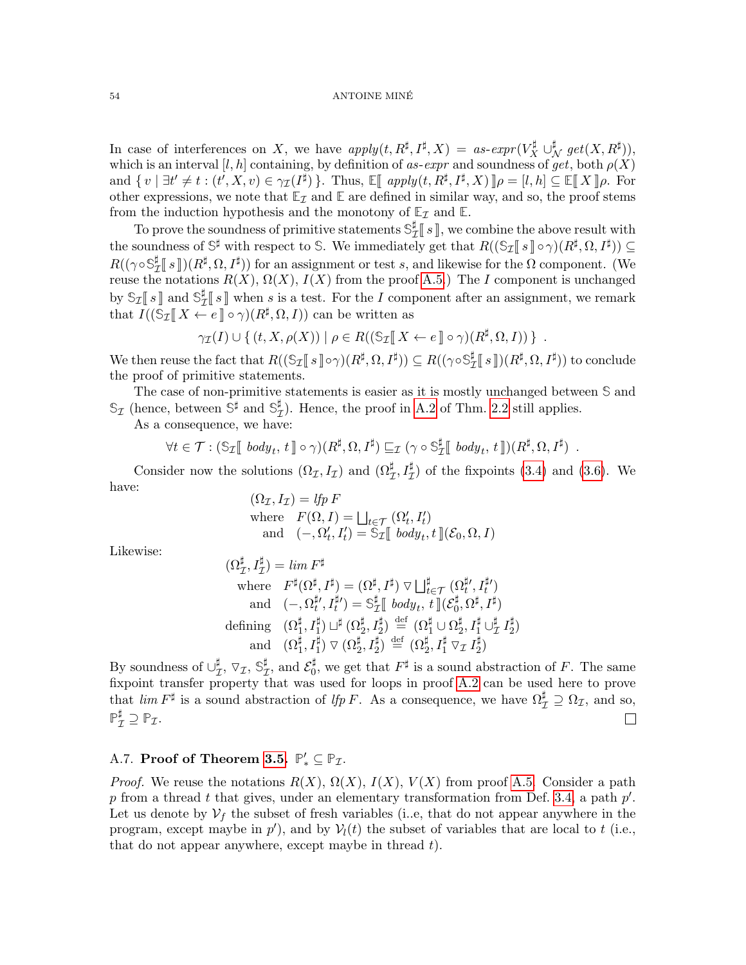#### 54 ANTOINE MINE´

In case of interferences on X, we have  $apply(t, R^{\sharp}, I^{\sharp}, X) = as-expr(V_X^{\sharp} \cup_{\mathcal{N}}^{\sharp} get(X, R^{\sharp})),$ which is an interval [l, h] containing, by definition of as-expr and soundness of get, both  $\rho(X)$ and  $\{v \mid \exists t' \neq t : (t', X, v) \in \gamma_{\mathcal{I}}(I^{\sharp})\}$ . Thus,  $\mathbb{E}[$  apply $(t, R^{\sharp}, I^{\sharp}, X)]$   $\rho = [l, h] \subseteq \mathbb{E}[X]$   $\rho$ . For other expressions, we note that  $\mathbb{E}_{\mathcal{I}}$  and  $\mathbb{E}$  are defined in similar way, and so, the proof stems from the induction hypothesis and the monotony of  $\mathbb{E}_{\mathcal{I}}$  and  $\mathbb{E}_{\mathcal{I}}$ .

To prove the soundness of primitive statements  $\mathcal{S}_{7}^{\sharp}$  $\mathbb{Z}[\![s]\!]$ , we combine the above result with<br> $\mathbb{Z}[\![s]\!]$ , we that  $P((\mathbb{S}[\![s]\!]_{\mathcal{L}(\mathbb{R})})/P^{\sharp}(\mathbb{C}[\![s]\!]))$ the soundness of  $\mathbb{S}^{\sharp}$  with respect to  $\mathbb{S}$ . We immediately get that  $R((\mathbb{S}_{\mathcal{I}}[s\cdot\cdot\cdot](R^{\sharp},\Omega,I^{\sharp}))\subseteq$ <br> $R((\mathbb{S}_{\mathcal{I}}[s\cdot\cdot\cdot](R^{\sharp},\Omega,I^{\sharp}))$  for an extinguout on test as and liberation for the Q server ex  $R((\gamma \circ \mathbb{S}^\sharp_7$  $\frac{1}{L} [S] (R^{\sharp}, \Omega, I^{\sharp})$  for an assignment or test s, and likewise for the  $\Omega$  component. (We contained by  $P(Y)$ ,  $Q(Y)$ ,  $I(Y)$  from the proof  $\Lambda$ . reuse the notations  $R(X)$ ,  $\Omega(X)$ ,  $I(X)$  from the proof [A.5.](#page-51-1)) The I component is unchanged by  $\mathbb{S}_{\mathcal{I}}[s]$  and  $\mathbb{S}_{\mathcal{I}}^{\sharp}$  $\mathbb{E}[\![s]\!]$  when s is a test. For the I component after an assignment, we remark that  $I((\mathbb{S}I \mathbb{I} X \leftarrow e \mathbb{I} \circ \gamma)(R^{\sharp}, \Omega, I))$  can be written as

$$
\gamma_{\mathcal{I}}(I) \cup \{ (t, X, \rho(X)) \mid \rho \in R((\mathbb{S}_{\mathcal{I}}[[X \leftarrow e \,] \circ \gamma)(R^{\sharp}, \Omega, I)) \} .
$$

We then reuse the fact that  $R((\mathbb{S}_{\mathcal{I}}[\![s]\!] \circ \gamma)(R^{\sharp}, \Omega, I^{\sharp})) \subseteq R((\gamma \circ \mathbb{S}_{\mathcal{I}}^{\sharp}))$  $L^{\sharp}_{\mathcal{I}}[s\,]\hspace{-1.5pt}](R^{\sharp},\Omega,I^{\sharp}))$  to conclude the proof of primitive statements.

The case of non-primitive statements is easier as it is mostly unchanged between **S** and  $\mathbb{S}_{\mathcal{I}}$  (hence, between  $\mathbb{S}^{\sharp}$  and  $\mathbb{S}_{\mathcal{I}}^{\sharp}$  $\mathcal{I}_I$ ). Hence, the proof in [A.2](#page-49-0) of Thm. [2.2](#page-7-1) still applies.

As a consequence, we have:

$$
\forall t \in \mathcal{T} : (\mathbb{S}_{\mathcal{I}}[[\text{body}_t, t]] \circ \gamma)(R^{\sharp}, \Omega, I^{\sharp}) \sqsubseteq_{\mathcal{I}} (\gamma \circ \mathbb{S}_{\mathcal{I}}^{\sharp}[[\text{body}_t, t]])(R^{\sharp}, \Omega, I^{\sharp}) .
$$

Consider now the solutions  $(\Omega_{\mathcal{I}}, I_{\mathcal{I}})$  and  $(\Omega_{\mathcal{I}}^{\sharp}, I_{\mathcal{I}}^{\sharp})$  of the fixpoints [\(3.4\)](#page-12-0) and [\(3.6\)](#page-15-1). We have:

 $(\Omega_{\mathcal{I}}, I_{\mathcal{I}}) =$  lfp F where  $F(\Omega, I) = \bigsqcup_{t \in \mathcal{T}} (\Omega'_t, I'_t)$ and  $(-, \Omega'_t, I'_t) = \mathfrak{S}_{\mathcal{I}} \llbracket body_t, t \rrbracket (\mathcal{E}_0, \Omega, I)$ 

Likewise:

$$
(\Omega_{\mathcal{I}}^{\sharp}, I_{\mathcal{I}}^{\sharp}) = \lim F^{\sharp}
$$
  
\nwhere  $F^{\sharp}(\Omega^{\sharp}, I^{\sharp}) = (\Omega^{\sharp}, I^{\sharp}) \nabla \bigsqcup_{t \in \mathcal{T}}^{\sharp} (\Omega_{t}^{\sharp}, I_{t}^{\sharp'})$   
\nand  $(-, \Omega_{t}^{\sharp\prime}, I_{t}^{\sharp\prime}) = \mathbb{S}_{\mathcal{I}}^{\sharp} \llbracket \text{ body}_{t}, t \llbracket (\mathcal{E}_{0}^{\sharp}, \Omega^{\sharp}, I^{\sharp})$   
\ndefining  $(\Omega_{1}^{\sharp}, I_{1}^{\sharp}) \sqcup^{\sharp} (\Omega_{2}^{\sharp}, I_{2}^{\sharp}) \stackrel{\text{def}}{=} (\Omega_{1}^{\sharp} \cup \Omega_{2}^{\sharp}, I_{1}^{\sharp} \cup_{\mathcal{I}}^{\sharp} I_{2}^{\sharp})$   
\nand  $(\Omega_{1}^{\sharp}, I_{1}^{\sharp}) \nabla (\Omega_{2}^{\sharp}, I_{2}^{\sharp}) \stackrel{\text{def}}{=} (\Omega_{2}^{\sharp}, I_{1}^{\sharp} \nabla_{\mathcal{I}} I_{2}^{\sharp})$ 

By soundness of  $\cup_{7}^{\sharp}$  $_{\mathcal{I}}^{\sharp},\, \triangledown_{\mathcal{I}},\, \mathbb{S}_{\mathcal{I}}^{\sharp}$  $_{\mathcal{I}}^{\sharp},$  and  $\mathcal{E}_{0}^{\sharp}$  $\frac{1}{0}$ , we get that  $F^{\sharp}$  is a sound abstraction of F. The same fixpoint transfer property that was used for loops in proof [A.2](#page-49-0) can be used here to prove that  $\lim F^{\sharp}$  is a sound abstraction of  $\lim F$ . As a consequence, we have  $\Omega^{\sharp}_{\mathcal{I}} \supseteq \Omega_{\mathcal{I}}$ , and so,  $\mathbb{P}_{\mathcal{I}}^{\sharp} \supseteq \mathbb{P}_{\mathcal{I}}.$  $\Box$ 

# <span id="page-53-0"></span>A.7. **Proof of Theorem [3.5.](#page-18-1)**  $\mathbb{P}'_* \subseteq \mathbb{P}_{\mathcal{I}}$ .

*Proof.* We reuse the notations  $R(X)$ ,  $\Omega(X)$ ,  $I(X)$ ,  $V(X)$  from proof [A.5.](#page-51-1) Consider a path p from a thread t that gives, under an elementary transformation from Def. [3.4,](#page-18-0) a path  $p'$ . Let us denote by  $V_f$  the subset of fresh variables (i..e, that do not appear anywhere in the program, except maybe in  $p'$ ), and by  $V_l(t)$  the subset of variables that are local to t (i.e., that do not appear anywhere, except maybe in thread  $t$ ).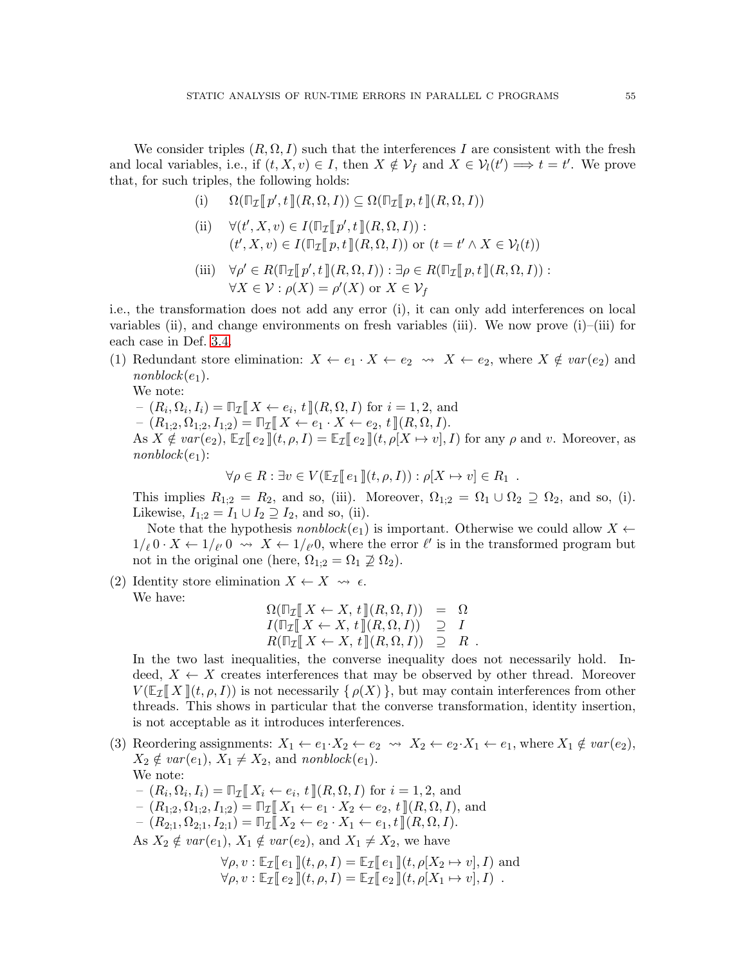We consider triples  $(R, \Omega, I)$  such that the interferences I are consistent with the fresh and local variables, i.e., if  $(t, X, v) \in I$ , then  $X \notin \mathcal{V}_f$  and  $X \in \mathcal{V}_l(t') \Longrightarrow t = t'$ . We prove that, for such triples, the following holds:

- (i)  $\Omega(\mathbb{T}_{\mathcal{I}}[\![p', t]\!](R, \Omega, I)) \subseteq \Omega(\mathbb{T}_{\mathcal{I}}[\![p, t]\!](R, \Omega, I))$
- (ii)  $\forall (t', X, v) \in I(\mathbb{T}_{\mathcal{I}}[\![p', t]\!](R, \Omega, I)) :$  $(t', X, v) \in I(\mathbb{T}_{\mathcal{I}}[\![p, t]\!](R, \Omega, I))$  or  $(t = t' \wedge X \in \mathcal{V}_l(t))$
- (iii)  $\forall \rho' \in R(\mathbb{T}_{\mathcal{I}}[\![p', t]\!](R, \Omega, I)) : \exists \rho \in R(\mathbb{T}_{\mathcal{I}}[\![p, t]\!](R, \Omega, I)) :$ <br> $\forall X \in \mathcal{Y}, (\forall X) \in \mathcal{Y}$  $\forall X \in \mathcal{V} : \rho(X) = \rho'(X)$  or  $X \in \mathcal{V}_f$

i.e., the transformation does not add any error (i), it can only add interferences on local variables (ii), and change environments on fresh variables (iii). We now prove  $(i)$ –(iii) for each case in Def. [3.4.](#page-18-0)

(1) Redundant store elimination:  $X \leftarrow e_1 \cdot X \leftarrow e_2 \rightarrow X \leftarrow e_2$ , where  $X \notin \text{var}(e_2)$  and  $nonblock(e_1).$ 

We note:

 $-(R_i, \Omega_i, I_i) = \mathbb{T}_{\mathcal{I}} \llbracket X \leftarrow e_i, t \rrbracket (R, \Omega, I) \text{ for } i = 1, 2, \text{ and}$ <br> $-(R_i, \Omega_i, I_i) = \mathbb{T}_{\mathcal{I}} \llbracket X \leftarrow e_i, X \leftarrow e_i, Y \leftarrow e_i + \mathbb{T}(R, \Omega, I)$ 

 $- (R_{1:2}, \Omega_{1:2}, I_{1:2}) = \mathbb{T}_{\mathcal{I}}[X \leftarrow e_1 \cdot X \leftarrow e_2, t][(R, \Omega, I)].$ 

As  $X \notin var(e_2)$ ,  $\mathbb{E}_{\mathcal{I}}[e_2](t, \rho, I) = \mathbb{E}_{\mathcal{I}}[e_2](t, \rho[X \mapsto v], I)$  for any  $\rho$  and v. Moreover, as  $nonblock(e_1)$ :

 $\forall \rho \in R : \exists v \in V(\mathbb{E}_{\mathcal{I}}[e_1](t, \rho, I)) : \rho[X \mapsto v] \in R_1.$ 

This implies  $R_{1;2} = R_2$ , and so, (iii). Moreover,  $\Omega_{1;2} = \Omega_1 \cup \Omega_2 \supseteq \Omega_2$ , and so, (i). Likewise,  $I_{1;2} = I_1 \cup I_2 \supseteq I_2$ , and so, (ii).

Note that the hypothesis *nonblock* $(e_1)$  is important. Otherwise we could allow  $X \leftarrow$  $1/\ell \, 0 \cdot X \leftarrow 1/\ell \, 0 \rightarrow X \leftarrow 1/\ell \, 0$ , where the error  $\ell'$  is in the transformed program but not in the original one (here,  $\Omega_{1;2} = \Omega_1 \not\supseteq \Omega_2$ ).

(2) Identity store elimination  $X \leftarrow X \rightsquigarrow \epsilon$ . We have:

$$
\Omega(\mathbb{T}_{\mathcal{I}}[X \leftarrow X, t](R, \Omega, I)) = \Omega \nI(\mathbb{T}_{\mathcal{I}}[X \leftarrow X, t](R, \Omega, I)) \supseteq I \nR(\mathbb{T}_{\mathcal{I}}[X \leftarrow X, t](R, \Omega, I)) \supseteqeq R
$$

 $R(\Pi_{\mathcal{I}}[X \leftarrow X, t](R, \Omega, I)) \supseteq R$ .<br>In the two last inequalities, the converse inequality does not necessarily hold. Indeed,  $X \leftarrow X$  creates interferences that may be observed by other thread. Moreover  $V(E_{\mathcal{I}}||X||(t, \rho, I))$  is not necessarily  $\{\rho(X)\}\,$ , but may contain interferences from other threads. This shows in particular that the converse transformation, identity insertion, is not acceptable as it introduces interferences.

- (3) Reordering assignments:  $X_1 \leftarrow e_1 \cdot X_2 \leftarrow e_2 \rightsquigarrow X_2 \leftarrow e_2 \cdot X_1 \leftarrow e_1$ , where  $X_1 \notin var(e_2)$ ,  $X_2 \notin var(e_1), X_1 \neq X_2$ , and nonblock $(e_1)$ . We note:
	- $-(R_i, \Omega_i, I_i) = \mathbb{Z}[\![X_i \leftarrow e_i, t]\!](R, \Omega, I)$  for  $i = 1, 2$ , and  $(P_i, Q_i, I_i) = \mathbb{Z}[\![X_i \leftarrow e_i, t]\!](R, \Omega, I)$
	- $-(R_{1:2}, \Omega_{1:2}, I_{1:2}) = \mathbb{Z}[\mathbb{Z}][X_1 \leftarrow e_1 \cdot X_2 \leftarrow e_2, t \mathbb{Z}[R, \Omega, I],$  and
	- $-(R_{2:1}, \Omega_{2:1}, I_{2:1}) = \mathbb{Z} [X_2 \leftarrow e_2 \cdot X_1 \leftarrow e_1, t \, (R, \Omega, I).$

As  $X_2 \notin var(e_1), X_1 \notin var(e_2)$ , and  $X_1 \neq X_2$ , we have

$$
\forall \rho, v : \mathbb{E}_{\mathcal{I}}[\![e_1]\!](t, \rho, I) = \mathbb{E}_{\mathcal{I}}[\![e_1]\!](t, \rho[X_2 \mapsto v], I)
$$
 and  

$$
\forall \rho, v : \mathbb{E}_{\mathcal{I}}[\![e_2]\!](t, \rho, I) = \mathbb{E}_{\mathcal{I}}[\![e_2]\!](t, \rho[X_1 \mapsto v], I)
$$
.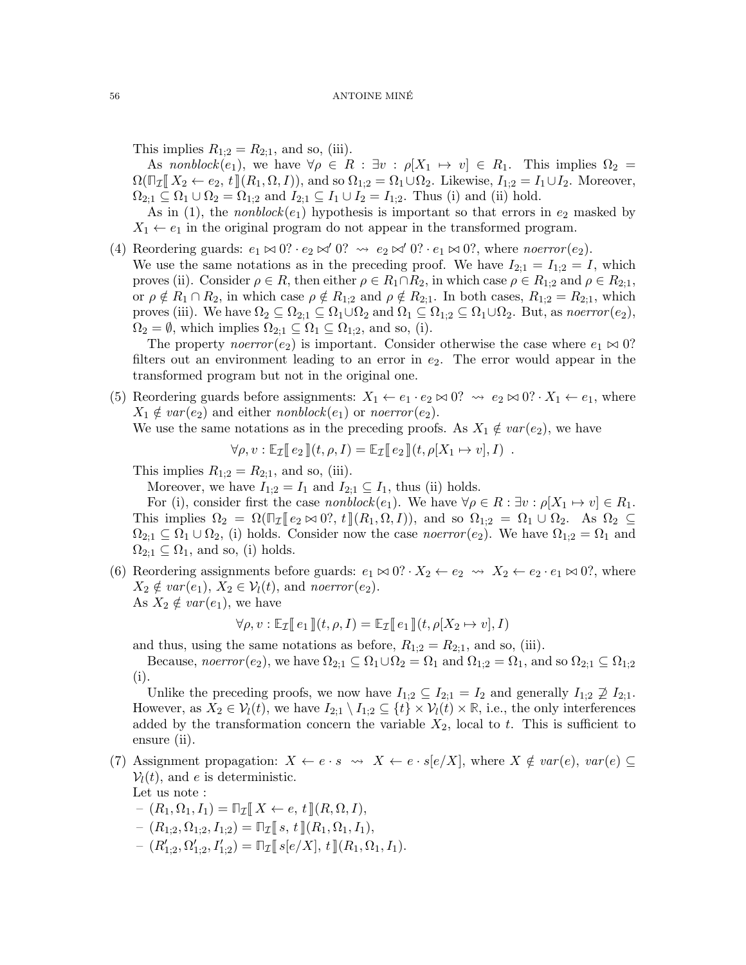This implies  $R_{1:2} = R_{2:1}$ , and so, (iii).

As nonblock(e<sub>1</sub>), we have  $\forall \rho \in R : \exists v : \rho[X_1 \mapsto v] \in R_1$ . This implies  $\Omega_2 =$  $\Omega(\mathbb{T}_{\mathcal{I}}[X_2 \leftarrow e_2, t](R_1, \Omega, I)),$  and so  $\Omega_{1,2} = \Omega_1 \cup \Omega_2$ . Likewise,  $I_{1,2} = I_1 \cup I_2$ . Moreover,  $\Omega_{2,1} \subseteq \Omega_1 \cup \Omega_2 = \Omega_{1,2}$  and  $I_{2,1} \subseteq I_1 \cup I_2 = I_{1,2}$ . Thus (i) and (ii) hold.

As in (1), the *nonblock*( $e_1$ ) hypothesis is important so that errors in  $e_2$  masked by  $X_1 \leftarrow e_1$  in the original program do not appear in the transformed program.

(4) Reordering guards:  $e_1 \bowtie 0$ ?  $\cdot e_2 \bowtie' 0$ ?  $\leadsto e_2 \bowtie' 0$ ?  $\cdot e_1 \bowtie 0$ ?, where noerror (e<sub>2</sub>). We use the same notations as in the preceding proof. We have  $I_{2;1} = I_{1;2} = I$ , which proves (ii). Consider  $\rho \in R$ , then either  $\rho \in R_1 \cap R_2$ , in which case  $\rho \in R_{1,2}$  and  $\rho \in R_{2,1}$ , or  $\rho \notin R_1 \cap R_2$ , in which case  $\rho \notin R_{1:2}$  and  $\rho \notin R_{2:1}$ . In both cases,  $R_{1:2} = R_{2:1}$ , which proves (iii). We have  $\Omega_2 \subseteq \Omega_{2,1} \subseteq \Omega_1 \cup \Omega_2$  and  $\Omega_1 \subseteq \Omega_{1,2} \subseteq \Omega_1 \cup \Omega_2$ . But, as noerror  $(e_2)$ ,

 $\Omega_2 = \emptyset$ , which implies  $\Omega_{2:1} \subseteq \Omega_1 \subseteq \Omega_{1:2}$ , and so, (i).

The property noerror(e<sub>2</sub>) is important. Consider otherwise the case where  $e_1 \bowtie 0$ ? filters out an environment leading to an error in  $e_2$ . The error would appear in the transformed program but not in the original one.

(5) Reordering guards before assignments:  $X_1 \leftarrow e_1 \cdot e_2 \bowtie 0$ ?  $\rightsquigarrow e_2 \bowtie 0$ ?  $\cdot X_1 \leftarrow e_1$ , where  $X_1 \notin var(e_2)$  and either nonblock $(e_1)$  or noerror  $(e_2)$ .

We use the same notations as in the preceding proofs. As  $X_1 \notin var(e_2)$ , we have

$$
\forall \rho, v : \mathbb{E}_{\mathcal{I}}[e_2](t, \rho, I) = \mathbb{E}_{\mathcal{I}}[e_2](t, \rho[X_1 \mapsto v], I) .
$$

This implies  $R_{1;2} = R_{2;1}$ , and so, (iii).

Moreover, we have  $I_{1;2} = I_1$  and  $I_{2;1} \subseteq I_1$ , thus (ii) holds.

For (i), consider first the case *nonblock*(e<sub>1</sub>). We have  $\forall \rho \in R : \exists v : \rho[X_1 \mapsto v] \in R_1$ . This implies  $\Omega_2 = \Omega(\mathbb{Z}[\![e_2 \bowtie 0]; t [\![(R_1, \Omega, I]),$  and so  $\Omega_{1,2} = \Omega_1 \cup \Omega_2$ . As  $\Omega_2 \subseteq$  $\Omega_{2,1} \subseteq \Omega_1 \cup \Omega_2$ , (i) holds. Consider now the case *noerror* (e<sub>2</sub>). We have  $\Omega_{1,2} = \Omega_1$  and  $\Omega_{2:1} \subseteq \Omega_1$ , and so, (i) holds.

(6) Reordering assignments before guards:  $e_1 \bowtie 0$ ?  $\cdot X_2 \leftarrow e_2 \rightsquigarrow X_2 \leftarrow e_2 \cdot e_1 \bowtie 0$ ?, where  $X_2 \notin var(e_1), X_2 \in \mathcal{V}_l(t)$ , and noerror(e<sub>2</sub>). As  $X_2 \notin var(e_1)$ , we have

$$
\forall \rho, v : \mathbb{E}_{\mathcal{I}}[\![e_1]\!](t, \rho, I) = \mathbb{E}_{\mathcal{I}}[\![e_1]\!](t, \rho[X_2 \mapsto v], I)
$$

and thus, using the same notations as before,  $R_{1;2} = R_{2;1}$ , and so, (iii).

Because, noerror (e<sub>2</sub>), we have  $\Omega_{2;1} \subseteq \Omega_1 \cup \Omega_2 = \Omega_1$  and  $\Omega_{1;2} = \Omega_1$ , and so  $\Omega_{2;1} \subseteq \Omega_{1;2}$ (i).

Unlike the preceding proofs, we now have  $I_{1;2} \subseteq I_{2;1} = I_2$  and generally  $I_{1;2} \not\supseteq I_{2;1}$ . However, as  $X_2 \in \mathcal{V}_l(t)$ , we have  $I_{2,1} \setminus I_{1,2} \subseteq \{t\} \times \mathcal{V}_l(t) \times \mathbb{R}$ , i.e., the only interferences added by the transformation concern the variable  $X_2$ , local to t. This is sufficient to ensure (ii).

- (7) Assignment propagation:  $X \leftarrow e \cdot s \leadsto X \leftarrow e \cdot s[e/X]$ , where  $X \notin var(e)$ ,  $var(e) \subseteq$  $V_l(t)$ , and e is deterministic. Let us note :
	- $-(R_1, \Omega_1, I_1) = \mathbb{Z}[X \leftarrow e, t](R, \Omega, I).$  $- (R_{1:2}, \Omega_{1:2}, I_{1:2}) = \mathbb{Z} [s, t] (R_1, \Omega_1, I_1),$  $(R'_{1,2}, \Omega'_{1,2}, I'_{1,2}) = \mathbb{Z}[[s[e/X], t](R_1, \Omega_1, I_1)].$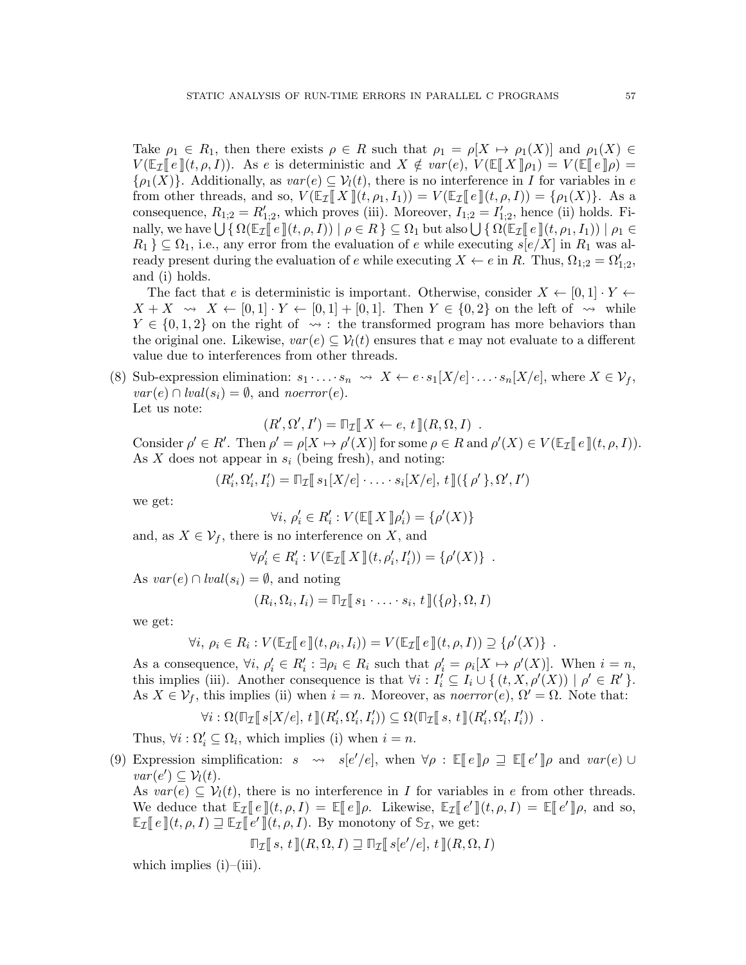Take  $\rho_1 \in R_1$ , then there exists  $\rho \in R$  such that  $\rho_1 = \rho[X \mapsto \rho_1(X)]$  and  $\rho_1(X) \in$  $V(\mathbb{E}_{\mathcal{I}}[e](t,\rho,I)).$  As e is deterministic and  $X \notin var(e)$ ,  $V(\mathbb{E}[X|\rho_1) = V(\mathbb{E}[e]\rho) =$  $\{\rho_1(X)\}\$ . Additionally, as  $var(e) \subseteq V_l(t)$ , there is no interference in I for variables in e from other threads, and so,  $V(\mathbb{E}_{\mathcal{I}}[X](t, \rho_1, I_1)) = V(\mathbb{E}_{\mathcal{I}}[e](t, \rho, I)) = {\rho_1(X)}$ . As a consequence,  $R_{1,2} = R'_{1,2}$ , which proves (iii). Moreover,  $I_{1,2} = I'_{1,2}$ , hence (ii) holds. Finally, we have  $\bigcup \{ \Omega(\mathbb{E}_{\mathcal{I}} \llbracket e \rrbracket(t, \rho, I)) \mid \rho \in R \} \subseteq \Omega_1$  but also  $\bigcup \{ \Omega(\mathbb{E}_{\mathcal{I}} \llbracket e \rrbracket(t, \rho_1, I_1)) \mid \rho_1 \in R, \exists \in \Omega_1 \text{ and } \Omega_2 \}$  $R_1$   $\subseteq$   $\Omega_1$ , i.e., any error from the evaluation of e while executing  $s[e/X]$  in  $R_1$  was already present during the evaluation of e while executing  $X \leftarrow e$  in R. Thus,  $\Omega_{1,2} = \Omega'_{1,2}$ , and (i) holds.

The fact that e is deterministic is important. Otherwise, consider  $X \leftarrow [0,1] \cdot Y \leftarrow$  $X + X \rightsquigarrow X \leftarrow [0, 1] \cdot Y \leftarrow [0, 1] + [0, 1].$  Then  $Y \in \{0, 2\}$  on the left of  $\rightsquigarrow$  while  $Y \in \{0, 1, 2\}$  on the right of  $\leadsto$ : the transformed program has more behaviors than the original one. Likewise,  $var(e) \subseteq V_l(t)$  ensures that e may not evaluate to a different value due to interferences from other threads.

(8) Sub-expression elimination:  $s_1 \cdot \ldots \cdot s_n \leadsto X \leftarrow e \cdot s_1[X/e] \cdot \ldots \cdot s_n[X/e]$ , where  $X \in \mathcal{V}_f$ ,  $var(e) \cap \text{lval}(s_i) = \emptyset$ , and noerror(e).

Let us note:

 $(R', \Omega', I') = \mathbb{T}_{\mathcal{I}}[X \leftarrow e, t](R, \Omega, I)$ .

Consider  $\rho' \in R'$ . Then  $\rho' = \rho[X \mapsto \rho'(X)]$  for some  $\rho \in R$  and  $\rho'(X) \in V(\mathbb{E}_{\mathcal{I}}[e](t, \rho, I)).$ <br>As X does not appear in  $e_k$  (being frosh), and noting: As X does not appear in  $s_i$  (being fresh), and noting:

$$
(R'_i, \Omega'_i, I'_i) = \mathbb{T}_{\mathcal{I}}[s_1[X/e] \cdot \ldots \cdot s_i[X/e], t](\{\rho'\}, \Omega', I')
$$

we get:

$$
\forall i, \, \rho'_i \in R'_i : V(\mathbb{E}[\![X]\!]\rho'_i) = \{\rho'(X)\}
$$

and, as  $X \in \mathcal{V}_f$ , there is no interference on X, and

$$
\forall \rho'_i \in R'_i : V(\mathbb{E}_{\mathcal{I}}[[X]](t, \rho'_i, I'_i)) = {\rho'(X)}.
$$

As  $var(e) \cap \text{lval}(s_i) = \emptyset$ , and noting

$$
(R_i, \Omega_i, I_i) = \mathbb{T}_{\mathcal{I}}[\![s_1 \cdot \ldots \cdot s_i, t]\!](\{\rho\}, \Omega, I)
$$

we get:

$$
\forall i, \, \rho_i \in R_i : V(\mathbb{E}_{\mathcal{I}}[\![e]\!](t, \rho_i, I_i)) = V(\mathbb{E}_{\mathcal{I}}[\![e]\!](t, \rho, I)) \supseteq \{\rho'(X)\} .
$$

As a consequence,  $\forall i, \, \rho'_i \in R'_i : \exists \rho_i \in R_i$  such that  $\rho'_i = \rho_i[X \mapsto \rho'(X)]$ . When  $i = n$ , this implies (iii). Another consequence is that  $\forall i : I'_i \subseteq I_i \cup \{ (t, X, \rho'(X)) \mid \rho' \in R' \}.$ As  $X \in \mathcal{V}_f$ , this implies (ii) when  $i = n$ . Moreover, as noerror(e),  $\Omega' = \Omega$ . Note that:

$$
\forall i: \Omega(\mathbb{T}_{\mathcal{I}}[\![s[X/e], t]\!](R'_i, \Omega'_i, I'_i)) \subseteq \Omega(\mathbb{T}_{\mathcal{I}}[\![s, t]\!](R'_i, \Omega'_i, I'_i)) .
$$

Thus,  $\forall i : \Omega'_i \subseteq \Omega_i$ , which implies (i) when  $i = n$ .

(9) Expression simplification:  $s \to s[e'/e]$ , when  $\forall \rho : \mathbb{E}[e] \mid \rho \sqsupseteq \mathbb{E}[e'] \mid \rho$  and  $var(e) \cup \text{arg}(e') \subset \mathcal{V}(e)$  $var(e') \subseteq \mathcal{V}_l(t)$ .

As  $var(e) \subseteq V_l(t)$ , there is no interference in I for variables in e from other threads. We deduce that  $\mathbb{E}_{\mathcal{I}}[\![e]\!](t, \rho, I) = \mathbb{E}[\![e]\!] \rho$ . Likewise,  $\mathbb{E}_{\mathcal{I}}[\![e']\!](t, \rho, I) = \mathbb{E}[\![e']\!](\rho, \text{ and so, }$ <br> $\mathbb{E}_{\pi}[\![e]\!](t, \rho, I) = \mathbb{E}[\![e']\!](t, \rho, I) = \mathbb{E}[\![e']\!](\rho, \text{ and so, }$  $\mathbb{E}_{\mathcal{I}}[e](t, \rho, I) \sqsupseteq \mathbb{E}_{\mathcal{I}}[e'](t, \rho, I)$ . By monotony of  $\mathbb{S}_{\mathcal{I}}$ , we get:

$$
\mathbb{T}_{\mathcal{I}}[\![\, s,\, t\,]\!](R,\Omega,I) \sqsupseteq \mathbb{T}_{\mathcal{I}}[\![\, s[e'/e],\, t\,]\!](R,\Omega,I)
$$

which implies  $(i)$ – $(iii)$ .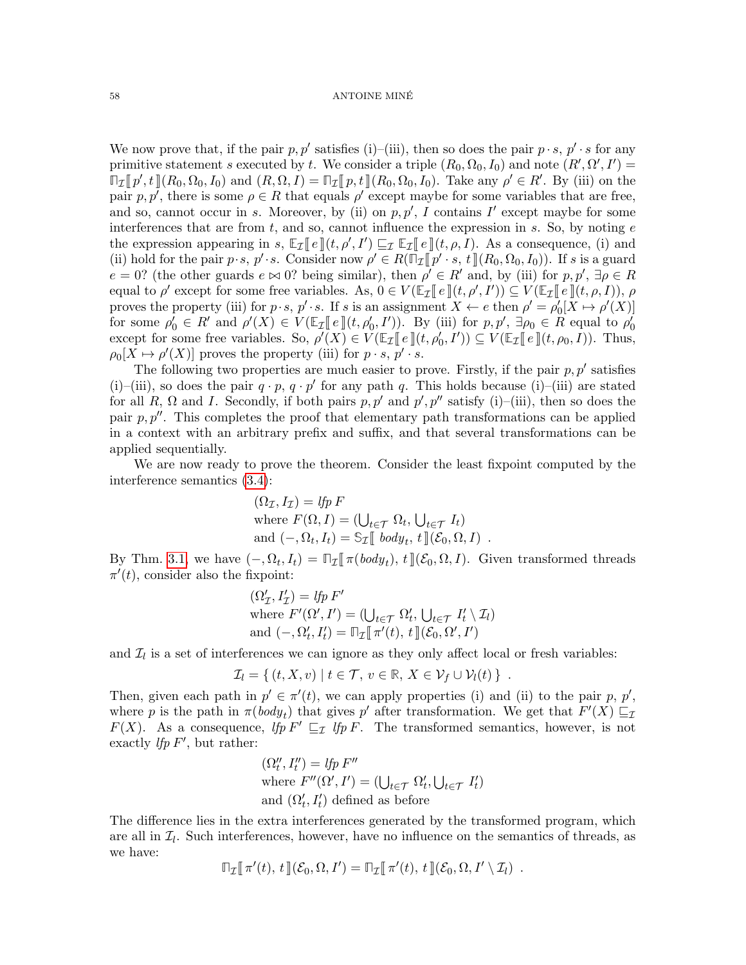We now prove that, if the pair  $p, p'$  satisfies (i)–(iii), then so does the pair  $p \cdot s$ ,  $p' \cdot s$  for any primitive statement s executed by t. We consider a triple  $(R_0, \Omega_0, I_0)$  and note  $(R', \Omega', I') =$  $\mathbb{F}_\mathcal{I}[\![p',t]\!](R_0,\Omega_0,I_0)$  and  $(R,\Omega,I) = \mathbb{F}_\mathcal{I}[\![p,t]\!](R_0,\Omega_0,I_0)$ . Take any  $\rho' \in R'$ . By (iii) on the pair  $p, p'$  there is some  $q \in R$  that equals  $q'$  event maybe for some variables that are free. pair p, p', there is some  $\rho \in R$  that equals  $\rho'$  except maybe for some variables that are free, and so, cannot occur in s. Moreover, by (ii) on  $p, p', I$  contains  $I'$  except maybe for some interferences that are from  $t$ , and so, cannot influence the expression in  $s$ . So, by noting  $e$ the expression appearing in s,  $\mathbb{E}_{\mathcal{I}}[e](t, \rho', I') \sqsubseteq_{\mathcal{I}} \mathbb{E}_{\mathcal{I}}[e](t, \rho, I)$ . As a consequence, (i) and<br>(ii) hold for the pair  $p, e, p' \in \text{Concider } \text{pow } \rho' \in R(\mathbb{R}^d, e, t](R, \Omega_0, I_0)$ . If  $e$  is a guard (ii) hold for the pair p·s,  $p' \cdot s$ . Consider now  $\rho' \in R(\overline{\mathbb{F}_q}[\![p' \cdot s, t]\!](R_0, \Omega_0, I_0))$ . If s is a guard  $e = 0$ ? (the other guards  $e \bowtie 0$ ? being gimilar), then  $e' \in R'$  and by (iii) for  $e \not\subseteq R'$  $e = 0$ ? (the other guards  $e \bowtie 0$ ? being similar), then  $\rho' \in R'$  and, by (iii) for  $p, p', \exists \rho \in R$ equal to  $\rho'$  except for some free variables. As,  $0 \in V(\mathbb{E}_{\mathcal{I}}[e](t, \rho', I')) \subseteq V(\mathbb{E}_{\mathcal{I}}[e](t, \rho, I)), \rho$ <br>proves the property (iii) for  $n \in \mathbb{R}^d$ , e. If  $e$  is an essignment  $X \neq e$  then  $e' = e'[X] \cup e'(X)]$ proves the property (iii) for  $p \cdot s$ ,  $p' \cdot s$ . If s is an assignment  $X \leftarrow e$  then  $\rho' = \rho'_0[X \mapsto \rho'(X)]$ for some  $\rho'_0 \in R'$  and  $\rho'(X) \in V(\mathbb{E}_{\mathcal{I}}[\![e]\!](t, \rho'_0, I'))$ . By (iii) for  $p, p', \exists \rho_0 \in R$  equal to  $\rho'_0$ <br>execut for some free variables. So,  $\rho'(X) \in V(\mathbb{E}_{\mathcal{I}}[\![e]\!](t, \rho'_0, I')) \subset V(\mathbb{E}_{\mathcal{I}}[\![e]\!](t, e, I))$ . Thus, except for some free variables. So,  $\rho'(\overline{X}) \in V(\mathbb{E}_{\mathcal{I}}[\![e]\!](t, \rho'_{0}, I')) \subseteq V(\mathbb{E}_{\mathcal{I}}[\![e]\!](t, \rho_{0}, I)).$  Thus,  $\rho_0[X \mapsto \rho'(X)]$  proves the property (iii) for  $p \cdot s$ ,  $p' \cdot s$ .

The following two properties are much easier to prove. Firstly, if the pair  $p, p'$  satisfies (i)–(iii), so does the pair  $q \cdot p$ ,  $q \cdot p'$  for any path q. This holds because (i)–(iii) are stated for all R,  $\Omega$  and I. Secondly, if both pairs  $p, p'$  and  $p', p''$  satisfy (i)–(iii), then so does the pair  $p, p''$ . This completes the proof that elementary path transformations can be applied in a context with an arbitrary prefix and suffix, and that several transformations can be applied sequentially.

We are now ready to prove the theorem. Consider the least fixpoint computed by the interference semantics [\(3.4\)](#page-12-0):

$$
(\Omega_{\mathcal{I}}, I_{\mathcal{I}}) = \text{If } p \in \mathcal{I}
$$
  
where  $F(\Omega, I) = (\bigcup_{t \in \mathcal{T}} \Omega_t, \bigcup_{t \in \mathcal{T}} I_t)$   
and  $(-, \Omega_t, I_t) = \mathbb{S}_{\mathcal{I}}[[\text{body}_t, t]](\mathcal{E}_0, \Omega, I)$ .

By Thm. [3.1,](#page-12-2) we have  $(-, \Omega_t, I_t) = \mathbb{T}_{\mathcal{I}}[\![\pi(body_t), t]\!](\mathcal{E}_0, \Omega, I)$ . Given transformed threads  $\pi'(t)$  consider also the fixed integration  $\pi'(t)$ , consider also the fixpoint:

$$
(\Omega'_\mathcal{I}, I'_\mathcal{I}) = lfp \ F'
$$
  
where  $F'(\Omega', I') = (\bigcup_{t \in \mathcal{T}} \Omega'_t, \bigcup_{t \in \mathcal{T}} I'_t \setminus \mathcal{I}_l)$   
and  $(-, \Omega'_t, I'_t) = \mathbb{T}_{\mathcal{I}} [\![ \pi'(t), t]\!](\mathcal{E}_0, \Omega', I')$ 

and  $\mathcal{I}_l$  is a set of interferences we can ignore as they only affect local or fresh variables:

$$
\mathcal{I}_l = \{ (t, X, v) \mid t \in \mathcal{T}, v \in \mathbb{R}, X \in \mathcal{V}_f \cup \mathcal{V}_l(t) \} .
$$

Then, given each path in  $p' \in \pi'(t)$ , we can apply properties (i) and (ii) to the pair p, p', where p is the path in  $\pi(body_t)$  that gives p' after transformation. We get that  $F'(X) \sqsubseteq_{\mathcal{I}}$  $F(X)$ . As a consequence,  $lfp F' \sqsubseteq_{\mathcal{I}} lfp F$ . The transformed semantics, however, is not exactly *lfp F'*, but rather:

$$
(\Omega_t'', I_t'') = \text{If } F''
$$
  
where  $F''(\Omega', I') = (\bigcup_{t \in \mathcal{T}} \Omega_t', \bigcup_{t \in \mathcal{T}} I_t')$   
and  $(\Omega_t', I_t')$  defined as before

The difference lies in the extra interferences generated by the transformed program, which are all in  $\mathcal{I}_l$ . Such interferences, however, have no influence on the semantics of threads, as we have:

$$
\mathbb{T}_{\mathcal{I}}[\![\,\pi'(t),\,t\,]\!](\mathcal{E}_0,\Omega,I')=\mathbb{T}_{\mathcal{I}}[\![\,\pi'(t),\,t\,]\!](\mathcal{E}_0,\Omega,I'\setminus\mathcal{I}_l) .
$$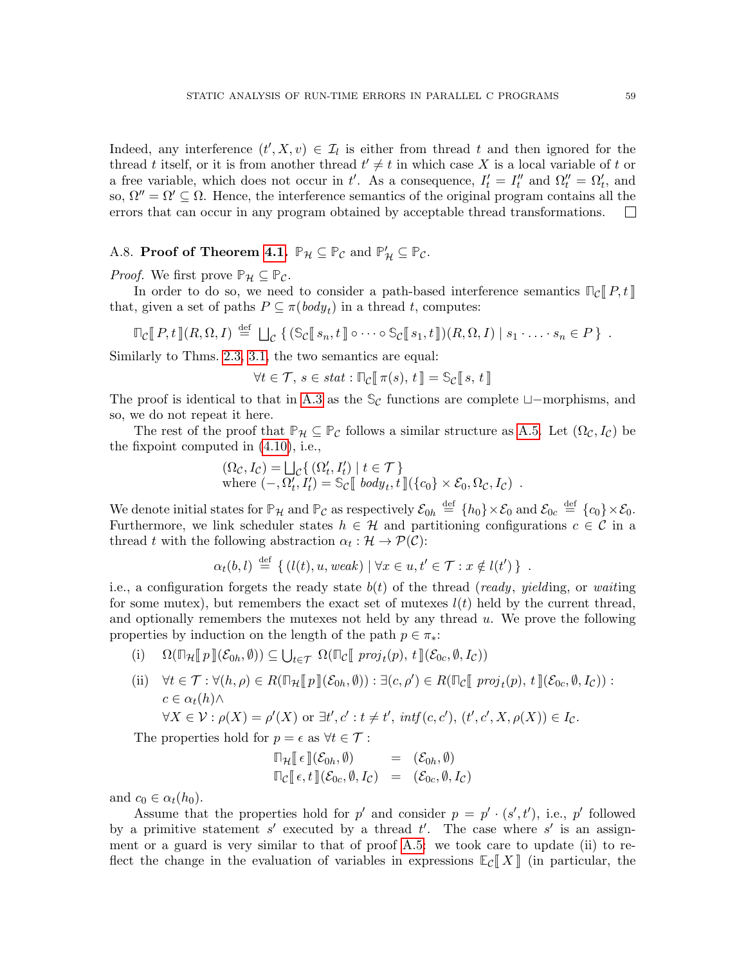Indeed, any interference  $(t', X, v) \in I_l$  is either from thread t and then ignored for the thread t itself, or it is from another thread  $t' \neq t$  in which case X is a local variable of t or a free variable, which does not occur in t'. As a consequence,  $I'_t = I''_t$  and  $\Omega''_t = \Omega'_t$ , and so,  $\Omega'' = \Omega' \subseteq \Omega$ . Hence, the interference semantics of the original program contains all the errors that can occur in any program obtained by acceptable thread transformations.  $\Box$ 

# <span id="page-58-0"></span>A.8. **Proof of Theorem [4.1.](#page-31-2)**  $\mathbb{P}_{\mathcal{H}} \subseteq \mathbb{P}_{\mathcal{C}}$  and  $\mathbb{P}'_{\mathcal{H}} \subseteq \mathbb{P}_{\mathcal{C}}$ .

*Proof.* We first prove  $\mathbb{P}_{\mathcal{H}} \subseteq \mathbb{P}_{\mathcal{C}}$ .

In order to do so, we need to consider a path-based interference semantics  $\mathbb{I}_{\mathcal{C}}[P, t]$ that, given a set of paths  $P \subseteq \pi(\text{body}_t)$  in a thread t, computes:

$$
\mathbb{F}_{\mathcal{C}}[P,t](R,\Omega,I) \stackrel{\text{def}}{=} \bigcup_{\mathcal{C}} \left\{ (\mathbb{S}_{\mathcal{C}}[s_n,t]] \circ \cdots \circ \mathbb{S}_{\mathcal{C}}[s_1,t]](R,\Omega,I) \mid s_1 \cdot \ldots \cdot s_n \in P \right\}.
$$

Similarly to Thms. [2.3,](#page-9-5) [3.1,](#page-12-2) the two semantics are equal:

 $\forall t \in \mathcal{T}, s \in stat : \mathbb{T}_{\mathcal{C}}[\![\,\pi(s), t]\!] = \mathbb{S}_{\mathcal{C}}[\![\,s, t]\!]$ 

The proof is identical to that in [A.3](#page-50-0) as the  $\mathcal{S}_{\mathcal{C}}$  functions are complete  $\Box$ -morphisms, and so, we do not repeat it here.

The rest of the proof that  $\mathbb{P}_{\mathcal{H}} \subseteq \mathbb{P}_{\mathcal{C}}$  follows a similar structure as [A.5.](#page-51-1) Let  $(\Omega_{\mathcal{C}}, I_{\mathcal{C}})$  be the fixpoint computed in [\(4.10\)](#page-31-1), i.e.,

$$
\begin{aligned} (\Omega_{\mathcal{C}}, I_{\mathcal{C}}) &= \bigsqcup_{\mathcal{C}} \{ \, (\Omega_t', I_t') \mid t \in \mathcal{T} \} \\ \text{where } (-, \Omega_t', I_t') &= \mathbb{S}_{\mathcal{C}} \llbracket \, \, body_t, t \, \rrbracket (\{c_0\} \times \mathcal{E}_0, \Omega_{\mathcal{C}}, I_{\mathcal{C}}) \, . \end{aligned}
$$

We denote initial states for  $\mathbb{P}_{\mathcal{H}}$  and  $\mathbb{P}_{\mathcal{C}}$  as respectively  $\mathcal{E}_{0h} \stackrel{\text{def}}{=} \{h_0\} \times \mathcal{E}_0$  and  $\mathcal{E}_{0c} \stackrel{\text{def}}{=} \{c_0\} \times \mathcal{E}_0$ . Furthermore, we link scheduler states  $h \in \mathcal{H}$  and partitioning configurations  $c \in \mathcal{C}$  in a thread t with the following abstraction  $\alpha_t : \mathcal{H} \to \mathcal{P}(\mathcal{C})$ :

$$
\alpha_t(b, l) \stackrel{\text{def}}{=} \{ (l(t), u, weak) \mid \forall x \in u, t' \in \mathcal{T} : x \notin l(t') \} .
$$

i.e., a configuration forgets the ready state  $b(t)$  of the thread (ready, yielding, or waiting for some mutex), but remembers the exact set of mutexes  $l(t)$  held by the current thread, and optionally remembers the mutexes not held by any thread u. We prove the following properties by induction on the length of the path  $p \in \pi_*$ :

- (i)  $\Omega(\mathbb{D}_{\mathcal{H}}[\![p]\!](\mathcal{E}_{0h},\emptyset)) \subseteq \bigcup_{t \in \mathcal{T}} \Omega(\mathbb{D}_{\mathcal{C}}[\![proj_t(p), t]\!](\mathcal{E}_{0c},\emptyset, I_{\mathcal{C}}))$
- (ii)  $\forall t \in \mathcal{T} : \forall (h, \rho) \in R(\mathbb{T}_\mathcal{H}[\![p]\!](\mathcal{E}_{0h}, \emptyset)) : \exists (c, \rho') \in R(\mathbb{T}_\mathcal{C}[\![proj_t(p), t]\!](\mathcal{E}_{0c}, \emptyset, I_{\mathcal{C}})) :$  $c \in \alpha_t(h) \wedge$

$$
\forall X \in \mathcal{V} : \rho(X) = \rho'(X) \text{ or } \exists t', c' : t \neq t', \text{ int } f(c, c'), (t', c', X, \rho(X)) \in I_c.
$$

The properties hold for  $p = \epsilon$  as  $\forall t \in \mathcal{T}$ :

$$
\Pi_{\mathcal{H}}[\![\epsilon]\!](\mathcal{E}_{0h},\emptyset) = (\mathcal{E}_{0h},\emptyset) \n\Pi_{\mathcal{C}}[\![\epsilon,t]\!](\mathcal{E}_{0c},\emptyset,I_{\mathcal{C}}) = (\mathcal{E}_{0c},\emptyset,I_{\mathcal{C}})
$$

and  $c_0 \in \alpha_t(h_0)$ .

Assume that the properties hold for p' and consider  $p = p' \cdot (s', t')$ , i.e., p' followed by a primitive statement  $s'$  executed by a thread  $t'$ . The case where  $s'$  is an assignment or a guard is very similar to that of proof [A.5:](#page-51-1) we took care to update (ii) to reflect the change in the evaluation of variables in expressions  $\mathbb{E}_{\mathcal{C}}[X]$  (in particular, the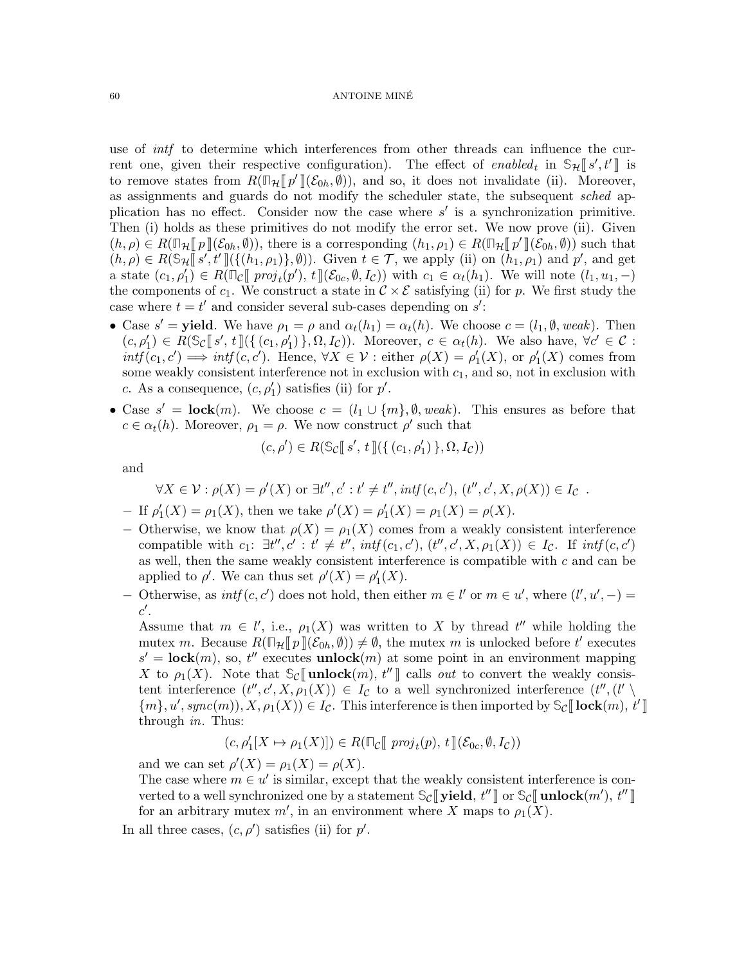use of *intf* to determine which interferences from other threads can influence the current one, given their respective configuration). The effect of *enabled<sub>t</sub>* in  $\mathfrak{S}_{\mathcal{H}}[[s',t']]$  is<br>to remove states from  $B(\mathbb{R}, \mathbb{R}^d)[(S_{\infty}, \emptyset))$  and so it does not invalidate (ii). Mereover, to remove states from  $R(\mathbb{T}_H[\![p']\!](\mathcal{E}_{0h}, \emptyset))$ , and so, it does not invalidate (ii). Moreover, as assignments and guards do not modify the scheduler state, the subsequent sched application has no effect. Consider now the case where  $s'$  is a synchronization primitive. Then (i) holds as these primitives do not modify the error set. We now prove (ii). Given  $(h, \rho) \in R(\mathbb{Z}_{\ell}[p]](\mathcal{E}_{0h}, \emptyset))$ , there is a corresponding  $(h_1, \rho_1) \in R(\mathbb{Z}_{\ell}[p']](\mathcal{E}_{0h}, \emptyset))$  such that  $(h, \rho) \in R(\mathbb{S}_{\ell}[p'] \cup \{h_1, \rho_1\})$ . Civen  $f \in \mathcal{T}$  we apply (ii) on  $(h, \rho)$  and  $p'$  and get  $(h, \rho) \in R(\mathbb{S}_H[\![s', t']\!] \left( \{(h_1, \rho_1)\}, \emptyset \right)$ . Given  $t \in \mathcal{T}$ , we apply (ii) on  $(h_1, \rho_1)$  and  $p'$ , and get a state  $(c_1, \rho'_1) \in R(\mathbb{F}_{\mathcal{C}}[\![\mathit{proj}_t(p'), t]\!](\mathcal{E}_{0c}, \emptyset, I_c))$  with  $c_1 \in \alpha_t(h_1)$ . We will note  $(l_1, u_1, -)$ <br>the components of  $c_1$ . We construct a state in  $c_2 \times \mathcal{E}$  satisfying (ii) for a We first study the the components of  $c_1$ . We construct a state in  $\mathcal{C} \times \mathcal{E}$  satisfying (ii) for p. We first study the case where  $t = t'$  and consider several sub-cases depending on  $s'$ .

- Case  $s'$  = yield. We have  $\rho_1 = \rho$  and  $\alpha_t(h_1) = \alpha_t(h)$ . We choose  $c = (l_1, \emptyset, weak)$ . Then  $(c, \rho'_1) \in R(\mathbb{S}_{\mathcal{C}}[\![s', t]\!](\{(c_1, \rho'_1)\}, \Omega, I_{\mathcal{C}}))$ . Moreover,  $c \in \alpha_t(h)$ . We also have,  $\forall c' \in \mathcal{C}$ :<br>int $f(c, c') \longrightarrow \inf(c, c')$ . Honce  $\forall X \in \mathcal{V}$ ; either  $c(X) = c'(X)$  or  $c'(X)$  comes from  $\text{int} f(c_1, c') \implies \text{int} f(c, c')$ . Hence,  $\forall X \in \mathcal{V}$ : either  $\rho(X) = \rho'_1(X)$ , or  $\rho'_1(X)$  comes from some weakly consistent interference not in exclusion with  $c_1$ , and so, not in exclusion with c. As a consequence,  $(c, \rho'_1)$  satisfies (ii) for  $p'$ .
- Case  $s' = \textbf{lock}(m)$ . We choose  $c = (l_1 \cup \{m\}, \emptyset, weak)$ . This ensures as before that  $c \in \alpha_t(h)$ . Moreover,  $\rho_1 = \rho$ . We now construct  $\rho'$  such that

$$
(c,\rho') \in R(\mathbb{S}_{\mathcal{C}}[s', t](\{(c_1,\rho'_1)\}, \Omega, I_{\mathcal{C}}))
$$

and

$$
\forall X \in \mathcal{V} : \rho(X) = \rho'(X) \text{ or } \exists t'', c' : t' \neq t'', \text{intf}(c, c'), (t'', c', X, \rho(X)) \in I_c.
$$

- If 
$$
\rho'_1(X) = \rho_1(X)
$$
, then we take  $\rho'(X) = \rho'_1(X) = \rho_1(X) = \rho(X)$ .

- − Otherwise, we know that  $\rho(X) = \rho_1(X)$  comes from a weakly consistent interference compatible with  $c_1: \exists t'', c': t' \neq t'', \text{intf}(c_1, c'), (t'', c', X, \rho_1(X)) \in I_c$ . If  $\text{intf}(c, c')$ as well, then the same weakly consistent interference is compatible with  $c$  and can be applied to  $\rho'$ . We can thus set  $\rho'(X) = \rho'_1(X)$ .
- Otherwise, as  $int(c, c')$  does not hold, then either  $m \in l'$  or  $m \in u'$ , where  $(l', u', -)$  =  $c'.$

Assume that  $m \in l'$ , i.e.,  $\rho_1(X)$  was written to X by thread  $t''$  while holding the mutex m. Because  $R(\mathbb{T}_H[\![p]\!](\mathcal{E}_{0h},\emptyset)) \neq \emptyset$ , the mutex m is unlocked before t' executes  $s' = \textbf{lock}(m)$ , so,  $t''$  executes **unlock** $(m)$  at some point in an environment mapping X to  $\rho_1(X)$ . Note that  $\mathcal{S}_{\mathcal{C}}[\![\mathbf{unlock}(m), t'']\!]$  calls *out* to convert the weakly consistent interference  $(t'', c', X, \rho_1(X)) \in I_c$  to a well synchronized interference  $(t'', (l' \setminus$  ${m}$ ,  $u'$ ,  $sync(m)$ ,  $X$ ,  $\rho_1(X)$ )  $\in I_c$ . This interference is then imported by  $\mathcal{S}_c$  [lock $(m)$ ,  $t'$ ] through in Thus: through in. Thus:

$$
(c, \rho'_1[X \mapsto \rho_1(X)]) \in R(\mathbb{T}_\mathcal{C} [\![ \mathit{proj}_t(p), t ]\!](\mathcal{E}_{0c}, \emptyset, I_\mathcal{C}))
$$

and we can set  $\rho'(X) = \rho_1(X) = \rho(X)$ .

The case where  $m \in u'$  is similar, except that the weakly consistent interference is converted to a well synchronized one by a statement  $\mathbb{S}_{\mathcal{C}}[\![\text{yield}, t'']\!]$  or  $\mathbb{S}_{\mathcal{C}}[\![\text{unlock}(m'), t'']\!]$ <br>for an arbitrary mutov m' in an opyronment where X maps to  $\alpha(X)$ for an arbitrary mutex  $m'$ , in an environment where X maps to  $\rho_1(X)$ .

In all three cases,  $(c, \rho')$  satisfies (ii) for  $p'$ .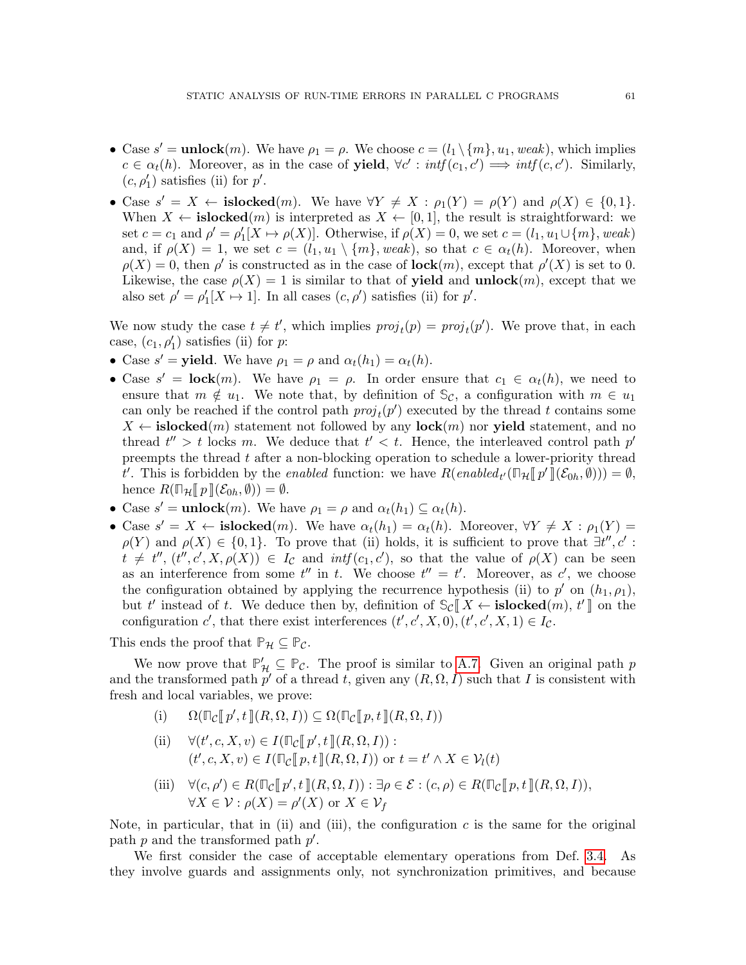- Case  $s' = \text{unlock}(m)$ . We have  $\rho_1 = \rho$ . We choose  $c = (l_1 \setminus \{m\}, u_1, weak)$ , which implies  $c \in \alpha_t(h)$ . Moreover, as in the case of **yield**,  $\forall c' : \text{intf}(c_1, c') \implies \text{intf}(c, c')$ . Similarly,  $(c, \rho'_1)$  satisfies (ii) for  $p'$ .
- Case  $s' = X \leftarrow \text{islocked}(m)$ . We have  $\forall Y \neq X : \rho_1(Y) = \rho(Y)$  and  $\rho(X) \in \{0, 1\}$ . When  $X \leftarrow \textbf{islocked}(m)$  is interpreted as  $X \leftarrow [0,1]$ , the result is straightforward: we set  $c = c_1$  and  $\rho' = \rho'_1[X \mapsto \rho(X)]$ . Otherwise, if  $\rho(X) = 0$ , we set  $c = (l_1, u_1 \cup \{m\},$  weak) and, if  $\rho(X) = 1$ , we set  $c = (l_1, u_1 \setminus \{m\}, \text{weak})$ , so that  $c \in \alpha_t(h)$ . Moreover, when  $\rho(X) = 0$ , then  $\rho'$  is constructed as in the case of **lock** $(m)$ , except that  $\rho'(X)$  is set to 0. Likewise, the case  $\rho(X) = 1$  is similar to that of **yield** and **unlock** $(m)$ , except that we also set  $\rho' = \rho'_1[X \mapsto 1]$ . In all cases  $(c, \rho')$  satisfies (ii) for  $p'$ .

We now study the case  $t \neq t'$ , which implies  $proj_t(p) = proj_t(p')$ . We prove that, in each case,  $(c_1, \rho'_1)$  satisfies (ii) for *p*:

- Case  $s'$  = yield. We have  $\rho_1 = \rho$  and  $\alpha_t(h_1) = \alpha_t(h)$ .
- Case  $s' = \textbf{lock}(m)$ . We have  $\rho_1 = \rho$ . In order ensure that  $c_1 \in \alpha_t(h)$ , we need to ensure that  $m \notin u_1$ . We note that, by definition of  $\mathcal{S}_{\mathcal{C}}$ , a configuration with  $m \in u_1$ can only be reached if the control path  $proj_t(p')$  executed by the thread t contains some  $X \leftarrow \textbf{islocked}(m)$  statement not followed by any  $\textbf{lock}(m)$  nor yield statement, and no thread  $t'' > t$  locks m. We deduce that  $t' < t$ . Hence, the interleaved control path  $p'$ preempts the thread  $t$  after a non-blocking operation to schedule a lower-priority thread t'. This is forbidden by the *enabled* function: we have  $R(enabled_{t'}(\mathbb{T}_{\mathcal{H}}[\![p']\!](\mathcal{E}_{0h},\emptyset))) = \emptyset$ ,<br>honce  $R(\mathbb{T}_{\infty}[\![p]\!](\mathcal{E}_{\infty},\emptyset)) = \emptyset$ hence  $R(\mathbb{T}_{\mathcal{H}}[\![p]\!](\mathcal{E}_{0h},\emptyset)) = \emptyset.$
- Case  $s' = \text{unlock}(m)$ . We have  $\rho_1 = \rho$  and  $\alpha_t(h_1) \subseteq \alpha_t(h)$ .
- Case  $s' = X \leftarrow \text{islocked}(m)$ . We have  $\alpha_t(h_1) = \alpha_t(h)$ . Moreover,  $\forall Y \neq X : \rho_1(Y) =$  $\rho(Y)$  and  $\rho(X) \in \{0,1\}$ . To prove that (ii) holds, it is sufficient to prove that  $\exists t'', c'$ :  $t \neq t''$ ,  $(t'', c', X, \rho(X)) \in I_c$  and  $\inf(c_1, c')$ , so that the value of  $\rho(X)$  can be seen as an interference from some  $t''$  in t. We choose  $t'' = t'$ . Moreover, as c', we choose the configuration obtained by applying the recurrence hypothesis (ii) to  $p'$  on  $(h_1, \rho_1)$ , but t' instead of t. We deduce then by, definition of  $\mathcal{S}_{\mathcal{C}}[[X \leftarrow \mathbf{islocked}(m), t']$  on the configuration c', that there exist interferences  $(t', c', X, 0)$ ,  $(t', c', X, 1) \in I_c$ .

This ends the proof that  $\mathbb{P}_{\mathcal{H}} \subseteq \mathbb{P}_{\mathcal{C}}$ .

We now prove that  $\mathbb{P}'_{\mathcal{H}} \subseteq \mathbb{P}_{\mathcal{C}}$ . The proof is similar to [A.7.](#page-53-0) Given an original path p and the transformed path  $p'$  of a thread t, given any  $(R, \Omega, I)$  such that I is consistent with fresh and local variables, we prove:

- (i)  $\Omega(\mathbb{T}_{\mathcal{C}}[\![p',t]\!](R,\Omega,I)) \subseteq \Omega(\mathbb{T}_{\mathcal{C}}[\![p,t]\!](R,\Omega,I))$
- (ii)  $\forall (t', c, X, v) \in I(\mathbb{F}_{\mathcal{C}}[\![p', t]\!](R, \Omega, I)) :$  $(t', c, X, v) \in I(\mathbb{Z}[p, t](R, \Omega, I))$  or  $t = t' \wedge X \in \mathcal{V}_l(t)$
- (iii)  $\forall (c, \rho') \in R(\mathbb{T}_{\mathcal{C}}[\![p', t]\!](R, \Omega, I)) : \exists \rho \in \mathcal{E} : (c, \rho) \in R(\mathbb{T}_{\mathcal{C}}[\![p, t]\!](R, \Omega, I)),$  $\forall X \in \mathcal{V} : \rho(X) = \rho'(X) \text{ or } X \in \mathcal{V}_f$

Note, in particular, that in (ii) and (iii), the configuration  $c$  is the same for the original path  $p$  and the transformed path  $p'$ .

We first consider the case of acceptable elementary operations from Def. [3.4.](#page-18-0) As they involve guards and assignments only, not synchronization primitives, and because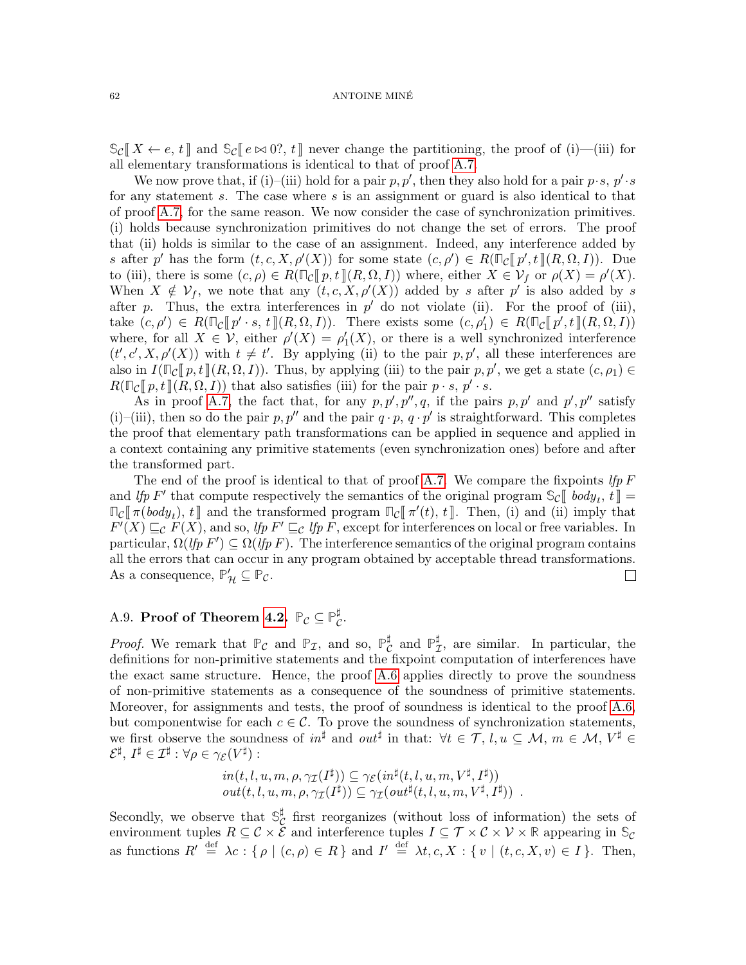$\mathbb{S}_{\mathcal{C}}[X \leftarrow e, t]$  and  $\mathbb{S}_{\mathcal{C}}[e \bowtie 0^{\circ}, t]$  never change the partitioning, the proof of (i)—(iii) for all elementary transformations is identical to that of proof [A.7.](#page-53-0)

We now prove that, if (i)–(iii) hold for a pair p, p', then they also hold for a pair  $p \cdot s$ ,  $p' \cdot s$ for any statement s. The case where s is an assignment or guard is also identical to that of proof [A.7,](#page-53-0) for the same reason. We now consider the case of synchronization primitives. (i) holds because synchronization primitives do not change the set of errors. The proof that (ii) holds is similar to the case of an assignment. Indeed, any interference added by s after p' has the form  $(t, c, X, \rho'(X))$  for some state  $(c, \rho') \in R(\mathbb{F}_c[\![p', t]\!](R, \Omega, I))$ . Due<br>to (iii), there is some  $(c, \rho) \in R(\mathbb{F}_c[\![p, t]\!](R, \Omega, I))$ , where either  $X \subseteq \mathcal{Y}_c$  or  $c(X) = c'(X)$ . to (iii), there is some  $(c, \rho) \in R(\mathbb{Z}[p, t](R, \Omega, I))$  where, either  $X \in \mathcal{V}_f$  or  $\rho(X) = \rho'(X)$ .<br>When  $X \notin \mathcal{V}_f$  we note that any  $(t, c, X, \rho'(X))$  added by eafter  $p'$  is also added by  $c$ When  $X \notin \mathcal{V}_f$ , we note that any  $(t, c, X, \rho'(X))$  added by s after p' is also added by s after p. Thus, the extra interferences in  $p'$  do not violate (ii). For the proof of (iii), take  $(c, \rho') \in R(\mathbb{T}_{\mathcal{C}}[\![p' \cdot s, t]\!](R, \Omega, I))$ . There exists some  $(c, \rho'_1) \in R(\mathbb{T}_{\mathcal{C}}[\![p', t]\!](R, \Omega, I))$ <br>where for all  $X \subset \mathcal{Y}$  either  $c'(X) = c'(X)$  or there is a well symphropized interference where, for all  $X \in V$ , either  $\rho'(X) = \rho'_1(X)$ , or there is a well synchronized interference  $(t', c', X, \rho'(X))$  with  $t \neq t'$ . By applying (ii) to the pair p, p', all these interferences are also in  $I(\mathbb{F}_{\mathcal{C}}[p, t](R, \Omega, I))$ . Thus, by applying (iii) to the pair  $p, p'$ , we get a state  $(c, \rho_1) \in$ <br> $B(\mathbb{F}_{\mathcal{C}}[p, t](R, \Omega, I))$  that also satisfies (iii) for the pair  $p, e, p'$ ,  $e$  $R(\mathbb{F}_{\mathcal{C}}[p, t](R, \Omega, I))$  that also satisfies (iii) for the pair  $p \cdot s$ ,  $p' \cdot s$ .

As in proof [A.7,](#page-53-0) the fact that, for any  $p, p', p'', q$ , if the pairs  $p, p'$  and  $p', p''$  satisfy (i)–(iii), then so do the pair p, p'' and the pair  $q \cdot p$ ,  $q \cdot p'$  is straightforward. This completes the proof that elementary path transformations can be applied in sequence and applied in a context containing any primitive statements (even synchronization ones) before and after the transformed part.

The end of the proof is identical to that of proof [A.7.](#page-53-0) We compare the fixpoints lfp  $F$ and *lfp* F' that compute respectively the semantics of the original program  $\mathbb{S}_{\mathcal{C}}[$  body<sub>t</sub>,  $t] =$ <br> $\mathbb{S}_{\mathcal{C}}[$   $\mathcal{C}_{\mathcal{C}}[$  body),  $t]$  and the transformed program  $\mathbb{S}_{\mathcal{C}}[$   $\mathcal{C}'(t)$ ,  $t]$  Then (i  $\mathbb{F}_C[\![\pi(body_t), t]\!]$  and the transformed program  $\mathbb{F}_C[\![\pi'(t), t]\!]$ . Then, (i) and (ii) imply that  $F'(X) \sqsubset_s F(X)$  and so the  $F' \sqsubset_s I$  the E except for interferences on local or free variables. In  $F(X) \sqsubseteq_{\mathcal{C}} F(X)$ , and so, *lfp F'*  $\sqsubseteq_{\mathcal{C}}$  *lfp F*, except for interferences on local or free variables. In particular,  $\Omega(lfp F') \subseteq \Omega(lfp F)$ . The interference semantics of the original program contains all the errors that can occur in any program obtained by acceptable thread transformations. As a consequence,  $\mathbb{P}'_{\mathcal{H}} \subseteq \mathbb{P}_{\mathcal{C}}$ .  $\Box$ 

#### <span id="page-61-0"></span>A.9. **Proof of Theorem [4.2.](#page-36-0)**  $\mathbb{P}_{\mathcal{C}} \subseteq \mathbb{P}_{\mathcal{C}}^{\sharp}$ ր<br>C∙

*Proof.* We remark that  $\mathbb{P}_{\mathcal{C}}$  and  $\mathbb{P}_{\mathcal{I}}$ , and so,  $\mathbb{P}_{\mathcal{C}}^{\sharp}$  $_{\mathcal{C}}^{\sharp}$  and  $\mathbb{P}_{\mathcal{I}}^{\sharp}$  $\mathcal{I}$ , are similar. In particular, the definitions for non-primitive statements and the fixpoint computation of interferences have the exact same structure. Hence, the proof [A.6](#page-52-0) applies directly to prove the soundness of non-primitive statements as a consequence of the soundness of primitive statements. Moreover, for assignments and tests, the proof of soundness is identical to the proof [A.6,](#page-52-0) but componentwise for each  $c \in \mathcal{C}$ . To prove the soundness of synchronization statements, we first observe the soundness of  $in^{\sharp}$  and  $out^{\sharp}$  in that:  $\forall t \in \mathcal{T}, l, u \subseteq \mathcal{M}, m \in \mathcal{M}, V^{\sharp} \in$  $\mathcal{E}^\sharp,\,I^\sharp\in\mathcal{I}^\sharp:\forall\rho\in\gamma_\mathcal{E}(V^\sharp):$ 

$$
in(t, l, u, m, \rho, \gamma_{\mathcal{I}}(I^{\sharp})) \subseteq \gamma_{\mathcal{E}}(in^{\sharp}(t, l, u, m, V^{\sharp}, I^{\sharp}))
$$
  

$$
out(t, l, u, m, \rho, \gamma_{\mathcal{I}}(I^{\sharp})) \subseteq \gamma_{\mathcal{I}}(out^{\sharp}(t, l, u, m, V^{\sharp}, I^{\sharp})) .
$$

Secondly, we observe that  $\mathbb{S}_{\mathcal{C}}^{\sharp}$  $\mathcal{C}$  first reorganizes (without loss of information) the sets of environment tuples  $R \subseteq C \times \mathcal{E}$  and interference tuples  $I \subseteq \mathcal{T} \times C \times \mathcal{V} \times \mathbb{R}$  appearing in  $\mathbb{S}_{\mathcal{C}}$ as functions  $R' \stackrel{\text{def}}{=} \lambda c : \{\rho \mid (c, \rho) \in R\}$  and  $I' \stackrel{\text{def}}{=} \lambda t, c, X : \{v \mid (t, c, X, v) \in I\}$ . Then,